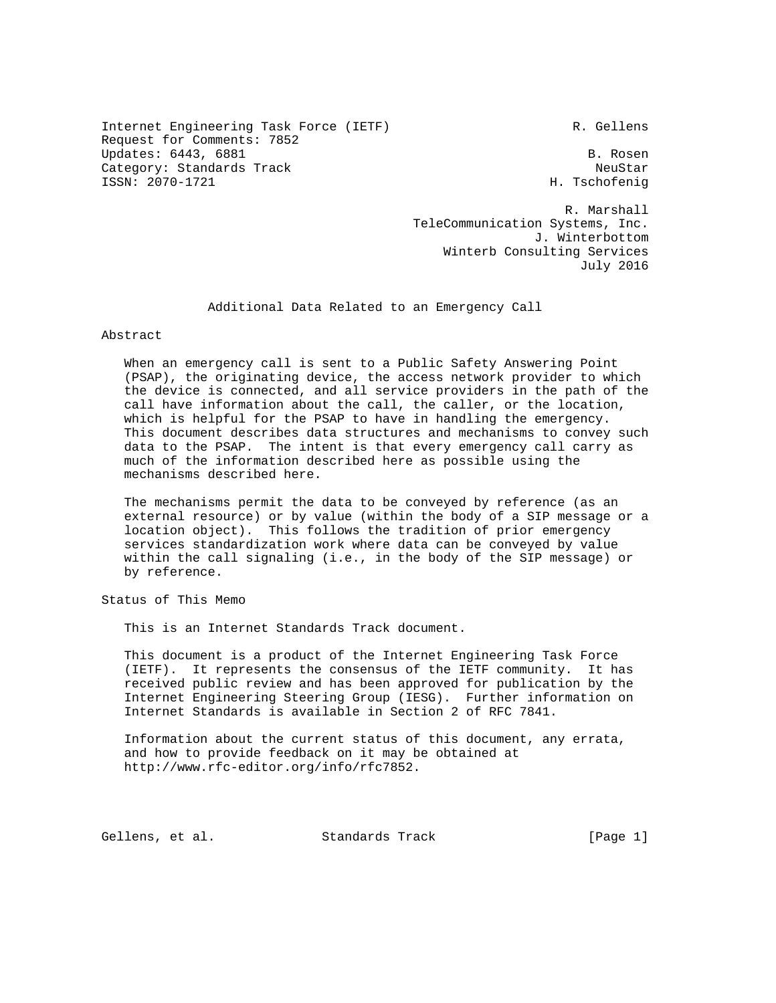Internet Engineering Task Force (IETF) R. Gellens Request for Comments: 7852 Updates: 6443, 6881 B. Rosen Category: Standards Track NeuStar NeuStar NeuStar ISSN: 2070-1721 H. Tschofenig

 R. Marshall TeleCommunication Systems, Inc. J. Winterbottom Winterb Consulting Services July 2016

Additional Data Related to an Emergency Call

Abstract

 When an emergency call is sent to a Public Safety Answering Point (PSAP), the originating device, the access network provider to which the device is connected, and all service providers in the path of the call have information about the call, the caller, or the location, which is helpful for the PSAP to have in handling the emergency. This document describes data structures and mechanisms to convey such data to the PSAP. The intent is that every emergency call carry as much of the information described here as possible using the mechanisms described here.

 The mechanisms permit the data to be conveyed by reference (as an external resource) or by value (within the body of a SIP message or a location object). This follows the tradition of prior emergency services standardization work where data can be conveyed by value within the call signaling (i.e., in the body of the SIP message) or by reference.

Status of This Memo

This is an Internet Standards Track document.

 This document is a product of the Internet Engineering Task Force (IETF). It represents the consensus of the IETF community. It has received public review and has been approved for publication by the Internet Engineering Steering Group (IESG). Further information on Internet Standards is available in Section 2 of RFC 7841.

 Information about the current status of this document, any errata, and how to provide feedback on it may be obtained at http://www.rfc-editor.org/info/rfc7852.

Gellens, et al. Standards Track [Page 1]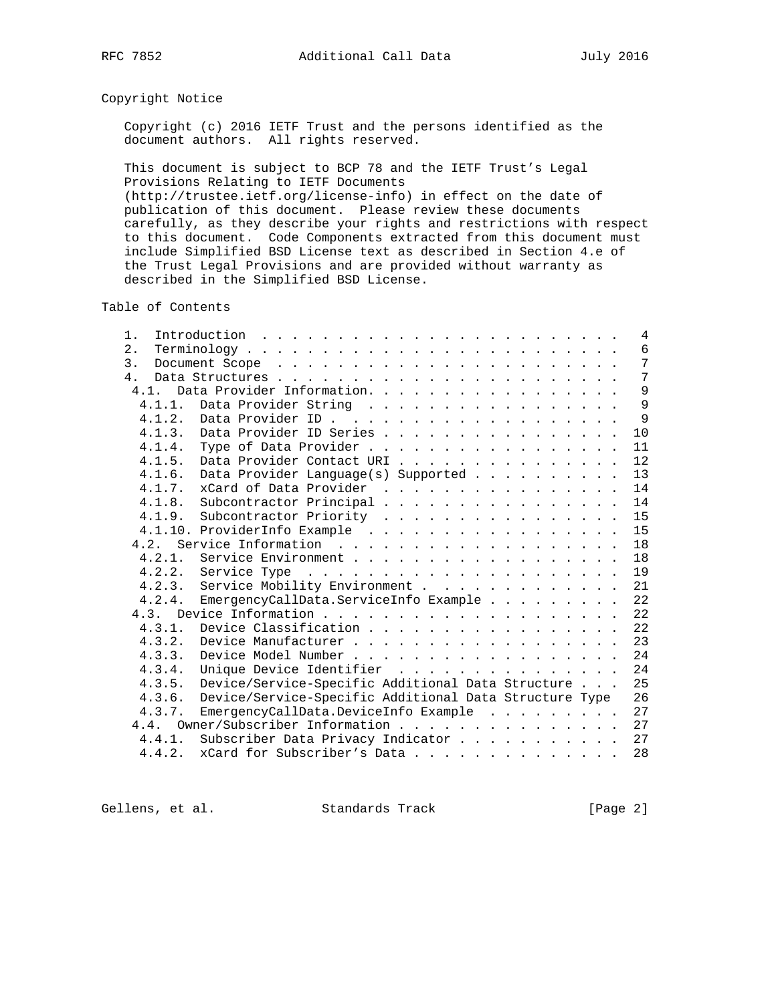# Copyright Notice

 Copyright (c) 2016 IETF Trust and the persons identified as the document authors. All rights reserved.

 This document is subject to BCP 78 and the IETF Trust's Legal Provisions Relating to IETF Documents (http://trustee.ietf.org/license-info) in effect on the date of publication of this document. Please review these documents carefully, as they describe your rights and restrictions with respect to this document. Code Components extracted from this document must include Simplified BSD License text as described in Section 4.e of the Trust Legal Provisions and are provided without warranty as

described in the Simplified BSD License.

Table of Contents

| 1.                                                               | 4  |
|------------------------------------------------------------------|----|
| 2.                                                               | 6  |
| 3.                                                               | 7  |
| $4$ .                                                            | 7  |
| Data Provider Information.<br>4.1.                               | 9  |
| Data Provider String<br>4.1.1.                                   | 9  |
| 4.1.2.                                                           | 9  |
| Data Provider ID Series<br>4.1.3.                                | 10 |
| Type of Data Provider<br>4.1.4.                                  | 11 |
| Data Provider Contact URI<br>4.1.5.                              | 12 |
| Data Provider Language(s) Supported<br>4.1.6.                    | 13 |
| 4.1.7. xCard of Data Provider                                    | 14 |
| 4.1.8. Subcontractor Principal                                   | 14 |
| 4.1.9.<br>Subcontractor Priority                                 | 15 |
| 4.1.10. ProviderInfo Example                                     | 15 |
| 4.2.                                                             | 18 |
| Service Environment<br>4.2.1.                                    | 18 |
| 4.2.2.                                                           | 19 |
| 4.2.3. Service Mobility Environment                              | 21 |
| EmergencyCallData.ServiceInfo Example<br>4.2.4.                  | 22 |
|                                                                  | 22 |
| Device Classification<br>4.3.1.                                  | 22 |
| 4, 3, 2.<br>Device Manufacturer                                  | 23 |
| 4.3.3.                                                           | 24 |
| Unique Device Identifier<br>4.3.4.                               | 24 |
| Device/Service-Specific Additional Data Structure<br>4.3.5.      | 25 |
| Device/Service-Specific Additional Data Structure Type<br>4.3.6. | 26 |
| EmergencyCallData.DeviceInfo Example<br>4.3.7.                   | 27 |
| Owner/Subscriber Information<br>4.4.                             | 27 |
| Subscriber Data Privacy Indicator<br>4.4.1.                      | 27 |
| xCard for Subscriber's Data<br>4.4.2.                            | 28 |

Gellens, et al. Standards Track [Page 2]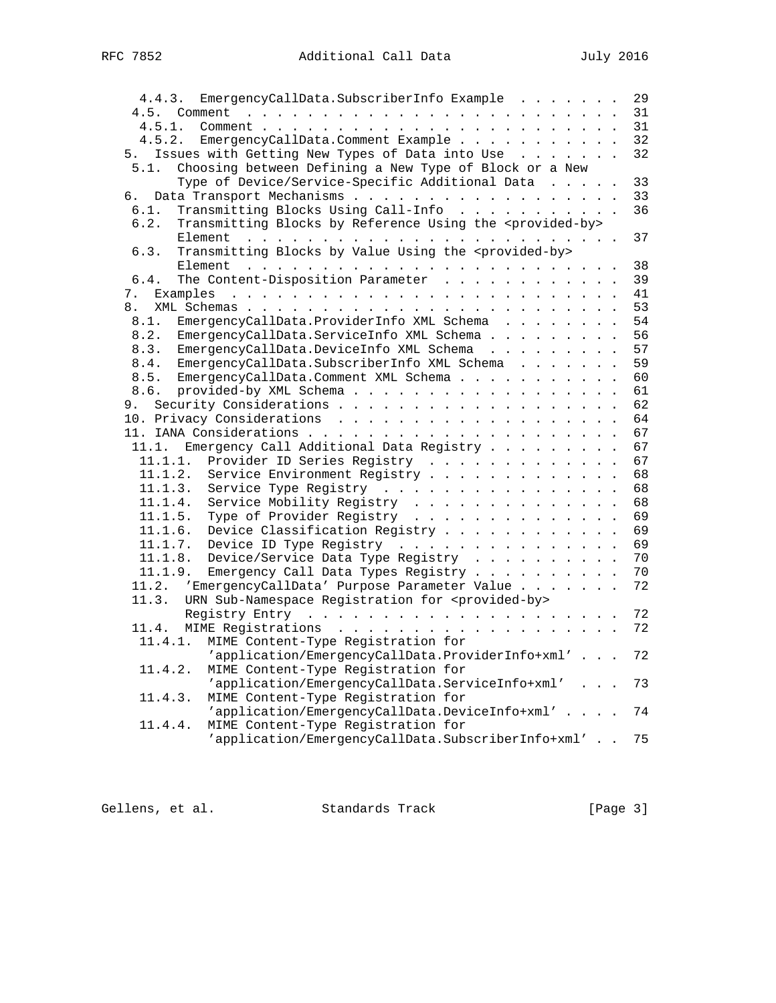| 4.4.3. EmergencyCallData.SubscriberInfo Example                                                                                                                                                                                           | 29 |
|-------------------------------------------------------------------------------------------------------------------------------------------------------------------------------------------------------------------------------------------|----|
| 4.5. Comment<br>the contract of the contract of the contract of the contract of the contract of the contract of the contract of                                                                                                           | 31 |
| 4.5.1.                                                                                                                                                                                                                                    | 31 |
| EmergencyCallData.Comment Example<br>4.5.2.                                                                                                                                                                                               | 32 |
| 5. Issues with Getting New Types of Data into Use                                                                                                                                                                                         | 32 |
| 5.1.<br>Choosing between Defining a New Type of Block or a New                                                                                                                                                                            |    |
| Type of Device/Service-Specific Additional Data                                                                                                                                                                                           | 33 |
| б.                                                                                                                                                                                                                                        | 33 |
| Transmitting Blocks Using Call-Info<br>6.1.                                                                                                                                                                                               | 36 |
| 6.2.                                                                                                                                                                                                                                      |    |
| Transmitting Blocks by Reference Using the <provided-by></provided-by>                                                                                                                                                                    |    |
|                                                                                                                                                                                                                                           | 37 |
| Transmitting Blocks by Value Using the <provided-by><br/>6.3.</provided-by>                                                                                                                                                               |    |
| and the contract of the contract of the contract of the contract of the contract of the contract of the contract of the contract of the contract of the contract of the contract of the contract of the contract of the contra<br>Element | 38 |
| The Content-Disposition Parameter<br>6.4.                                                                                                                                                                                                 | 39 |
| 7.                                                                                                                                                                                                                                        | 41 |
| 8.                                                                                                                                                                                                                                        | 53 |
| EmergencyCallData. ProviderInfo XML Schema<br>8.1.                                                                                                                                                                                        | 54 |
| 8.2.<br>EmergencyCallData.ServiceInfo XML Schema                                                                                                                                                                                          | 56 |
| 8.3.<br>EmergencyCallData.DeviceInfo XML Schema                                                                                                                                                                                           | 57 |
| 8.4.<br>EmergencyCallData.SubscriberInfo XML Schema                                                                                                                                                                                       | 59 |
| 8.5.<br>EmergencyCallData.Comment XML Schema                                                                                                                                                                                              | 60 |
| 8.6.<br>provided-by XML Schema                                                                                                                                                                                                            | 61 |
|                                                                                                                                                                                                                                           | 62 |
|                                                                                                                                                                                                                                           |    |
|                                                                                                                                                                                                                                           | 64 |
|                                                                                                                                                                                                                                           | 67 |
| Emergency Call Additional Data Registry<br>11.1.                                                                                                                                                                                          | 67 |
| 11.1.1.<br>Provider ID Series Registry                                                                                                                                                                                                    | 67 |
| 11.1.2.<br>Service Environment Registry                                                                                                                                                                                                   | 68 |
| 11.1.3.<br>Service Type Registry                                                                                                                                                                                                          | 68 |
| 11.1.4.<br>Service Mobility Registry                                                                                                                                                                                                      | 68 |
| 11.1.5.<br>Type of Provider Registry                                                                                                                                                                                                      | 69 |
| Device Classification Registry<br>11.1.6.                                                                                                                                                                                                 | 69 |
| 11.1.7.<br>Device ID Type Registry                                                                                                                                                                                                        | 69 |
| Device/Service Data Type Registry<br>11.1.8.                                                                                                                                                                                              | 70 |
| 11.1.9.<br>Emergency Call Data Types Registry                                                                                                                                                                                             | 70 |
| 11.2.<br>'EmergencyCallData' Purpose Parameter Value                                                                                                                                                                                      | 72 |
| URN Sub-Namespace Registration for <provided-by><br/>11.3.</provided-by>                                                                                                                                                                  |    |
|                                                                                                                                                                                                                                           | 72 |
|                                                                                                                                                                                                                                           | 72 |
| 11.4.                                                                                                                                                                                                                                     |    |
| 11.4.1.<br>MIME Content-Type Registration for                                                                                                                                                                                             |    |
| 'application/EmergencyCallData.ProviderInfo+xml'                                                                                                                                                                                          | 72 |
| MIME Content-Type Registration for<br>11.4.2.                                                                                                                                                                                             |    |
| 'application/EmergencyCallData.ServiceInfo+xml'                                                                                                                                                                                           | 73 |
| MIME Content-Type Registration for<br>11.4.3.                                                                                                                                                                                             |    |
| 'application/EmergencyCallData.DeviceInfo+xml'                                                                                                                                                                                            | 74 |
| MIME Content-Type Registration for<br>11.4.4.                                                                                                                                                                                             |    |
| 'application/EmergencyCallData.SubscriberInfo+xml'                                                                                                                                                                                        | 75 |

Gellens, et al. Standards Track [Page 3]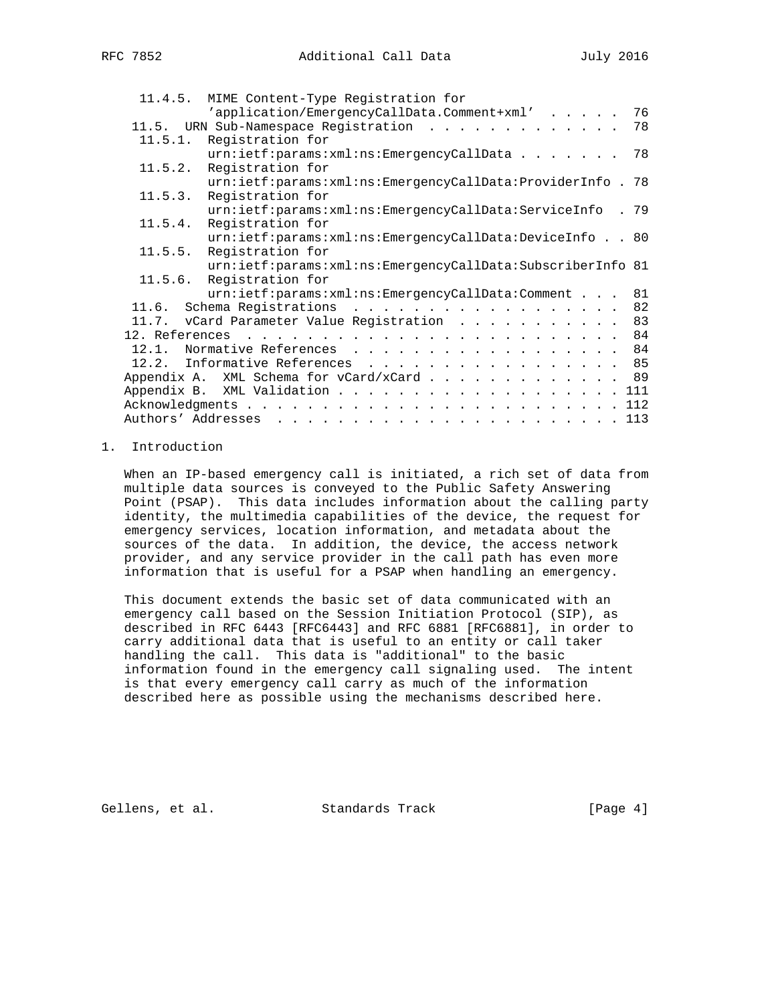| 11.4.5. | MIME Content-Type Registration for                         |    |
|---------|------------------------------------------------------------|----|
|         | 'application/EmergencyCallData.Comment+xml'                | 76 |
|         | 11.5. URN Sub-Namespace Registration                       | 78 |
| 11.5.1. | Registration for                                           |    |
|         | $urn: \text{ietf:params:xml:ms: EmergencyCallData$         | 78 |
| 11.5.2. | Registration for                                           |    |
|         | urn:ietf:params:xml:ns:EmergencyCallData:ProviderInfo . 78 |    |
| 11.5.3. | Registration for                                           |    |
|         | urn:ietf:params:xml:ns:EmergencyCallData:ServiceInfo . 79  |    |
| 11.5.4. | Registration for                                           |    |
|         | urn:ietf:params:xml:ns:EmergencyCallData:DeviceInfo 80     |    |
| 11.5.5. | Registration for                                           |    |
|         | urn:ietf:params:xml:ns:EmergencyCallData:SubscriberInfo 81 |    |
| 11.5.6. | Registration for                                           |    |
|         | urn:ietf:params:xml:ns:EmergencyCallData:Comment           | 81 |
|         | 11.6. Schema Registrations                                 | 82 |
|         | 11.7. vCard Parameter Value Registration                   | 83 |
|         |                                                            |    |
|         | 12.1. Normative References 84                              |    |
|         | 12.2. Informative References 85                            |    |
|         | Appendix A. XML Schema for vCard/xCard 89                  |    |
|         | Appendix B. XML Validation 111                             |    |
|         |                                                            |    |
|         | Authors' Addresses                                         |    |
|         |                                                            |    |

### 1. Introduction

 When an IP-based emergency call is initiated, a rich set of data from multiple data sources is conveyed to the Public Safety Answering Point (PSAP). This data includes information about the calling party identity, the multimedia capabilities of the device, the request for emergency services, location information, and metadata about the sources of the data. In addition, the device, the access network provider, and any service provider in the call path has even more information that is useful for a PSAP when handling an emergency.

 This document extends the basic set of data communicated with an emergency call based on the Session Initiation Protocol (SIP), as described in RFC 6443 [RFC6443] and RFC 6881 [RFC6881], in order to carry additional data that is useful to an entity or call taker handling the call. This data is "additional" to the basic information found in the emergency call signaling used. The intent is that every emergency call carry as much of the information described here as possible using the mechanisms described here.

Gellens, et al. Standards Track [Page 4]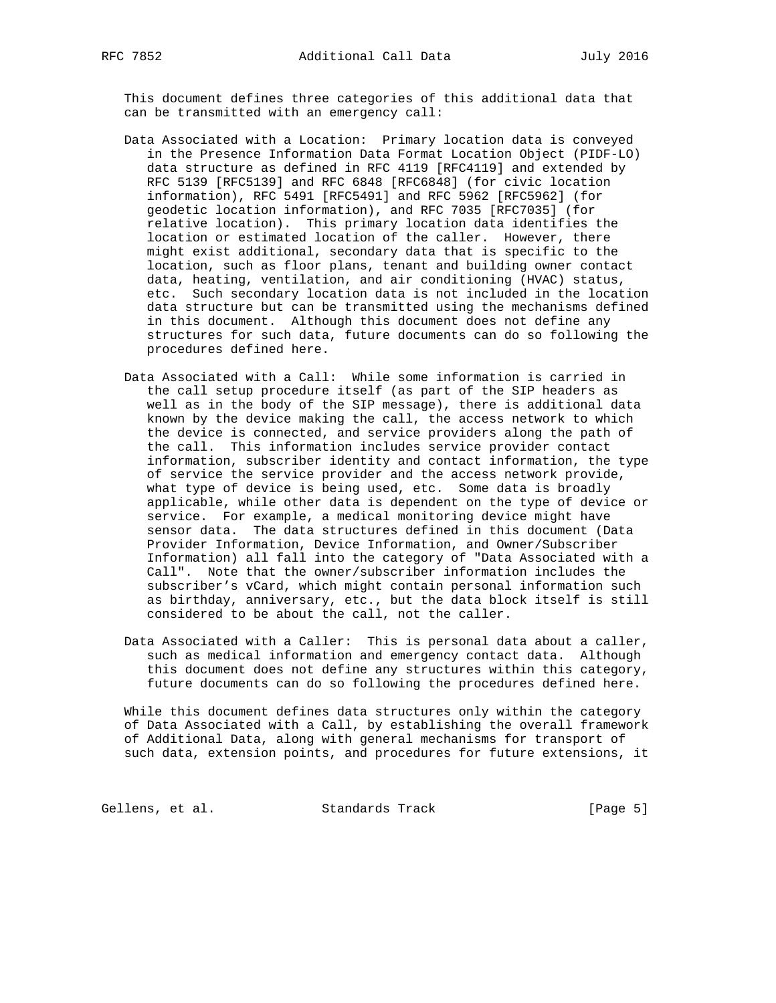This document defines three categories of this additional data that can be transmitted with an emergency call:

- Data Associated with a Location: Primary location data is conveyed in the Presence Information Data Format Location Object (PIDF-LO) data structure as defined in RFC 4119 [RFC4119] and extended by RFC 5139 [RFC5139] and RFC 6848 [RFC6848] (for civic location information), RFC 5491 [RFC5491] and RFC 5962 [RFC5962] (for geodetic location information), and RFC 7035 [RFC7035] (for relative location). This primary location data identifies the location or estimated location of the caller. However, there might exist additional, secondary data that is specific to the location, such as floor plans, tenant and building owner contact data, heating, ventilation, and air conditioning (HVAC) status, etc. Such secondary location data is not included in the location data structure but can be transmitted using the mechanisms defined in this document. Although this document does not define any structures for such data, future documents can do so following the procedures defined here.
- Data Associated with a Call: While some information is carried in the call setup procedure itself (as part of the SIP headers as well as in the body of the SIP message), there is additional data known by the device making the call, the access network to which the device is connected, and service providers along the path of the call. This information includes service provider contact information, subscriber identity and contact information, the type of service the service provider and the access network provide, what type of device is being used, etc. Some data is broadly applicable, while other data is dependent on the type of device or service. For example, a medical monitoring device might have sensor data. The data structures defined in this document (Data Provider Information, Device Information, and Owner/Subscriber Information) all fall into the category of "Data Associated with a Call". Note that the owner/subscriber information includes the subscriber's vCard, which might contain personal information such as birthday, anniversary, etc., but the data block itself is still considered to be about the call, not the caller.
- Data Associated with a Caller: This is personal data about a caller, such as medical information and emergency contact data. Although this document does not define any structures within this category, future documents can do so following the procedures defined here.

 While this document defines data structures only within the category of Data Associated with a Call, by establishing the overall framework of Additional Data, along with general mechanisms for transport of such data, extension points, and procedures for future extensions, it

Gellens, et al. Standards Track [Page 5]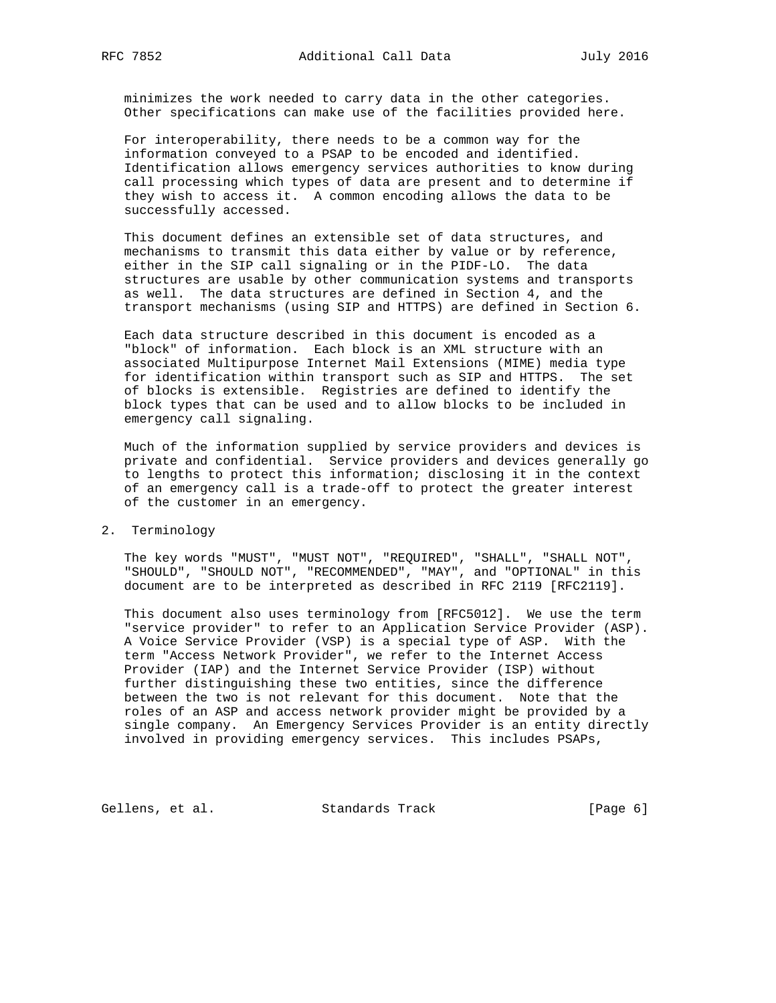minimizes the work needed to carry data in the other categories. Other specifications can make use of the facilities provided here.

 For interoperability, there needs to be a common way for the information conveyed to a PSAP to be encoded and identified. Identification allows emergency services authorities to know during call processing which types of data are present and to determine if they wish to access it. A common encoding allows the data to be successfully accessed.

 This document defines an extensible set of data structures, and mechanisms to transmit this data either by value or by reference, either in the SIP call signaling or in the PIDF-LO. The data structures are usable by other communication systems and transports as well. The data structures are defined in Section 4, and the transport mechanisms (using SIP and HTTPS) are defined in Section 6.

 Each data structure described in this document is encoded as a "block" of information. Each block is an XML structure with an associated Multipurpose Internet Mail Extensions (MIME) media type for identification within transport such as SIP and HTTPS. The set of blocks is extensible. Registries are defined to identify the block types that can be used and to allow blocks to be included in emergency call signaling.

 Much of the information supplied by service providers and devices is private and confidential. Service providers and devices generally go to lengths to protect this information; disclosing it in the context of an emergency call is a trade-off to protect the greater interest of the customer in an emergency.

2. Terminology

 The key words "MUST", "MUST NOT", "REQUIRED", "SHALL", "SHALL NOT", "SHOULD", "SHOULD NOT", "RECOMMENDED", "MAY", and "OPTIONAL" in this document are to be interpreted as described in RFC 2119 [RFC2119].

 This document also uses terminology from [RFC5012]. We use the term "service provider" to refer to an Application Service Provider (ASP). A Voice Service Provider (VSP) is a special type of ASP. With the term "Access Network Provider", we refer to the Internet Access Provider (IAP) and the Internet Service Provider (ISP) without further distinguishing these two entities, since the difference between the two is not relevant for this document. Note that the roles of an ASP and access network provider might be provided by a single company. An Emergency Services Provider is an entity directly involved in providing emergency services. This includes PSAPs,

Gellens, et al. Standards Track [Page 6]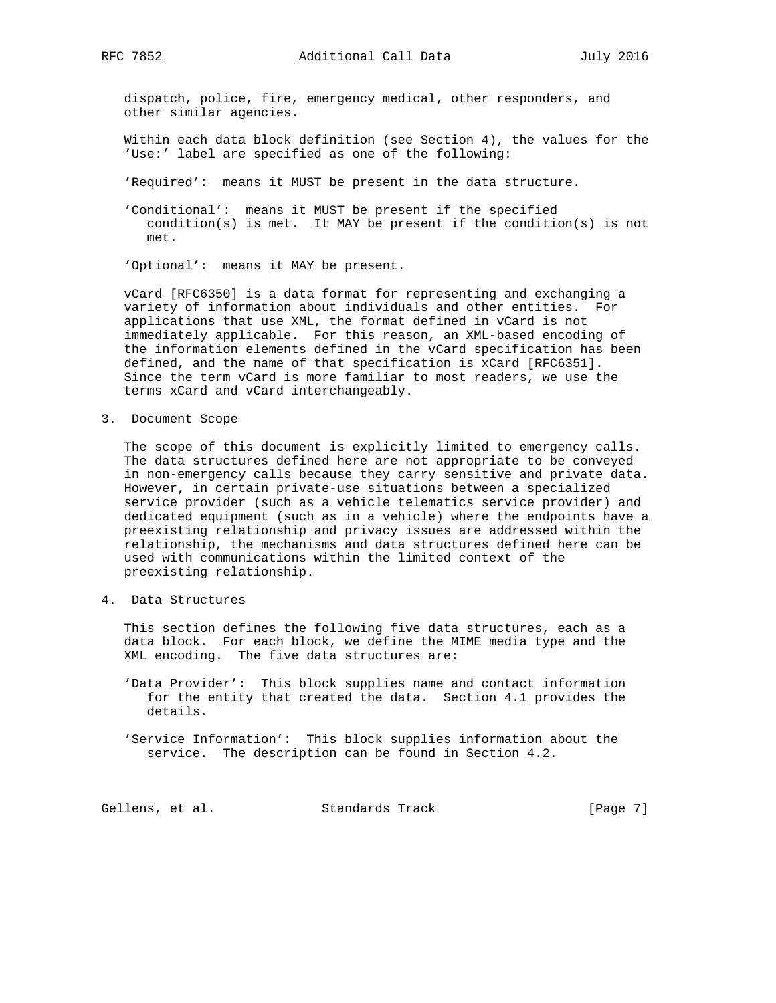dispatch, police, fire, emergency medical, other responders, and other similar agencies.

- Within each data block definition (see Section 4), the values for the 'Use:' label are specified as one of the following:
- 'Required': means it MUST be present in the data structure.
- 'Conditional': means it MUST be present if the specified condition(s) is met. It MAY be present if the condition(s) is not met.

'Optional': means it MAY be present.

 vCard [RFC6350] is a data format for representing and exchanging a variety of information about individuals and other entities. For applications that use XML, the format defined in vCard is not immediately applicable. For this reason, an XML-based encoding of the information elements defined in the vCard specification has been defined, and the name of that specification is xCard [RFC6351]. Since the term vCard is more familiar to most readers, we use the terms xCard and vCard interchangeably.

3. Document Scope

 The scope of this document is explicitly limited to emergency calls. The data structures defined here are not appropriate to be conveyed in non-emergency calls because they carry sensitive and private data. However, in certain private-use situations between a specialized service provider (such as a vehicle telematics service provider) and dedicated equipment (such as in a vehicle) where the endpoints have a preexisting relationship and privacy issues are addressed within the relationship, the mechanisms and data structures defined here can be used with communications within the limited context of the preexisting relationship.

4. Data Structures

 This section defines the following five data structures, each as a data block. For each block, we define the MIME media type and the XML encoding. The five data structures are:

- 'Data Provider': This block supplies name and contact information for the entity that created the data. Section 4.1 provides the details.
- 'Service Information': This block supplies information about the service. The description can be found in Section 4.2.

Gellens, et al. Standards Track [Page 7]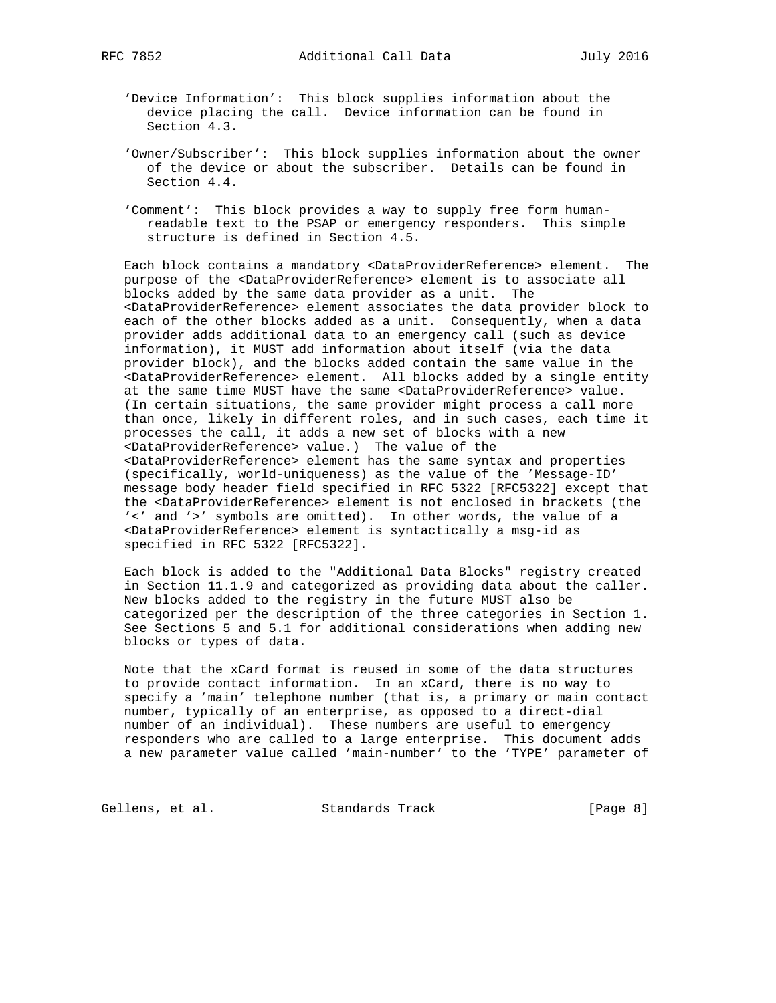- 'Device Information': This block supplies information about the device placing the call. Device information can be found in Section 4.3.
- 'Owner/Subscriber': This block supplies information about the owner of the device or about the subscriber. Details can be found in Section 4.4.
- 'Comment': This block provides a way to supply free form human readable text to the PSAP or emergency responders. This simple structure is defined in Section 4.5.

 Each block contains a mandatory <DataProviderReference> element. The purpose of the <DataProviderReference> element is to associate all blocks added by the same data provider as a unit. The <DataProviderReference> element associates the data provider block to each of the other blocks added as a unit. Consequently, when a data provider adds additional data to an emergency call (such as device information), it MUST add information about itself (via the data provider block), and the blocks added contain the same value in the <DataProviderReference> element. All blocks added by a single entity at the same time MUST have the same <DataProviderReference> value. (In certain situations, the same provider might process a call more than once, likely in different roles, and in such cases, each time it processes the call, it adds a new set of blocks with a new <DataProviderReference> value.) The value of the <DataProviderReference> element has the same syntax and properties (specifically, world-uniqueness) as the value of the 'Message-ID' message body header field specified in RFC 5322 [RFC5322] except that the <DataProviderReference> element is not enclosed in brackets (the '<' and '>' symbols are omitted). In other words, the value of a <DataProviderReference> element is syntactically a msg-id as specified in RFC 5322 [RFC5322].

 Each block is added to the "Additional Data Blocks" registry created in Section 11.1.9 and categorized as providing data about the caller. New blocks added to the registry in the future MUST also be categorized per the description of the three categories in Section 1. See Sections 5 and 5.1 for additional considerations when adding new blocks or types of data.

 Note that the xCard format is reused in some of the data structures to provide contact information. In an xCard, there is no way to specify a 'main' telephone number (that is, a primary or main contact number, typically of an enterprise, as opposed to a direct-dial number of an individual). These numbers are useful to emergency responders who are called to a large enterprise. This document adds a new parameter value called 'main-number' to the 'TYPE' parameter of

Gellens, et al. Standards Track [Page 8]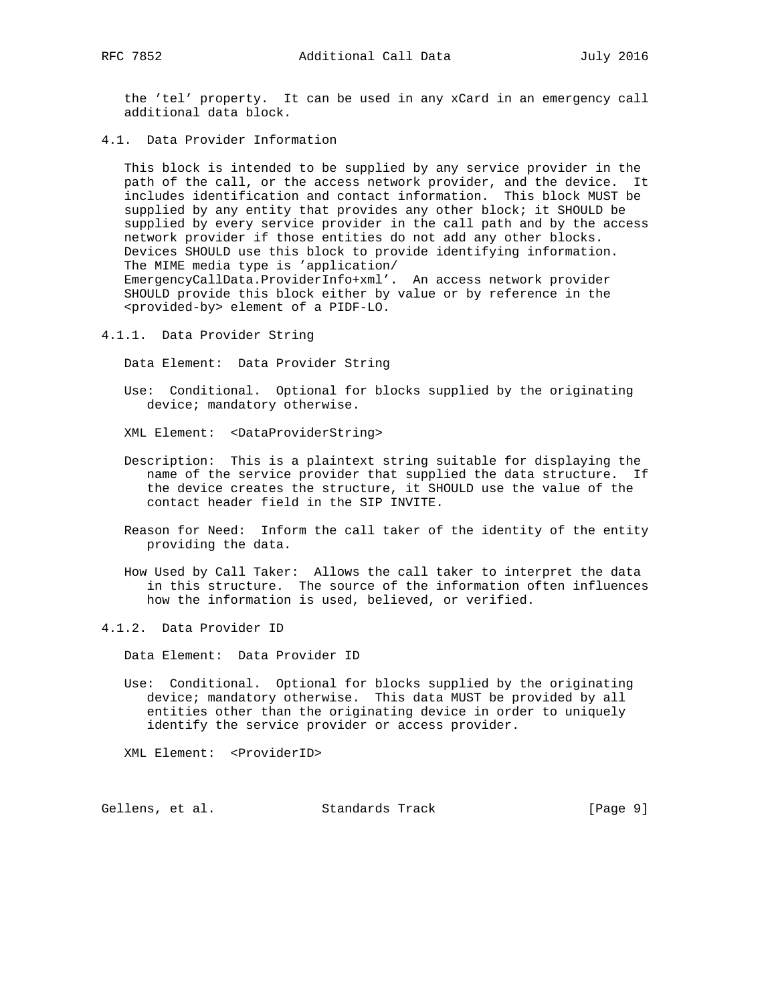the 'tel' property. It can be used in any xCard in an emergency call additional data block.

4.1. Data Provider Information

 This block is intended to be supplied by any service provider in the path of the call, or the access network provider, and the device. It includes identification and contact information. This block MUST be supplied by any entity that provides any other block; it SHOULD be supplied by every service provider in the call path and by the access network provider if those entities do not add any other blocks. Devices SHOULD use this block to provide identifying information. The MIME media type is 'application/ EmergencyCallData.ProviderInfo+xml'. An access network provider SHOULD provide this block either by value or by reference in the <provided-by> element of a PIDF-LO.

4.1.1. Data Provider String

Data Element: Data Provider String

- Use: Conditional. Optional for blocks supplied by the originating device; mandatory otherwise.
- XML Element: <DataProviderString>
- Description: This is a plaintext string suitable for displaying the name of the service provider that supplied the data structure. If the device creates the structure, it SHOULD use the value of the contact header field in the SIP INVITE.
- Reason for Need: Inform the call taker of the identity of the entity providing the data.
- How Used by Call Taker: Allows the call taker to interpret the data in this structure. The source of the information often influences how the information is used, believed, or verified.
- 4.1.2. Data Provider ID

Data Element: Data Provider ID

 Use: Conditional. Optional for blocks supplied by the originating device; mandatory otherwise. This data MUST be provided by all entities other than the originating device in order to uniquely identify the service provider or access provider.

XML Element: <ProviderID>

Gellens, et al. Standards Track [Page 9]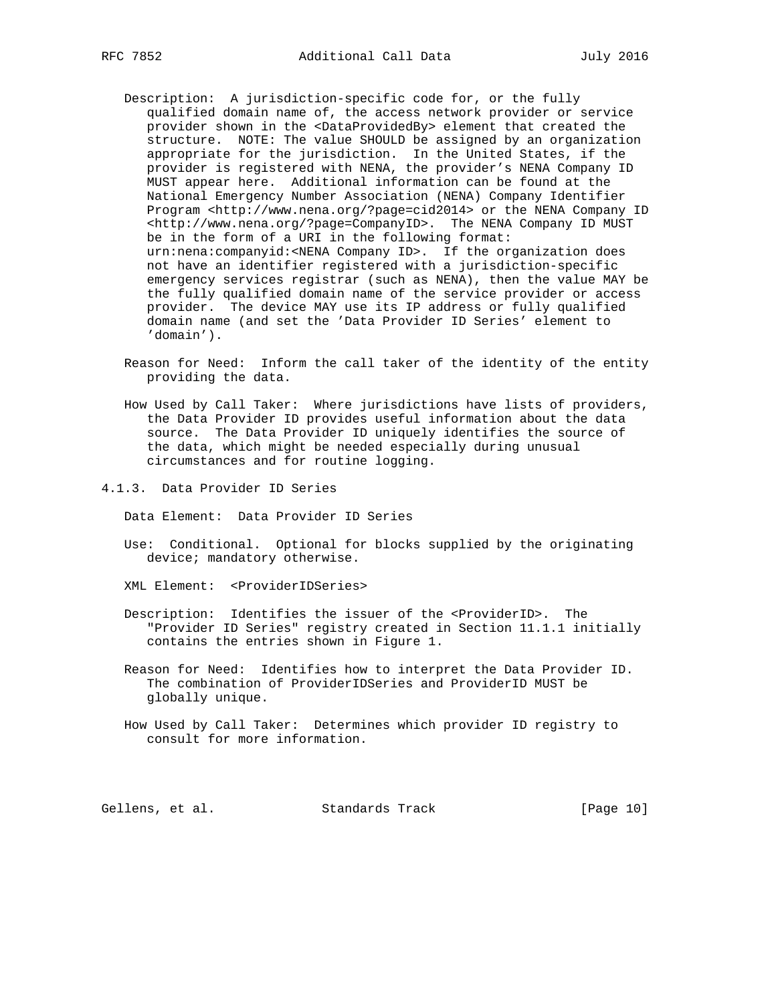- Description: A jurisdiction-specific code for, or the fully qualified domain name of, the access network provider or service provider shown in the <DataProvidedBy> element that created the structure. NOTE: The value SHOULD be assigned by an organization appropriate for the jurisdiction. In the United States, if the provider is registered with NENA, the provider's NENA Company ID MUST appear here. Additional information can be found at the National Emergency Number Association (NENA) Company Identifier Program <http://www.nena.org/?page=cid2014> or the NENA Company ID <http://www.nena.org/?page=CompanyID>. The NENA Company ID MUST be in the form of a URI in the following format: urn:nena:companyid:<NENA Company ID>. If the organization does not have an identifier registered with a jurisdiction-specific emergency services registrar (such as NENA), then the value MAY be the fully qualified domain name of the service provider or access provider. The device MAY use its IP address or fully qualified domain name (and set the 'Data Provider ID Series' element to 'domain').
	- Reason for Need: Inform the call taker of the identity of the entity providing the data.
	- How Used by Call Taker: Where jurisdictions have lists of providers, the Data Provider ID provides useful information about the data source. The Data Provider ID uniquely identifies the source of the data, which might be needed especially during unusual circumstances and for routine logging.
- 4.1.3. Data Provider ID Series

Data Element: Data Provider ID Series

 Use: Conditional. Optional for blocks supplied by the originating device; mandatory otherwise.

XML Element: <ProviderIDSeries>

- Description: Identifies the issuer of the <ProviderID>. The "Provider ID Series" registry created in Section 11.1.1 initially contains the entries shown in Figure 1.
- Reason for Need: Identifies how to interpret the Data Provider ID. The combination of ProviderIDSeries and ProviderID MUST be globally unique.
- How Used by Call Taker: Determines which provider ID registry to consult for more information.

Gellens, et al. Standards Track [Page 10]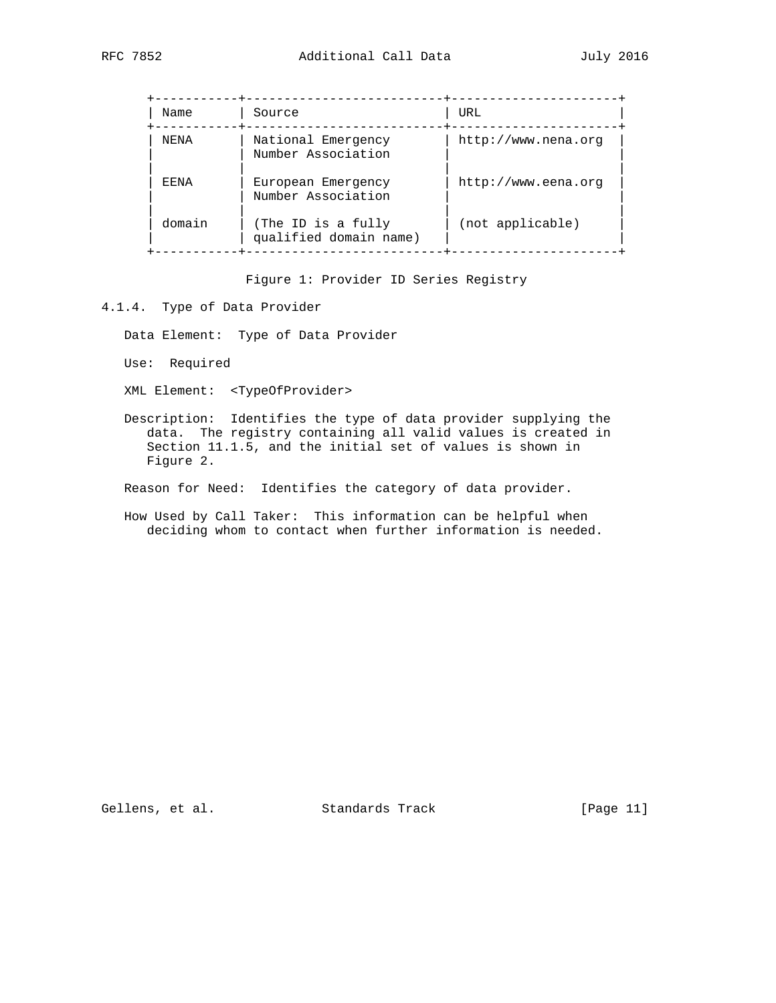| Name   | Source                                       | URL                 |
|--------|----------------------------------------------|---------------------|
| NF.NA  | National Emergency<br>Number Association     | http://www.nena.org |
| F.F.NA | European Emergency<br>Number Association     | http://www.eena.org |
| domain | (The ID is a fully<br>qualified domain name) | (not applicable)    |

Figure 1: Provider ID Series Registry

#### 4.1.4. Type of Data Provider

Data Element: Type of Data Provider

Use: Required

XML Element: <TypeOfProvider>

 Description: Identifies the type of data provider supplying the data. The registry containing all valid values is created in Section 11.1.5, and the initial set of values is shown in Figure 2.

Reason for Need: Identifies the category of data provider.

 How Used by Call Taker: This information can be helpful when deciding whom to contact when further information is needed.

Gellens, et al. Standards Track [Page 11]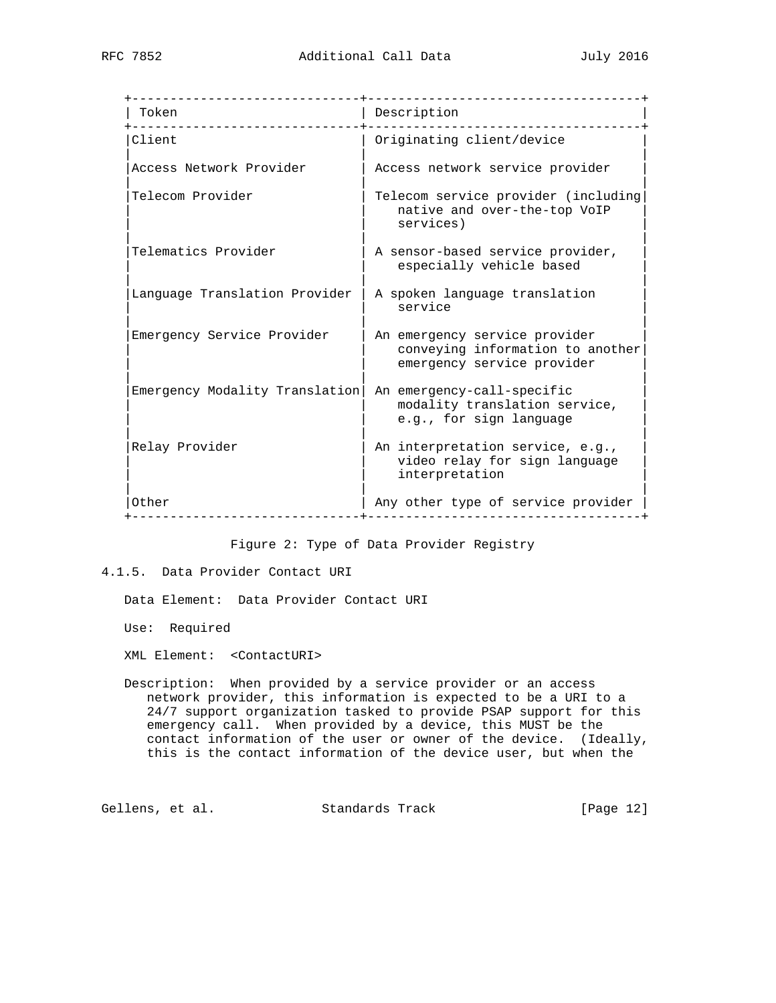| Token                          | Description                                                                                     |
|--------------------------------|-------------------------------------------------------------------------------------------------|
| Client                         | Originating client/device                                                                       |
| Access Network Provider        | Access network service provider                                                                 |
| Telecom Provider               | Telecom service provider (including<br>native and over-the-top VoIP<br>services)                |
| Telematics Provider            | A sensor-based service provider,<br>especially vehicle based                                    |
| Language Translation Provider  | A spoken language translation<br>service                                                        |
| Emergency Service Provider     | An emergency service provider<br>conveying information to another<br>emergency service provider |
| Emergency Modality Translation | An emergency-call-specific<br>modality translation service,<br>e.g., for sign language          |
| Relay Provider                 | An interpretation service, e.g.,<br>video relay for sign language<br>interpretation             |
| Other                          | Any other type of service provider                                                              |

Figure 2: Type of Data Provider Registry

4.1.5. Data Provider Contact URI

Data Element: Data Provider Contact URI

Use: Required

XML Element: <ContactURI>

 Description: When provided by a service provider or an access network provider, this information is expected to be a URI to a 24/7 support organization tasked to provide PSAP support for this emergency call. When provided by a device, this MUST be the contact information of the user or owner of the device. (Ideally, this is the contact information of the device user, but when the

Gellens, et al. Standards Track [Page 12]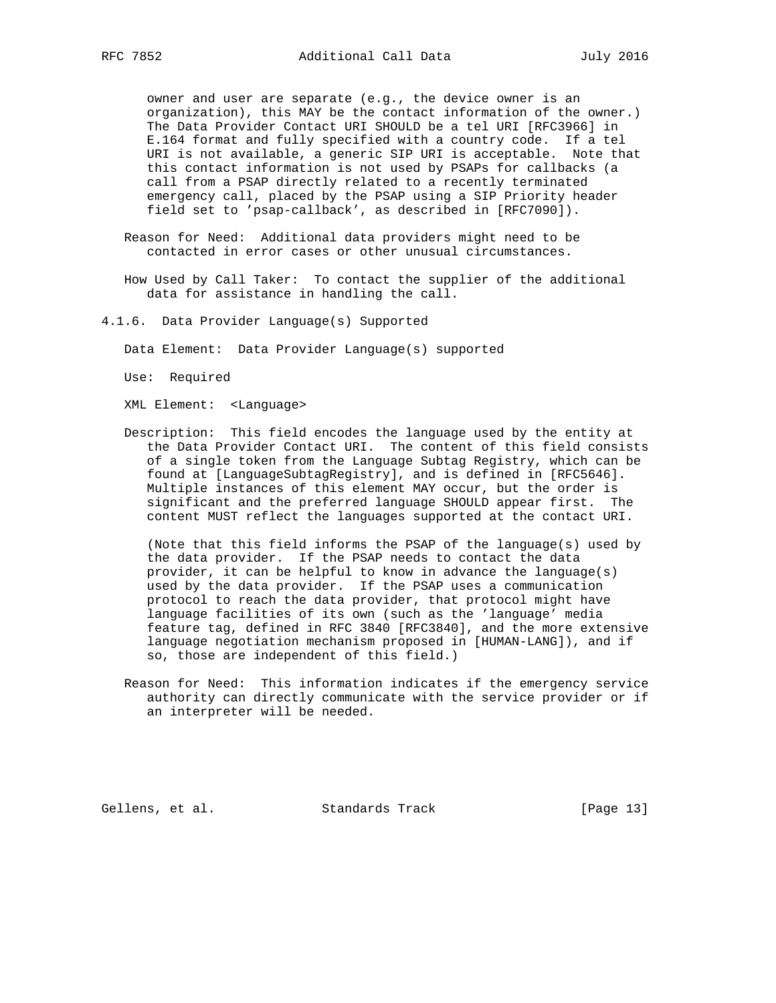owner and user are separate (e.g., the device owner is an organization), this MAY be the contact information of the owner.) The Data Provider Contact URI SHOULD be a tel URI [RFC3966] in E.164 format and fully specified with a country code. If a tel URI is not available, a generic SIP URI is acceptable. Note that this contact information is not used by PSAPs for callbacks (a call from a PSAP directly related to a recently terminated emergency call, placed by the PSAP using a SIP Priority header field set to 'psap-callback', as described in [RFC7090]).

 Reason for Need: Additional data providers might need to be contacted in error cases or other unusual circumstances.

 How Used by Call Taker: To contact the supplier of the additional data for assistance in handling the call.

- 4.1.6. Data Provider Language(s) Supported
	- Data Element: Data Provider Language(s) supported
	- Use: Required

XML Element: <Language>

 Description: This field encodes the language used by the entity at the Data Provider Contact URI. The content of this field consists of a single token from the Language Subtag Registry, which can be found at [LanguageSubtagRegistry], and is defined in [RFC5646]. Multiple instances of this element MAY occur, but the order is significant and the preferred language SHOULD appear first. The content MUST reflect the languages supported at the contact URI.

 (Note that this field informs the PSAP of the language(s) used by the data provider. If the PSAP needs to contact the data provider, it can be helpful to know in advance the language(s) used by the data provider. If the PSAP uses a communication protocol to reach the data provider, that protocol might have language facilities of its own (such as the 'language' media feature tag, defined in RFC 3840 [RFC3840], and the more extensive language negotiation mechanism proposed in [HUMAN-LANG]), and if so, those are independent of this field.)

 Reason for Need: This information indicates if the emergency service authority can directly communicate with the service provider or if an interpreter will be needed.

Gellens, et al. Standards Track [Page 13]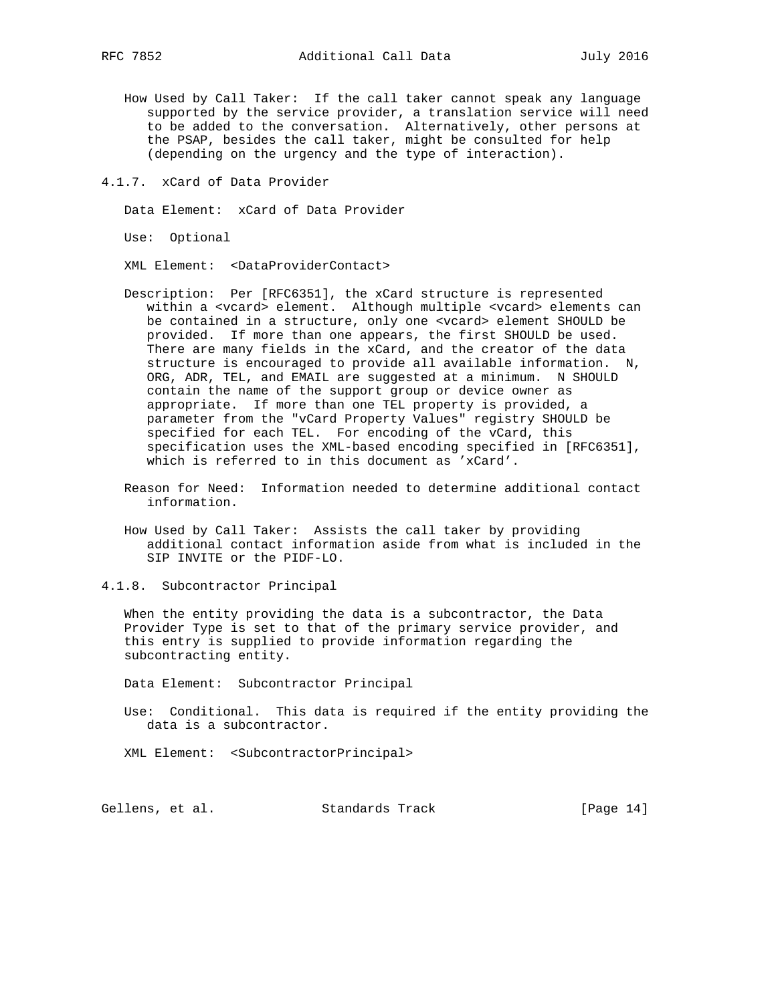- How Used by Call Taker: If the call taker cannot speak any language supported by the service provider, a translation service will need to be added to the conversation. Alternatively, other persons at the PSAP, besides the call taker, might be consulted for help (depending on the urgency and the type of interaction).
- 4.1.7. xCard of Data Provider

Data Element: xCard of Data Provider

Use: Optional

XML Element: <DataProviderContact>

- Description: Per [RFC6351], the xCard structure is represented within a <vcard> element. Although multiple <vcard> elements can be contained in a structure, only one <vcard> element SHOULD be provided. If more than one appears, the first SHOULD be used. There are many fields in the xCard, and the creator of the data structure is encouraged to provide all available information. N, ORG, ADR, TEL, and EMAIL are suggested at a minimum. N SHOULD contain the name of the support group or device owner as appropriate. If more than one TEL property is provided, a parameter from the "vCard Property Values" registry SHOULD be specified for each TEL. For encoding of the vCard, this specification uses the XML-based encoding specified in [RFC6351], which is referred to in this document as 'xCard'.
- Reason for Need: Information needed to determine additional contact information.
- How Used by Call Taker: Assists the call taker by providing additional contact information aside from what is included in the SIP INVITE or the PIDF-LO.
- 4.1.8. Subcontractor Principal

 When the entity providing the data is a subcontractor, the Data Provider Type is set to that of the primary service provider, and this entry is supplied to provide information regarding the subcontracting entity.

Data Element: Subcontractor Principal

 Use: Conditional. This data is required if the entity providing the data is a subcontractor.

XML Element: <SubcontractorPrincipal>

Gellens, et al. Standards Track [Page 14]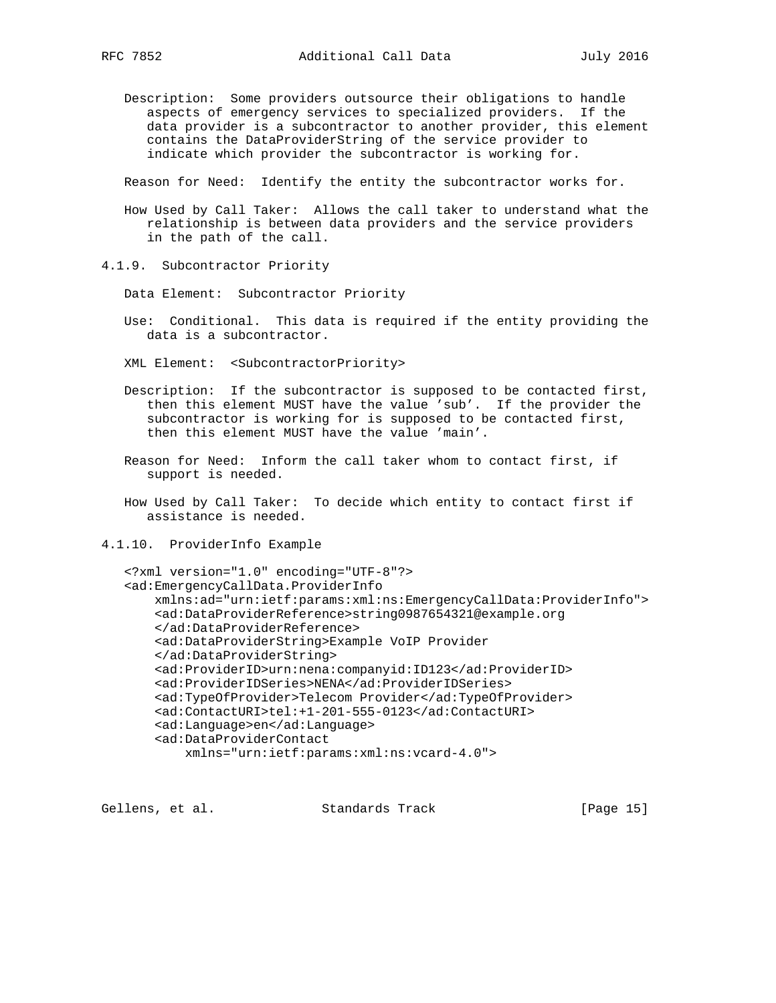Description: Some providers outsource their obligations to handle aspects of emergency services to specialized providers. If the data provider is a subcontractor to another provider, this element contains the DataProviderString of the service provider to indicate which provider the subcontractor is working for.

Reason for Need: Identify the entity the subcontractor works for.

- How Used by Call Taker: Allows the call taker to understand what the relationship is between data providers and the service providers in the path of the call.
- 4.1.9. Subcontractor Priority
	- Data Element: Subcontractor Priority
	- Use: Conditional. This data is required if the entity providing the data is a subcontractor.
	- XML Element: <SubcontractorPriority>
	- Description: If the subcontractor is supposed to be contacted first, then this element MUST have the value 'sub'. If the provider the subcontractor is working for is supposed to be contacted first, then this element MUST have the value 'main'.
	- Reason for Need: Inform the call taker whom to contact first, if support is needed.
	- How Used by Call Taker: To decide which entity to contact first if assistance is needed.
- 4.1.10. ProviderInfo Example

```
 <?xml version="1.0" encoding="UTF-8"?>
 <ad:EmergencyCallData.ProviderInfo
    xmlns:ad="urn:ietf:params:xml:ns:EmergencyCallData:ProviderInfo">
     <ad:DataProviderReference>string0987654321@example.org
     </ad:DataProviderReference>
     <ad:DataProviderString>Example VoIP Provider
     </ad:DataProviderString>
     <ad:ProviderID>urn:nena:companyid:ID123</ad:ProviderID>
     <ad:ProviderIDSeries>NENA</ad:ProviderIDSeries>
     <ad:TypeOfProvider>Telecom Provider</ad:TypeOfProvider>
     <ad:ContactURI>tel:+1-201-555-0123</ad:ContactURI>
    <ad:Language>en</ad:Language>
     <ad:DataProviderContact
         xmlns="urn:ietf:params:xml:ns:vcard-4.0">
```
Gellens, et al. Standards Track [Page 15]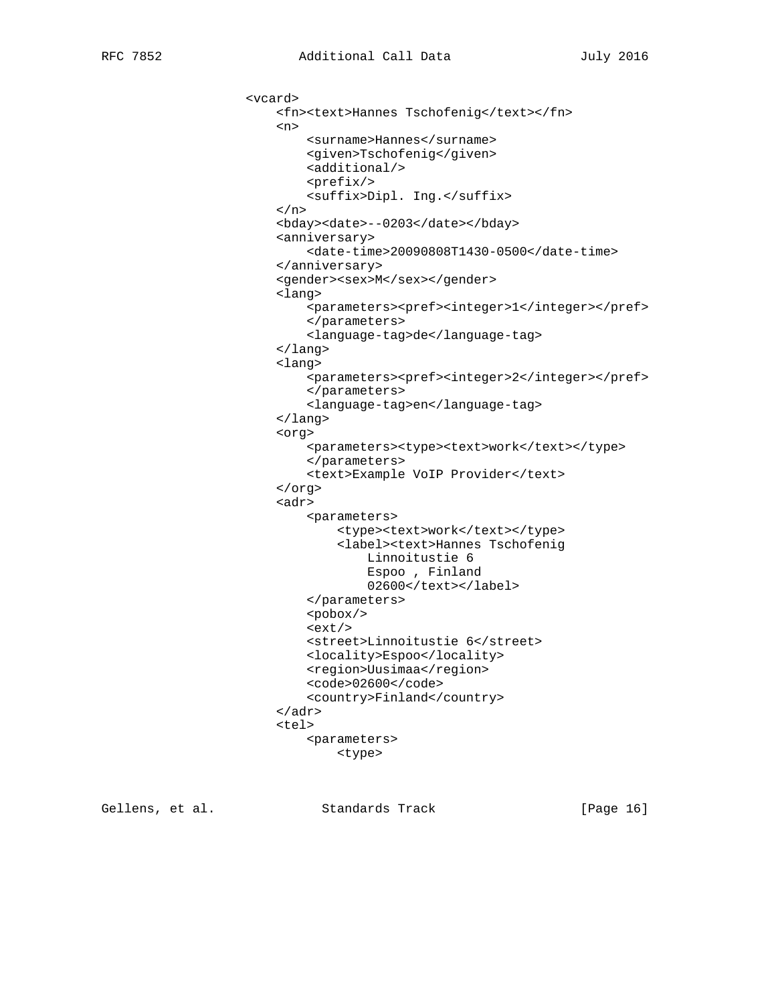```
 <vcard>
                         <fn><text>Hannes Tschofenig</text></fn>
\langle n \rangle <surname>Hannes</surname>
                             <given>Tschofenig</given>
                             <additional/>
                             <prefix/>
                             <suffix>Dipl. Ing.</suffix>
                        \langlen>
                         <bday><date>--0203</date></bday>
                         <anniversary>
                             <date-time>20090808T1430-0500</date-time>
                         </anniversary>
                         <gender><sex>M</sex></gender>
                         <lang>
                             <parameters><pref><integer>1</integer></pref>
                             </parameters>
                             <language-tag>de</language-tag>
                         </lang>
                         <lang>
                             <parameters><pref><integer>2</integer></pref>
                             </parameters>
                             <language-tag>en</language-tag>
                         </lang>
                         <org>
                            <parameters><type><text>work</text></type>
                             </parameters>
                             <text>Example VoIP Provider</text>
                         </org>
                         <adr>
                             <parameters>
                                <type><text>work</text></type>
                                  <label><text>Hannes Tschofenig
                                     Linnoitustie 6
                                      Espoo , Finland
                                      02600</text></label>
                             </parameters>
                             <pobox/>
                            <ext/>
                             <street>Linnoitustie 6</street>
                             <locality>Espoo</locality>
                             <region>Uusimaa</region>
                             <code>02600</code>
                             <country>Finland</country>
                         </adr>
                         <tel>
                             <parameters>
                                 <type>
```
Gellens, et al. Standards Track [Page 16]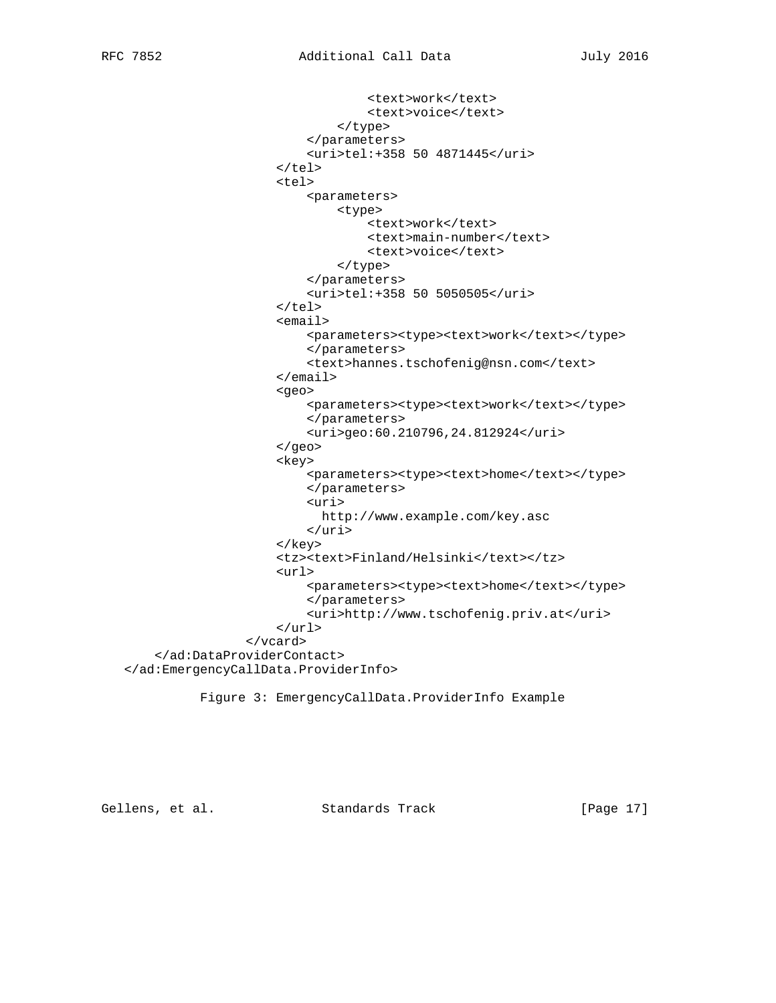```
<text>work</text>
                                    <text>voice</text>
                               </type>
                           </parameters>
                           <uri>tel:+358 50 4871445</uri>
                      \langle/tel>
                       <tel>
                           <parameters>
                               <type>
                                   <text>work</text>
                                    <text>main-number</text>
                                    <text>voice</text>
                               </type>
                           </parameters>
                           <uri>tel:+358 50 5050505</uri>
                      \langletel>
                       <email>
                          <parameters><type><text>work</text></type>
                           </parameters>
                           <text>hannes.tschofenig@nsn.com</text>
                       </email>
                       <geo>
                          <parameters><type><text>work</text></type>
                           </parameters>
                           <uri>geo:60.210796,24.812924</uri>
                       </geo>
                      <key>
                          <parameters><type><text>home</text></type>
                           </parameters>
                           <uri>
                             http://www.example.com/key.asc
                           </uri>
                       </key>
                       <tz><text>Finland/Helsinki</text></tz>
                       <url>
                          <parameters><type><text>home</text></type>
                           </parameters>
                           <uri>http://www.tschofenig.priv.at</uri>
                      \langle \text{url*} </vcard>
     </ad:DataProviderContact>
 </ad:EmergencyCallData.ProviderInfo>
```
Figure 3: EmergencyCallData.ProviderInfo Example

Gellens, et al. Standards Track [Page 17]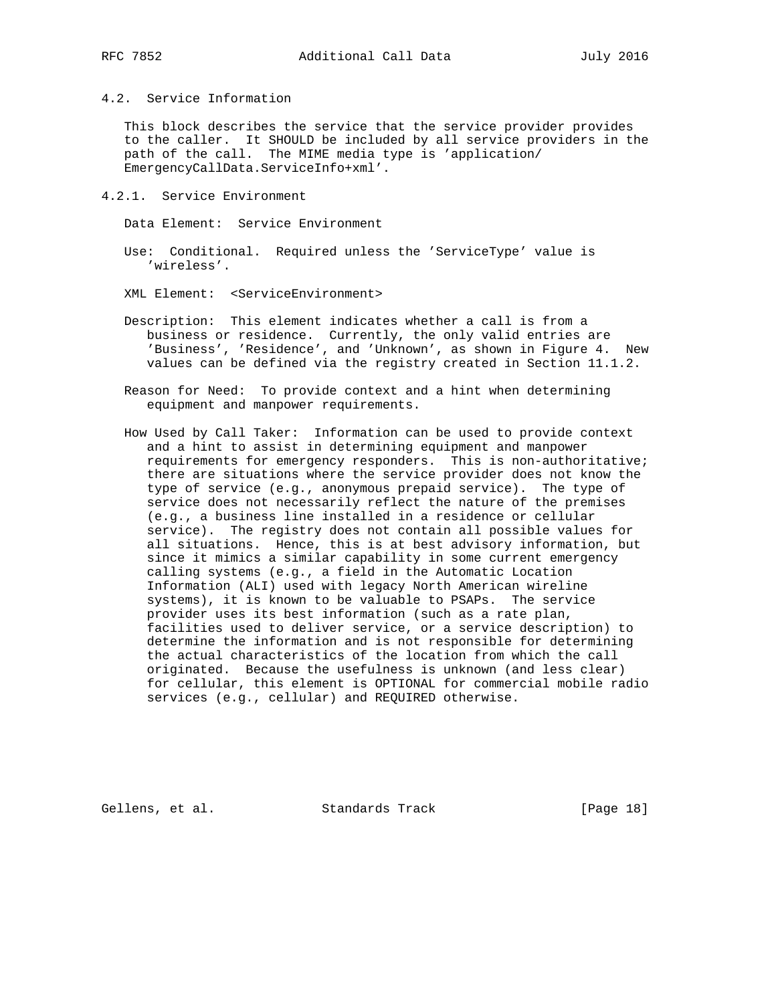4.2. Service Information

 This block describes the service that the service provider provides to the caller. It SHOULD be included by all service providers in the path of the call. The MIME media type is 'application/ EmergencyCallData.ServiceInfo+xml'.

4.2.1. Service Environment

Data Element: Service Environment

 Use: Conditional. Required unless the 'ServiceType' value is 'wireless'.

XML Element: <ServiceEnvironment>

- Description: This element indicates whether a call is from a business or residence. Currently, the only valid entries are 'Business', 'Residence', and 'Unknown', as shown in Figure 4. New values can be defined via the registry created in Section 11.1.2.
- Reason for Need: To provide context and a hint when determining equipment and manpower requirements.
- How Used by Call Taker: Information can be used to provide context and a hint to assist in determining equipment and manpower requirements for emergency responders. This is non-authoritative; there are situations where the service provider does not know the type of service (e.g., anonymous prepaid service). The type of service does not necessarily reflect the nature of the premises (e.g., a business line installed in a residence or cellular service). The registry does not contain all possible values for all situations. Hence, this is at best advisory information, but since it mimics a similar capability in some current emergency calling systems (e.g., a field in the Automatic Location Information (ALI) used with legacy North American wireline systems), it is known to be valuable to PSAPs. The service provider uses its best information (such as a rate plan, facilities used to deliver service, or a service description) to determine the information and is not responsible for determining the actual characteristics of the location from which the call originated. Because the usefulness is unknown (and less clear) for cellular, this element is OPTIONAL for commercial mobile radio services (e.g., cellular) and REQUIRED otherwise.

Gellens, et al. Standards Track [Page 18]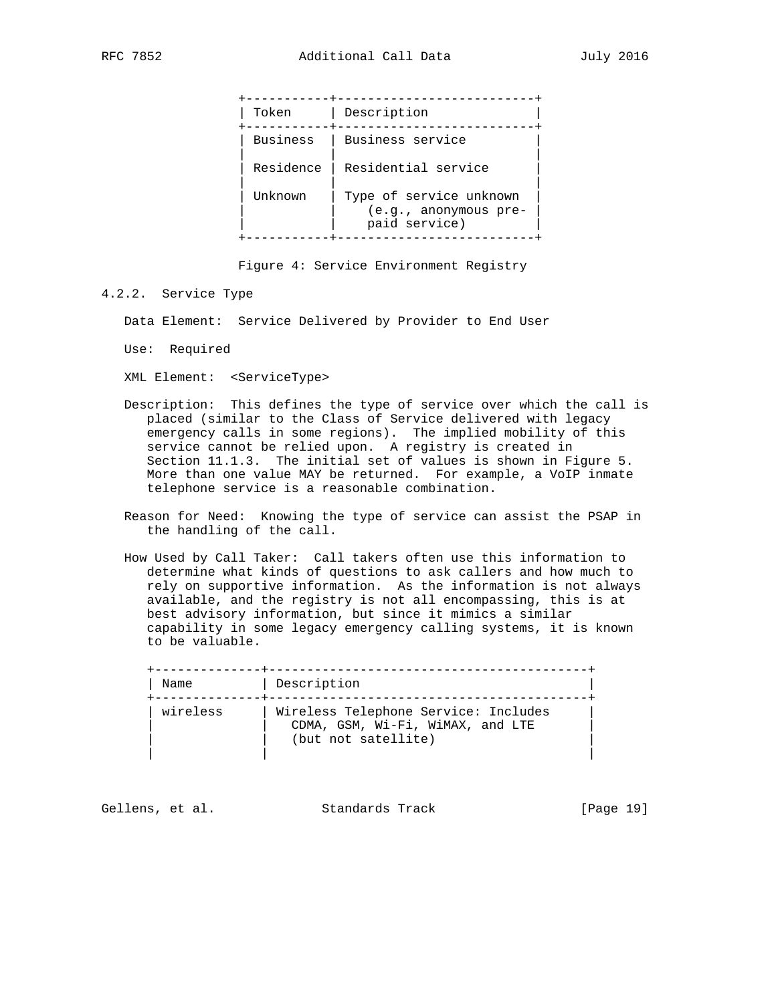| Token     | Description                                                       |
|-----------|-------------------------------------------------------------------|
| Business  | Business service                                                  |
| Residence | Residential service                                               |
| Unknown   | Type of service unknown<br>(e.g., anonymous pre-<br>paid service) |
|           |                                                                   |

Figure 4: Service Environment Registry

4.2.2. Service Type

Data Element: Service Delivered by Provider to End User

Use: Required

XML Element: <ServiceType>

- Description: This defines the type of service over which the call is placed (similar to the Class of Service delivered with legacy emergency calls in some regions). The implied mobility of this service cannot be relied upon. A registry is created in Section 11.1.3. The initial set of values is shown in Figure 5. More than one value MAY be returned. For example, a VoIP inmate telephone service is a reasonable combination.
- Reason for Need: Knowing the type of service can assist the PSAP in the handling of the call.
- How Used by Call Taker: Call takers often use this information to determine what kinds of questions to ask callers and how much to rely on supportive information. As the information is not always available, and the registry is not all encompassing, this is at best advisory information, but since it mimics a similar capability in some legacy emergency calling systems, it is known to be valuable.

 +--------------+------------------------------------------+ | Name | Description +--------------+------------------------------------------+ | wireless | Wireless Telephone Service: Includes | CDMA, GSM, Wi-Fi, WiMAX, and LTE (but not satellite) | | |

Gellens, et al. Standards Track [Page 19]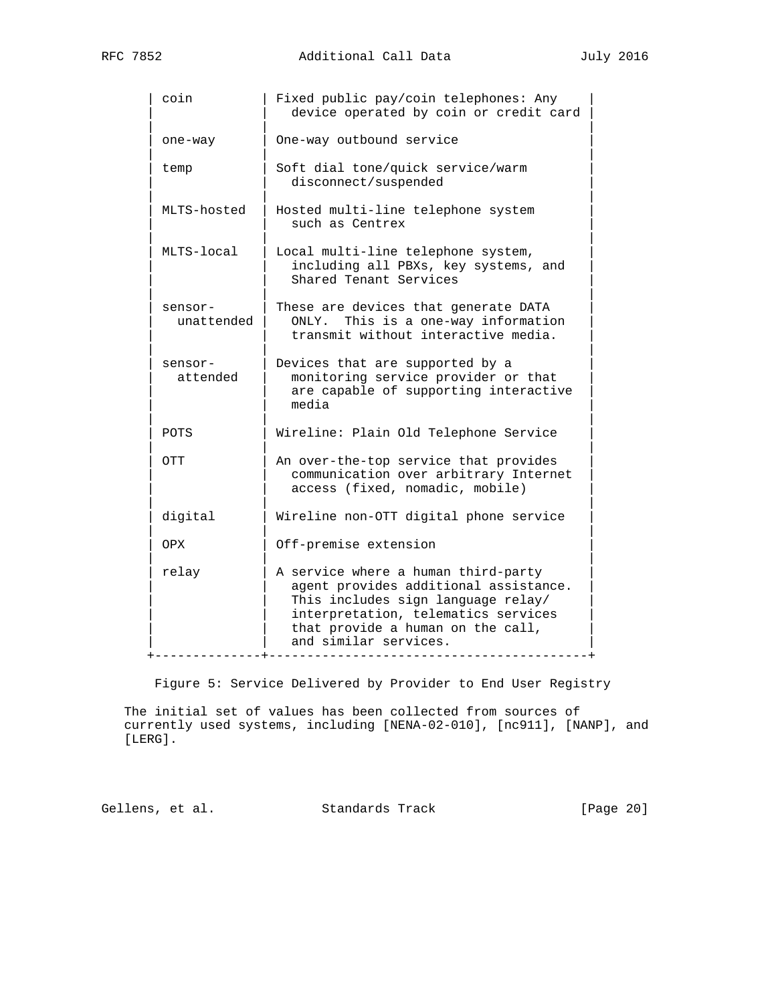| coin                  | Fixed public pay/coin telephones: Any<br>device operated by coin or credit card                                                                                                                                         |
|-----------------------|-------------------------------------------------------------------------------------------------------------------------------------------------------------------------------------------------------------------------|
| one-way               | One-way outbound service                                                                                                                                                                                                |
| temp                  | Soft dial tone/quick service/warm<br>disconnect/suspended                                                                                                                                                               |
| MLTS-hosted           | Hosted multi-line telephone system<br>such as Centrex                                                                                                                                                                   |
| MLTS-local            | Local multi-line telephone system,<br>including all PBXs, key systems, and<br>Shared Tenant Services                                                                                                                    |
| sensor-<br>unattended | These are devices that generate DATA<br>This is a one-way information<br>ONLY.<br>transmit without interactive media.                                                                                                   |
| sensor-<br>attended   | Devices that are supported by a<br>monitoring service provider or that<br>are capable of supporting interactive<br>media                                                                                                |
| POTS                  | Wireline: Plain Old Telephone Service                                                                                                                                                                                   |
| OTT                   | An over-the-top service that provides<br>communication over arbitrary Internet<br>access (fixed, nomadic, mobile)                                                                                                       |
| digital               | Wireline non-OTT digital phone service                                                                                                                                                                                  |
| OPX.                  | Off-premise extension                                                                                                                                                                                                   |
| relay                 | A service where a human third-party<br>agent provides additional assistance.<br>This includes sign language relay/<br>interpretation, telematics services<br>that provide a human on the call,<br>and similar services. |

Figure 5: Service Delivered by Provider to End User Registry

 The initial set of values has been collected from sources of currently used systems, including [NENA-02-010], [nc911], [NANP], and [LERG].

Gellens, et al. Standards Track [Page 20]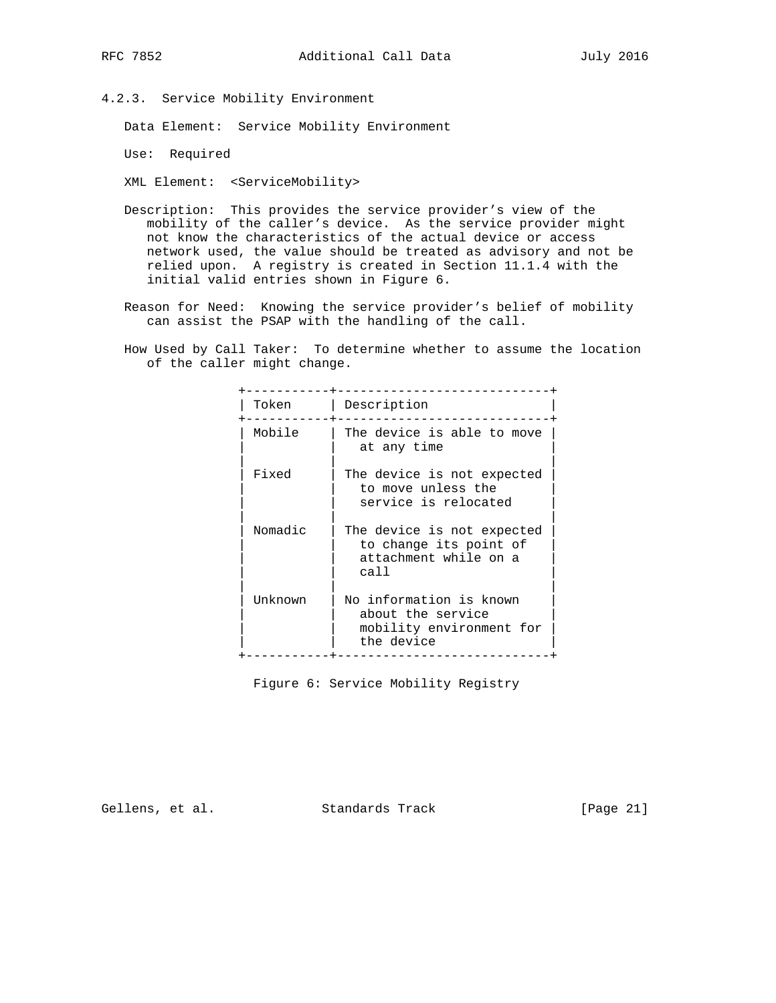4.2.3. Service Mobility Environment

Data Element: Service Mobility Environment

Use: Required

XML Element: <ServiceMobility>

- Description: This provides the service provider's view of the mobility of the caller's device. As the service provider might not know the characteristics of the actual device or access network used, the value should be treated as advisory and not be relied upon. A registry is created in Section 11.1.4 with the initial valid entries shown in Figure 6.
- Reason for Need: Knowing the service provider's belief of mobility can assist the PSAP with the handling of the call.
- How Used by Call Taker: To determine whether to assume the location of the caller might change.

| Token   | Description                                                                            |
|---------|----------------------------------------------------------------------------------------|
| Mobile  | The device is able to move<br>at any time                                              |
| Fixed   | The device is not expected<br>to move unless the<br>service is relocated               |
| Nomadic | The device is not expected<br>to change its point of<br>attachment while on a<br>call  |
| Unknown | No information is known<br>about the service<br>mobility environment for<br>the device |

Figure 6: Service Mobility Registry

Gellens, et al. Standards Track [Page 21]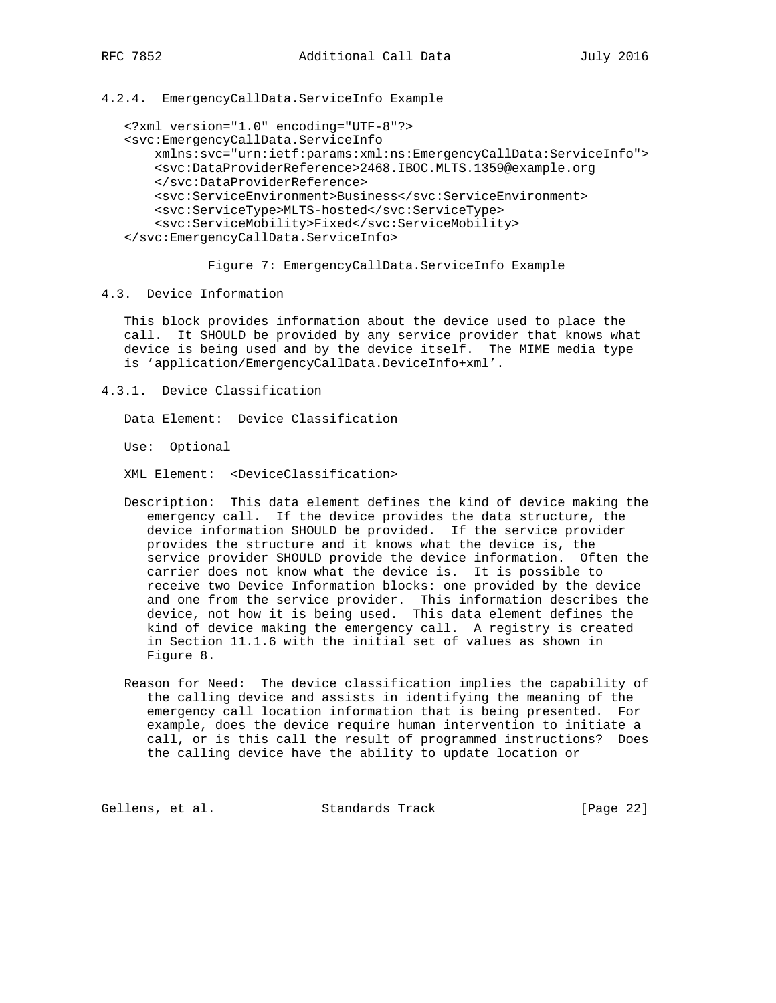4.2.4. EmergencyCallData.ServiceInfo Example

```
 <?xml version="1.0" encoding="UTF-8"?>
```

```
 <svc:EmergencyCallData.ServiceInfo
     xmlns:svc="urn:ietf:params:xml:ns:EmergencyCallData:ServiceInfo">
     <svc:DataProviderReference>2468.IBOC.MLTS.1359@example.org
     </svc:DataProviderReference>
     <svc:ServiceEnvironment>Business</svc:ServiceEnvironment>
     <svc:ServiceType>MLTS-hosted</svc:ServiceType>
     <svc:ServiceMobility>Fixed</svc:ServiceMobility>
 </svc:EmergencyCallData.ServiceInfo>
```
Figure 7: EmergencyCallData.ServiceInfo Example

4.3. Device Information

 This block provides information about the device used to place the call. It SHOULD be provided by any service provider that knows what device is being used and by the device itself. The MIME media type is 'application/EmergencyCallData.DeviceInfo+xml'.

4.3.1. Device Classification

Data Element: Device Classification

Use: Optional

XML Element: <DeviceClassification>

- Description: This data element defines the kind of device making the emergency call. If the device provides the data structure, the device information SHOULD be provided. If the service provider provides the structure and it knows what the device is, the service provider SHOULD provide the device information. Often the carrier does not know what the device is. It is possible to receive two Device Information blocks: one provided by the device and one from the service provider. This information describes the device, not how it is being used. This data element defines the kind of device making the emergency call. A registry is created in Section 11.1.6 with the initial set of values as shown in Figure 8.
- Reason for Need: The device classification implies the capability of the calling device and assists in identifying the meaning of the emergency call location information that is being presented. For example, does the device require human intervention to initiate a call, or is this call the result of programmed instructions? Does the calling device have the ability to update location or

Gellens, et al. Standards Track [Page 22]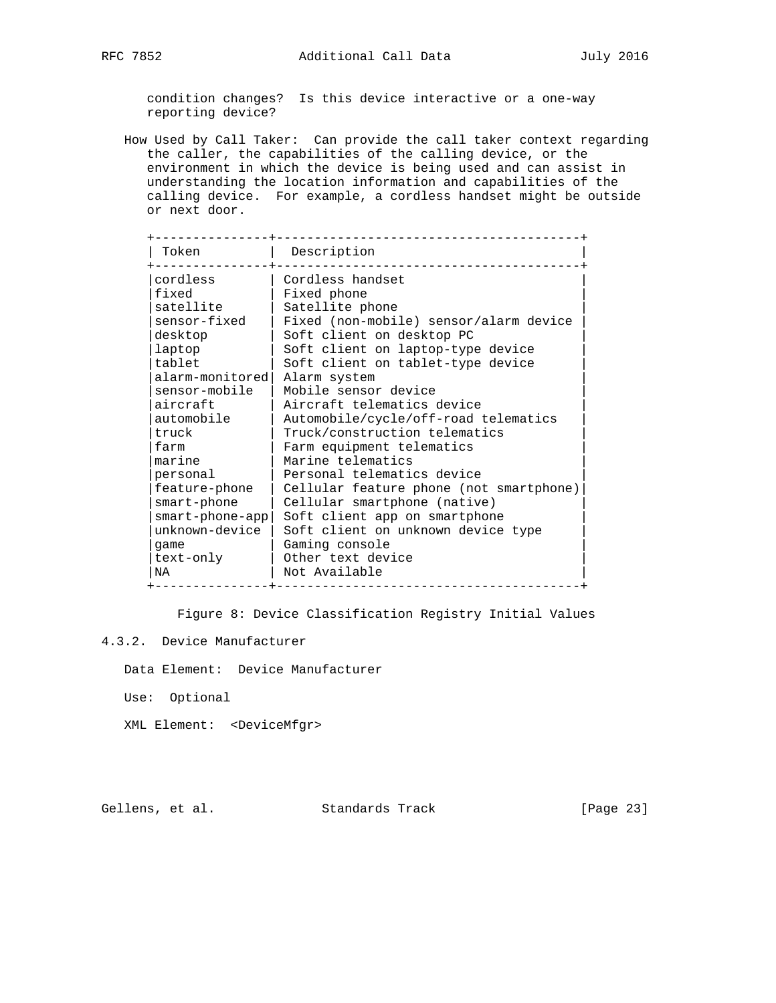condition changes? Is this device interactive or a one-way reporting device?

 How Used by Call Taker: Can provide the call taker context regarding the caller, the capabilities of the calling device, or the environment in which the device is being used and can assist in understanding the location information and capabilities of the calling device. For example, a cordless handset might be outside or next door.

| Token              | Description                             |
|--------------------|-----------------------------------------|
| cordless           | Cordless handset                        |
| fixed              | Fixed phone                             |
| satellite          | Satellite phone                         |
| sensor-fixed       | Fixed (non-mobile) sensor/alarm device  |
| desktop            | Soft client on desktop PC               |
| laptop             | Soft client on laptop-type device       |
| tablet             | Soft client on tablet-type device       |
| alarm-monitored    | Alarm system                            |
| sensor-mobile      | Mobile sensor device                    |
| aircraft           | Aircraft telematics device              |
| automobile         | Automobile/cycle/off-road telematics    |
| truck              | Truck/construction telematics           |
| farm               | Farm equipment telematics               |
| marine             | Marine telematics                       |
| personal           | Personal telematics device              |
| feature-phone      | Cellular feature phone (not smartphone) |
| smart-phone        | Cellular smartphone (native)            |
| $smart$ -phone-app | Soft client app on smartphone           |
| unknown-device     | Soft client on unknown device type      |
| qame               | Gaming console                          |
| text-only          | Other text device                       |
| NA                 | Not Available                           |

Figure 8: Device Classification Registry Initial Values

Data Element: Device Manufacturer

Use: Optional

XML Element: <DeviceMfgr>

Gellens, et al. Standards Track [Page 23]

<sup>4.3.2.</sup> Device Manufacturer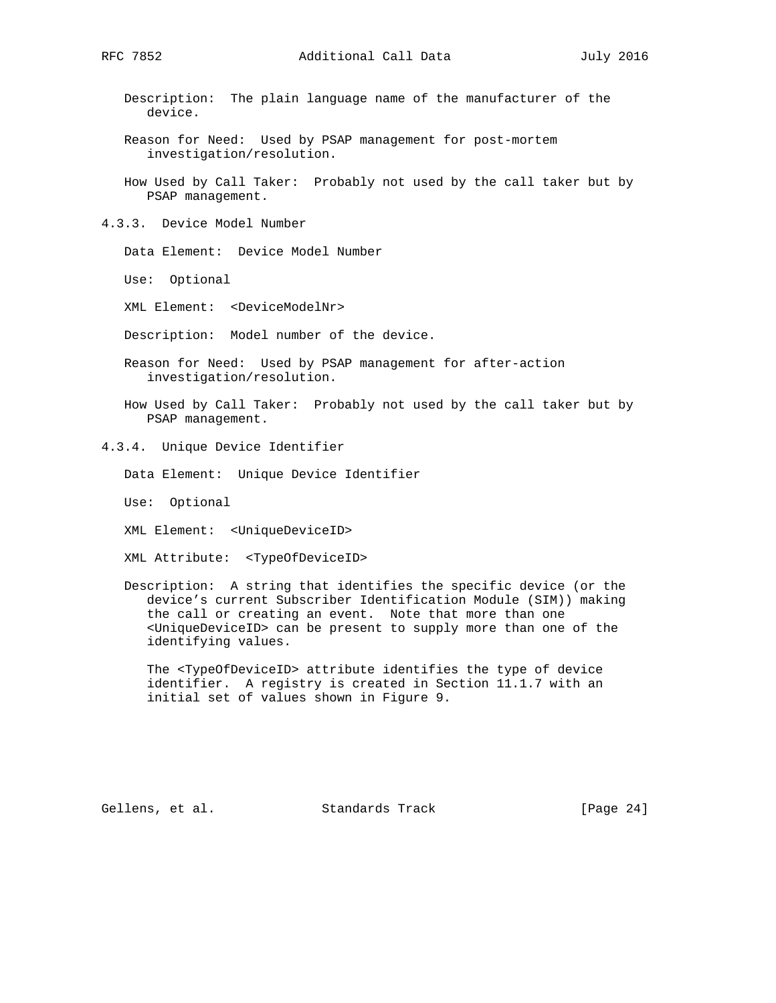Description: The plain language name of the manufacturer of the device.

- Reason for Need: Used by PSAP management for post-mortem investigation/resolution.
- How Used by Call Taker: Probably not used by the call taker but by PSAP management.
- 4.3.3. Device Model Number

Data Element: Device Model Number

Use: Optional

XML Element: <DeviceModelNr>

Description: Model number of the device.

- Reason for Need: Used by PSAP management for after-action investigation/resolution.
- How Used by Call Taker: Probably not used by the call taker but by PSAP management.
- 4.3.4. Unique Device Identifier
	- Data Element: Unique Device Identifier
	- Use: Optional
	- XML Element: <UniqueDeviceID>
	- XML Attribute: <TypeOfDeviceID>
	- Description: A string that identifies the specific device (or the device's current Subscriber Identification Module (SIM)) making the call or creating an event. Note that more than one <UniqueDeviceID> can be present to supply more than one of the identifying values.

 The <TypeOfDeviceID> attribute identifies the type of device identifier. A registry is created in Section 11.1.7 with an initial set of values shown in Figure 9.

Gellens, et al. Standards Track [Page 24]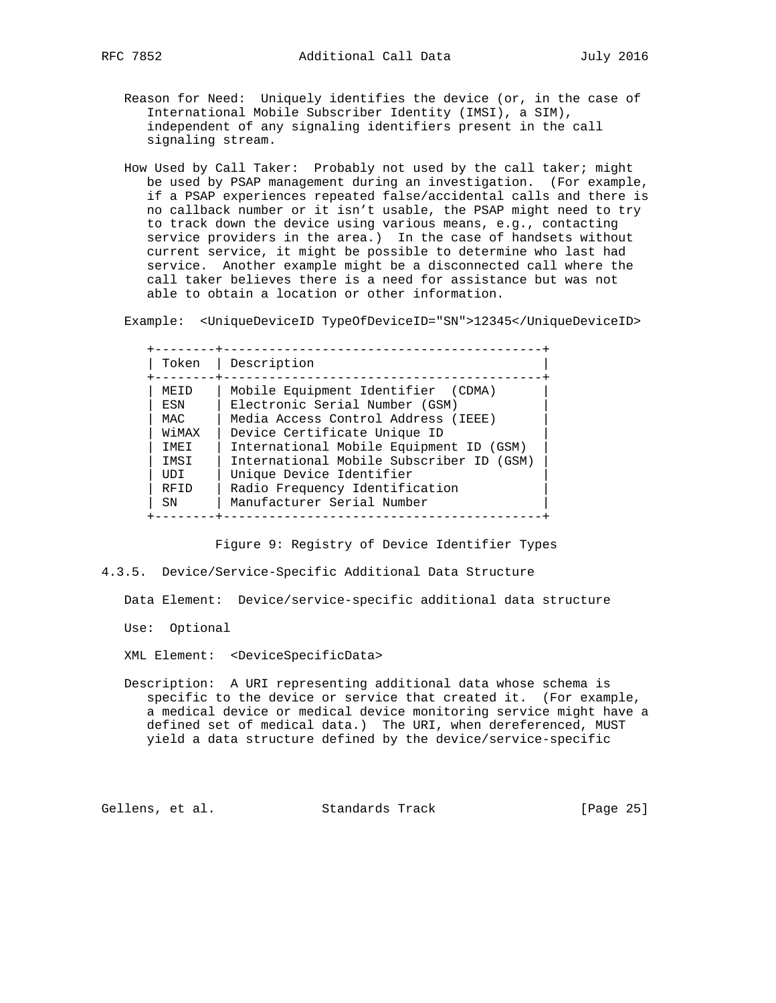- Reason for Need: Uniquely identifies the device (or, in the case of International Mobile Subscriber Identity (IMSI), a SIM), independent of any signaling identifiers present in the call signaling stream.
- How Used by Call Taker: Probably not used by the call taker; might be used by PSAP management during an investigation. (For example, if a PSAP experiences repeated false/accidental calls and there is no callback number or it isn't usable, the PSAP might need to try to track down the device using various means, e.g., contacting service providers in the area.) In the case of handsets without current service, it might be possible to determine who last had service. Another example might be a disconnected call where the call taker believes there is a need for assistance but was not able to obtain a location or other information.

Example: <UniqueDeviceID TypeOfDeviceID="SN">12345</UniqueDeviceID>

| Token       | Description                              |
|-------------|------------------------------------------|
| MF.TD       | Mobile Equipment Identifier (CDMA)       |
| ESN         | Electronic Serial Number (GSM)           |
| MAC.        | Media Access Control Address (IEEE)      |
| WiMAX       | Device Certificate Unique ID             |
| TMET        | International Mobile Equipment ID (GSM)  |
| IMSI        | International Mobile Subscriber ID (GSM) |
| UDI         | Unique Device Identifier                 |
| RFID        | Radio Frequency Identification           |
| $\text{SN}$ | Manufacturer Serial Number               |

Figure 9: Registry of Device Identifier Types

4.3.5. Device/Service-Specific Additional Data Structure

Data Element: Device/service-specific additional data structure

Use: Optional

XML Element: <DeviceSpecificData>

 Description: A URI representing additional data whose schema is specific to the device or service that created it. (For example, a medical device or medical device monitoring service might have a defined set of medical data.) The URI, when dereferenced, MUST yield a data structure defined by the device/service-specific

Gellens, et al. Standards Track [Page 25]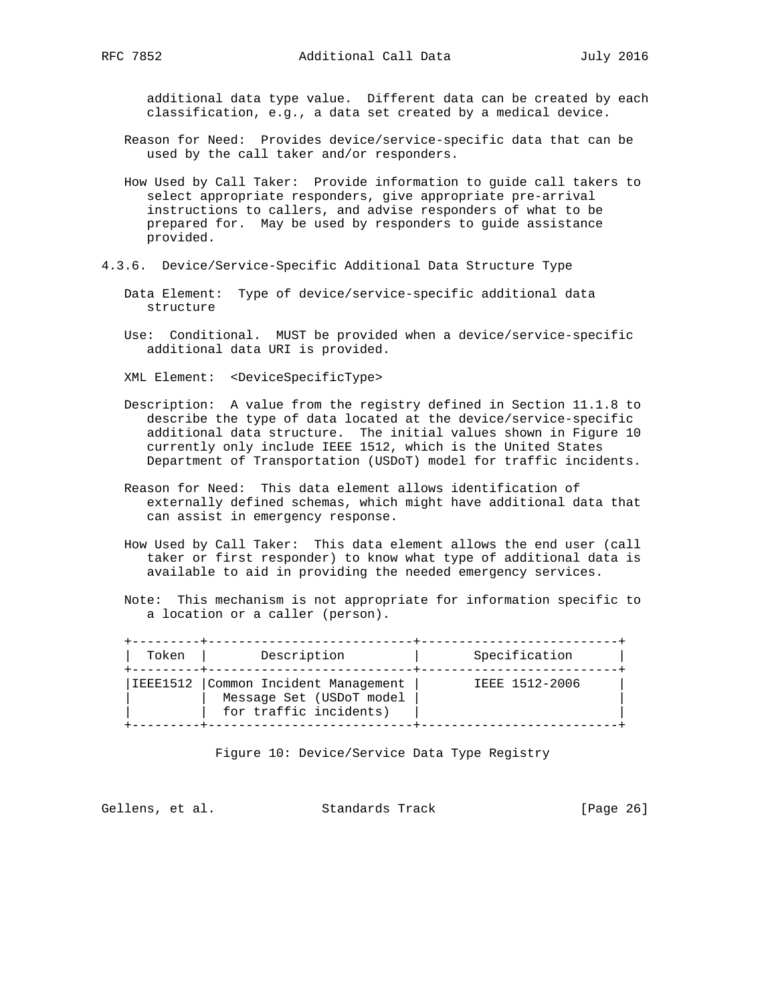additional data type value. Different data can be created by each classification, e.g., a data set created by a medical device.

- Reason for Need: Provides device/service-specific data that can be used by the call taker and/or responders.
- How Used by Call Taker: Provide information to guide call takers to select appropriate responders, give appropriate pre-arrival instructions to callers, and advise responders of what to be prepared for. May be used by responders to guide assistance provided.
- 4.3.6. Device/Service-Specific Additional Data Structure Type
	- Data Element: Type of device/service-specific additional data structure
	- Use: Conditional. MUST be provided when a device/service-specific additional data URI is provided.
	- XML Element: <DeviceSpecificType>
	- Description: A value from the registry defined in Section 11.1.8 to describe the type of data located at the device/service-specific additional data structure. The initial values shown in Figure 10 currently only include IEEE 1512, which is the United States Department of Transportation (USDoT) model for traffic incidents.
	- Reason for Need: This data element allows identification of externally defined schemas, which might have additional data that can assist in emergency response.
	- How Used by Call Taker: This data element allows the end user (call taker or first responder) to know what type of additional data is available to aid in providing the needed emergency services.
	- Note: This mechanism is not appropriate for information specific to a location or a caller (person).

| Token    | Description                                                                      | Specification  |
|----------|----------------------------------------------------------------------------------|----------------|
| IEEE1512 | Common Incident Management<br>Message Set (USDoT model<br>for traffic incidents) | IEEE 1512-2006 |

Figure 10: Device/Service Data Type Registry

Gellens, et al. Standards Track [Page 26]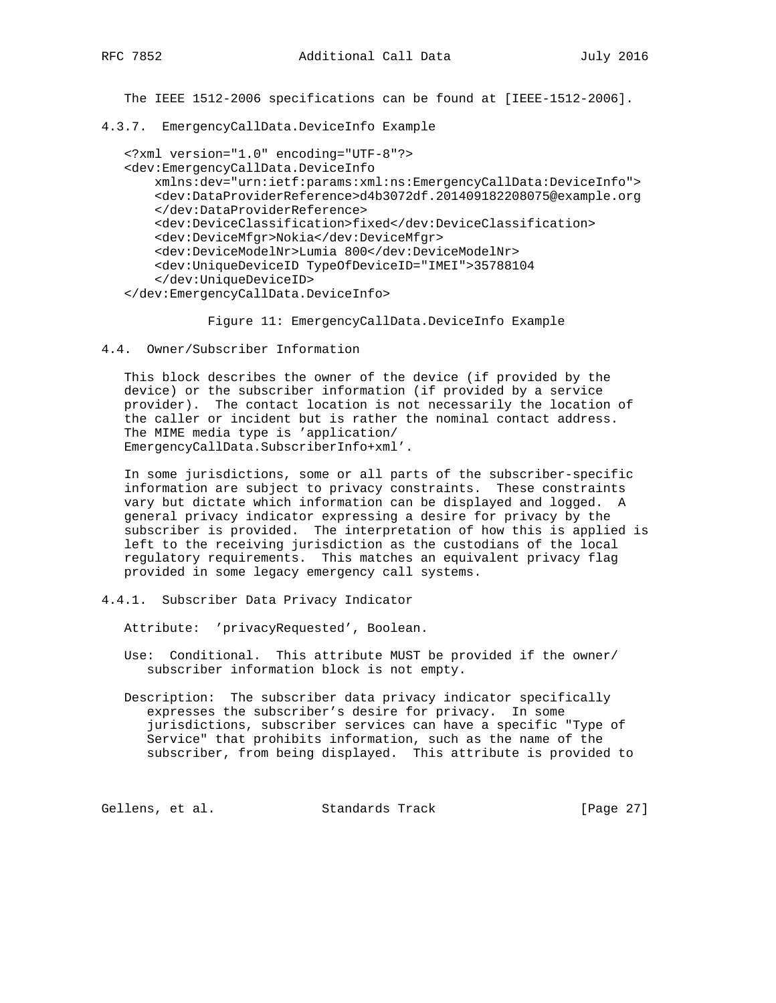The IEEE 1512-2006 specifications can be found at [IEEE-1512-2006].

4.3.7. EmergencyCallData.DeviceInfo Example

```
 <?xml version="1.0" encoding="UTF-8"?>
 <dev:EmergencyCallData.DeviceInfo
    xmlns:dev="urn:ietf:params:xml:ns:EmergencyCallData:DeviceInfo">
     <dev:DataProviderReference>d4b3072df.201409182208075@example.org
     </dev:DataProviderReference>
     <dev:DeviceClassification>fixed</dev:DeviceClassification>
     <dev:DeviceMfgr>Nokia</dev:DeviceMfgr>
     <dev:DeviceModelNr>Lumia 800</dev:DeviceModelNr>
     <dev:UniqueDeviceID TypeOfDeviceID="IMEI">35788104
     </dev:UniqueDeviceID>
 </dev:EmergencyCallData.DeviceInfo>
```
Figure 11: EmergencyCallData.DeviceInfo Example

4.4. Owner/Subscriber Information

 This block describes the owner of the device (if provided by the device) or the subscriber information (if provided by a service provider). The contact location is not necessarily the location of the caller or incident but is rather the nominal contact address. The MIME media type is 'application/ EmergencyCallData.SubscriberInfo+xml'.

 In some jurisdictions, some or all parts of the subscriber-specific information are subject to privacy constraints. These constraints vary but dictate which information can be displayed and logged. A general privacy indicator expressing a desire for privacy by the subscriber is provided. The interpretation of how this is applied is left to the receiving jurisdiction as the custodians of the local regulatory requirements. This matches an equivalent privacy flag provided in some legacy emergency call systems.

4.4.1. Subscriber Data Privacy Indicator

Attribute: 'privacyRequested', Boolean.

- Use: Conditional. This attribute MUST be provided if the owner/ subscriber information block is not empty.
- Description: The subscriber data privacy indicator specifically expresses the subscriber's desire for privacy. In some jurisdictions, subscriber services can have a specific "Type of Service" that prohibits information, such as the name of the subscriber, from being displayed. This attribute is provided to

Gellens, et al. Standards Track [Page 27]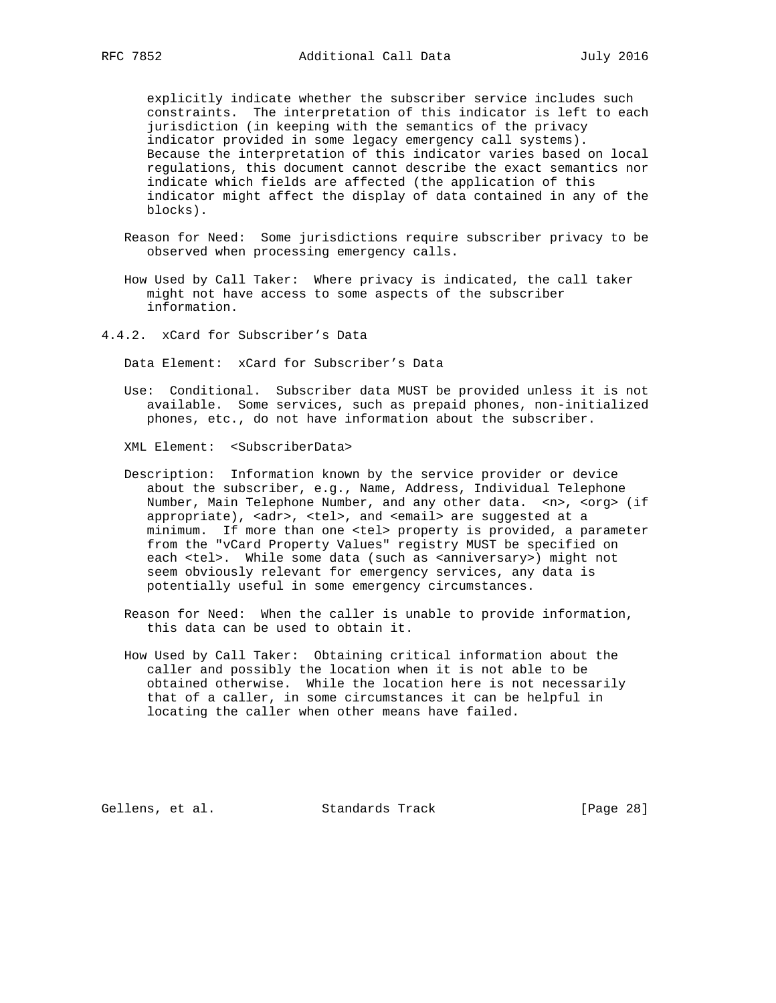explicitly indicate whether the subscriber service includes such constraints. The interpretation of this indicator is left to each jurisdiction (in keeping with the semantics of the privacy indicator provided in some legacy emergency call systems). Because the interpretation of this indicator varies based on local regulations, this document cannot describe the exact semantics nor indicate which fields are affected (the application of this indicator might affect the display of data contained in any of the blocks).

- Reason for Need: Some jurisdictions require subscriber privacy to be observed when processing emergency calls.
- How Used by Call Taker: Where privacy is indicated, the call taker might not have access to some aspects of the subscriber information.
- 4.4.2. xCard for Subscriber's Data

Data Element: xCard for Subscriber's Data

- Use: Conditional. Subscriber data MUST be provided unless it is not available. Some services, such as prepaid phones, non-initialized phones, etc., do not have information about the subscriber.
- XML Element: <SubscriberData>
- Description: Information known by the service provider or device about the subscriber, e.g., Name, Address, Individual Telephone Number, Main Telephone Number, and any other data. <n>, <org> (if appropriate), <adr>, <tel>, and <email> are suggested at a minimum. If more than one <tel> property is provided, a parameter from the "vCard Property Values" registry MUST be specified on each <tel>. While some data (such as <anniversary>) might not seem obviously relevant for emergency services, any data is potentially useful in some emergency circumstances.
- Reason for Need: When the caller is unable to provide information, this data can be used to obtain it.
- How Used by Call Taker: Obtaining critical information about the caller and possibly the location when it is not able to be obtained otherwise. While the location here is not necessarily that of a caller, in some circumstances it can be helpful in locating the caller when other means have failed.

Gellens, et al. Standards Track [Page 28]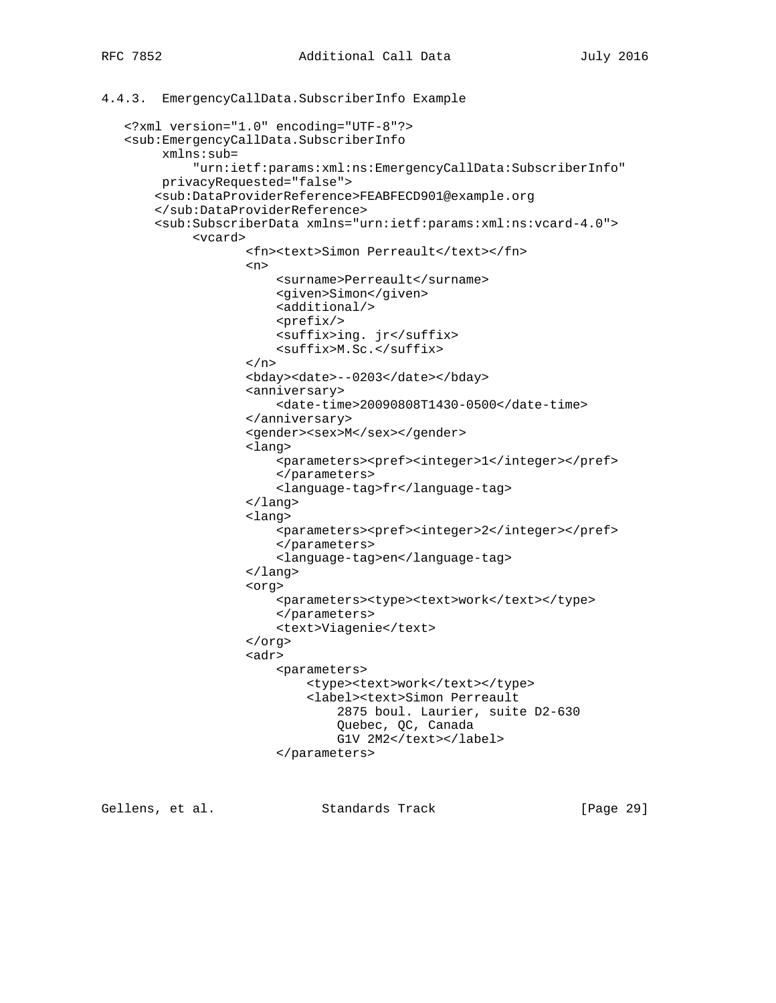```
4.4.3. EmergencyCallData.SubscriberInfo Example
    <?xml version="1.0" encoding="UTF-8"?>
    <sub:EmergencyCallData.SubscriberInfo
         xmlns:sub=
             "urn:ietf:params:xml:ns:EmergencyCallData:SubscriberInfo"
         privacyRequested="false">
        <sub:DataProviderReference>FEABFECD901@example.org
        </sub:DataProviderReference>
        <sub:SubscriberData xmlns="urn:ietf:params:xml:ns:vcard-4.0">
             <vcard>
                     <fn><text>Simon Perreault</text></fn>
\langle n \rangle <surname>Perreault</surname>
                         <given>Simon</given>
                         <additional/>
                         <prefix/>
                         <suffix>ing. jr</suffix>
                         <suffix>M.Sc.</suffix>
                    \langlen>
                     <bday><date>--0203</date></bday>
                     <anniversary>
                         <date-time>20090808T1430-0500</date-time>
                     </anniversary>
                    <gender><sex>M</sex></gender>
                     <lang>
                         <parameters><pref><integer>1</integer></pref>
                         </parameters>
                         <language-tag>fr</language-tag>
                     </lang>
                     <lang>
                         <parameters><pref><integer>2</integer></pref>
                         </parameters>
                         <language-tag>en</language-tag>
                     </lang>
                     <org>
                        <parameters><type><text>work</text></type>
                         </parameters>
                         <text>Viagenie</text>
                     </org>
                     <adr>
                         <parameters>
                            <type><text>work</text></type>
                             <label><text>Simon Perreault
```
2875 boul. Laurier, suite D2-630

 Quebec, QC, Canada G1V 2M2</text></label>

Gellens, et al. Standards Track [Page 29]

</parameters>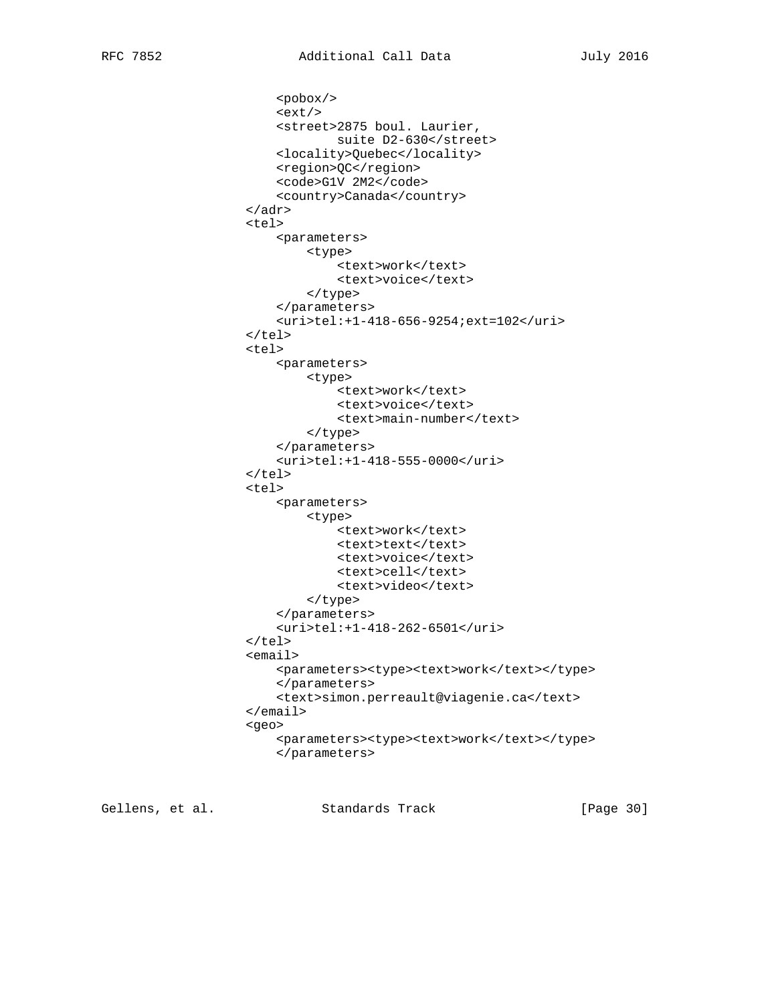```
 <pobox/>
     <ext/>
     <street>2875 boul. Laurier,
             suite D2-630</street>
     <locality>Quebec</locality>
     <region>QC</region>
     <code>G1V 2M2</code>
     <country>Canada</country>
 </adr>
 <tel>
     <parameters>
         <type>
             <text>work</text>
              <text>voice</text>
         </type>
     </parameters>
     <uri>tel:+1-418-656-9254;ext=102</uri>
\langle/tel>
 <tel>
     <parameters>
         <type>
             <text>work</text>
              <text>voice</text>
              <text>main-number</text>
         </type>
     </parameters>
     <uri>tel:+1-418-555-0000</uri>
\langletel>
 <tel>
     <parameters>
         <type>
              <text>work</text>
             <text>text</text>
              <text>voice</text>
              <text>cell</text>
              <text>video</text>
         </type>
     </parameters>
     <uri>tel:+1-418-262-6501</uri>
\langletel>
 <email>
    <parameters><type><text>work</text></type>
     </parameters>
     <text>simon.perreault@viagenie.ca</text>
 </email>
 <geo>
    <parameters><type><text>work</text></type>
     </parameters>
```
Gellens, et al. Standards Track [Page 30]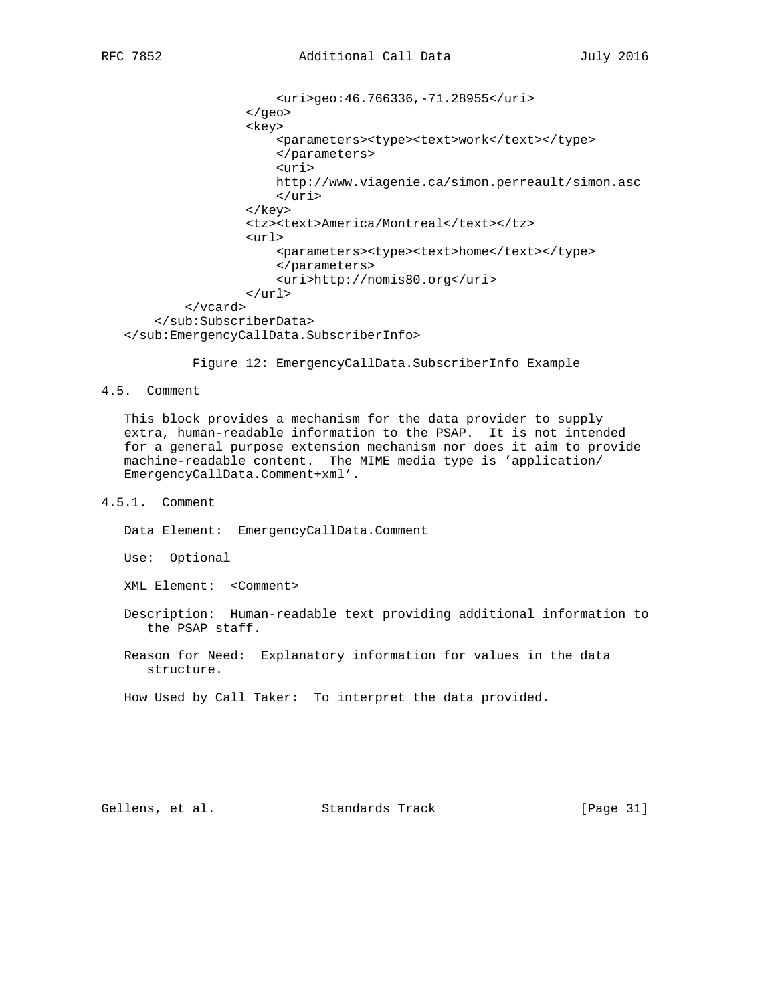```
 <uri>geo:46.766336,-71.28955</uri>
                  </geo>
                  <key>
                     <parameters><type><text>work</text></type>
                      </parameters>
                      <uri>
                      http://www.viagenie.ca/simon.perreault/simon.asc
                      </uri>
                  </key>
                  <tz><text>America/Montreal</text></tz>
                  <url>
                     <parameters><type><text>home</text></type>
                      </parameters>
                       <uri>http://nomis80.org</uri>
                 \langle \text{url*} </vcard>
     </sub:SubscriberData>
 </sub:EmergencyCallData.SubscriberInfo>
```
Figure 12: EmergencyCallData.SubscriberInfo Example

4.5. Comment

 This block provides a mechanism for the data provider to supply extra, human-readable information to the PSAP. It is not intended for a general purpose extension mechanism nor does it aim to provide machine-readable content. The MIME media type is 'application/ EmergencyCallData.Comment+xml'.

4.5.1. Comment

Data Element: EmergencyCallData.Comment

Use: Optional

XML Element: <Comment>

 Description: Human-readable text providing additional information to the PSAP staff.

 Reason for Need: Explanatory information for values in the data structure.

How Used by Call Taker: To interpret the data provided.

Gellens, et al. Standards Track [Page 31]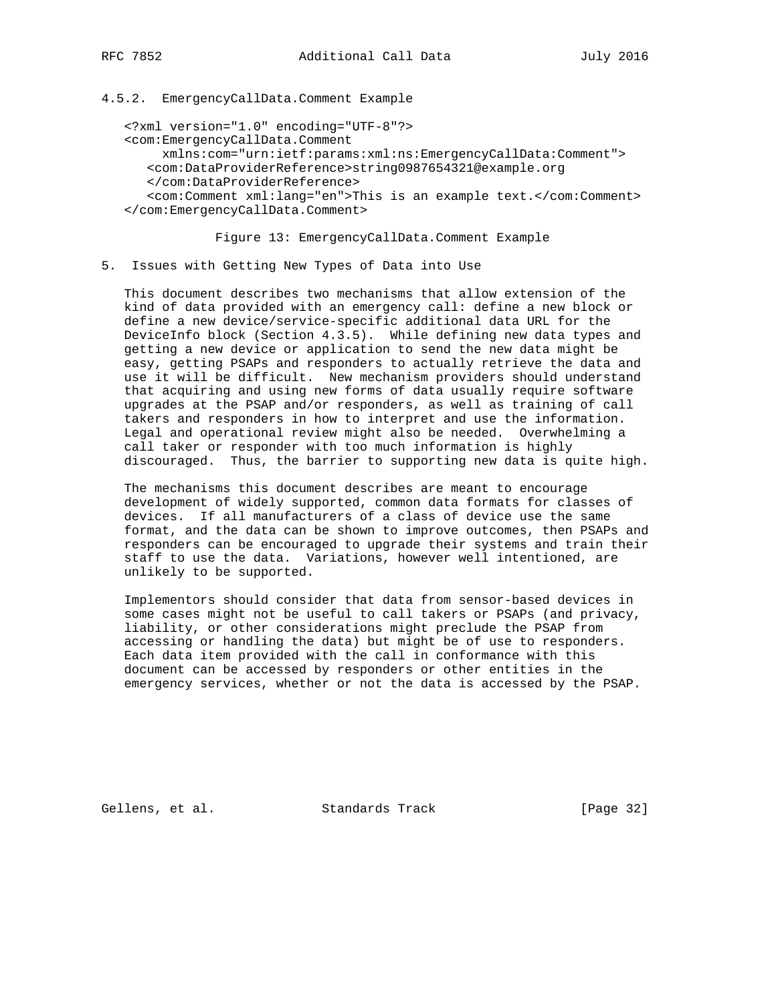### 4.5.2. EmergencyCallData.Comment Example

```
 <?xml version="1.0" encoding="UTF-8"?>
 <com:EmergencyCallData.Comment
     xmlns:com="urn:ietf:params:xml:ns:EmergencyCallData:Comment">
    <com:DataProviderReference>string0987654321@example.org
   </com:DataProviderReference>
    <com:Comment xml:lang="en">This is an example text.</com:Comment>
 </com:EmergencyCallData.Comment>
```
Figure 13: EmergencyCallData.Comment Example

5. Issues with Getting New Types of Data into Use

 This document describes two mechanisms that allow extension of the kind of data provided with an emergency call: define a new block or define a new device/service-specific additional data URL for the DeviceInfo block (Section 4.3.5). While defining new data types and getting a new device or application to send the new data might be easy, getting PSAPs and responders to actually retrieve the data and use it will be difficult. New mechanism providers should understand that acquiring and using new forms of data usually require software upgrades at the PSAP and/or responders, as well as training of call takers and responders in how to interpret and use the information. Legal and operational review might also be needed. Overwhelming a call taker or responder with too much information is highly discouraged. Thus, the barrier to supporting new data is quite high.

 The mechanisms this document describes are meant to encourage development of widely supported, common data formats for classes of devices. If all manufacturers of a class of device use the same format, and the data can be shown to improve outcomes, then PSAPs and responders can be encouraged to upgrade their systems and train their staff to use the data. Variations, however well intentioned, are unlikely to be supported.

 Implementors should consider that data from sensor-based devices in some cases might not be useful to call takers or PSAPs (and privacy, liability, or other considerations might preclude the PSAP from accessing or handling the data) but might be of use to responders. Each data item provided with the call in conformance with this document can be accessed by responders or other entities in the emergency services, whether or not the data is accessed by the PSAP.

Gellens, et al. Standards Track [Page 32]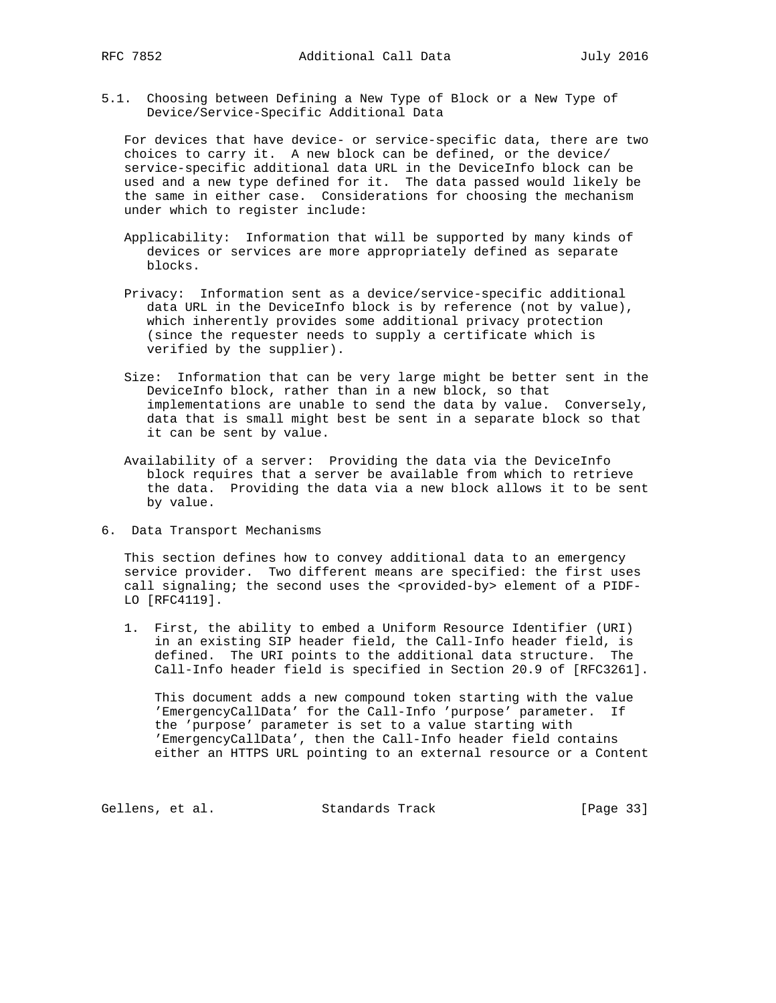5.1. Choosing between Defining a New Type of Block or a New Type of Device/Service-Specific Additional Data

 For devices that have device- or service-specific data, there are two choices to carry it. A new block can be defined, or the device/ service-specific additional data URL in the DeviceInfo block can be used and a new type defined for it. The data passed would likely be the same in either case. Considerations for choosing the mechanism under which to register include:

- Applicability: Information that will be supported by many kinds of devices or services are more appropriately defined as separate blocks.
- Privacy: Information sent as a device/service-specific additional data URL in the DeviceInfo block is by reference (not by value), which inherently provides some additional privacy protection (since the requester needs to supply a certificate which is verified by the supplier).
- Size: Information that can be very large might be better sent in the DeviceInfo block, rather than in a new block, so that implementations are unable to send the data by value. Conversely, data that is small might best be sent in a separate block so that it can be sent by value.
- Availability of a server: Providing the data via the DeviceInfo block requires that a server be available from which to retrieve the data. Providing the data via a new block allows it to be sent by value.
- 6. Data Transport Mechanisms

 This section defines how to convey additional data to an emergency service provider. Two different means are specified: the first uses call signaling; the second uses the <provided-by> element of a PIDF-LO [RFC4119].

 1. First, the ability to embed a Uniform Resource Identifier (URI) in an existing SIP header field, the Call-Info header field, is defined. The URI points to the additional data structure. The Call-Info header field is specified in Section 20.9 of [RFC3261].

 This document adds a new compound token starting with the value 'EmergencyCallData' for the Call-Info 'purpose' parameter. If the 'purpose' parameter is set to a value starting with 'EmergencyCallData', then the Call-Info header field contains either an HTTPS URL pointing to an external resource or a Content

Gellens, et al. Standards Track [Page 33]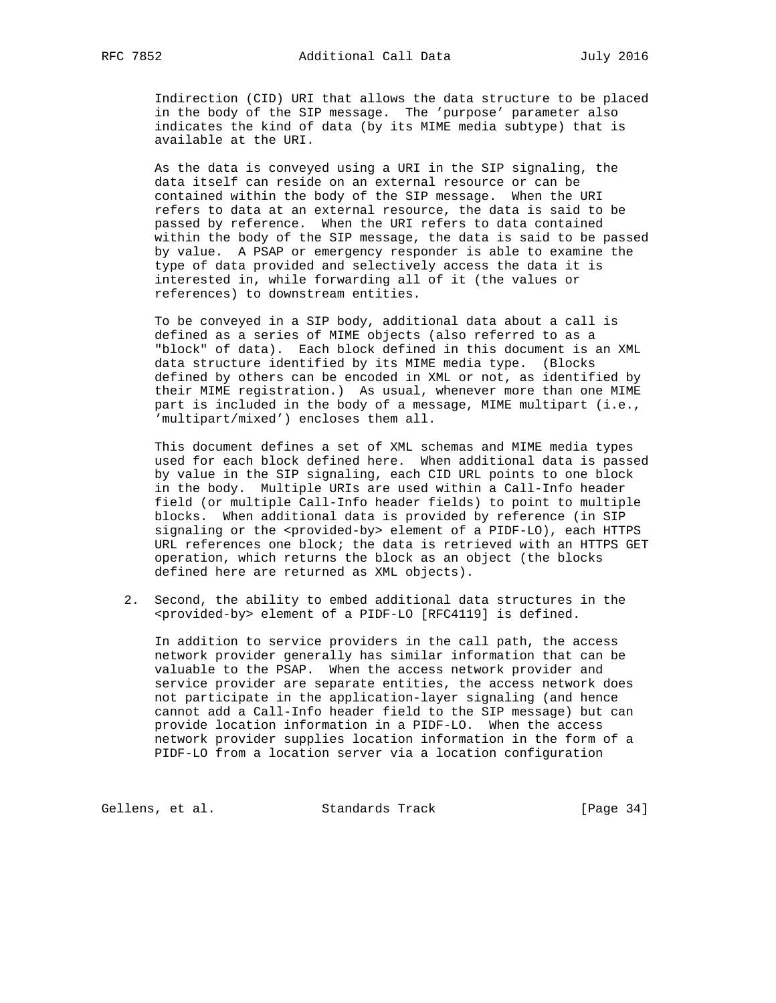Indirection (CID) URI that allows the data structure to be placed in the body of the SIP message. The 'purpose' parameter also indicates the kind of data (by its MIME media subtype) that is available at the URI.

 As the data is conveyed using a URI in the SIP signaling, the data itself can reside on an external resource or can be contained within the body of the SIP message. When the URI refers to data at an external resource, the data is said to be passed by reference. When the URI refers to data contained within the body of the SIP message, the data is said to be passed by value. A PSAP or emergency responder is able to examine the type of data provided and selectively access the data it is interested in, while forwarding all of it (the values or references) to downstream entities.

 To be conveyed in a SIP body, additional data about a call is defined as a series of MIME objects (also referred to as a "block" of data). Each block defined in this document is an XML data structure identified by its MIME media type. (Blocks defined by others can be encoded in XML or not, as identified by their MIME registration.) As usual, whenever more than one MIME part is included in the body of a message, MIME multipart (i.e., 'multipart/mixed') encloses them all.

 This document defines a set of XML schemas and MIME media types used for each block defined here. When additional data is passed by value in the SIP signaling, each CID URL points to one block in the body. Multiple URIs are used within a Call-Info header field (or multiple Call-Info header fields) to point to multiple blocks. When additional data is provided by reference (in SIP signaling or the <provided-by> element of a PIDF-LO), each HTTPS URL references one block; the data is retrieved with an HTTPS GET operation, which returns the block as an object (the blocks defined here are returned as XML objects).

 2. Second, the ability to embed additional data structures in the <provided-by> element of a PIDF-LO [RFC4119] is defined.

 In addition to service providers in the call path, the access network provider generally has similar information that can be valuable to the PSAP. When the access network provider and service provider are separate entities, the access network does not participate in the application-layer signaling (and hence cannot add a Call-Info header field to the SIP message) but can provide location information in a PIDF-LO. When the access network provider supplies location information in the form of a PIDF-LO from a location server via a location configuration

Gellens, et al. Standards Track [Page 34]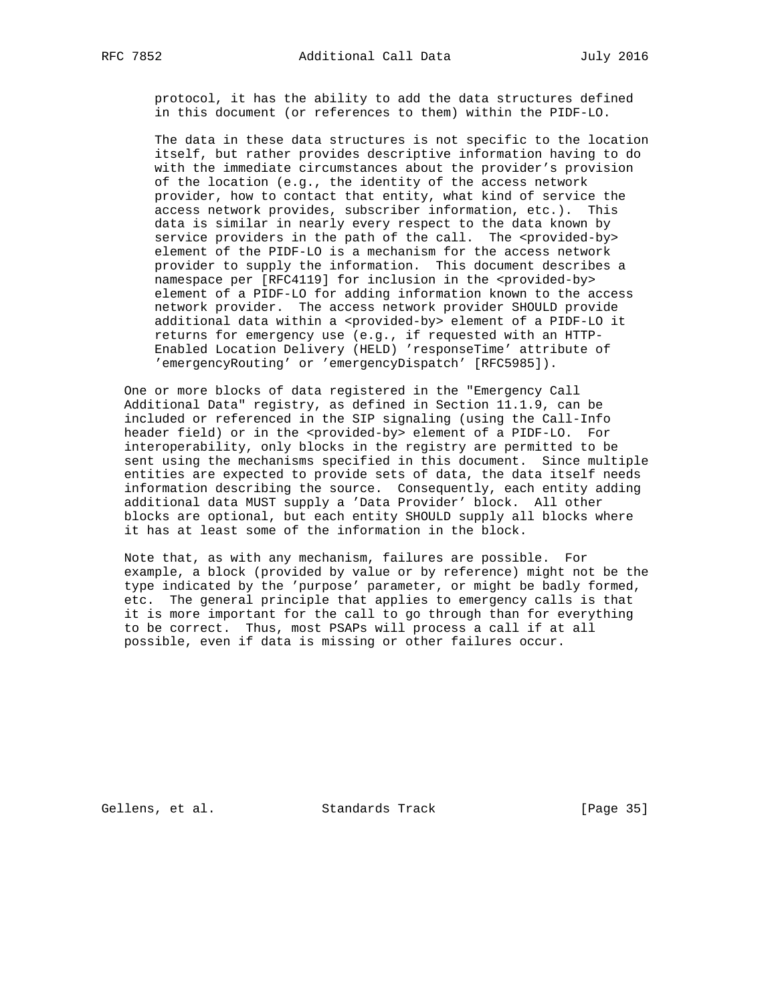protocol, it has the ability to add the data structures defined in this document (or references to them) within the PIDF-LO.

 The data in these data structures is not specific to the location itself, but rather provides descriptive information having to do with the immediate circumstances about the provider's provision of the location (e.g., the identity of the access network provider, how to contact that entity, what kind of service the access network provides, subscriber information, etc.). This data is similar in nearly every respect to the data known by service providers in the path of the call. The <provided-by> element of the PIDF-LO is a mechanism for the access network provider to supply the information. This document describes a namespace per [RFC4119] for inclusion in the <provided-by> element of a PIDF-LO for adding information known to the access network provider. The access network provider SHOULD provide additional data within a <provided-by> element of a PIDF-LO it returns for emergency use (e.g., if requested with an HTTP- Enabled Location Delivery (HELD) 'responseTime' attribute of 'emergencyRouting' or 'emergencyDispatch' [RFC5985]).

 One or more blocks of data registered in the "Emergency Call Additional Data" registry, as defined in Section 11.1.9, can be included or referenced in the SIP signaling (using the Call-Info header field) or in the <provided-by> element of a PIDF-LO. For interoperability, only blocks in the registry are permitted to be sent using the mechanisms specified in this document. Since multiple entities are expected to provide sets of data, the data itself needs information describing the source. Consequently, each entity adding additional data MUST supply a 'Data Provider' block. All other blocks are optional, but each entity SHOULD supply all blocks where it has at least some of the information in the block.

 Note that, as with any mechanism, failures are possible. For example, a block (provided by value or by reference) might not be the type indicated by the 'purpose' parameter, or might be badly formed, etc. The general principle that applies to emergency calls is that it is more important for the call to go through than for everything to be correct. Thus, most PSAPs will process a call if at all possible, even if data is missing or other failures occur.

Gellens, et al. Standards Track [Page 35]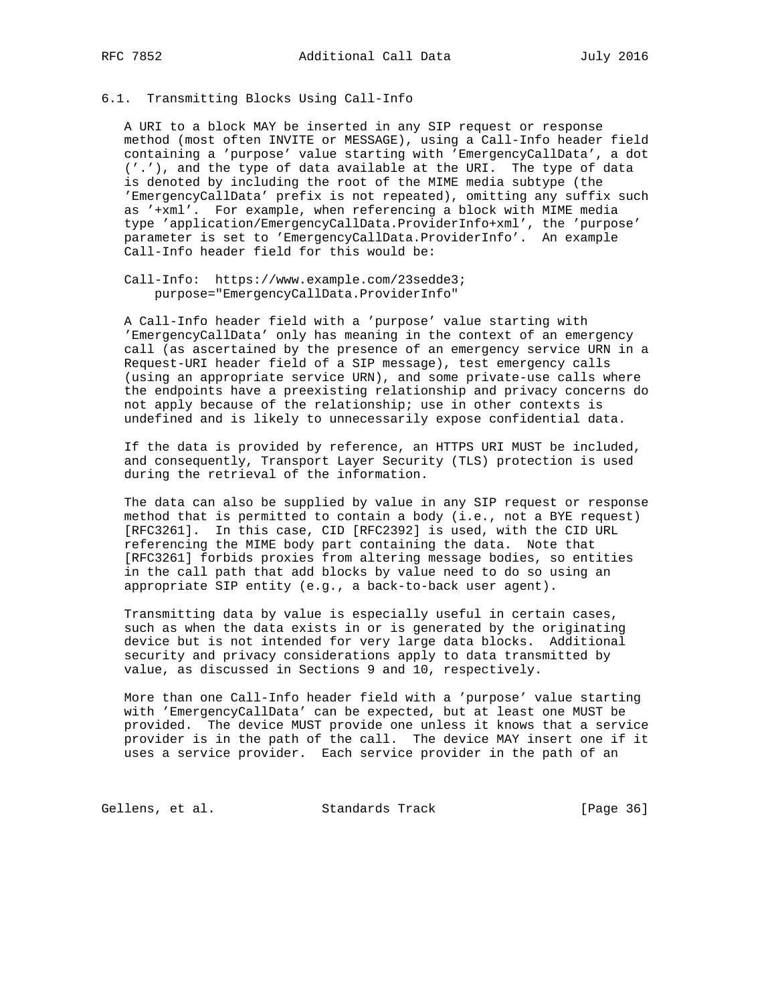# 6.1. Transmitting Blocks Using Call-Info

 A URI to a block MAY be inserted in any SIP request or response method (most often INVITE or MESSAGE), using a Call-Info header field containing a 'purpose' value starting with 'EmergencyCallData', a dot ('.'), and the type of data available at the URI. The type of data is denoted by including the root of the MIME media subtype (the 'EmergencyCallData' prefix is not repeated), omitting any suffix such as '+xml'. For example, when referencing a block with MIME media type 'application/EmergencyCallData.ProviderInfo+xml', the 'purpose' parameter is set to 'EmergencyCallData.ProviderInfo'. An example Call-Info header field for this would be:

 Call-Info: https://www.example.com/23sedde3; purpose="EmergencyCallData.ProviderInfo"

 A Call-Info header field with a 'purpose' value starting with 'EmergencyCallData' only has meaning in the context of an emergency call (as ascertained by the presence of an emergency service URN in a Request-URI header field of a SIP message), test emergency calls (using an appropriate service URN), and some private-use calls where the endpoints have a preexisting relationship and privacy concerns do not apply because of the relationship; use in other contexts is undefined and is likely to unnecessarily expose confidential data.

 If the data is provided by reference, an HTTPS URI MUST be included, and consequently, Transport Layer Security (TLS) protection is used during the retrieval of the information.

 The data can also be supplied by value in any SIP request or response method that is permitted to contain a body (i.e., not a BYE request) [RFC3261]. In this case, CID [RFC2392] is used, with the CID URL referencing the MIME body part containing the data. Note that [RFC3261] forbids proxies from altering message bodies, so entities in the call path that add blocks by value need to do so using an appropriate SIP entity (e.g., a back-to-back user agent).

 Transmitting data by value is especially useful in certain cases, such as when the data exists in or is generated by the originating device but is not intended for very large data blocks. Additional security and privacy considerations apply to data transmitted by value, as discussed in Sections 9 and 10, respectively.

 More than one Call-Info header field with a 'purpose' value starting with 'EmergencyCallData' can be expected, but at least one MUST be provided. The device MUST provide one unless it knows that a service provider is in the path of the call. The device MAY insert one if it uses a service provider. Each service provider in the path of an

Gellens, et al. Standards Track [Page 36]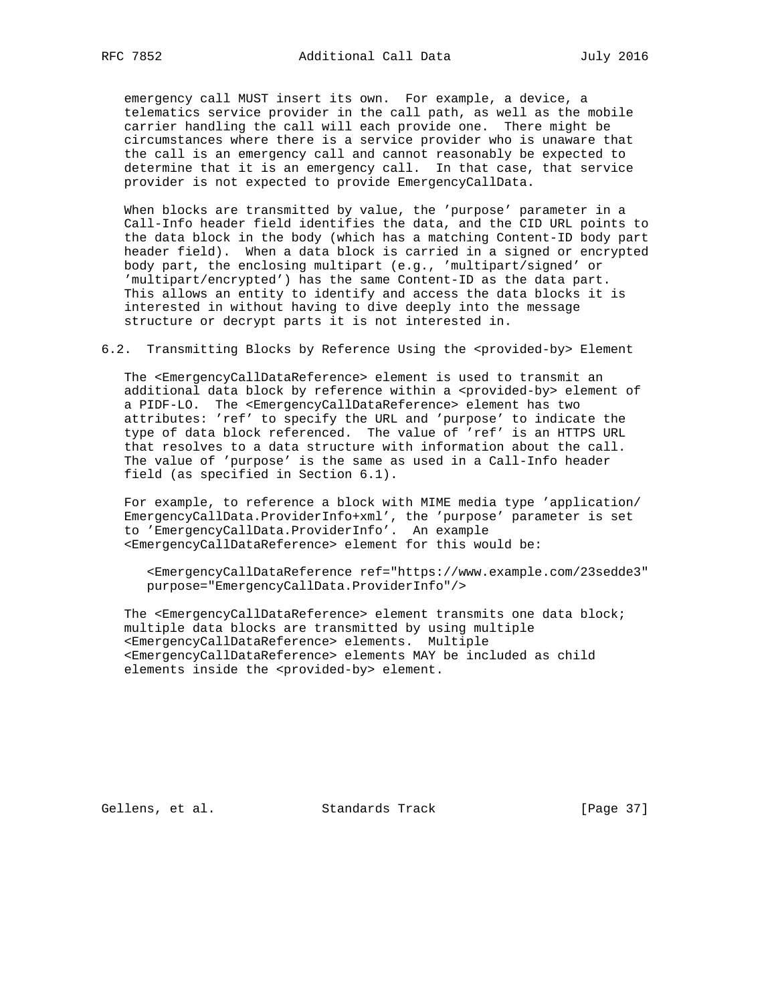emergency call MUST insert its own. For example, a device, a telematics service provider in the call path, as well as the mobile carrier handling the call will each provide one. There might be circumstances where there is a service provider who is unaware that the call is an emergency call and cannot reasonably be expected to determine that it is an emergency call. In that case, that service provider is not expected to provide EmergencyCallData.

 When blocks are transmitted by value, the 'purpose' parameter in a Call-Info header field identifies the data, and the CID URL points to the data block in the body (which has a matching Content-ID body part header field). When a data block is carried in a signed or encrypted body part, the enclosing multipart (e.g., 'multipart/signed' or 'multipart/encrypted') has the same Content-ID as the data part. This allows an entity to identify and access the data blocks it is interested in without having to dive deeply into the message structure or decrypt parts it is not interested in.

6.2. Transmitting Blocks by Reference Using the <provided-by> Element

 The <EmergencyCallDataReference> element is used to transmit an additional data block by reference within a <provided-by> element of a PIDF-LO. The <EmergencyCallDataReference> element has two attributes: 'ref' to specify the URL and 'purpose' to indicate the type of data block referenced. The value of 'ref' is an HTTPS URL that resolves to a data structure with information about the call. The value of 'purpose' is the same as used in a Call-Info header field (as specified in Section 6.1).

 For example, to reference a block with MIME media type 'application/ EmergencyCallData.ProviderInfo+xml', the 'purpose' parameter is set to 'EmergencyCallData.ProviderInfo'. An example <EmergencyCallDataReference> element for this would be:

 <EmergencyCallDataReference ref="https://www.example.com/23sedde3" purpose="EmergencyCallData.ProviderInfo"/>

The <EmergencyCallDataReference> element transmits one data block; multiple data blocks are transmitted by using multiple <EmergencyCallDataReference> elements. Multiple <EmergencyCallDataReference> elements MAY be included as child elements inside the <provided-by> element.

Gellens, et al. Standards Track [Page 37]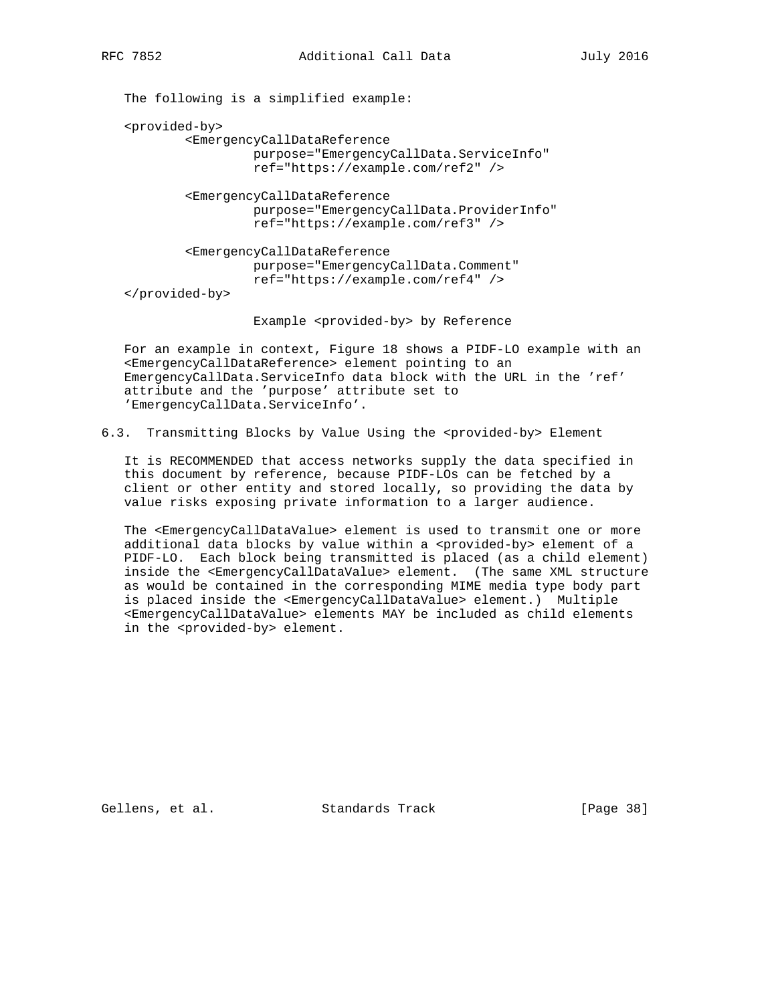The following is a simplified example:

<provided-by>

 <EmergencyCallDataReference purpose="EmergencyCallData.ServiceInfo" ref="https://example.com/ref2" />

 <EmergencyCallDataReference purpose="EmergencyCallData.ProviderInfo" ref="https://example.com/ref3" />

 <EmergencyCallDataReference purpose="EmergencyCallData.Comment" ref="https://example.com/ref4" />

</provided-by>

Example <provided-by> by Reference

 For an example in context, Figure 18 shows a PIDF-LO example with an <EmergencyCallDataReference> element pointing to an EmergencyCallData.ServiceInfo data block with the URL in the 'ref' attribute and the 'purpose' attribute set to 'EmergencyCallData.ServiceInfo'.

6.3. Transmitting Blocks by Value Using the <provided-by> Element

 It is RECOMMENDED that access networks supply the data specified in this document by reference, because PIDF-LOs can be fetched by a client or other entity and stored locally, so providing the data by value risks exposing private information to a larger audience.

 The <EmergencyCallDataValue> element is used to transmit one or more additional data blocks by value within a <provided-by> element of a PIDF-LO. Each block being transmitted is placed (as a child element) inside the <EmergencyCallDataValue> element. (The same XML structure as would be contained in the corresponding MIME media type body part is placed inside the <EmergencyCallDataValue> element.) Multiple <EmergencyCallDataValue> elements MAY be included as child elements in the <provided-by> element.

Gellens, et al. Standards Track [Page 38]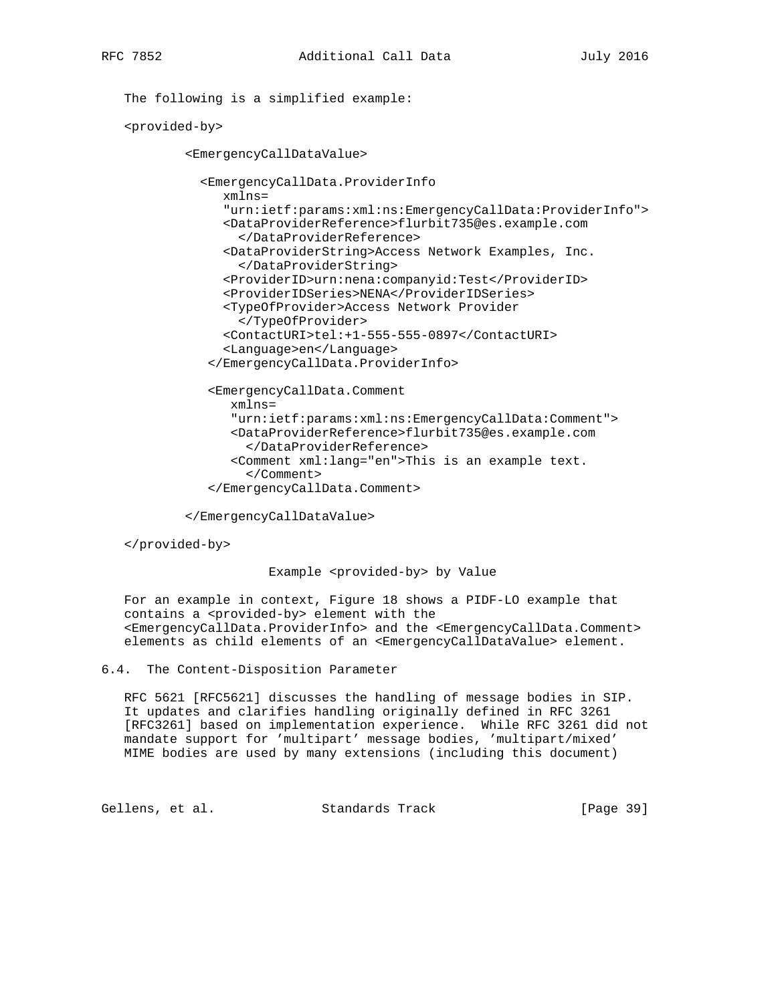The following is a simplified example:

<provided-by>

<EmergencyCallDataValue>

 <EmergencyCallData.ProviderInfo xmlns= "urn:ietf:params:xml:ns:EmergencyCallData:ProviderInfo"> <DataProviderReference>flurbit735@es.example.com </DataProviderReference> <DataProviderString>Access Network Examples, Inc. </DataProviderString> <ProviderID>urn:nena:companyid:Test</ProviderID> <ProviderIDSeries>NENA</ProviderIDSeries> <TypeOfProvider>Access Network Provider </TypeOfProvider> <ContactURI>tel:+1-555-555-0897</ContactURI> <Language>en</Language> </EmergencyCallData.ProviderInfo>

 <EmergencyCallData.Comment xmlns= "urn:ietf:params:xml:ns:EmergencyCallData:Comment"> <DataProviderReference>flurbit735@es.example.com </DataProviderReference> <Comment xml:lang="en">This is an example text. </Comment> </EmergencyCallData.Comment>

</EmergencyCallDataValue>

</provided-by>

#### Example <provided-by> by Value

 For an example in context, Figure 18 shows a PIDF-LO example that contains a <provided-by> element with the <EmergencyCallData.ProviderInfo> and the <EmergencyCallData.Comment> elements as child elements of an <EmergencyCallDataValue> element.

6.4. The Content-Disposition Parameter

 RFC 5621 [RFC5621] discusses the handling of message bodies in SIP. It updates and clarifies handling originally defined in RFC 3261 [RFC3261] based on implementation experience. While RFC 3261 did not mandate support for 'multipart' message bodies, 'multipart/mixed' MIME bodies are used by many extensions (including this document)

Gellens, et al. Standards Track [Page 39]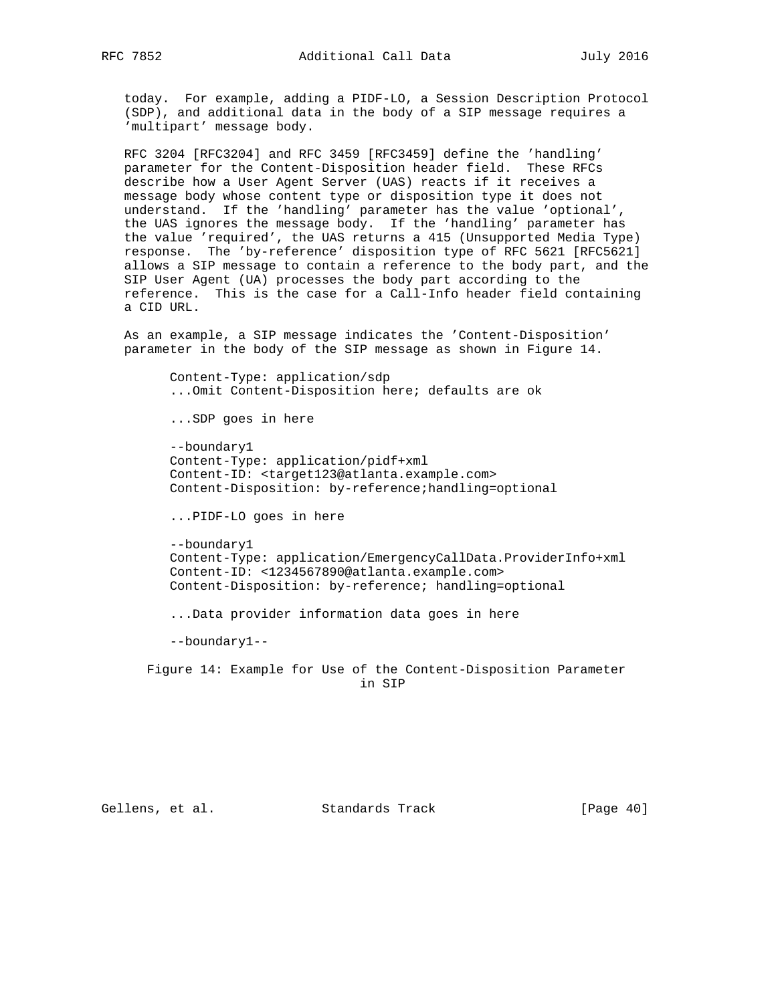today. For example, adding a PIDF-LO, a Session Description Protocol (SDP), and additional data in the body of a SIP message requires a 'multipart' message body.

 RFC 3204 [RFC3204] and RFC 3459 [RFC3459] define the 'handling' parameter for the Content-Disposition header field. These RFCs describe how a User Agent Server (UAS) reacts if it receives a message body whose content type or disposition type it does not understand. If the 'handling' parameter has the value 'optional', the UAS ignores the message body. If the 'handling' parameter has the value 'required', the UAS returns a 415 (Unsupported Media Type) response. The 'by-reference' disposition type of RFC 5621 [RFC5621] allows a SIP message to contain a reference to the body part, and the SIP User Agent (UA) processes the body part according to the reference. This is the case for a Call-Info header field containing a CID URL.

 As an example, a SIP message indicates the 'Content-Disposition' parameter in the body of the SIP message as shown in Figure 14.

 Content-Type: application/sdp ...Omit Content-Disposition here; defaults are ok ...SDP goes in here --boundary1 Content-Type: application/pidf+xml Content-ID: <target123@atlanta.example.com> Content-Disposition: by-reference;handling=optional ...PIDF-LO goes in here --boundary1 Content-Type: application/EmergencyCallData.ProviderInfo+xml

 Content-ID: <1234567890@atlanta.example.com> Content-Disposition: by-reference; handling=optional

...Data provider information data goes in here

--boundary1--

 Figure 14: Example for Use of the Content-Disposition Parameter in SIP

Gellens, et al. Standards Track [Page 40]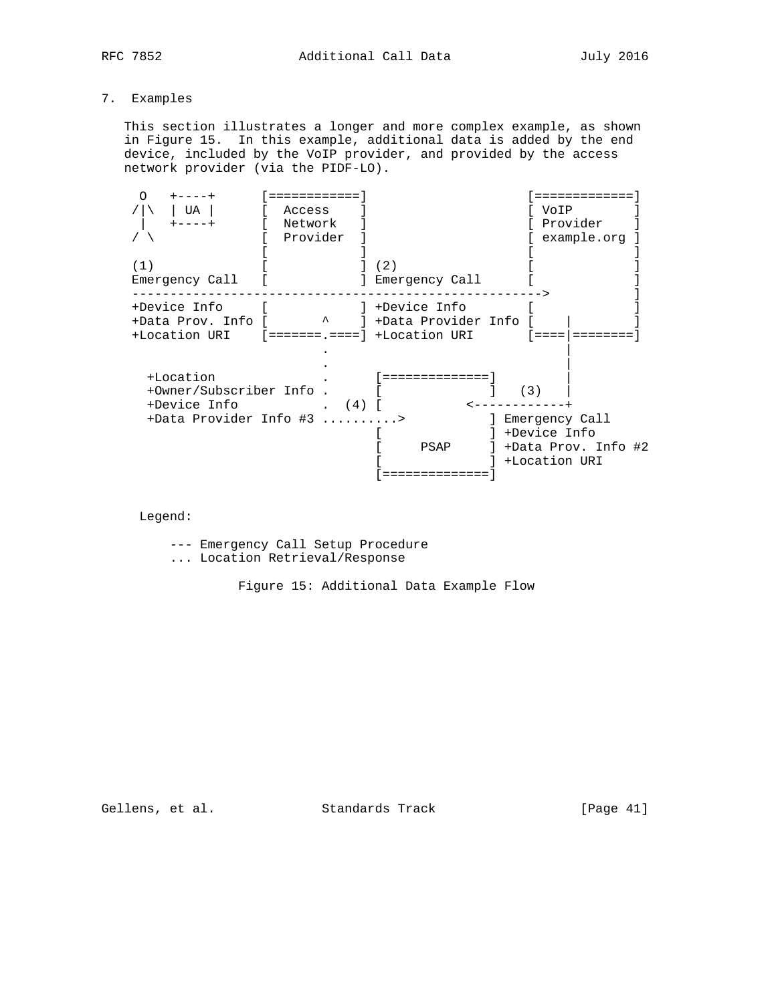# 7. Examples

 This section illustrates a longer and more complex example, as shown in Figure 15. In this example, additional data is added by the end device, included by the VoIP provider, and provided by the access network provider (via the PIDF-LO).

| Ω<br>$+ - - - - +$<br>UA<br>$+ - - - +$              | ============<br>Access<br>Network<br>Provider | :==========<br>VoIP<br>Provider<br>example.org               |
|------------------------------------------------------|-----------------------------------------------|--------------------------------------------------------------|
| (1)<br>Emergency Call                                |                                               | (2)<br>] Emergency Call                                      |
| +Device Info<br>+Data Prov. Info [<br>+Location URI  | $\lambda$                                     | ] +Device Info<br>] +Data Provider Info                      |
| +Location<br>+Owner/Subscriber Info.<br>+Device Info | (4)<br>+Data Provider Info #3 >               | l ===============<br>(3)<br>] Emergency Call                 |
|                                                      |                                               | +Device Info<br>+Data Prov. Info #2<br>PSAP<br>+Location URI |

Legend:

--- Emergency Call Setup Procedure

... Location Retrieval/Response

Figure 15: Additional Data Example Flow

Gellens, et al. Standards Track [Page 41]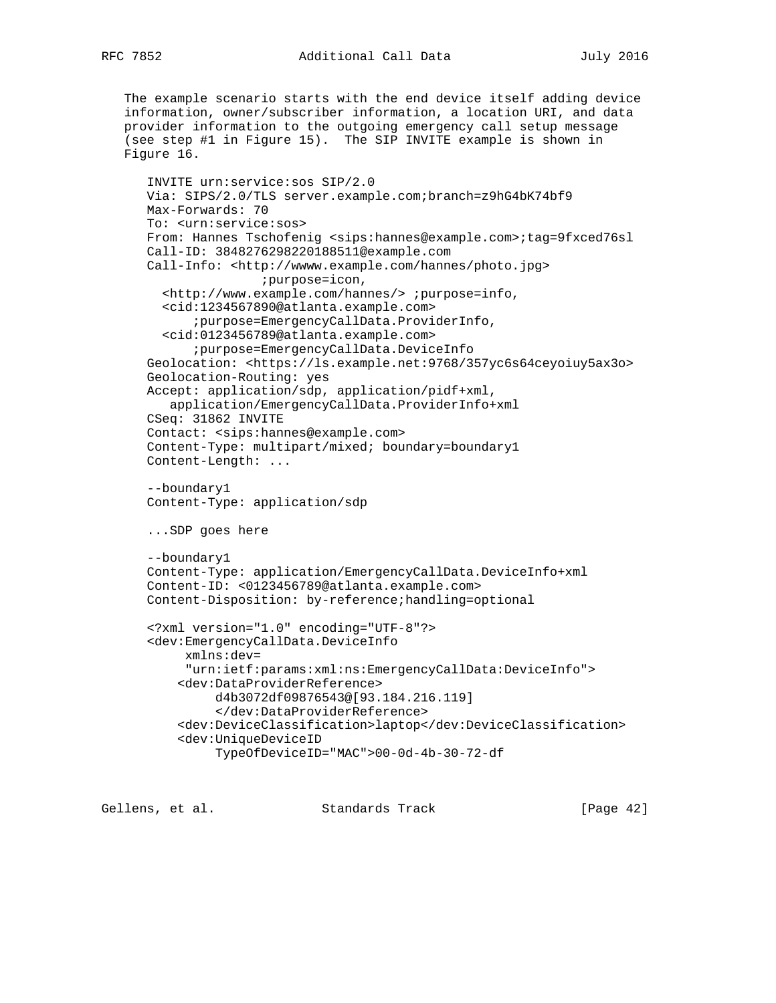```
 The example scenario starts with the end device itself adding device
 information, owner/subscriber information, a location URI, and data
 provider information to the outgoing emergency call setup message
 (see step #1 in Figure 15). The SIP INVITE example is shown in
 Figure 16.
    INVITE urn:service:sos SIP/2.0
   Via: SIPS/2.0/TLS server.example.com;branch=z9hG4bK74bf9
   Max-Forwards: 70
   To: <urn:service:sos>
   From: Hannes Tschofenig <sips:hannes@example.com>;tag=9fxced76sl
   Call-ID: 3848276298220188511@example.com
  Call-Info: <http://wwww.example.com/hannes/photo.jpg>
                   ;purpose=icon,
      <http://www.example.com/hannes/> ;purpose=info,
      <cid:1234567890@atlanta.example.com>
          ;purpose=EmergencyCallData.ProviderInfo,
      <cid:0123456789@atlanta.example.com>
          ;purpose=EmergencyCallData.DeviceInfo
    Geolocation: <https://ls.example.net:9768/357yc6s64ceyoiuy5ax3o>
    Geolocation-Routing: yes
    Accept: application/sdp, application/pidf+xml,
       application/EmergencyCallData.ProviderInfo+xml
    CSeq: 31862 INVITE
    Contact: <sips:hannes@example.com>
    Content-Type: multipart/mixed; boundary=boundary1
    Content-Length: ...
    --boundary1
   Content-Type: application/sdp
    ...SDP goes here
    --boundary1
    Content-Type: application/EmergencyCallData.DeviceInfo+xml
   Content-ID: <0123456789@atlanta.example.com>
   Content-Disposition: by-reference;handling=optional
    <?xml version="1.0" encoding="UTF-8"?>
    <dev:EmergencyCallData.DeviceInfo
         xmlns:dev=
         "urn:ietf:params:xml:ns:EmergencyCallData:DeviceInfo">
        <dev:DataProviderReference>
             d4b3072df09876543@[93.184.216.119]
             </dev:DataProviderReference>
        <dev:DeviceClassification>laptop</dev:DeviceClassification>
        <dev:UniqueDeviceID
             TypeOfDeviceID="MAC">00-0d-4b-30-72-df
```
Gellens, et al. Standards Track [Page 42]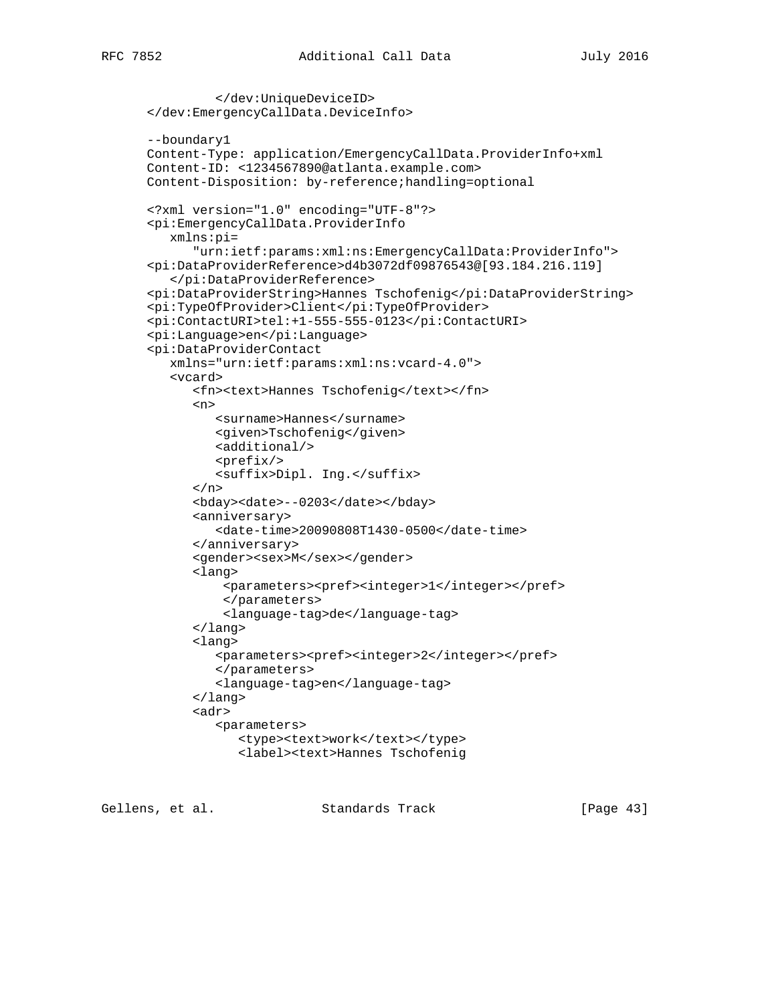```
 </dev:UniqueDeviceID>
 </dev:EmergencyCallData.DeviceInfo>
 --boundary1
 Content-Type: application/EmergencyCallData.ProviderInfo+xml
 Content-ID: <1234567890@atlanta.example.com>
 Content-Disposition: by-reference;handling=optional
 <?xml version="1.0" encoding="UTF-8"?>
 <pi:EmergencyCallData.ProviderInfo
   xmlns:pi=
       "urn:ietf:params:xml:ns:EmergencyCallData:ProviderInfo">
 <pi:DataProviderReference>d4b3072df09876543@[93.184.216.119]
    </pi:DataProviderReference>
 <pi:DataProviderString>Hannes Tschofenig</pi:DataProviderString>
 <pi:TypeOfProvider>Client</pi:TypeOfProvider>
 <pi:ContactURI>tel:+1-555-555-0123</pi:ContactURI>
 <pi:Language>en</pi:Language>
 <pi:DataProviderContact
    xmlns="urn:ietf:params:xml:ns:vcard-4.0">
    <vcard>
       <fn><text>Hannes Tschofenig</text></fn>
       <n>
          <surname>Hannes</surname>
          <given>Tschofenig</given>
          <additional/>
          <prefix/>
          <suffix>Dipl. Ing.</suffix>
      \langle/n>
       <bday><date>--0203</date></bday>
       <anniversary>
          <date-time>20090808T1430-0500</date-time>
       </anniversary>
      <gender><sex>M</sex></gender>
       <lang>
           <parameters><pref><integer>1</integer></pref>
           </parameters>
           <language-tag>de</language-tag>
       </lang>
       <lang>
          <parameters><pref><integer>2</integer></pref>
          </parameters>
          <language-tag>en</language-tag>
       </lang>
       <adr>
          <parameters>
            <type><text>work</text></type>
             <label><text>Hannes Tschofenig
```
Gellens, et al. Standards Track [Page 43]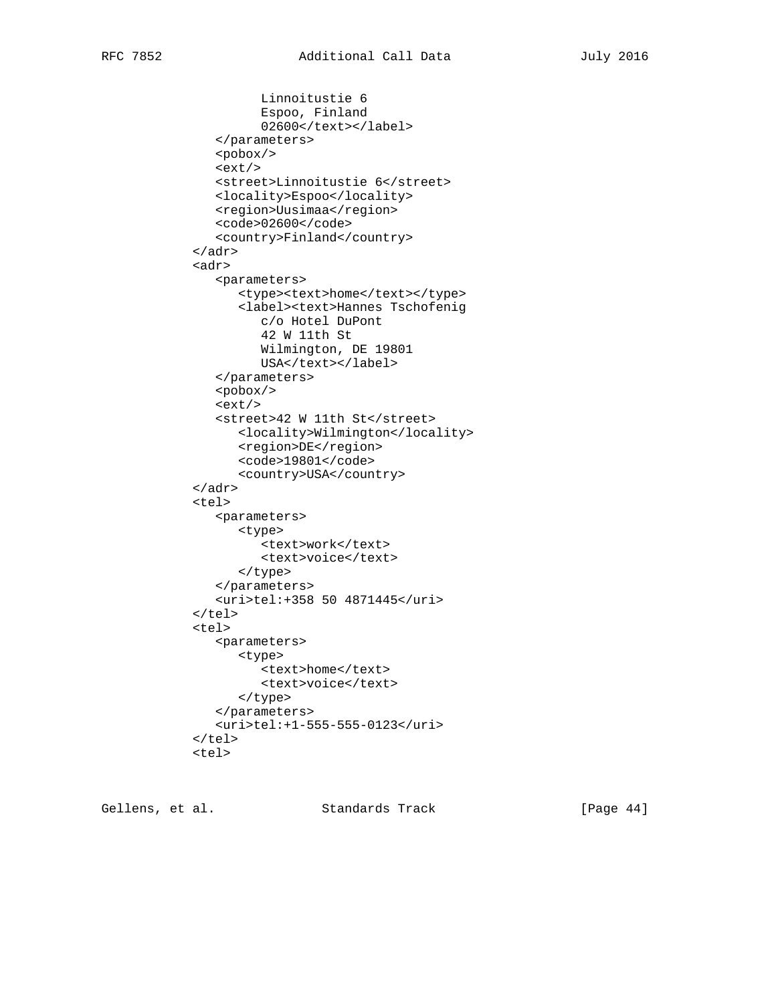```
 Linnoitustie 6
          Espoo, Finland
          02600</text></label>
    </parameters>
    <pobox/>
    <ext/>
    <street>Linnoitustie 6</street>
    <locality>Espoo</locality>
    <region>Uusimaa</region>
    <code>02600</code>
    <country>Finland</country>
 </adr>
 <adr>
    <parameters>
      <type><text>home</text></type>
       <label><text>Hannes Tschofenig
          c/o Hotel DuPont
          42 W 11th St
          Wilmington, DE 19801
         USA</text></label>
    </parameters>
    <pobox/>
   <ext/>
    <street>42 W 11th St</street>
       <locality>Wilmington</locality>
       <region>DE</region>
       <code>19801</code>
       <country>USA</country>
 </adr>
 <tel>
    <parameters>
       <type>
         <text>work</text>
          <text>voice</text>
       </type>
    </parameters>
    <uri>tel:+358 50 4871445</uri>
\langletel>
 <tel>
    <parameters>
      <type>
          <text>home</text>
          <text>voice</text>
       </type>
    </parameters>
    <uri>tel:+1-555-555-0123</uri>
\langle/tel>
 <tel>
```
Gellens, et al. Standards Track [Page 44]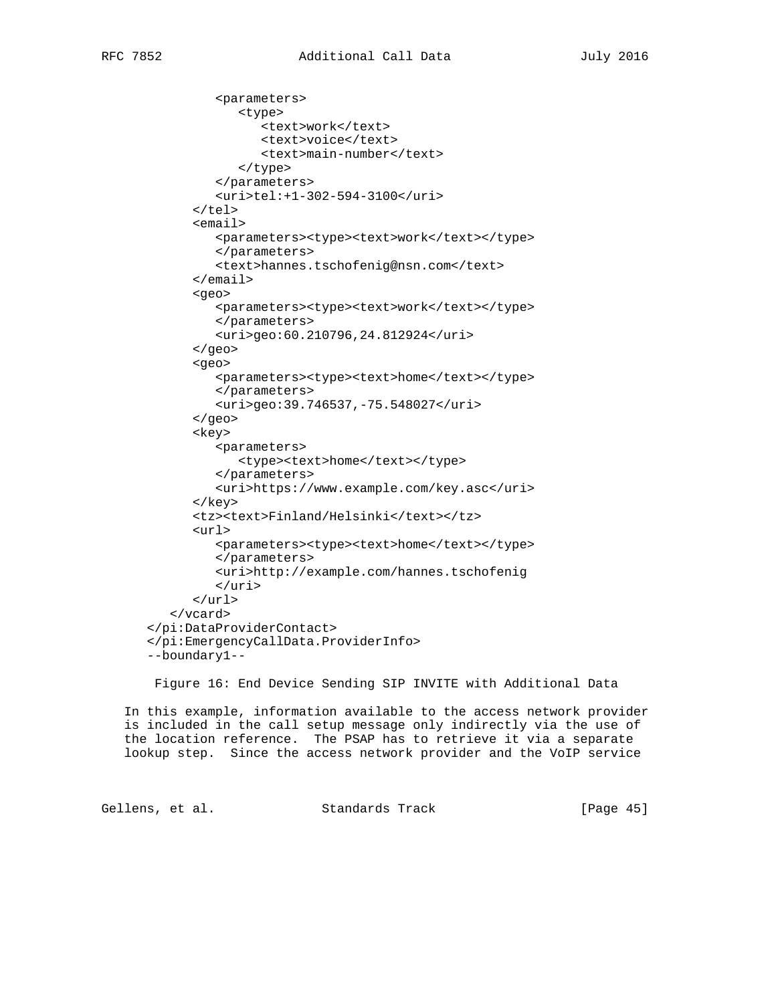```
 <parameters>
              <type>
                <text>work</text>
                 <text>voice</text>
                 <text>main-number</text>
              </type>
           </parameters>
           <uri>tel:+1-302-594-3100</uri>
      \langle/tel>
       <email>
          <parameters><type><text>work</text></type>
           </parameters>
           <text>hannes.tschofenig@nsn.com</text>
       </email>
       <geo>
         <parameters><type><text>work</text></type>
           </parameters>
           <uri>geo:60.210796,24.812924</uri>
       </geo>
       <geo>
          <parameters><type><text>home</text></type>
          </parameters>
          <uri>geo:39.746537,-75.548027</uri>
       </geo>
       <key>
           <parameters>
             <type><text>home</text></type>
          </parameters>
           <uri>https://www.example.com/key.asc</uri>
       </key>
       <tz><text>Finland/Helsinki</text></tz>
       <url>
          <parameters><type><text>home</text></type>
           </parameters>
           <uri>http://example.com/hannes.tschofenig
          \langle/uri>
      \langle \text{url} \rangle </vcard>
 </pi:DataProviderContact>
 </pi:EmergencyCallData.ProviderInfo>
 --boundary1--
```
Figure 16: End Device Sending SIP INVITE with Additional Data

 In this example, information available to the access network provider is included in the call setup message only indirectly via the use of the location reference. The PSAP has to retrieve it via a separate lookup step. Since the access network provider and the VoIP service

Gellens, et al. Standards Track [Page 45]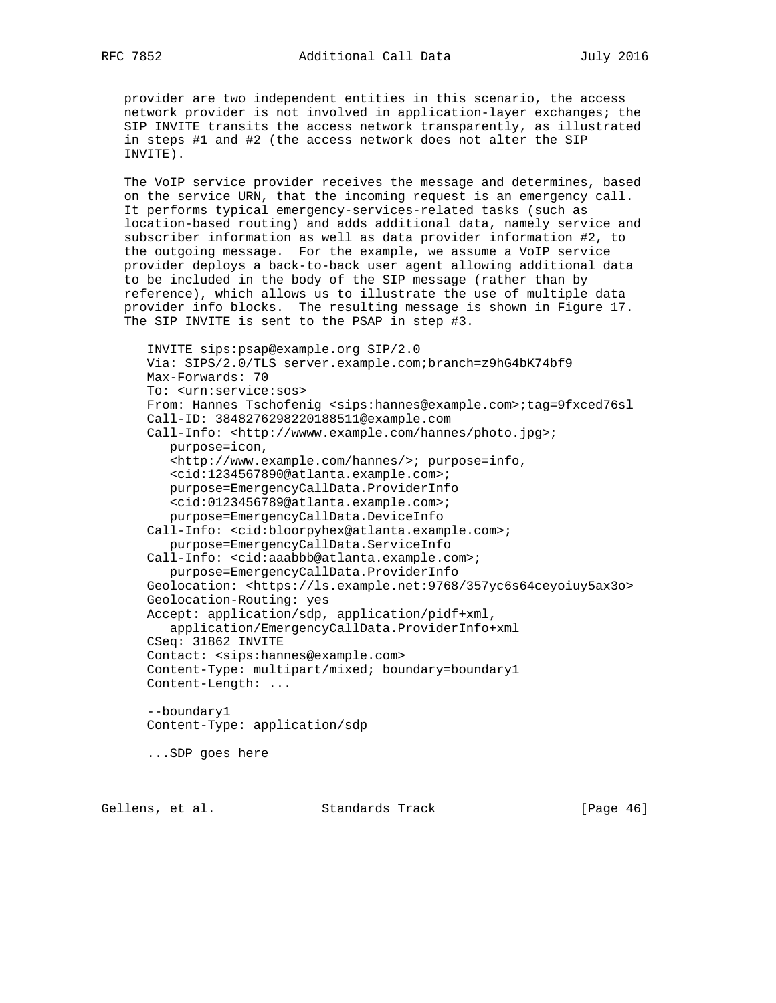provider are two independent entities in this scenario, the access network provider is not involved in application-layer exchanges; the SIP INVITE transits the access network transparently, as illustrated in steps #1 and #2 (the access network does not alter the SIP INVITE).

 The VoIP service provider receives the message and determines, based on the service URN, that the incoming request is an emergency call. It performs typical emergency-services-related tasks (such as location-based routing) and adds additional data, namely service and subscriber information as well as data provider information #2, to the outgoing message. For the example, we assume a VoIP service provider deploys a back-to-back user agent allowing additional data to be included in the body of the SIP message (rather than by reference), which allows us to illustrate the use of multiple data provider info blocks. The resulting message is shown in Figure 17. The SIP INVITE is sent to the PSAP in step #3.

 INVITE sips:psap@example.org SIP/2.0 Via: SIPS/2.0/TLS server.example.com;branch=z9hG4bK74bf9 Max-Forwards: 70 To: <urn:service:sos> From: Hannes Tschofenig <sips:hannes@example.com>;tag=9fxced76sl Call-ID: 3848276298220188511@example.com Call-Info: <http://wwww.example.com/hannes/photo.jpg>; purpose=icon, <http://www.example.com/hannes/>; purpose=info, <cid:1234567890@atlanta.example.com>; purpose=EmergencyCallData.ProviderInfo <cid:0123456789@atlanta.example.com>; purpose=EmergencyCallData.DeviceInfo Call-Info: <cid:bloorpyhex@atlanta.example.com>; purpose=EmergencyCallData.ServiceInfo Call-Info: <cid:aaabbb@atlanta.example.com>; purpose=EmergencyCallData.ProviderInfo Geolocation: <https://ls.example.net:9768/357yc6s64ceyoiuy5ax3o> Geolocation-Routing: yes Accept: application/sdp, application/pidf+xml, application/EmergencyCallData.ProviderInfo+xml CSeq: 31862 INVITE Contact: <sips:hannes@example.com> Content-Type: multipart/mixed; boundary=boundary1 Content-Length: ... --boundary1 Content-Type: application/sdp ...SDP goes here

Gellens, et al. Standards Track [Page 46]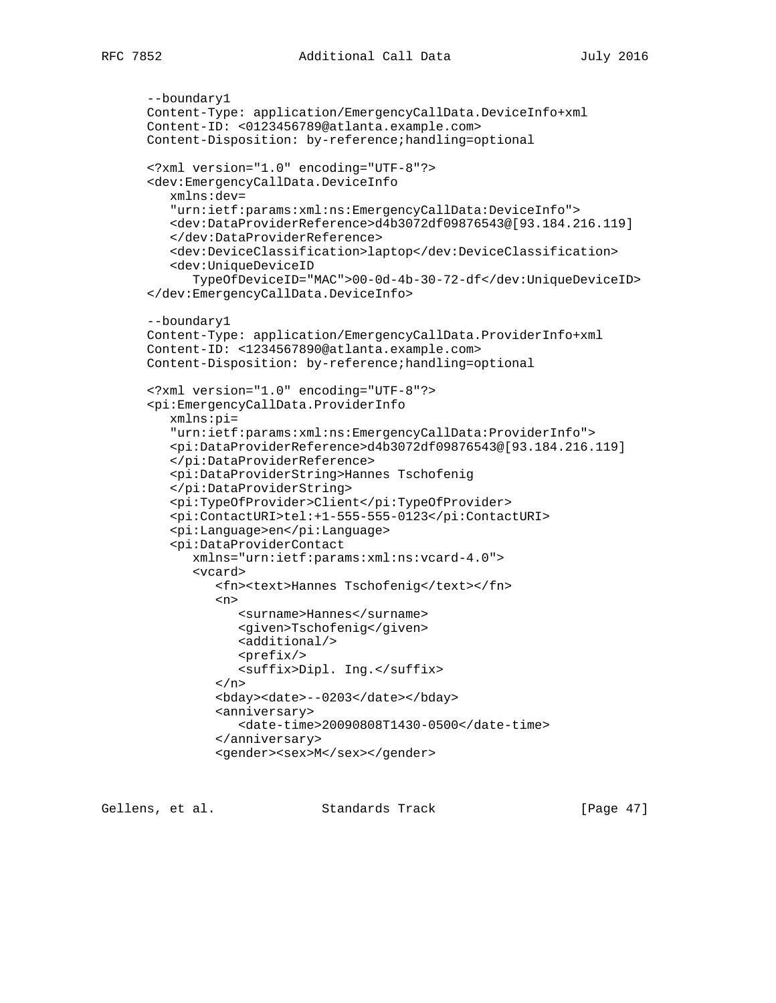```
 --boundary1
 Content-Type: application/EmergencyCallData.DeviceInfo+xml
 Content-ID: <0123456789@atlanta.example.com>
 Content-Disposition: by-reference;handling=optional
 <?xml version="1.0" encoding="UTF-8"?>
 <dev:EmergencyCallData.DeviceInfo
    xmlns:dev=
    "urn:ietf:params:xml:ns:EmergencyCallData:DeviceInfo">
    <dev:DataProviderReference>d4b3072df09876543@[93.184.216.119]
    </dev:DataProviderReference>
    <dev:DeviceClassification>laptop</dev:DeviceClassification>
    <dev:UniqueDeviceID
       TypeOfDeviceID="MAC">00-0d-4b-30-72-df</dev:UniqueDeviceID>
 </dev:EmergencyCallData.DeviceInfo>
 --boundary1
 Content-Type: application/EmergencyCallData.ProviderInfo+xml
 Content-ID: <1234567890@atlanta.example.com>
 Content-Disposition: by-reference;handling=optional
 <?xml version="1.0" encoding="UTF-8"?>
 <pi:EmergencyCallData.ProviderInfo
    xmlns:pi=
    "urn:ietf:params:xml:ns:EmergencyCallData:ProviderInfo">
    <pi:DataProviderReference>d4b3072df09876543@[93.184.216.119]
    </pi:DataProviderReference>
    <pi:DataProviderString>Hannes Tschofenig
    </pi:DataProviderString>
    <pi:TypeOfProvider>Client</pi:TypeOfProvider>
    <pi:ContactURI>tel:+1-555-555-0123</pi:ContactURI>
    <pi:Language>en</pi:Language>
    <pi:DataProviderContact
       xmlns="urn:ietf:params:xml:ns:vcard-4.0">
       <vcard>
          <fn><text>Hannes Tschofenig</text></fn>
         <sub>n</sub></sub>
             <surname>Hannes</surname>
             <given>Tschofenig</given>
             <additional/>
             <prefix/>
             <suffix>Dipl. Ing.</suffix>
         \langlen>
          <bday><date>--0203</date></bday>
          <anniversary>
             <date-time>20090808T1430-0500</date-time>
          </anniversary>
         <gender><sex>M</sex></gender>
```
Gellens, et al. Standards Track [Paqe 47]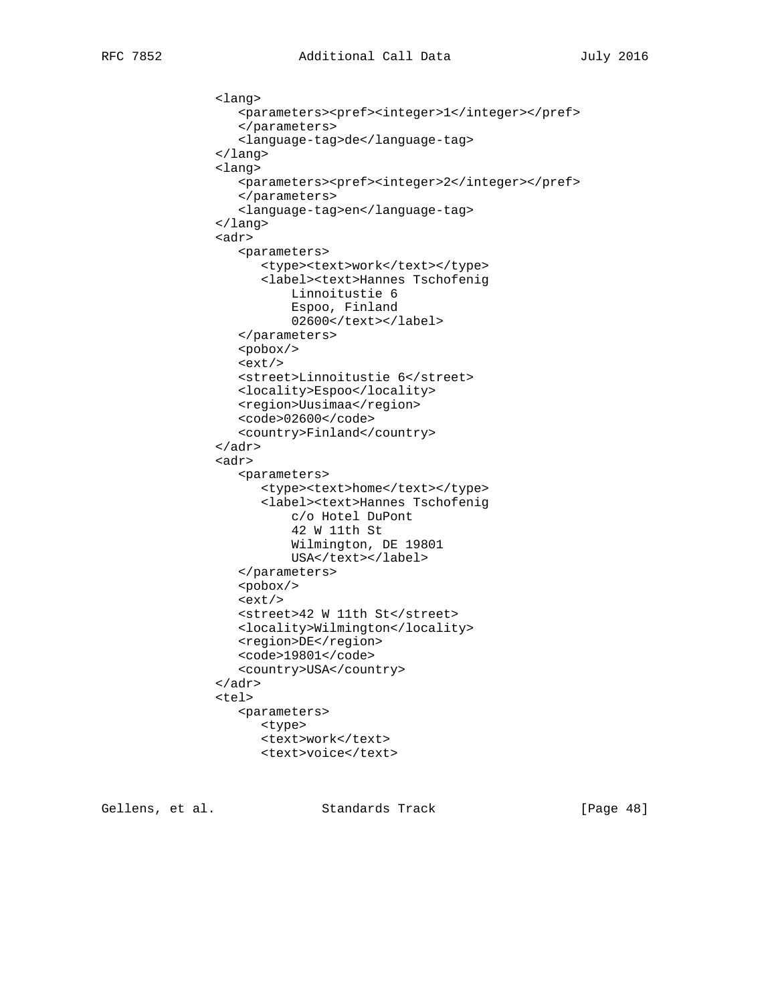```
 <lang>
    <parameters><pref><integer>1</integer></pref>
    </parameters>
    <language-tag>de</language-tag>
 </lang>
 <lang>
    <parameters><pref><integer>2</integer></pref>
    </parameters>
    <language-tag>en</language-tag>
 </lang>
 <adr>
    <parameters>
      <type><text>work</text></type>
       <label><text>Hannes Tschofenig
           Linnoitustie 6
           Espoo, Finland
           02600</text></label>
    </parameters>
    <pobox/>
   <ext/>
    <street>Linnoitustie 6</street>
    <locality>Espoo</locality>
    <region>Uusimaa</region>
    <code>02600</code>
    <country>Finland</country>
 </adr>
 <adr>
    <parameters>
      <type><text>home</text></type>
       <label><text>Hannes Tschofenig
           c/o Hotel DuPont
           42 W 11th St
           Wilmington, DE 19801
          USA</text></label>
    </parameters>
    <pobox/>
   <ext/>
    <street>42 W 11th St</street>
    <locality>Wilmington</locality>
    <region>DE</region>
    <code>19801</code>
    <country>USA</country>
 </adr>
 <tel>
    <parameters>
       <type>
      <text>work</text>
       <text>voice</text>
```
Gellens, et al. Standards Track [Page 48]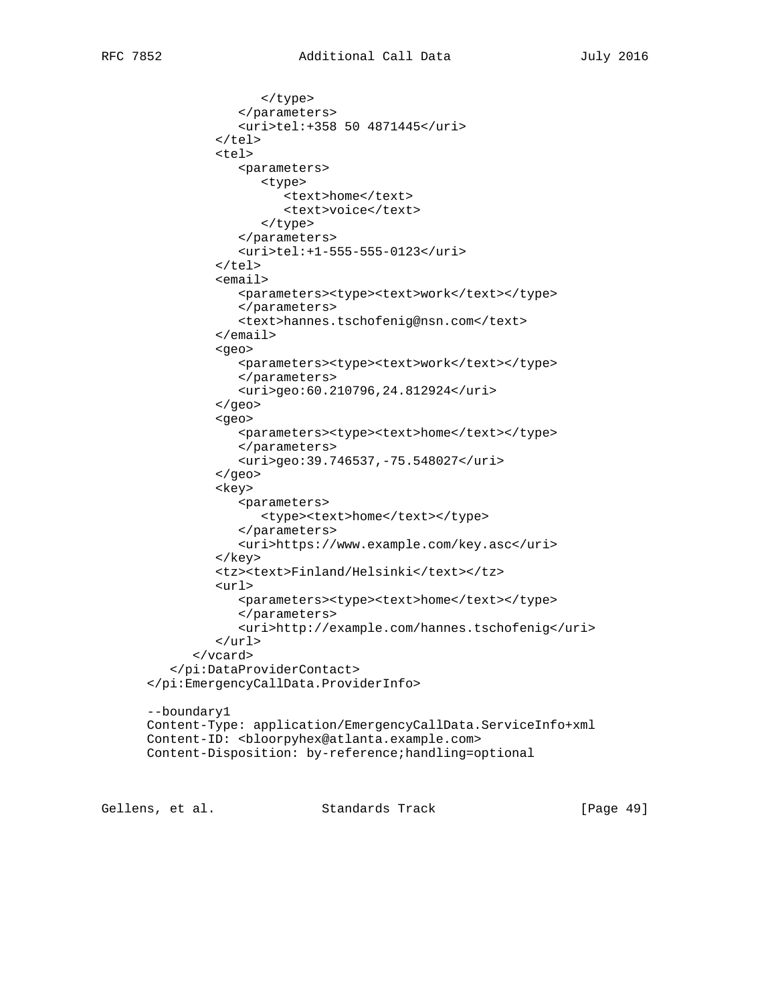```
 </type>
              </parameters>
              <uri>tel:+358 50 4871445</uri>
          \langle/tel>
           <tel>
              <parameters>
                 <type>
                     <text>home</text>
                     <text>voice</text>
                 </type>
              </parameters>
              <uri>tel:+1-555-555-0123</uri>
          \langle/tel>
           <email>
             <parameters><type><text>work</text></type>
              </parameters>
              <text>hannes.tschofenig@nsn.com</text>
           </email>
           <geo>
             <parameters><type><text>work</text></type>
              </parameters>
              <uri>geo:60.210796,24.812924</uri>
           </geo>
           <geo>
              <parameters><type><text>home</text></type>
              </parameters>
              <uri>geo:39.746537,-75.548027</uri>
           </geo>
           <key>
              <parameters>
                 <type><text>home</text></type>
              </parameters>
              <uri>https://www.example.com/key.asc</uri>
           </key>
           <tz><text>Finland/Helsinki</text></tz>
           <url>
             <parameters><type><text>home</text></type>
              </parameters>
              <uri>http://example.com/hannes.tschofenig</uri>
          \langle \text{url} \rangle </vcard>
    </pi:DataProviderContact>
 </pi:EmergencyCallData.ProviderInfo>
 --boundary1
 Content-Type: application/EmergencyCallData.ServiceInfo+xml
Content-ID: <bloorpyhex@atlanta.example.com>
 Content-Disposition: by-reference;handling=optional
```
Gellens, et al. Standards Track [Page 49]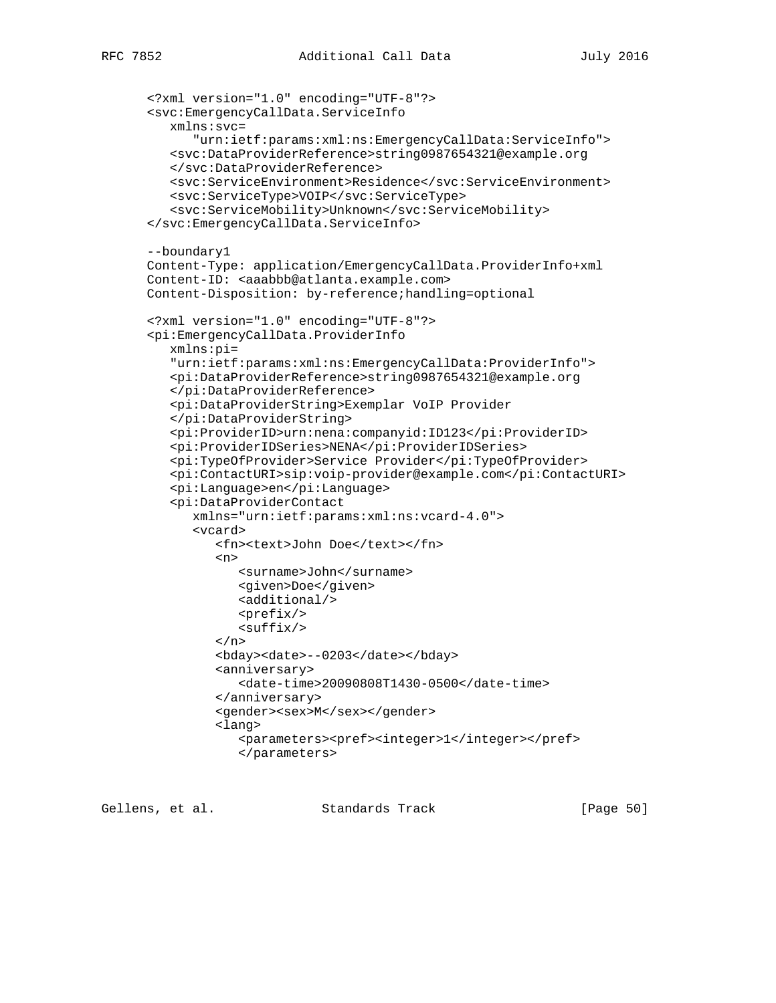```
 <?xml version="1.0" encoding="UTF-8"?>
 <svc:EmergencyCallData.ServiceInfo
    xmlns:svc=
       "urn:ietf:params:xml:ns:EmergencyCallData:ServiceInfo">
    <svc:DataProviderReference>string0987654321@example.org
    </svc:DataProviderReference>
    <svc:ServiceEnvironment>Residence</svc:ServiceEnvironment>
    <svc:ServiceType>VOIP</svc:ServiceType>
    <svc:ServiceMobility>Unknown</svc:ServiceMobility>
 </svc:EmergencyCallData.ServiceInfo>
 --boundary1
 Content-Type: application/EmergencyCallData.ProviderInfo+xml
Content-ID: <aaabbb@atlanta.example.com>
 Content-Disposition: by-reference;handling=optional
 <?xml version="1.0" encoding="UTF-8"?>
 <pi:EmergencyCallData.ProviderInfo
    xmlns:pi=
    "urn:ietf:params:xml:ns:EmergencyCallData:ProviderInfo">
    <pi:DataProviderReference>string0987654321@example.org
    </pi:DataProviderReference>
    <pi:DataProviderString>Exemplar VoIP Provider
    </pi:DataProviderString>
    <pi:ProviderID>urn:nena:companyid:ID123</pi:ProviderID>
    <pi:ProviderIDSeries>NENA</pi:ProviderIDSeries>
    <pi:TypeOfProvider>Service Provider</pi:TypeOfProvider>
    <pi:ContactURI>sip:voip-provider@example.com</pi:ContactURI>
    <pi:Language>en</pi:Language>
    <pi:DataProviderContact
       xmlns="urn:ietf:params:xml:ns:vcard-4.0">
       <vcard>
          <fn><text>John Doe</text></fn>
         <sub>n</sub></sub>
             <surname>John</surname>
             <given>Doe</given>
            <additional/><prefix/>
            <suffix/>
         \langlen>
          <bday><date>--0203</date></bday>
          <anniversary>
             <date-time>20090808T1430-0500</date-time>
          </anniversary>
         <gender><sex>M</sex></gender>
          <lang>
             <parameters><pref><integer>1</integer></pref>
             </parameters>
```
Gellens, et al. Standards Track [Page 50]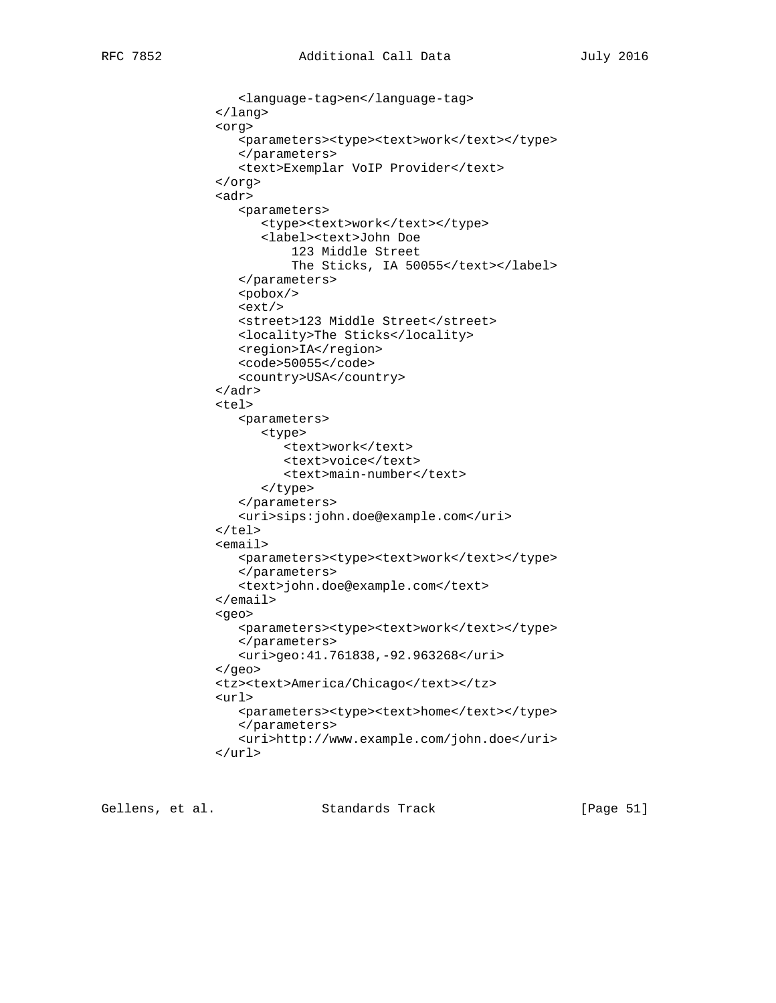```
 <language-tag>en</language-tag>
 </lang>
 <org>
   <parameters><type><text>work</text></type>
    </parameters>
    <text>Exemplar VoIP Provider</text>
 </org>
 <adr>
    <parameters>
      <type><text>work</text></type>
       <label><text>John Doe
           123 Middle Street
          The Sticks, IA 50055</text></label>
    </parameters>
    <pobox/>
   <ext/>
    <street>123 Middle Street</street>
    <locality>The Sticks</locality>
    <region>IA</region>
    <code>50055</code>
    <country>USA</country>
 </adr>
 <tel>
    <parameters>
       <type>
          <text>work</text>
          <text>voice</text>
          <text>main-number</text>
       </type>
    </parameters>
    <uri>sips:john.doe@example.com</uri>
 </tel>
 <email>
   <parameters><type><text>work</text></type>
    </parameters>
    <text>john.doe@example.com</text>
 </email>
 <geo>
   <parameters><type><text>work</text></type>
    </parameters>
    <uri>geo:41.761838,-92.963268</uri>
 </geo>
 <tz><text>America/Chicago</text></tz>
 <url>
   <parameters><type><text>home</text></type>
    </parameters>
    <uri>http://www.example.com/john.doe</uri>
\langle \text{curl} \rangle
```
Gellens, et al. Standards Track [Page 51]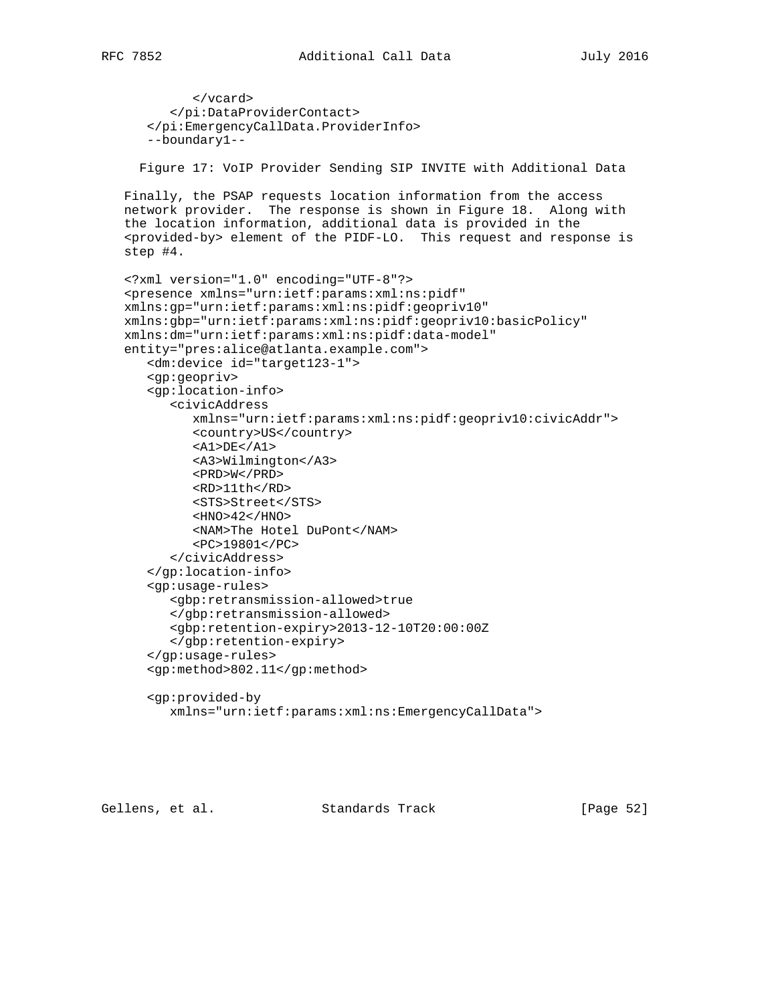```
 </vcard>
       </pi:DataProviderContact>
    </pi:EmergencyCallData.ProviderInfo>
    --boundary1--
   Figure 17: VoIP Provider Sending SIP INVITE with Additional Data
 Finally, the PSAP requests location information from the access
 network provider. The response is shown in Figure 18. Along with
 the location information, additional data is provided in the
 <provided-by> element of the PIDF-LO. This request and response is
 step #4.
 <?xml version="1.0" encoding="UTF-8"?>
 <presence xmlns="urn:ietf:params:xml:ns:pidf"
 xmlns:gp="urn:ietf:params:xml:ns:pidf:geopriv10"
 xmlns:gbp="urn:ietf:params:xml:ns:pidf:geopriv10:basicPolicy"
 xmlns:dm="urn:ietf:params:xml:ns:pidf:data-model"
 entity="pres:alice@atlanta.example.com">
    <dm:device id="target123-1">
    <gp:geopriv>
    <gp:location-info>
       <civicAddress
          xmlns="urn:ietf:params:xml:ns:pidf:geopriv10:civicAddr">
          <country>US</country>
         <A1>DE</A1>
          <A3>Wilmington</A3>
          <PRD>W</PRD>
          <RD>11th</RD>
          <STS>Street</STS>
         $\texttt{<HNO>42<}/\texttt{HNO>}$ <NAM>The Hotel DuPont</NAM>
          <PC>19801</PC>
       </civicAddress>
    </gp:location-info>
    <gp:usage-rules>
       <gbp:retransmission-allowed>true
       </gbp:retransmission-allowed>
       <gbp:retention-expiry>2013-12-10T20:00:00Z
       </gbp:retention-expiry>
    </gp:usage-rules>
    <gp:method>802.11</gp:method>
    <gp:provided-by
       xmlns="urn:ietf:params:xml:ns:EmergencyCallData">
```
Gellens, et al. Standards Track [Page 52]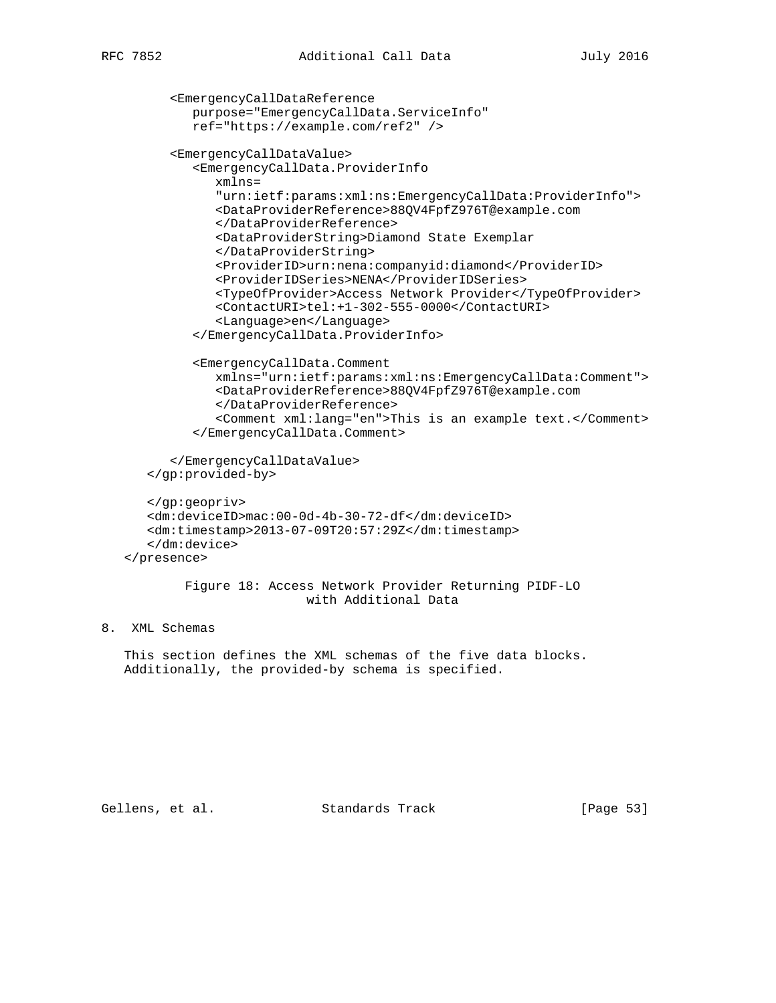```
 <EmergencyCallDataReference
          purpose="EmergencyCallData.ServiceInfo"
          ref="https://example.com/ref2" />
       <EmergencyCallDataValue>
          <EmergencyCallData.ProviderInfo
             xmlns=
             "urn:ietf:params:xml:ns:EmergencyCallData:ProviderInfo">
             <DataProviderReference>88QV4FpfZ976T@example.com
             </DataProviderReference>
             <DataProviderString>Diamond State Exemplar
             </DataProviderString>
             <ProviderID>urn:nena:companyid:diamond</ProviderID>
             <ProviderIDSeries>NENA</ProviderIDSeries>
             <TypeOfProvider>Access Network Provider</TypeOfProvider>
             <ContactURI>tel:+1-302-555-0000</ContactURI>
             <Language>en</Language>
          </EmergencyCallData.ProviderInfo>
          <EmergencyCallData.Comment
             xmlns="urn:ietf:params:xml:ns:EmergencyCallData:Comment">
             <DataProviderReference>88QV4FpfZ976T@example.com
             </DataProviderReference>
             <Comment xml:lang="en">This is an example text.</Comment>
          </EmergencyCallData.Comment>
       </EmergencyCallDataValue>
    </gp:provided-by>
    </gp:geopriv>
    <dm:deviceID>mac:00-0d-4b-30-72-df</dm:deviceID>
    <dm:timestamp>2013-07-09T20:57:29Z</dm:timestamp>
    </dm:device>
 </presence>
         Figure 18: Access Network Provider Returning PIDF-LO
                         with Additional Data
```
# 8. XML Schemas

 This section defines the XML schemas of the five data blocks. Additionally, the provided-by schema is specified.

Gellens, et al. Standards Track [Page 53]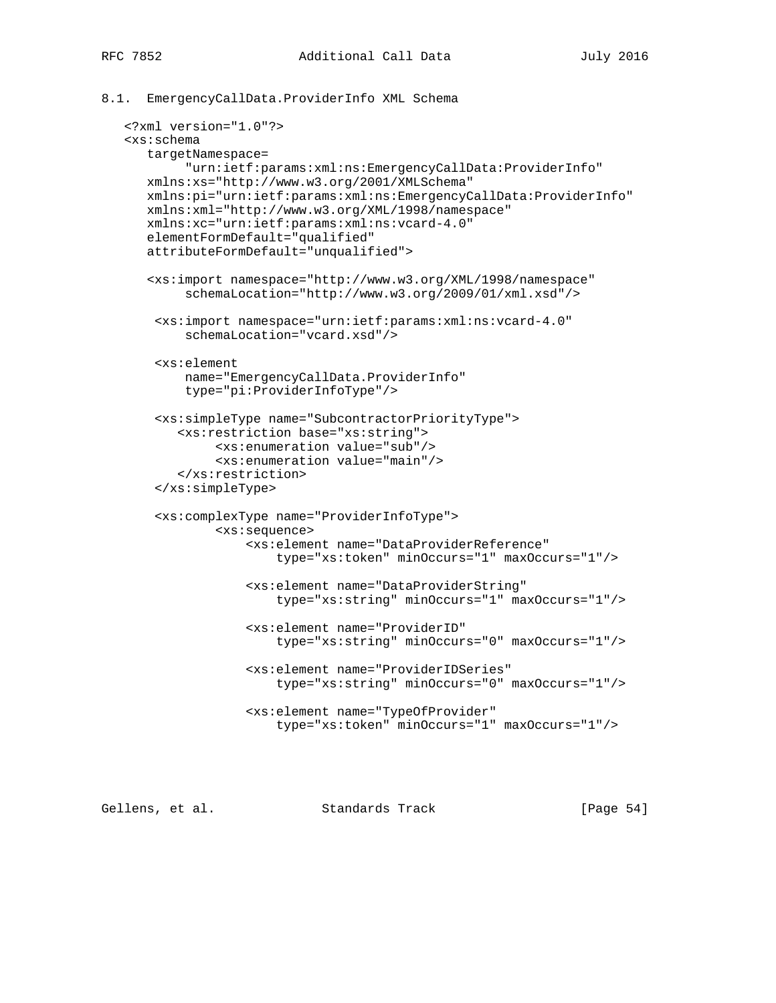## 8.1. EmergencyCallData.ProviderInfo XML Schema

```
 <?xml version="1.0"?>
 <xs:schema
    targetNamespace=
         "urn:ietf:params:xml:ns:EmergencyCallData:ProviderInfo"
    xmlns:xs="http://www.w3.org/2001/XMLSchema"
    xmlns:pi="urn:ietf:params:xml:ns:EmergencyCallData:ProviderInfo"
    xmlns:xml="http://www.w3.org/XML/1998/namespace"
    xmlns:xc="urn:ietf:params:xml:ns:vcard-4.0"
    elementFormDefault="qualified"
    attributeFormDefault="unqualified">
    <xs:import namespace="http://www.w3.org/XML/1998/namespace"
         schemaLocation="http://www.w3.org/2009/01/xml.xsd"/>
     <xs:import namespace="urn:ietf:params:xml:ns:vcard-4.0"
         schemaLocation="vcard.xsd"/>
     <xs:element
         name="EmergencyCallData.ProviderInfo"
         type="pi:ProviderInfoType"/>
     <xs:simpleType name="SubcontractorPriorityType">
        <xs:restriction base="xs:string">
             <xs:enumeration value="sub"/>
             <xs:enumeration value="main"/>
        </xs:restriction>
     </xs:simpleType>
     <xs:complexType name="ProviderInfoType">
             <xs:sequence>
                 <xs:element name="DataProviderReference"
                     type="xs:token" minOccurs="1" maxOccurs="1"/>
                 <xs:element name="DataProviderString"
                     type="xs:string" minOccurs="1" maxOccurs="1"/>
                 <xs:element name="ProviderID"
                     type="xs:string" minOccurs="0" maxOccurs="1"/>
                 <xs:element name="ProviderIDSeries"
                     type="xs:string" minOccurs="0" maxOccurs="1"/>
                 <xs:element name="TypeOfProvider"
                     type="xs:token" minOccurs="1" maxOccurs="1"/>
```
Gellens, et al. Standards Track [Page 54]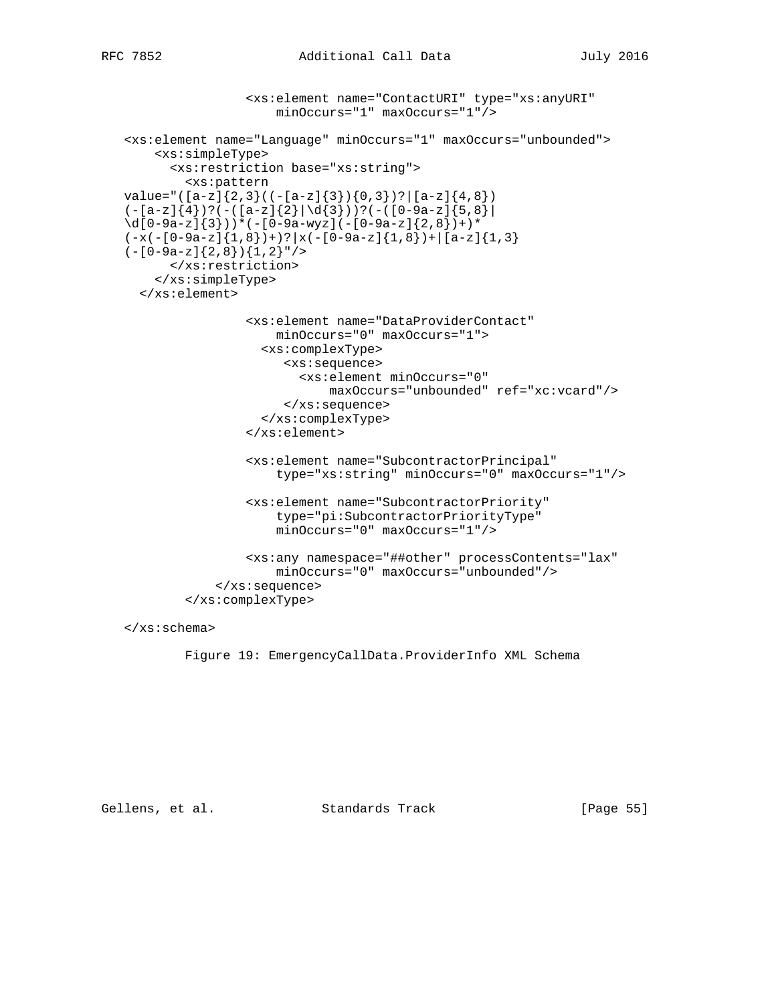```
 <xs:element name="ContactURI" type="xs:anyURI"
                     minOccurs="1" maxOccurs="1"/>
 <xs:element name="Language" minOccurs="1" maxOccurs="unbounded">
     <xs:simpleType>
       <xs:restriction base="xs:string">
         <xs:pattern
value="([a-z]{2,3}((-[a-z]{3}){0,3})?|[a-z]{4,8})
(-[a-z]\{4\})?(-([a-z]\{2\}|\{d\{3\}))?(-([0-9a-z]\{5,8\}\d{[0-9a-z]}{3})) * (-[0-9a-wyz](-[0-9a-z]{2,8}) +)*
(-x(-(0-9a-z){1,8}))+?|x(-(0-9a-z){1,8})|(-[0-9a-z]\{2,8\})\{1,2\}"/>
       </xs:restriction>
     </xs:simpleType>
   </xs:element>
                 <xs:element name="DataProviderContact"
                     minOccurs="0" maxOccurs="1">
                   <xs:complexType>
                      <xs:sequence>
                         <xs:element minOccurs="0"
                            maxOccurs="unbounded" ref="xc:vcard"/>
                       </xs:sequence>
                   </xs:complexType>
                 </xs:element>
                 <xs:element name="SubcontractorPrincipal"
                     type="xs:string" minOccurs="0" maxOccurs="1"/>
                 <xs:element name="SubcontractorPriority"
                     type="pi:SubcontractorPriorityType"
                     minOccurs="0" maxOccurs="1"/>
                 <xs:any namespace="##other" processContents="lax"
                     minOccurs="0" maxOccurs="unbounded"/>
             </xs:sequence>
         </xs:complexType>
```
</xs:schema>

Figure 19: EmergencyCallData.ProviderInfo XML Schema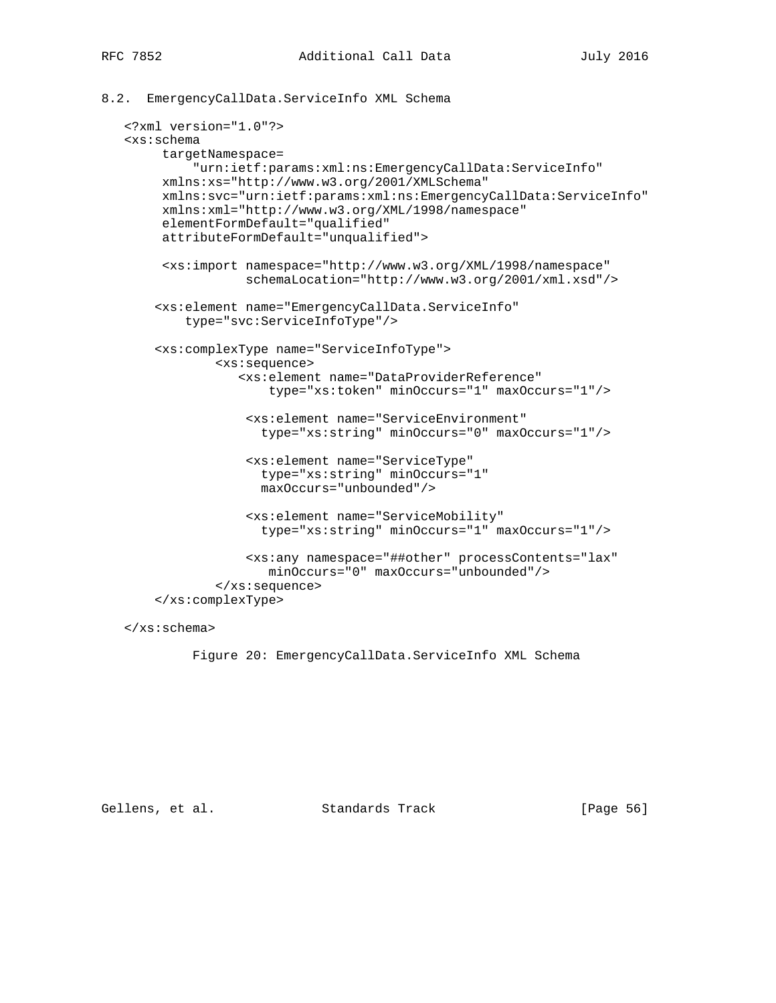```
8.2. EmergencyCallData.ServiceInfo XML Schema
```

```
 <?xml version="1.0"?>
 <xs:schema
      targetNamespace=
          "urn:ietf:params:xml:ns:EmergencyCallData:ServiceInfo"
     xmlns:xs="http://www.w3.org/2001/XMLSchema"
      xmlns:svc="urn:ietf:params:xml:ns:EmergencyCallData:ServiceInfo"
      xmlns:xml="http://www.w3.org/XML/1998/namespace"
      elementFormDefault="qualified"
      attributeFormDefault="unqualified">
      <xs:import namespace="http://www.w3.org/XML/1998/namespace"
                 schemaLocation="http://www.w3.org/2001/xml.xsd"/>
     <xs:element name="EmergencyCallData.ServiceInfo"
         type="svc:ServiceInfoType"/>
     <xs:complexType name="ServiceInfoType">
             <xs:sequence>
                <xs:element name="DataProviderReference"
                    type="xs:token" minOccurs="1" maxOccurs="1"/>
                 <xs:element name="ServiceEnvironment"
                   type="xs:string" minOccurs="0" maxOccurs="1"/>
                 <xs:element name="ServiceType"
                   type="xs:string" minOccurs="1"
                   maxOccurs="unbounded"/>
                 <xs:element name="ServiceMobility"
                   type="xs:string" minOccurs="1" maxOccurs="1"/>
                 <xs:any namespace="##other" processContents="lax"
                    minOccurs="0" maxOccurs="unbounded"/>
             </xs:sequence>
     </xs:complexType>
```
</xs:schema>

Figure 20: EmergencyCallData.ServiceInfo XML Schema

Gellens, et al. Standards Track [Page 56]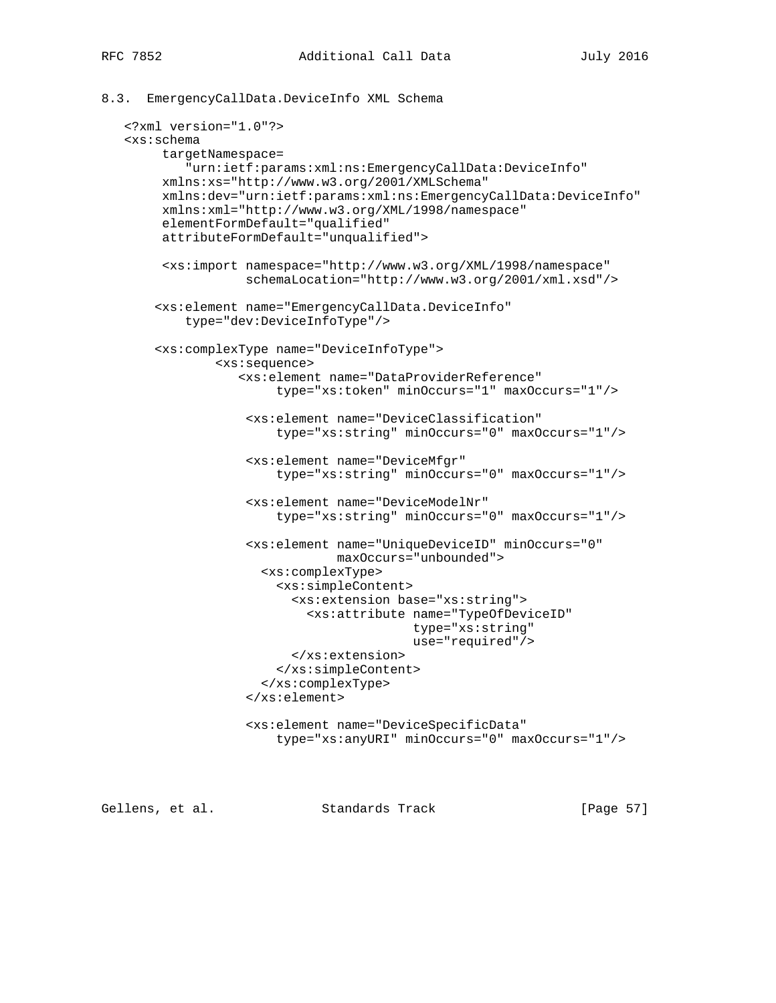```
8.3. EmergencyCallData.DeviceInfo XML Schema
```

```
 <?xml version="1.0"?>
 <xs:schema
      targetNamespace=
         "urn:ietf:params:xml:ns:EmergencyCallData:DeviceInfo"
     xmlns:xs="http://www.w3.org/2001/XMLSchema"
      xmlns:dev="urn:ietf:params:xml:ns:EmergencyCallData:DeviceInfo"
      xmlns:xml="http://www.w3.org/XML/1998/namespace"
      elementFormDefault="qualified"
      attributeFormDefault="unqualified">
      <xs:import namespace="http://www.w3.org/XML/1998/namespace"
                 schemaLocation="http://www.w3.org/2001/xml.xsd"/>
     <xs:element name="EmergencyCallData.DeviceInfo"
         type="dev:DeviceInfoType"/>
     <xs:complexType name="DeviceInfoType">
             <xs:sequence>
                <xs:element name="DataProviderReference"
                     type="xs:token" minOccurs="1" maxOccurs="1"/>
                 <xs:element name="DeviceClassification"
                     type="xs:string" minOccurs="0" maxOccurs="1"/>
                 <xs:element name="DeviceMfgr"
                     type="xs:string" minOccurs="0" maxOccurs="1"/>
                 <xs:element name="DeviceModelNr"
                     type="xs:string" minOccurs="0" maxOccurs="1"/>
                 <xs:element name="UniqueDeviceID" minOccurs="0"
                             maxOccurs="unbounded">
                   <xs:complexType>
                     <xs:simpleContent>
                       <xs:extension base="xs:string">
                          <xs:attribute name="TypeOfDeviceID"
                                        type="xs:string"
                                        use="required"/>
                        </xs:extension>
                     </xs:simpleContent>
                    </xs:complexType>
                 </xs:element>
                 <xs:element name="DeviceSpecificData"
                     type="xs:anyURI" minOccurs="0" maxOccurs="1"/>
```
Gellens, et al. Standards Track [Page 57]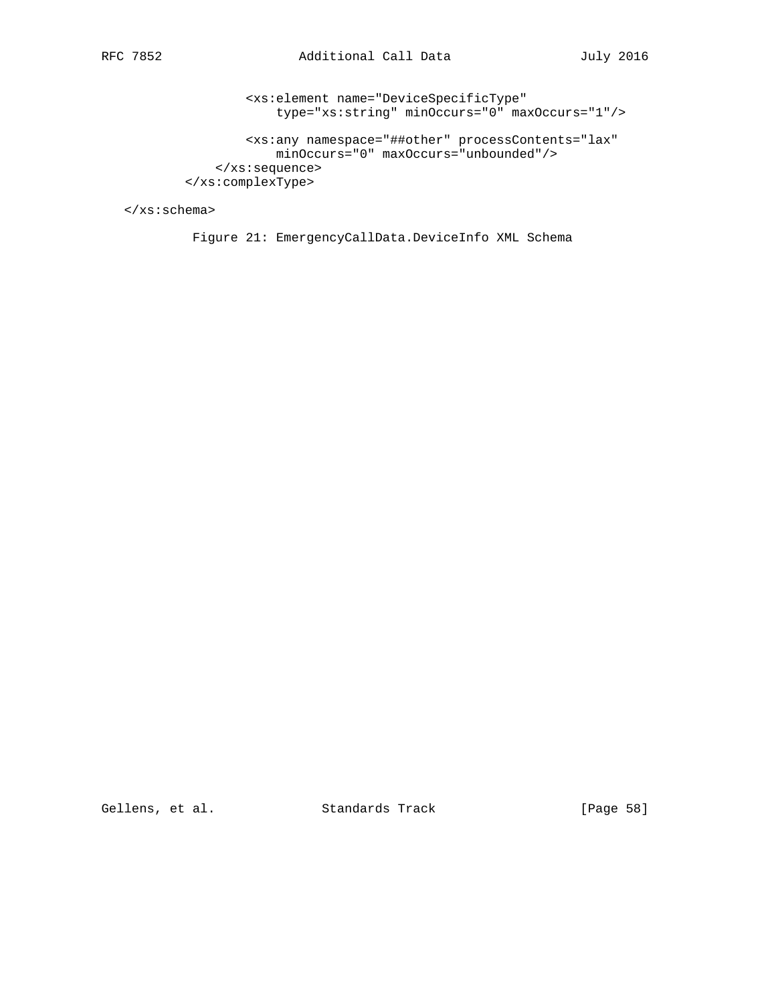<xs:element name="DeviceSpecificType" type="xs:string" minOccurs="0" maxOccurs="1"/>

 <xs:any namespace="##other" processContents="lax" minOccurs="0" maxOccurs="unbounded"/> </xs:sequence> </xs:complexType>

</xs:schema>

Figure 21: EmergencyCallData.DeviceInfo XML Schema

Gellens, et al. Standards Track [Page 58]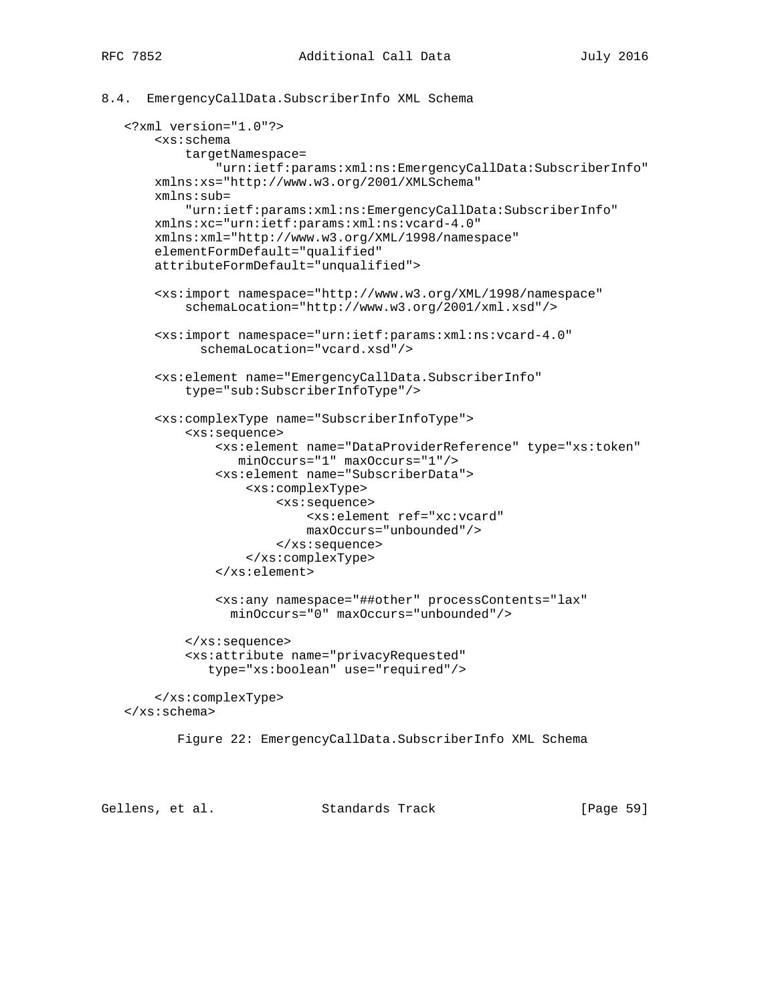### 8.4. EmergencyCallData.SubscriberInfo XML Schema

```
 <?xml version="1.0"?>
     <xs:schema
         targetNamespace=
             "urn:ietf:params:xml:ns:EmergencyCallData:SubscriberInfo"
    xmlns:xs="http://www.w3.org/2001/XMLSchema"
    xmlns:sub=
         "urn:ietf:params:xml:ns:EmergencyCallData:SubscriberInfo"
    xmlns:xc="urn:ietf:params:xml:ns:vcard-4.0"
    xmlns:xml="http://www.w3.org/XML/1998/namespace"
     elementFormDefault="qualified"
     attributeFormDefault="unqualified">
     <xs:import namespace="http://www.w3.org/XML/1998/namespace"
         schemaLocation="http://www.w3.org/2001/xml.xsd"/>
     <xs:import namespace="urn:ietf:params:xml:ns:vcard-4.0"
           schemaLocation="vcard.xsd"/>
     <xs:element name="EmergencyCallData.SubscriberInfo"
         type="sub:SubscriberInfoType"/>
     <xs:complexType name="SubscriberInfoType">
         <xs:sequence>
             <xs:element name="DataProviderReference" type="xs:token"
                minOccurs="1" maxOccurs="1"/>
             <xs:element name="SubscriberData">
                 <xs:complexType>
                      <xs:sequence>
                         <xs:element ref="xc:vcard"
                         maxOccurs="unbounded"/>
                      </xs:sequence>
                 </xs:complexType>
             </xs:element>
             <xs:any namespace="##other" processContents="lax"
               minOccurs="0" maxOccurs="unbounded"/>
         </xs:sequence>
         <xs:attribute name="privacyRequested"
            type="xs:boolean" use="required"/>
     </xs:complexType>
 </xs:schema>
        Figure 22: EmergencyCallData.SubscriberInfo XML Schema
```
Gellens, et al. Standards Track [Paqe 59]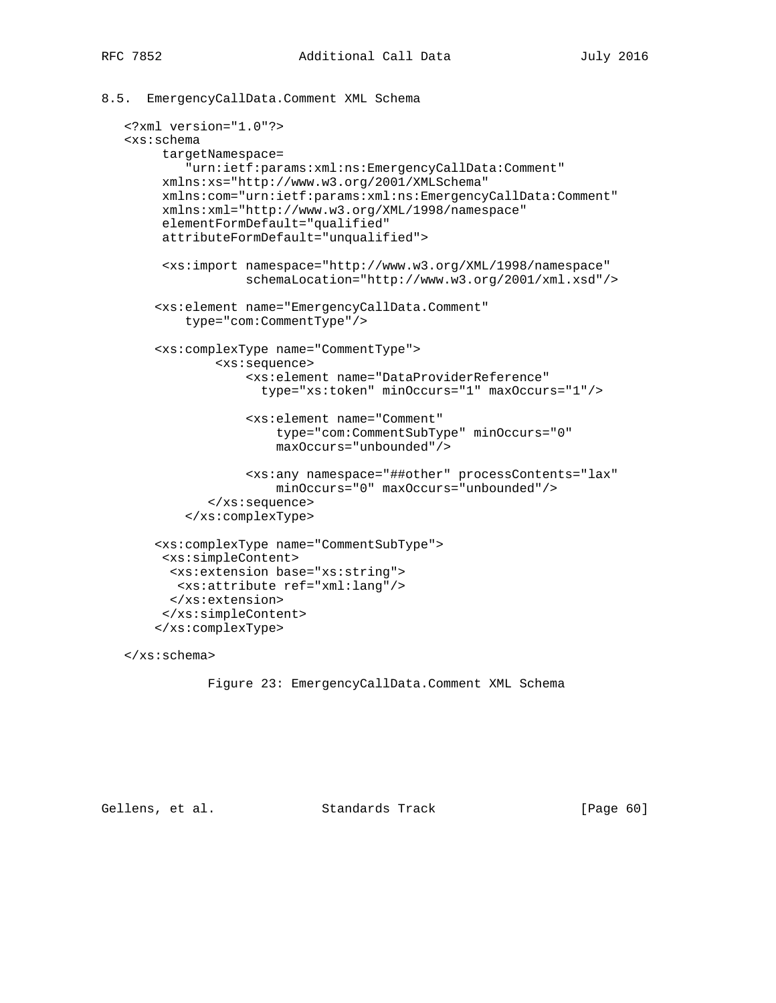8.5. EmergencyCallData.Comment XML Schema

```
 <?xml version="1.0"?>
 <xs:schema
      targetNamespace=
         "urn:ietf:params:xml:ns:EmergencyCallData:Comment"
     xmlns:xs="http://www.w3.org/2001/XMLSchema"
      xmlns:com="urn:ietf:params:xml:ns:EmergencyCallData:Comment"
      xmlns:xml="http://www.w3.org/XML/1998/namespace"
      elementFormDefault="qualified"
      attributeFormDefault="unqualified">
      <xs:import namespace="http://www.w3.org/XML/1998/namespace"
                 schemaLocation="http://www.w3.org/2001/xml.xsd"/>
     <xs:element name="EmergencyCallData.Comment"
         type="com:CommentType"/>
     <xs:complexType name="CommentType">
             <xs:sequence>
                 <xs:element name="DataProviderReference"
                   type="xs:token" minOccurs="1" maxOccurs="1"/>
                 <xs:element name="Comment"
                      type="com:CommentSubType" minOccurs="0"
                     maxOccurs="unbounded"/>
                 <xs:any namespace="##other" processContents="lax"
                     minOccurs="0" maxOccurs="unbounded"/>
            </xs:sequence>
         </xs:complexType>
     <xs:complexType name="CommentSubType">
      <xs:simpleContent>
       <xs:extension base="xs:string">
        <xs:attribute ref="xml:lang"/>
       </xs:extension>
      </xs:simpleContent>
     </xs:complexType>
```
</xs:schema>

```
 Figure 23: EmergencyCallData.Comment XML Schema
```
Gellens, et al. Standards Track [Page 60]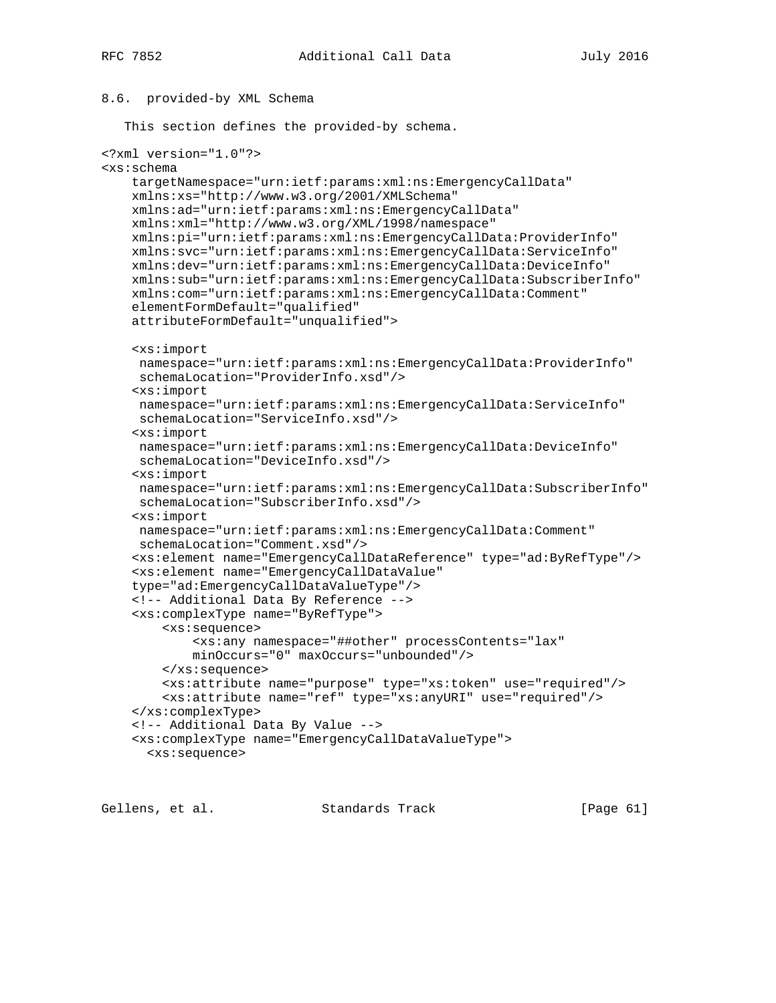## 8.6. provided-by XML Schema

This section defines the provided-by schema.

```
<?xml version="1.0"?>
<xs:schema
     targetNamespace="urn:ietf:params:xml:ns:EmergencyCallData"
     xmlns:xs="http://www.w3.org/2001/XMLSchema"
     xmlns:ad="urn:ietf:params:xml:ns:EmergencyCallData"
     xmlns:xml="http://www.w3.org/XML/1998/namespace"
     xmlns:pi="urn:ietf:params:xml:ns:EmergencyCallData:ProviderInfo"
     xmlns:svc="urn:ietf:params:xml:ns:EmergencyCallData:ServiceInfo"
     xmlns:dev="urn:ietf:params:xml:ns:EmergencyCallData:DeviceInfo"
     xmlns:sub="urn:ietf:params:xml:ns:EmergencyCallData:SubscriberInfo"
     xmlns:com="urn:ietf:params:xml:ns:EmergencyCallData:Comment"
     elementFormDefault="qualified"
     attributeFormDefault="unqualified">
     <xs:import
     namespace="urn:ietf:params:xml:ns:EmergencyCallData:ProviderInfo"
     schemaLocation="ProviderInfo.xsd"/>
     <xs:import
     namespace="urn:ietf:params:xml:ns:EmergencyCallData:ServiceInfo"
     schemaLocation="ServiceInfo.xsd"/>
     <xs:import
      namespace="urn:ietf:params:xml:ns:EmergencyCallData:DeviceInfo"
      schemaLocation="DeviceInfo.xsd"/>
     <xs:import
     namespace="urn:ietf:params:xml:ns:EmergencyCallData:SubscriberInfo"
     schemaLocation="SubscriberInfo.xsd"/>
     <xs:import
     namespace="urn:ietf:params:xml:ns:EmergencyCallData:Comment"
     schemaLocation="Comment.xsd"/>
     <xs:element name="EmergencyCallDataReference" type="ad:ByRefType"/>
     <xs:element name="EmergencyCallDataValue"
     type="ad:EmergencyCallDataValueType"/>
     <!-- Additional Data By Reference -->
     <xs:complexType name="ByRefType">
         <xs:sequence>
             <xs:any namespace="##other" processContents="lax"
             minOccurs="0" maxOccurs="unbounded"/>
         </xs:sequence>
         <xs:attribute name="purpose" type="xs:token" use="required"/>
         <xs:attribute name="ref" type="xs:anyURI" use="required"/>
     </xs:complexType>
     <!-- Additional Data By Value -->
     <xs:complexType name="EmergencyCallDataValueType">
       <xs:sequence>
```
Gellens, et al. Standards Track [Page 61]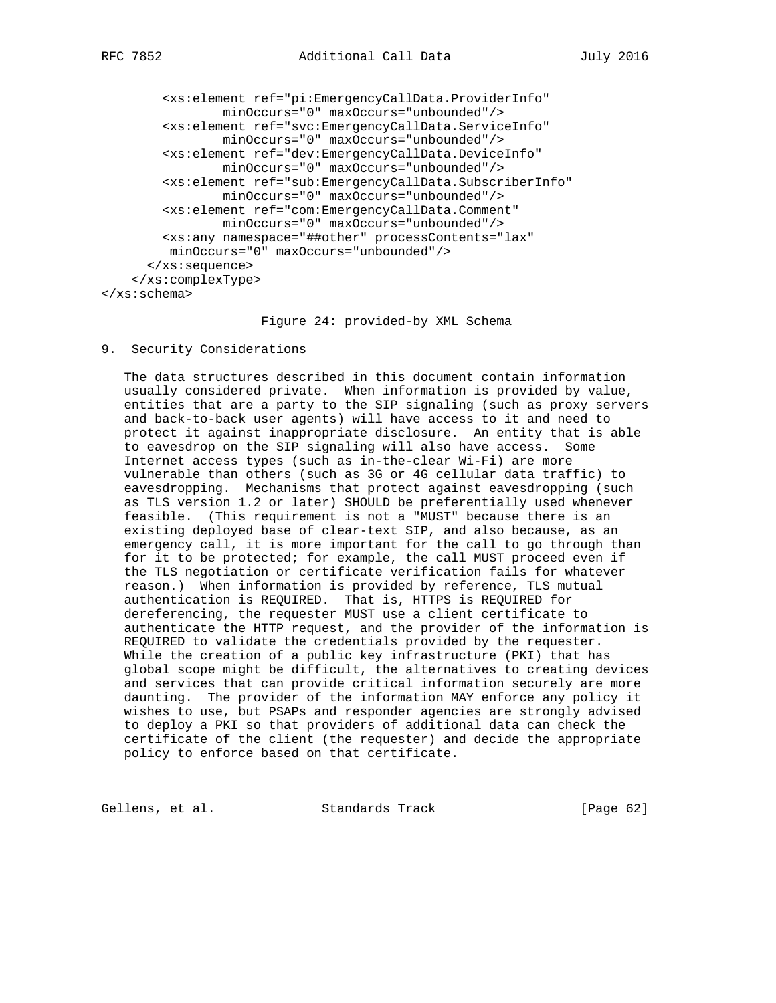```
 <xs:element ref="pi:EmergencyCallData.ProviderInfo"
                minOccurs="0" maxOccurs="unbounded"/>
         <xs:element ref="svc:EmergencyCallData.ServiceInfo"
                 minOccurs="0" maxOccurs="unbounded"/>
         <xs:element ref="dev:EmergencyCallData.DeviceInfo"
                 minOccurs="0" maxOccurs="unbounded"/>
         <xs:element ref="sub:EmergencyCallData.SubscriberInfo"
                minOccurs="0" maxOccurs="unbounded"/>
         <xs:element ref="com:EmergencyCallData.Comment"
                minOccurs="0" maxOccurs="unbounded"/>
         <xs:any namespace="##other" processContents="lax"
         minOccurs="0" maxOccurs="unbounded"/>
       </xs:sequence>
     </xs:complexType>
</xs:schema>
```
#### Figure 24: provided-by XML Schema

9. Security Considerations

 The data structures described in this document contain information usually considered private. When information is provided by value, entities that are a party to the SIP signaling (such as proxy servers and back-to-back user agents) will have access to it and need to protect it against inappropriate disclosure. An entity that is able to eavesdrop on the SIP signaling will also have access. Some Internet access types (such as in-the-clear Wi-Fi) are more vulnerable than others (such as 3G or 4G cellular data traffic) to eavesdropping. Mechanisms that protect against eavesdropping (such as TLS version 1.2 or later) SHOULD be preferentially used whenever feasible. (This requirement is not a "MUST" because there is an existing deployed base of clear-text SIP, and also because, as an emergency call, it is more important for the call to go through than for it to be protected; for example, the call MUST proceed even if the TLS negotiation or certificate verification fails for whatever reason.) When information is provided by reference, TLS mutual authentication is REQUIRED. That is, HTTPS is REQUIRED for dereferencing, the requester MUST use a client certificate to authenticate the HTTP request, and the provider of the information is REQUIRED to validate the credentials provided by the requester. While the creation of a public key infrastructure (PKI) that has global scope might be difficult, the alternatives to creating devices and services that can provide critical information securely are more daunting. The provider of the information MAY enforce any policy it wishes to use, but PSAPs and responder agencies are strongly advised to deploy a PKI so that providers of additional data can check the certificate of the client (the requester) and decide the appropriate policy to enforce based on that certificate.

Gellens, et al. Standards Track [Page 62]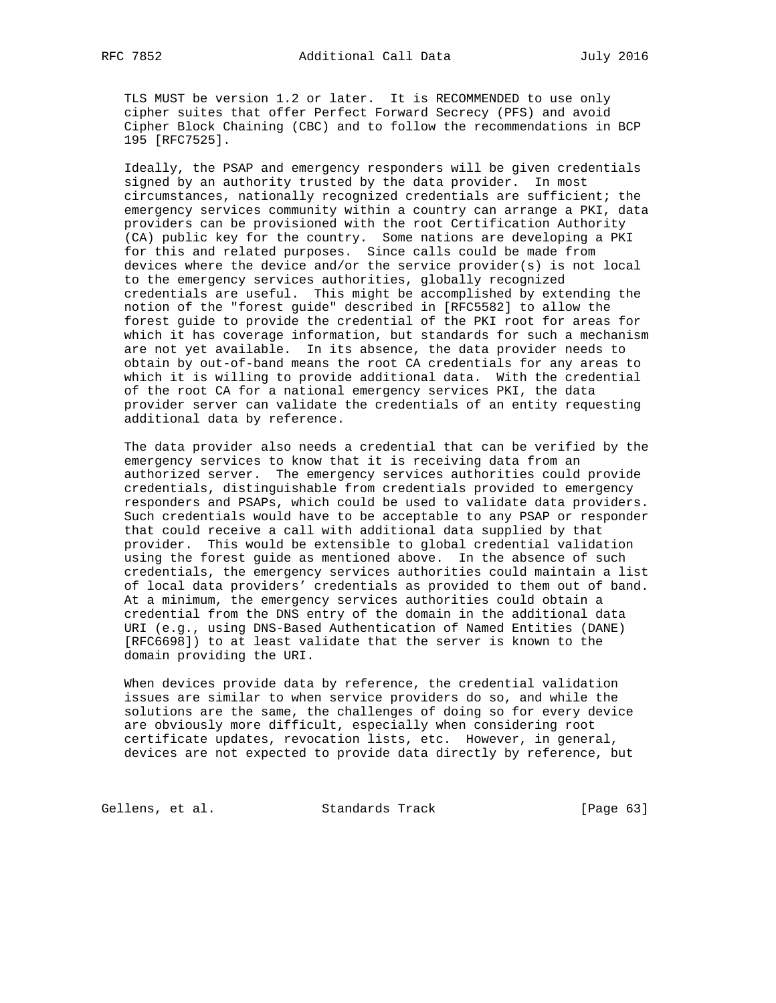TLS MUST be version 1.2 or later. It is RECOMMENDED to use only cipher suites that offer Perfect Forward Secrecy (PFS) and avoid Cipher Block Chaining (CBC) and to follow the recommendations in BCP 195 [RFC7525].

 Ideally, the PSAP and emergency responders will be given credentials signed by an authority trusted by the data provider. In most circumstances, nationally recognized credentials are sufficient; the emergency services community within a country can arrange a PKI, data providers can be provisioned with the root Certification Authority (CA) public key for the country. Some nations are developing a PKI for this and related purposes. Since calls could be made from devices where the device and/or the service provider(s) is not local to the emergency services authorities, globally recognized credentials are useful. This might be accomplished by extending the notion of the "forest guide" described in [RFC5582] to allow the forest guide to provide the credential of the PKI root for areas for which it has coverage information, but standards for such a mechanism are not yet available. In its absence, the data provider needs to obtain by out-of-band means the root CA credentials for any areas to which it is willing to provide additional data. With the credential of the root CA for a national emergency services PKI, the data provider server can validate the credentials of an entity requesting additional data by reference.

 The data provider also needs a credential that can be verified by the emergency services to know that it is receiving data from an authorized server. The emergency services authorities could provide credentials, distinguishable from credentials provided to emergency responders and PSAPs, which could be used to validate data providers. Such credentials would have to be acceptable to any PSAP or responder that could receive a call with additional data supplied by that provider. This would be extensible to global credential validation using the forest guide as mentioned above. In the absence of such credentials, the emergency services authorities could maintain a list of local data providers' credentials as provided to them out of band. At a minimum, the emergency services authorities could obtain a credential from the DNS entry of the domain in the additional data URI (e.g., using DNS-Based Authentication of Named Entities (DANE) [RFC6698]) to at least validate that the server is known to the domain providing the URI.

 When devices provide data by reference, the credential validation issues are similar to when service providers do so, and while the solutions are the same, the challenges of doing so for every device are obviously more difficult, especially when considering root certificate updates, revocation lists, etc. However, in general, devices are not expected to provide data directly by reference, but

Gellens, et al. Standards Track [Page 63]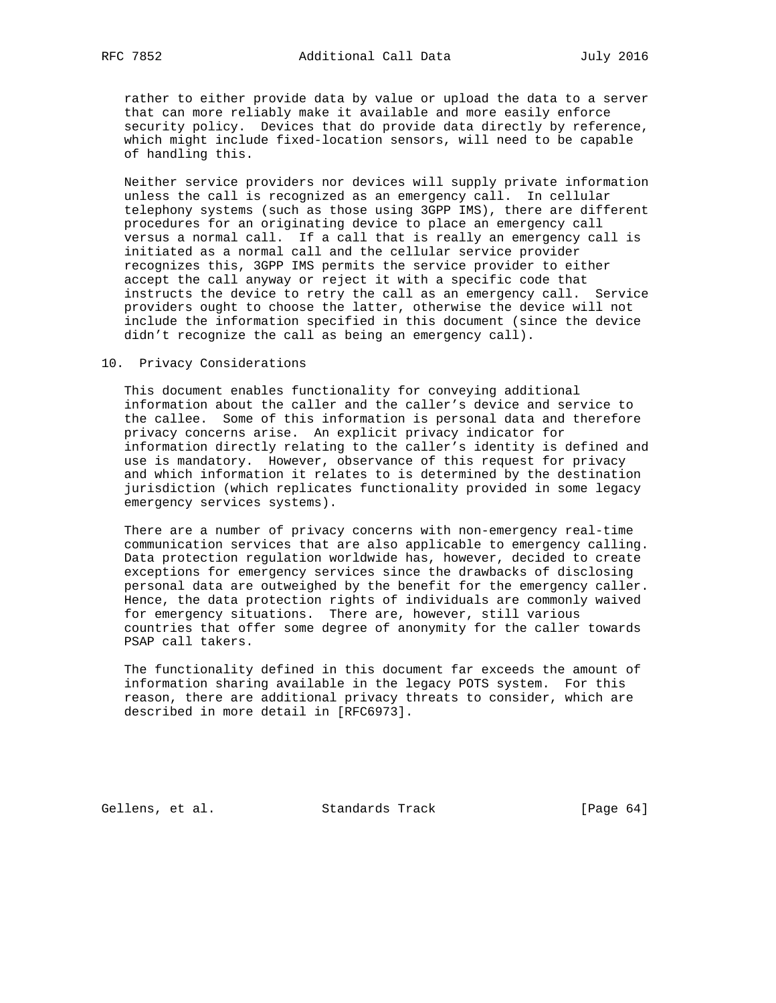rather to either provide data by value or upload the data to a server that can more reliably make it available and more easily enforce security policy. Devices that do provide data directly by reference, which might include fixed-location sensors, will need to be capable of handling this.

 Neither service providers nor devices will supply private information unless the call is recognized as an emergency call. In cellular telephony systems (such as those using 3GPP IMS), there are different procedures for an originating device to place an emergency call versus a normal call. If a call that is really an emergency call is initiated as a normal call and the cellular service provider recognizes this, 3GPP IMS permits the service provider to either accept the call anyway or reject it with a specific code that instructs the device to retry the call as an emergency call. Service providers ought to choose the latter, otherwise the device will not include the information specified in this document (since the device didn't recognize the call as being an emergency call).

#### 10. Privacy Considerations

 This document enables functionality for conveying additional information about the caller and the caller's device and service to the callee. Some of this information is personal data and therefore privacy concerns arise. An explicit privacy indicator for information directly relating to the caller's identity is defined and use is mandatory. However, observance of this request for privacy and which information it relates to is determined by the destination jurisdiction (which replicates functionality provided in some legacy emergency services systems).

 There are a number of privacy concerns with non-emergency real-time communication services that are also applicable to emergency calling. Data protection regulation worldwide has, however, decided to create exceptions for emergency services since the drawbacks of disclosing personal data are outweighed by the benefit for the emergency caller. Hence, the data protection rights of individuals are commonly waived for emergency situations. There are, however, still various countries that offer some degree of anonymity for the caller towards PSAP call takers.

 The functionality defined in this document far exceeds the amount of information sharing available in the legacy POTS system. For this reason, there are additional privacy threats to consider, which are described in more detail in [RFC6973].

Gellens, et al. Standards Track [Page 64]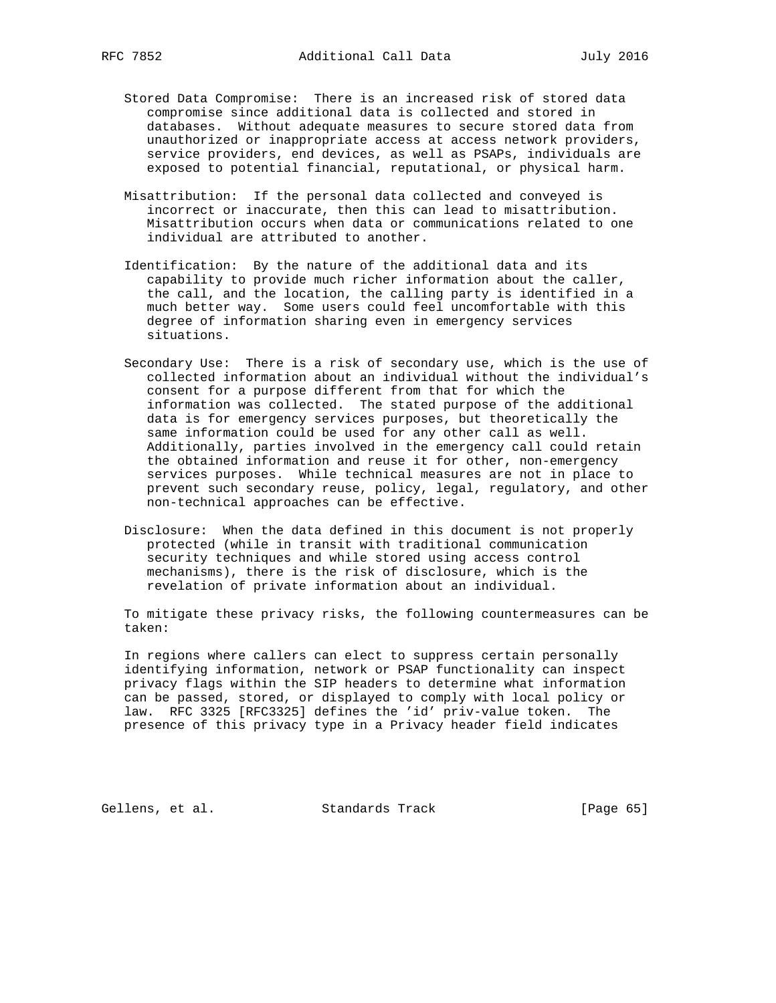- Stored Data Compromise: There is an increased risk of stored data compromise since additional data is collected and stored in databases. Without adequate measures to secure stored data from unauthorized or inappropriate access at access network providers, service providers, end devices, as well as PSAPs, individuals are exposed to potential financial, reputational, or physical harm.
- Misattribution: If the personal data collected and conveyed is incorrect or inaccurate, then this can lead to misattribution. Misattribution occurs when data or communications related to one individual are attributed to another.
- Identification: By the nature of the additional data and its capability to provide much richer information about the caller, the call, and the location, the calling party is identified in a much better way. Some users could feel uncomfortable with this degree of information sharing even in emergency services situations.
- Secondary Use: There is a risk of secondary use, which is the use of collected information about an individual without the individual's consent for a purpose different from that for which the information was collected. The stated purpose of the additional data is for emergency services purposes, but theoretically the same information could be used for any other call as well. Additionally, parties involved in the emergency call could retain the obtained information and reuse it for other, non-emergency services purposes. While technical measures are not in place to prevent such secondary reuse, policy, legal, regulatory, and other non-technical approaches can be effective.
- Disclosure: When the data defined in this document is not properly protected (while in transit with traditional communication security techniques and while stored using access control mechanisms), there is the risk of disclosure, which is the revelation of private information about an individual.

 To mitigate these privacy risks, the following countermeasures can be taken:

 In regions where callers can elect to suppress certain personally identifying information, network or PSAP functionality can inspect privacy flags within the SIP headers to determine what information can be passed, stored, or displayed to comply with local policy or law. RFC 3325 [RFC3325] defines the 'id' priv-value token. The presence of this privacy type in a Privacy header field indicates

Gellens, et al. Standards Track [Page 65]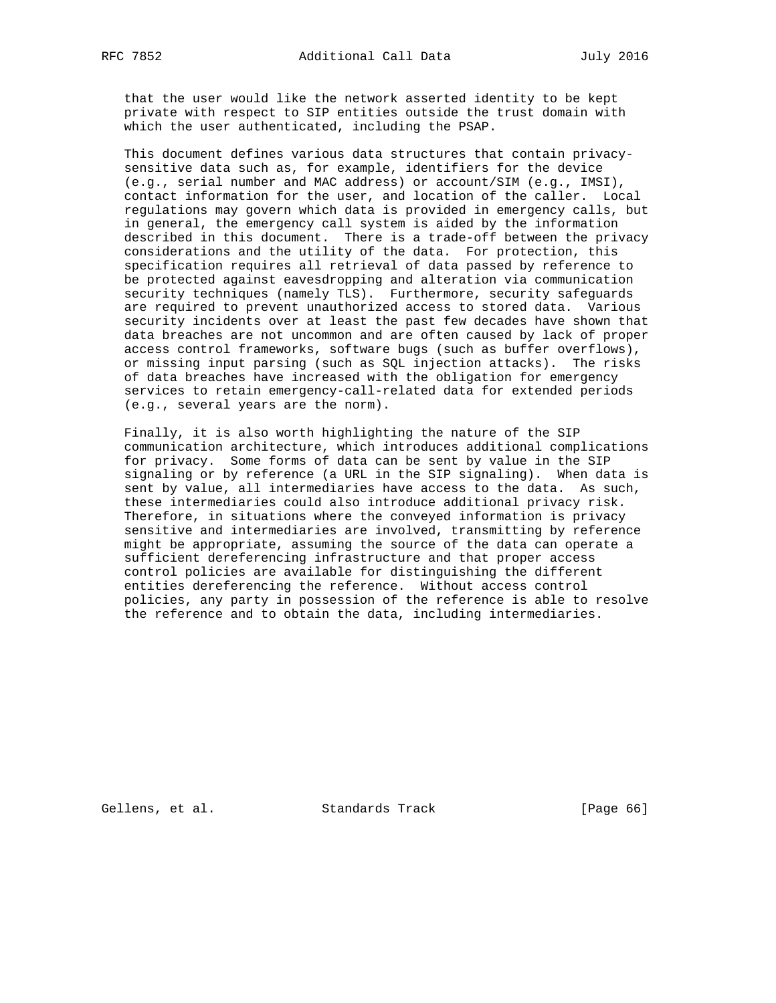that the user would like the network asserted identity to be kept private with respect to SIP entities outside the trust domain with which the user authenticated, including the PSAP.

 This document defines various data structures that contain privacy sensitive data such as, for example, identifiers for the device (e.g., serial number and MAC address) or account/SIM (e.g., IMSI), contact information for the user, and location of the caller. Local regulations may govern which data is provided in emergency calls, but in general, the emergency call system is aided by the information described in this document. There is a trade-off between the privacy considerations and the utility of the data. For protection, this specification requires all retrieval of data passed by reference to be protected against eavesdropping and alteration via communication security techniques (namely TLS). Furthermore, security safeguards are required to prevent unauthorized access to stored data. Various security incidents over at least the past few decades have shown that data breaches are not uncommon and are often caused by lack of proper access control frameworks, software bugs (such as buffer overflows), or missing input parsing (such as SQL injection attacks). The risks of data breaches have increased with the obligation for emergency services to retain emergency-call-related data for extended periods (e.g., several years are the norm).

 Finally, it is also worth highlighting the nature of the SIP communication architecture, which introduces additional complications for privacy. Some forms of data can be sent by value in the SIP signaling or by reference (a URL in the SIP signaling). When data is sent by value, all intermediaries have access to the data. As such, these intermediaries could also introduce additional privacy risk. Therefore, in situations where the conveyed information is privacy sensitive and intermediaries are involved, transmitting by reference might be appropriate, assuming the source of the data can operate a sufficient dereferencing infrastructure and that proper access control policies are available for distinguishing the different entities dereferencing the reference. Without access control policies, any party in possession of the reference is able to resolve the reference and to obtain the data, including intermediaries.

Gellens, et al. Standards Track [Page 66]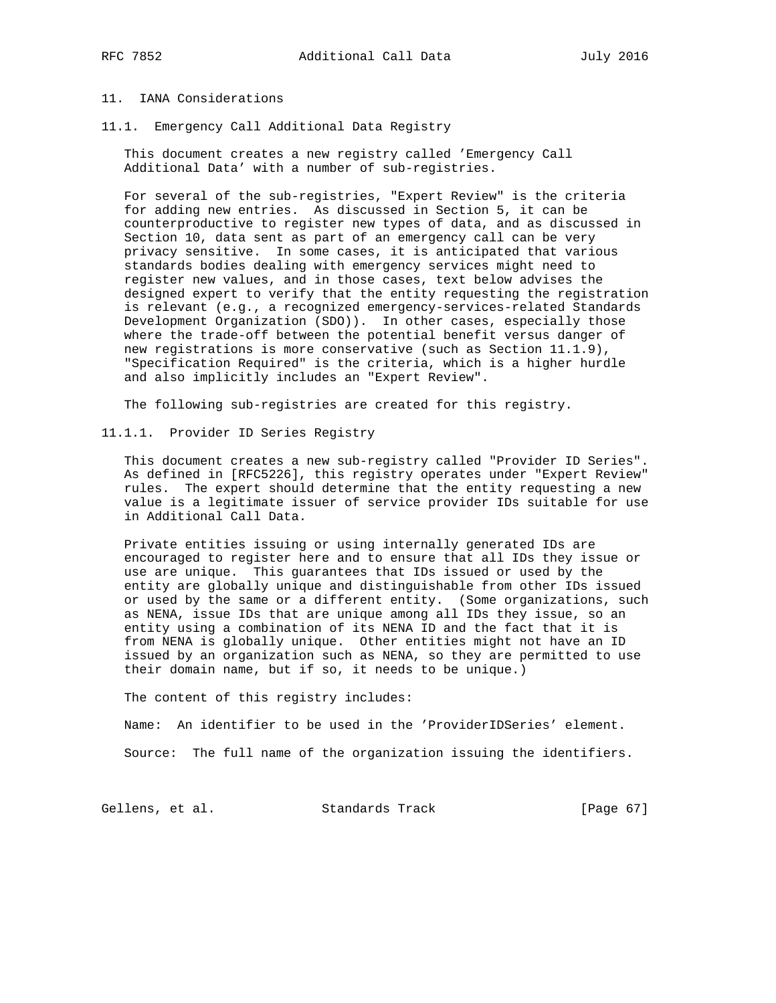# 11. IANA Considerations

11.1. Emergency Call Additional Data Registry

 This document creates a new registry called 'Emergency Call Additional Data' with a number of sub-registries.

 For several of the sub-registries, "Expert Review" is the criteria for adding new entries. As discussed in Section 5, it can be counterproductive to register new types of data, and as discussed in Section 10, data sent as part of an emergency call can be very privacy sensitive. In some cases, it is anticipated that various standards bodies dealing with emergency services might need to register new values, and in those cases, text below advises the designed expert to verify that the entity requesting the registration is relevant (e.g., a recognized emergency-services-related Standards Development Organization (SDO)). In other cases, especially those where the trade-off between the potential benefit versus danger of new registrations is more conservative (such as Section 11.1.9), "Specification Required" is the criteria, which is a higher hurdle and also implicitly includes an "Expert Review".

The following sub-registries are created for this registry.

11.1.1. Provider ID Series Registry

 This document creates a new sub-registry called "Provider ID Series". As defined in [RFC5226], this registry operates under "Expert Review" rules. The expert should determine that the entity requesting a new value is a legitimate issuer of service provider IDs suitable for use in Additional Call Data.

 Private entities issuing or using internally generated IDs are encouraged to register here and to ensure that all IDs they issue or use are unique. This guarantees that IDs issued or used by the entity are globally unique and distinguishable from other IDs issued or used by the same or a different entity. (Some organizations, such as NENA, issue IDs that are unique among all IDs they issue, so an entity using a combination of its NENA ID and the fact that it is from NENA is globally unique. Other entities might not have an ID issued by an organization such as NENA, so they are permitted to use their domain name, but if so, it needs to be unique.)

The content of this registry includes:

Name: An identifier to be used in the 'ProviderIDSeries' element.

Source: The full name of the organization issuing the identifiers.

Gellens, et al. Standards Track [Page 67]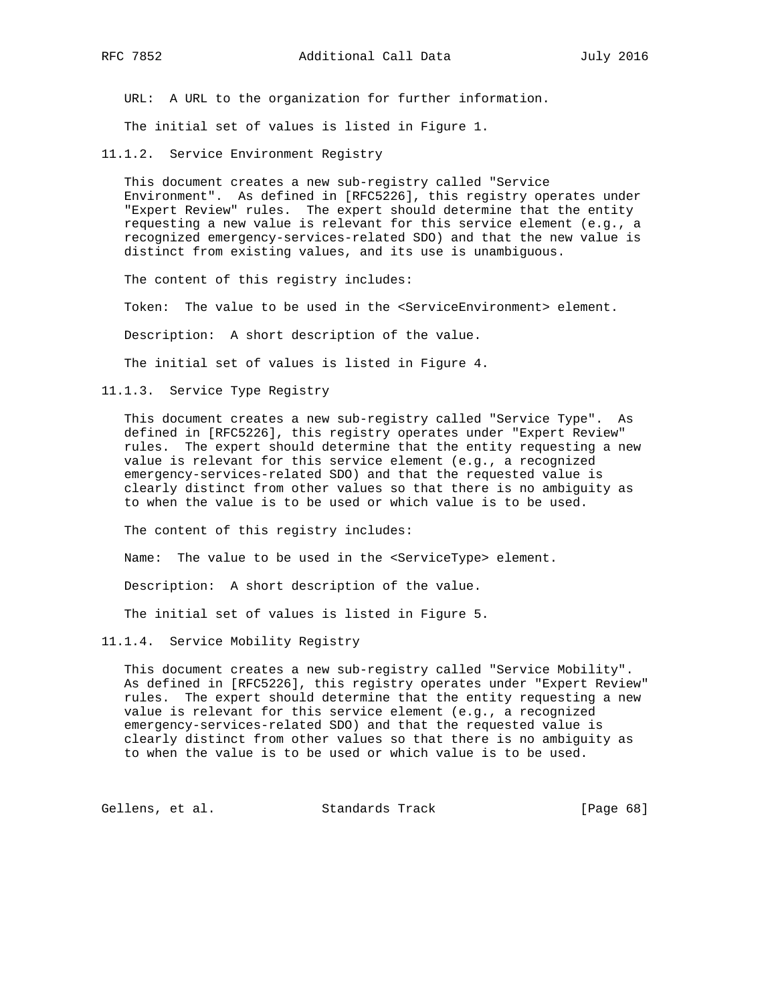URL: A URL to the organization for further information.

The initial set of values is listed in Figure 1.

11.1.2. Service Environment Registry

 This document creates a new sub-registry called "Service Environment". As defined in [RFC5226], this registry operates under "Expert Review" rules. The expert should determine that the entity requesting a new value is relevant for this service element (e.g., a recognized emergency-services-related SDO) and that the new value is distinct from existing values, and its use is unambiguous.

The content of this registry includes:

Token: The value to be used in the <ServiceEnvironment> element.

Description: A short description of the value.

The initial set of values is listed in Figure 4.

11.1.3. Service Type Registry

 This document creates a new sub-registry called "Service Type". As defined in [RFC5226], this registry operates under "Expert Review" rules. The expert should determine that the entity requesting a new value is relevant for this service element (e.g., a recognized emergency-services-related SDO) and that the requested value is clearly distinct from other values so that there is no ambiguity as to when the value is to be used or which value is to be used.

The content of this registry includes:

Name: The value to be used in the <ServiceType> element.

Description: A short description of the value.

The initial set of values is listed in Figure 5.

11.1.4. Service Mobility Registry

 This document creates a new sub-registry called "Service Mobility". As defined in [RFC5226], this registry operates under "Expert Review" rules. The expert should determine that the entity requesting a new value is relevant for this service element (e.g., a recognized emergency-services-related SDO) and that the requested value is clearly distinct from other values so that there is no ambiguity as to when the value is to be used or which value is to be used.

Gellens, et al. Standards Track [Page 68]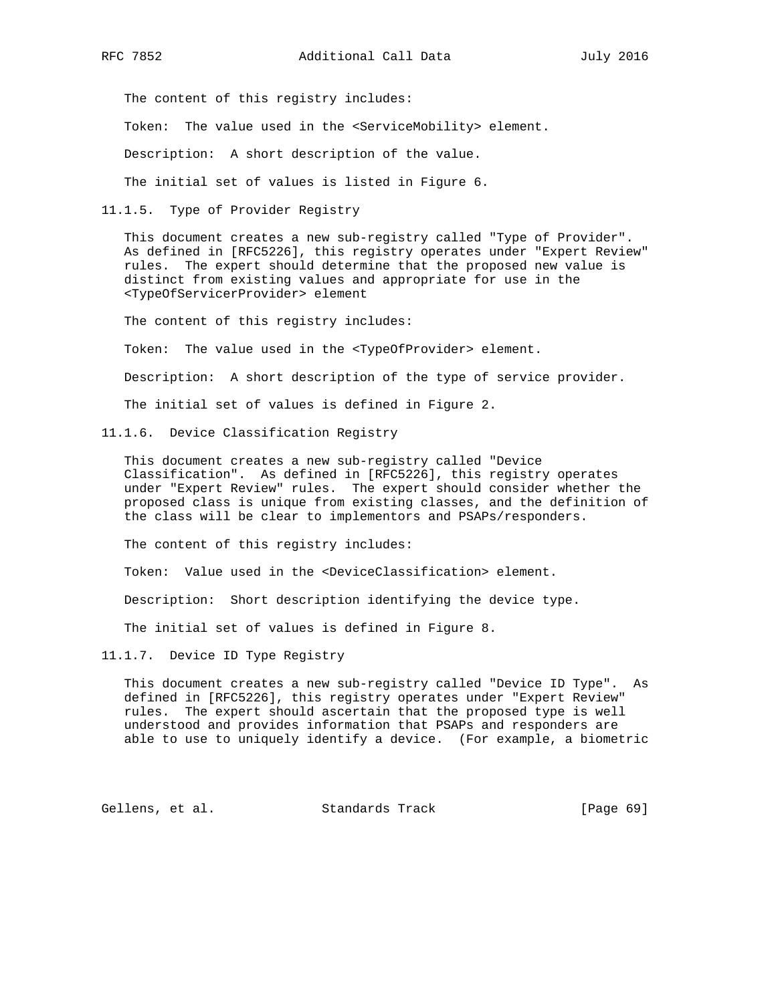The content of this registry includes:

Token: The value used in the <ServiceMobility> element.

Description: A short description of the value.

The initial set of values is listed in Figure 6.

11.1.5. Type of Provider Registry

 This document creates a new sub-registry called "Type of Provider". As defined in [RFC5226], this registry operates under "Expert Review" rules. The expert should determine that the proposed new value is distinct from existing values and appropriate for use in the <TypeOfServicerProvider> element

The content of this registry includes:

Token: The value used in the <TypeOfProvider> element.

Description: A short description of the type of service provider.

The initial set of values is defined in Figure 2.

11.1.6. Device Classification Registry

 This document creates a new sub-registry called "Device Classification". As defined in [RFC5226], this registry operates under "Expert Review" rules. The expert should consider whether the proposed class is unique from existing classes, and the definition of the class will be clear to implementors and PSAPs/responders.

The content of this registry includes:

Token: Value used in the <DeviceClassification> element.

Description: Short description identifying the device type.

The initial set of values is defined in Figure 8.

11.1.7. Device ID Type Registry

 This document creates a new sub-registry called "Device ID Type". As defined in [RFC5226], this registry operates under "Expert Review" rules. The expert should ascertain that the proposed type is well understood and provides information that PSAPs and responders are able to use to uniquely identify a device. (For example, a biometric

Gellens, et al. Standards Track [Page 69]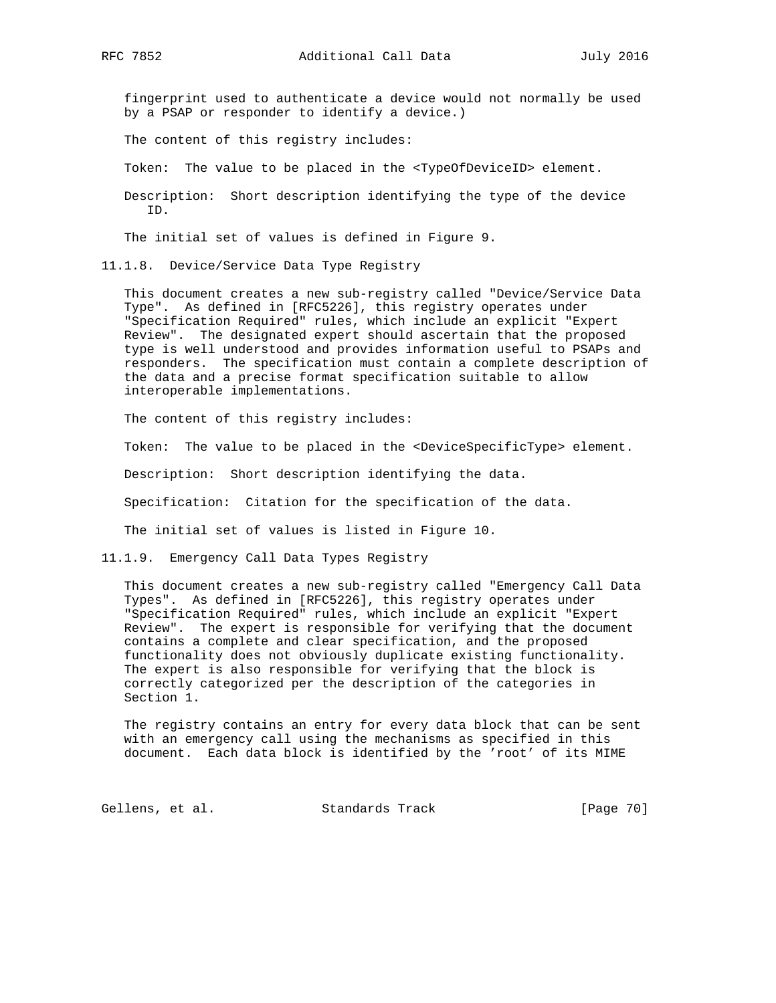fingerprint used to authenticate a device would not normally be used by a PSAP or responder to identify a device.)

The content of this registry includes:

Token: The value to be placed in the <TypeOfDeviceID> element.

 Description: Short description identifying the type of the device ID.

The initial set of values is defined in Figure 9.

11.1.8. Device/Service Data Type Registry

 This document creates a new sub-registry called "Device/Service Data Type". As defined in [RFC5226], this registry operates under "Specification Required" rules, which include an explicit "Expert Review". The designated expert should ascertain that the proposed type is well understood and provides information useful to PSAPs and responders. The specification must contain a complete description of the data and a precise format specification suitable to allow interoperable implementations.

The content of this registry includes:

Token: The value to be placed in the <DeviceSpecificType> element.

Description: Short description identifying the data.

Specification: Citation for the specification of the data.

The initial set of values is listed in Figure 10.

11.1.9. Emergency Call Data Types Registry

 This document creates a new sub-registry called "Emergency Call Data Types". As defined in [RFC5226], this registry operates under "Specification Required" rules, which include an explicit "Expert Review". The expert is responsible for verifying that the document contains a complete and clear specification, and the proposed functionality does not obviously duplicate existing functionality. The expert is also responsible for verifying that the block is correctly categorized per the description of the categories in Section 1.

 The registry contains an entry for every data block that can be sent with an emergency call using the mechanisms as specified in this document. Each data block is identified by the 'root' of its MIME

Gellens, et al. Standards Track [Page 70]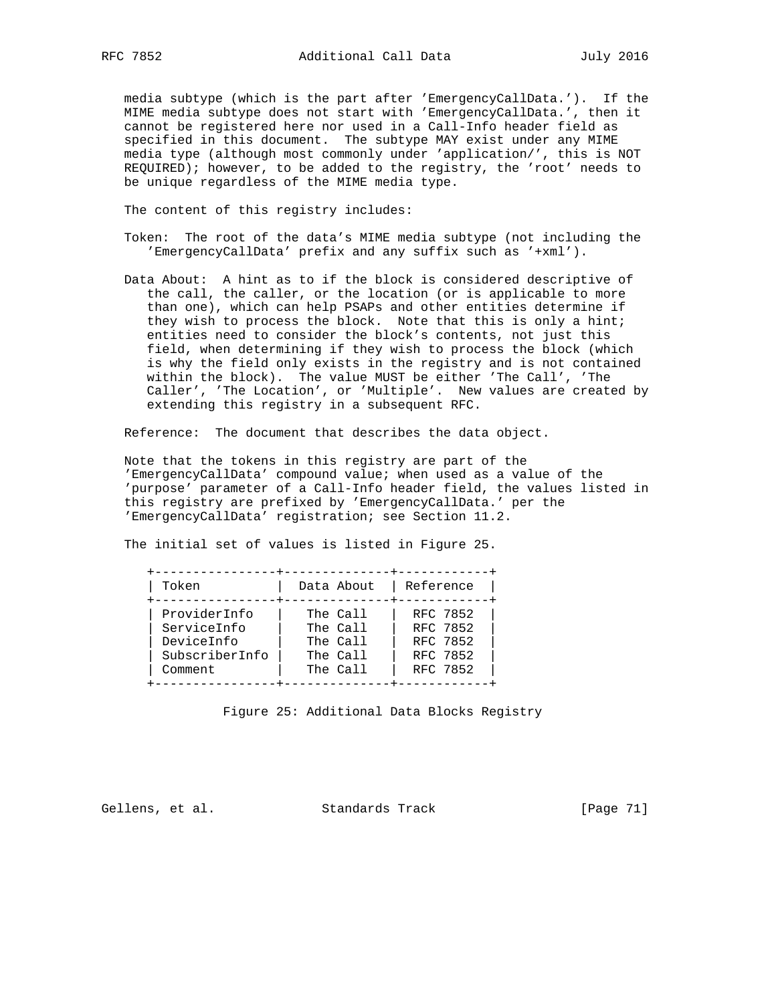media subtype (which is the part after 'EmergencyCallData.'). If the MIME media subtype does not start with 'EmergencyCallData.', then it cannot be registered here nor used in a Call-Info header field as specified in this document. The subtype MAY exist under any MIME media type (although most commonly under 'application/', this is NOT REQUIRED); however, to be added to the registry, the 'root' needs to be unique regardless of the MIME media type.

The content of this registry includes:

- Token: The root of the data's MIME media subtype (not including the 'EmergencyCallData' prefix and any suffix such as '+xml').
- Data About: A hint as to if the block is considered descriptive of the call, the caller, or the location (or is applicable to more than one), which can help PSAPs and other entities determine if they wish to process the block. Note that this is only a hint; entities need to consider the block's contents, not just this field, when determining if they wish to process the block (which is why the field only exists in the registry and is not contained within the block). The value MUST be either 'The Call', 'The Caller', 'The Location', or 'Multiple'. New values are created by extending this registry in a subsequent RFC.

Reference: The document that describes the data object.

 Note that the tokens in this registry are part of the 'EmergencyCallData' compound value; when used as a value of the 'purpose' parameter of a Call-Info header field, the values listed in this registry are prefixed by 'EmergencyCallData.' per the 'EmergencyCallData' registration; see Section 11.2.

The initial set of values is listed in Figure 25.

| Token          | Data About | Reference |
|----------------|------------|-----------|
| ProviderInfo   | The Call   | RFC 7852  |
| ServiceInfo    | The Call   | RFC 7852  |
| DeviceInfo     | The Call   | RFC 7852  |
| SubscriberInfo | The Call   | RFC 7852  |
| Comment        | The Call   | RFC 7852  |

Figure 25: Additional Data Blocks Registry

Gellens, et al. Standards Track [Page 71]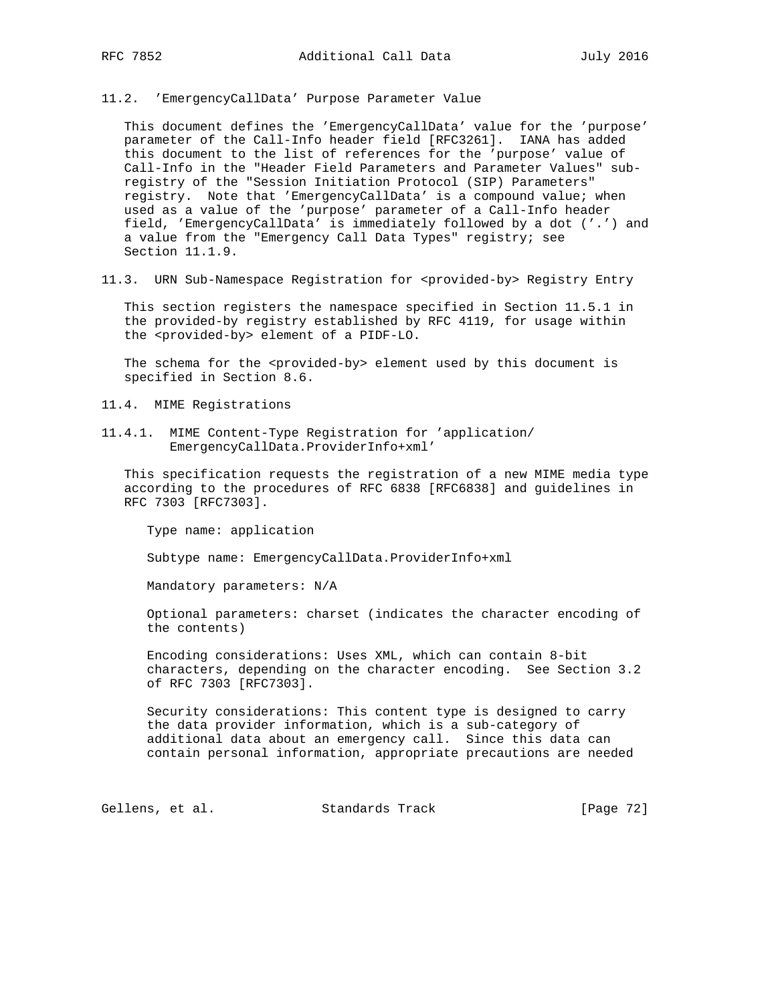11.2. 'EmergencyCallData' Purpose Parameter Value

 This document defines the 'EmergencyCallData' value for the 'purpose' parameter of the Call-Info header field [RFC3261]. IANA has added this document to the list of references for the 'purpose' value of Call-Info in the "Header Field Parameters and Parameter Values" sub registry of the "Session Initiation Protocol (SIP) Parameters" registry. Note that 'EmergencyCallData' is a compound value; when used as a value of the 'purpose' parameter of a Call-Info header field, 'EmergencyCallData' is immediately followed by a dot ('.') and a value from the "Emergency Call Data Types" registry; see Section 11.1.9.

11.3. URN Sub-Namespace Registration for <provided-by> Registry Entry

 This section registers the namespace specified in Section 11.5.1 in the provided-by registry established by RFC 4119, for usage within the <provided-by> element of a PIDF-LO.

The schema for the <provided-by> element used by this document is specified in Section 8.6.

11.4. MIME Registrations

11.4.1. MIME Content-Type Registration for 'application/ EmergencyCallData.ProviderInfo+xml'

 This specification requests the registration of a new MIME media type according to the procedures of RFC 6838 [RFC6838] and guidelines in RFC 7303 [RFC7303].

Type name: application

Subtype name: EmergencyCallData.ProviderInfo+xml

Mandatory parameters: N/A

 Optional parameters: charset (indicates the character encoding of the contents)

 Encoding considerations: Uses XML, which can contain 8-bit characters, depending on the character encoding. See Section 3.2 of RFC 7303 [RFC7303].

 Security considerations: This content type is designed to carry the data provider information, which is a sub-category of additional data about an emergency call. Since this data can contain personal information, appropriate precautions are needed

Gellens, et al. Standards Track [Page 72]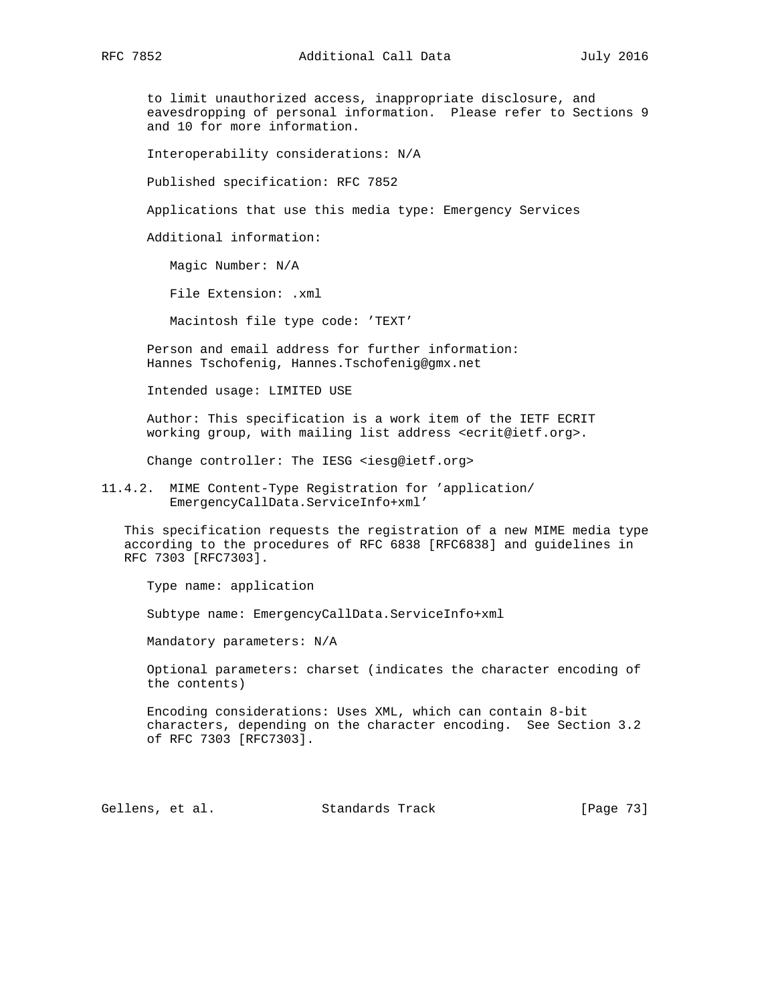to limit unauthorized access, inappropriate disclosure, and eavesdropping of personal information. Please refer to Sections 9 and 10 for more information.

Interoperability considerations: N/A

Published specification: RFC 7852

Applications that use this media type: Emergency Services

Additional information:

Magic Number: N/A

File Extension: .xml

Macintosh file type code: 'TEXT'

 Person and email address for further information: Hannes Tschofenig, Hannes.Tschofenig@gmx.net

Intended usage: LIMITED USE

 Author: This specification is a work item of the IETF ECRIT working group, with mailing list address <ecrit@ietf.org>.

Change controller: The IESG <iesg@ietf.org>

11.4.2. MIME Content-Type Registration for 'application/ EmergencyCallData.ServiceInfo+xml'

 This specification requests the registration of a new MIME media type according to the procedures of RFC 6838 [RFC6838] and guidelines in RFC 7303 [RFC7303].

Type name: application

Subtype name: EmergencyCallData.ServiceInfo+xml

Mandatory parameters: N/A

 Optional parameters: charset (indicates the character encoding of the contents)

 Encoding considerations: Uses XML, which can contain 8-bit characters, depending on the character encoding. See Section 3.2 of RFC 7303 [RFC7303].

Gellens, et al. Standards Track [Page 73]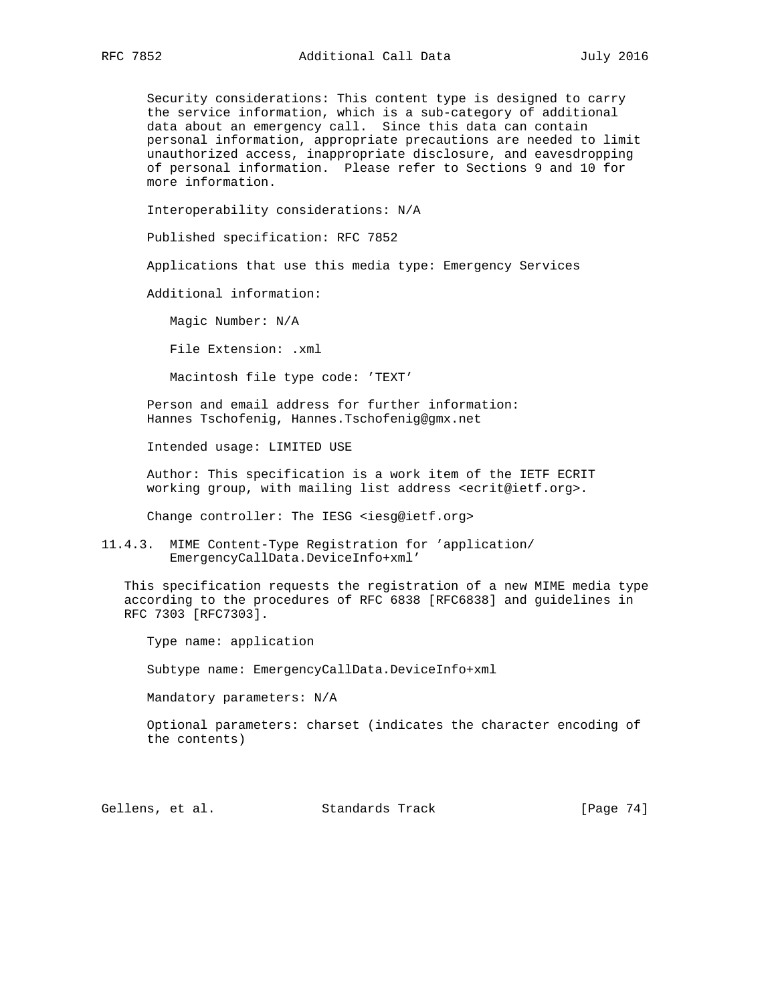Security considerations: This content type is designed to carry the service information, which is a sub-category of additional data about an emergency call. Since this data can contain personal information, appropriate precautions are needed to limit unauthorized access, inappropriate disclosure, and eavesdropping of personal information. Please refer to Sections 9 and 10 for more information.

Interoperability considerations: N/A

Published specification: RFC 7852

Applications that use this media type: Emergency Services

Additional information:

Magic Number: N/A

File Extension: .xml

Macintosh file type code: 'TEXT'

 Person and email address for further information: Hannes Tschofenig, Hannes.Tschofenig@gmx.net

Intended usage: LIMITED USE

 Author: This specification is a work item of the IETF ECRIT working group, with mailing list address <ecrit@ietf.org>.

Change controller: The IESG <iesg@ietf.org>

11.4.3. MIME Content-Type Registration for 'application/ EmergencyCallData.DeviceInfo+xml'

 This specification requests the registration of a new MIME media type according to the procedures of RFC 6838 [RFC6838] and guidelines in RFC 7303 [RFC7303].

Type name: application

Subtype name: EmergencyCallData.DeviceInfo+xml

Mandatory parameters: N/A

 Optional parameters: charset (indicates the character encoding of the contents)

Gellens, et al. Standards Track [Page 74]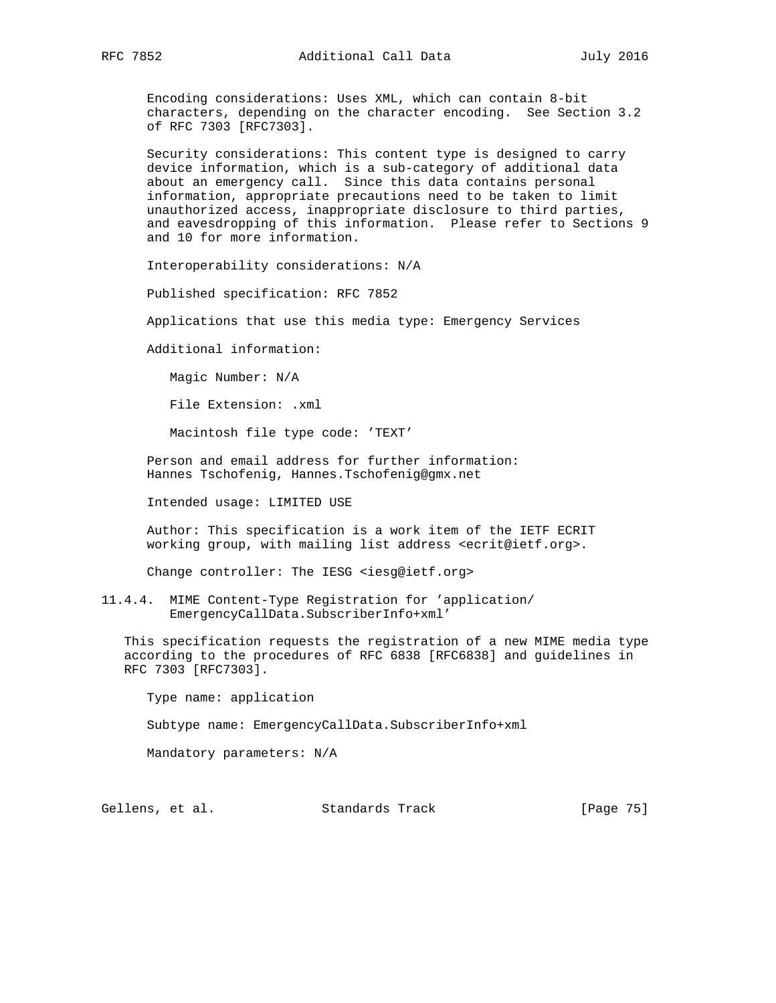Encoding considerations: Uses XML, which can contain 8-bit characters, depending on the character encoding. See Section 3.2 of RFC 7303 [RFC7303].

 Security considerations: This content type is designed to carry device information, which is a sub-category of additional data about an emergency call. Since this data contains personal information, appropriate precautions need to be taken to limit unauthorized access, inappropriate disclosure to third parties, and eavesdropping of this information. Please refer to Sections 9 and 10 for more information.

Interoperability considerations: N/A

Published specification: RFC 7852

Applications that use this media type: Emergency Services

Additional information:

Magic Number: N/A

File Extension: .xml

Macintosh file type code: 'TEXT'

 Person and email address for further information: Hannes Tschofenig, Hannes.Tschofenig@gmx.net

Intended usage: LIMITED USE

 Author: This specification is a work item of the IETF ECRIT working group, with mailing list address <ecrit@ietf.org>.

Change controller: The IESG <iesg@ietf.org>

11.4.4. MIME Content-Type Registration for 'application/ EmergencyCallData.SubscriberInfo+xml'

 This specification requests the registration of a new MIME media type according to the procedures of RFC 6838 [RFC6838] and guidelines in RFC 7303 [RFC7303].

Type name: application

Subtype name: EmergencyCallData.SubscriberInfo+xml

Mandatory parameters: N/A

Gellens, et al. Standards Track [Page 75]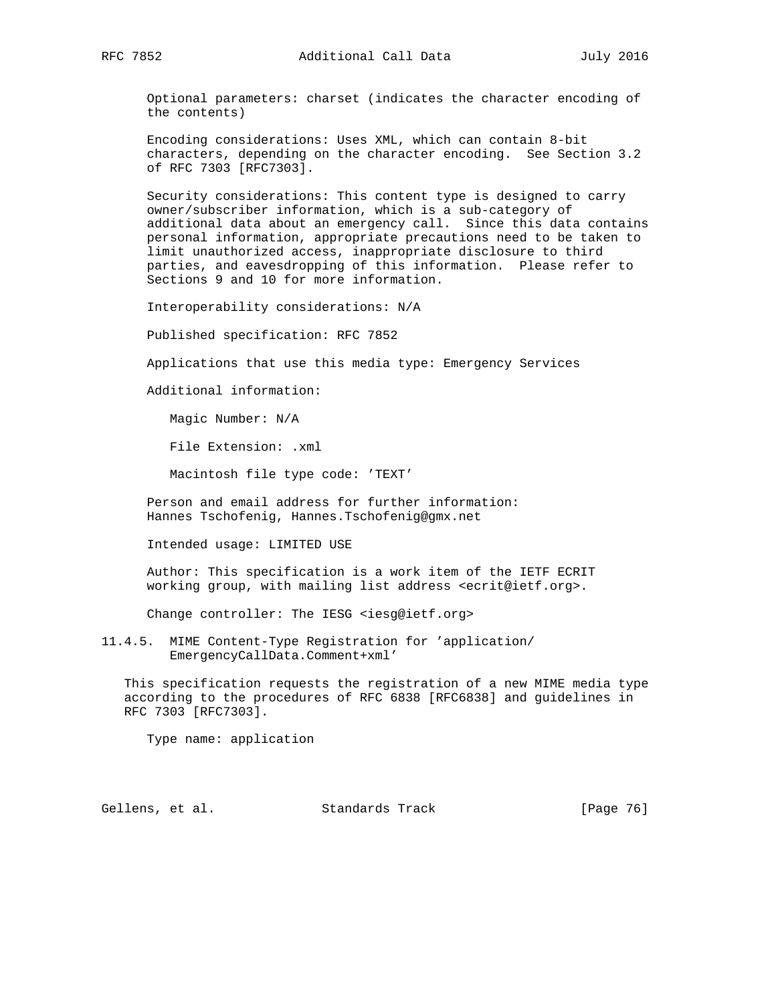Optional parameters: charset (indicates the character encoding of the contents)

 Encoding considerations: Uses XML, which can contain 8-bit characters, depending on the character encoding. See Section 3.2 of RFC 7303 [RFC7303].

 Security considerations: This content type is designed to carry owner/subscriber information, which is a sub-category of additional data about an emergency call. Since this data contains personal information, appropriate precautions need to be taken to limit unauthorized access, inappropriate disclosure to third parties, and eavesdropping of this information. Please refer to Sections 9 and 10 for more information.

Interoperability considerations: N/A

Published specification: RFC 7852

Applications that use this media type: Emergency Services

Additional information:

Magic Number: N/A

File Extension: .xml

Macintosh file type code: 'TEXT'

 Person and email address for further information: Hannes Tschofenig, Hannes.Tschofenig@gmx.net

Intended usage: LIMITED USE

 Author: This specification is a work item of the IETF ECRIT working group, with mailing list address <ecrit@ietf.org>.

Change controller: The IESG <iesg@ietf.org>

11.4.5. MIME Content-Type Registration for 'application/ EmergencyCallData.Comment+xml'

 This specification requests the registration of a new MIME media type according to the procedures of RFC 6838 [RFC6838] and guidelines in RFC 7303 [RFC7303].

Type name: application

Gellens, et al. Standards Track [Page 76]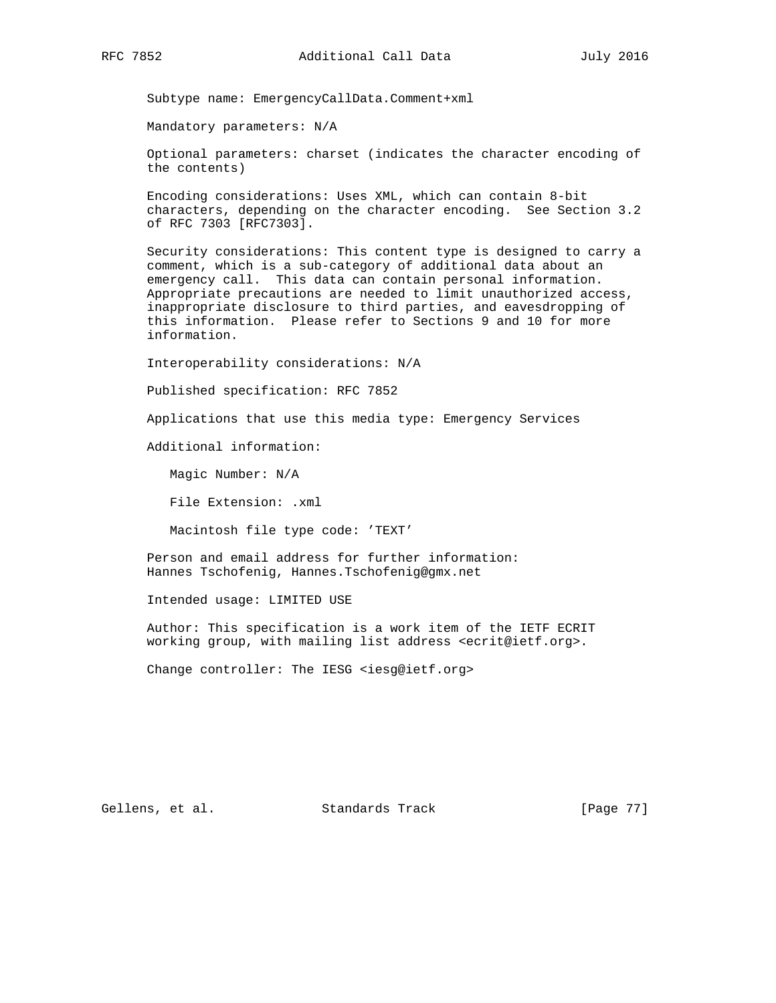Subtype name: EmergencyCallData.Comment+xml

Mandatory parameters: N/A

 Optional parameters: charset (indicates the character encoding of the contents)

 Encoding considerations: Uses XML, which can contain 8-bit characters, depending on the character encoding. See Section 3.2 of RFC 7303 [RFC7303].

 Security considerations: This content type is designed to carry a comment, which is a sub-category of additional data about an emergency call. This data can contain personal information. Appropriate precautions are needed to limit unauthorized access, inappropriate disclosure to third parties, and eavesdropping of this information. Please refer to Sections 9 and 10 for more information.

Interoperability considerations: N/A

Published specification: RFC 7852

Applications that use this media type: Emergency Services

Additional information:

Magic Number: N/A

File Extension: .xml

Macintosh file type code: 'TEXT'

 Person and email address for further information: Hannes Tschofenig, Hannes.Tschofenig@gmx.net

Intended usage: LIMITED USE

 Author: This specification is a work item of the IETF ECRIT working group, with mailing list address <ecrit@ietf.org>.

Change controller: The IESG <iesg@ietf.org>

Gellens, et al. Standards Track [Page 77]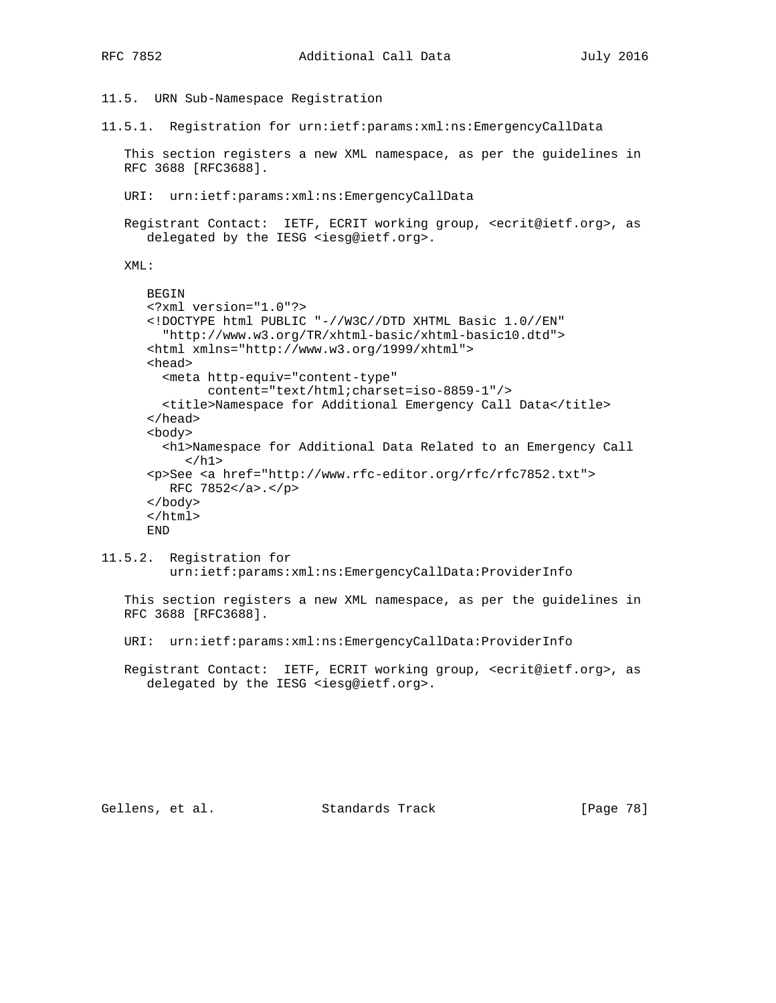11.5. URN Sub-Namespace Registration

11.5.1. Registration for urn:ietf:params:xml:ns:EmergencyCallData

 This section registers a new XML namespace, as per the guidelines in RFC 3688 [RFC3688].

- URI: urn:ietf:params:xml:ns:EmergencyCallData
- Registrant Contact: IETF, ECRIT working group, <ecrit@ietf.org>, as delegated by the IESG <iesg@ietf.org>.

XML:

```
 BEGIN
 <?xml version="1.0"?>
 <!DOCTYPE html PUBLIC "-//W3C//DTD XHTML Basic 1.0//EN"
   "http://www.w3.org/TR/xhtml-basic/xhtml-basic10.dtd">
 <html xmlns="http://www.w3.org/1999/xhtml">
 <head>
   <meta http-equiv="content-type"
         content="text/html;charset=iso-8859-1"/>
  <title>Namespace for Additional Emergency Call Data</title>
 </head>
 <body>
   <h1>Namespace for Additional Data Related to an Emergency Call
     \langleh1>
 <p>See <a href="http://www.rfc-editor.org/rfc/rfc7852.txt">
    RFC 7852</a>.</p>
 </body>
 </html>
 END
```
11.5.2. Registration for urn:ietf:params:xml:ns:EmergencyCallData:ProviderInfo

 This section registers a new XML namespace, as per the guidelines in RFC 3688 [RFC3688].

URI: urn:ietf:params:xml:ns:EmergencyCallData:ProviderInfo

 Registrant Contact: IETF, ECRIT working group, <ecrit@ietf.org>, as delegated by the IESG <iesg@ietf.org>.

Gellens, et al. Standards Track [Page 78]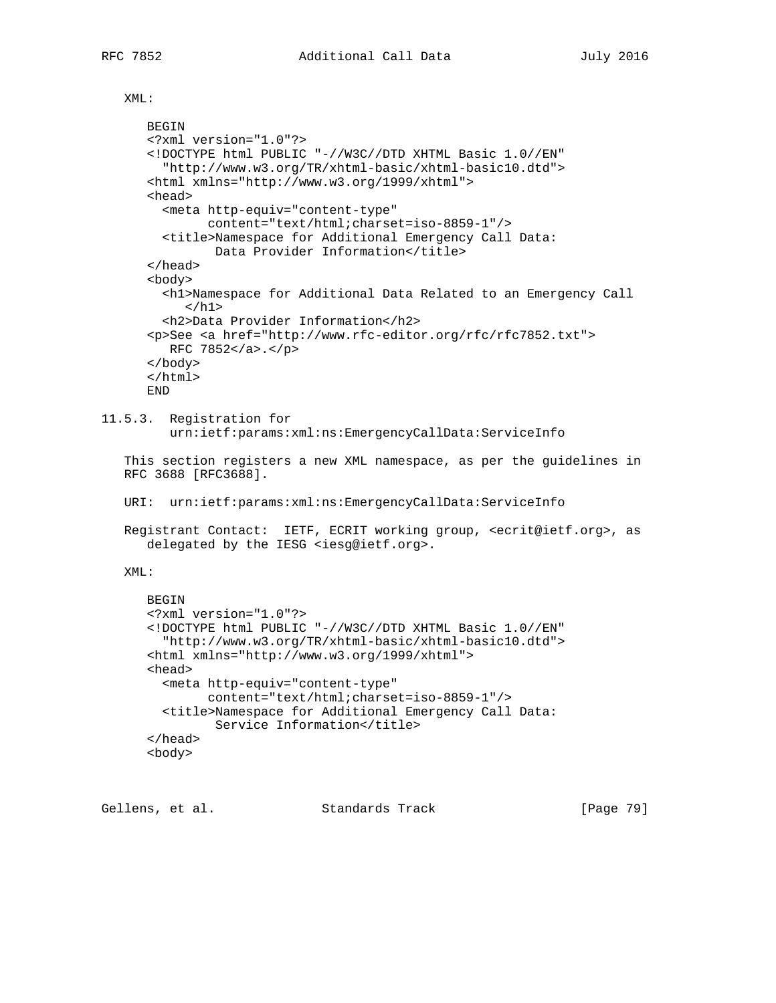XML:

```
 BEGIN
       <?xml version="1.0"?>
       <!DOCTYPE html PUBLIC "-//W3C//DTD XHTML Basic 1.0//EN"
         "http://www.w3.org/TR/xhtml-basic/xhtml-basic10.dtd">
       <html xmlns="http://www.w3.org/1999/xhtml">
       <head>
         <meta http-equiv="content-type"
               content="text/html;charset=iso-8859-1"/>
         <title>Namespace for Additional Emergency Call Data:
              Data Provider Information</title>
       </head>
       <body>
         <h1>Namespace for Additional Data Related to an Emergency Call
           \langleh1>
         <h2>Data Provider Information</h2>
       <p>See <a href="http://www.rfc-editor.org/rfc/rfc7852.txt">
         RFC 7852</a>.</p>
       </body>
       </html>
       END
11.5.3. Registration for
          urn:ietf:params:xml:ns:EmergencyCallData:ServiceInfo
    This section registers a new XML namespace, as per the guidelines in
    RFC 3688 [RFC3688].
   URI: urn:ietf:params:xml:ns:EmergencyCallData:ServiceInfo
    Registrant Contact: IETF, ECRIT working group, <ecrit@ietf.org>, as
       delegated by the IESG <iesg@ietf.org>.
   XML:
       BEGIN
       <?xml version="1.0"?>
       <!DOCTYPE html PUBLIC "-//W3C//DTD XHTML Basic 1.0//EN"
```

```
 "http://www.w3.org/TR/xhtml-basic/xhtml-basic10.dtd">
 <html xmlns="http://www.w3.org/1999/xhtml">
 <head>
  <meta http-equiv="content-type"
         content="text/html;charset=iso-8859-1"/>
  <title>Namespace for Additional Emergency Call Data:
         Service Information</title>
 </head>
 <body>
```
Gellens, et al. Standards Track [Page 79]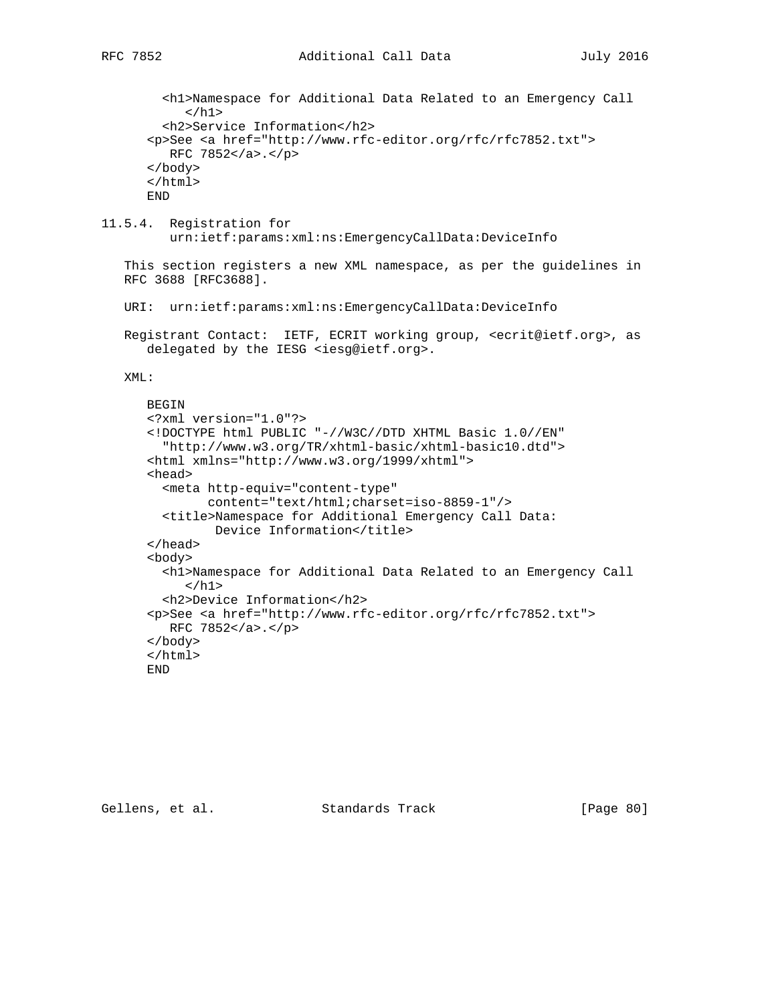```
 <h1>Namespace for Additional Data Related to an Emergency Call
     \langleh1>
   <h2>Service Information</h2>
 <p>See <a href="http://www.rfc-editor.org/rfc/rfc7852.txt">
    RFC 7852</a>.</p>
 </body>
 </html>
 END
```
11.5.4. Registration for urn:ietf:params:xml:ns:EmergencyCallData:DeviceInfo

 This section registers a new XML namespace, as per the guidelines in RFC 3688 [RFC3688].

URI: urn:ietf:params:xml:ns:EmergencyCallData:DeviceInfo

 Registrant Contact: IETF, ECRIT working group, <ecrit@ietf.org>, as delegated by the IESG <iesg@ietf.org>.

## XML:

```
 BEGIN
 <?xml version="1.0"?>
 <!DOCTYPE html PUBLIC "-//W3C//DTD XHTML Basic 1.0//EN"
   "http://www.w3.org/TR/xhtml-basic/xhtml-basic10.dtd">
 <html xmlns="http://www.w3.org/1999/xhtml">
 <head>
   <meta http-equiv="content-type"
         content="text/html;charset=iso-8859-1"/>
   <title>Namespace for Additional Emergency Call Data:
          Device Information</title>
 </head>
 <body>
   <h1>Namespace for Additional Data Related to an Emergency Call
     \langle/h1>
   <h2>Device Information</h2>
 <p>See <a href="http://www.rfc-editor.org/rfc/rfc7852.txt">
    RFC 7852</a>.</p>
 </body>
 </html>
 END
```
Gellens, et al. Standards Track [Page 80]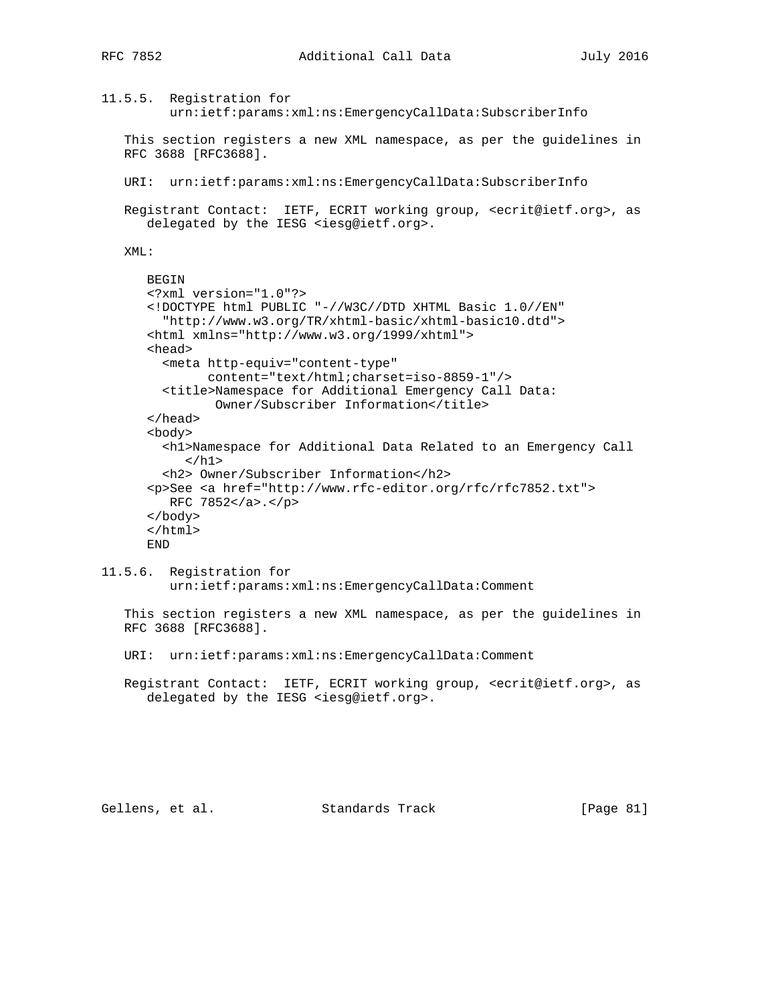```
11.5.5. Registration for
          urn:ietf:params:xml:ns:EmergencyCallData:SubscriberInfo
    This section registers a new XML namespace, as per the guidelines in
   RFC 3688 [RFC3688].
   URI: urn:ietf:params:xml:ns:EmergencyCallData:SubscriberInfo
   Registrant Contact: IETF, ECRIT working group, <ecrit@ietf.org>, as
      delegated by the IESG <iesg@ietf.org>.
   XML:
      BEGIN
       <?xml version="1.0"?>
       <!DOCTYPE html PUBLIC "-//W3C//DTD XHTML Basic 1.0//EN"
         "http://www.w3.org/TR/xhtml-basic/xhtml-basic10.dtd">
       <html xmlns="http://www.w3.org/1999/xhtml">
       <head>
         <meta http-equiv="content-type"
               content="text/html;charset=iso-8859-1"/>
         <title>Namespace for Additional Emergency Call Data:
               Owner/Subscriber Information</title>
       </head>
       <body>
         <h1>Namespace for Additional Data Related to an Emergency Call
           \langleh1>
         <h2> Owner/Subscriber Information</h2>
       <p>See <a href="http://www.rfc-editor.org/rfc/rfc7852.txt">
         RFC 7852</a>.</p>
       </body>
       </html>
       END
11.5.6. Registration for
         urn:ietf:params:xml:ns:EmergencyCallData:Comment
    This section registers a new XML namespace, as per the guidelines in
   RFC 3688 [RFC3688].
   URI: urn:ietf:params:xml:ns:EmergencyCallData:Comment
   Registrant Contact: IETF, ECRIT working group, <ecrit@ietf.org>, as
       delegated by the IESG <iesg@ietf.org>.
```
Gellens, et al. Standards Track [Page 81]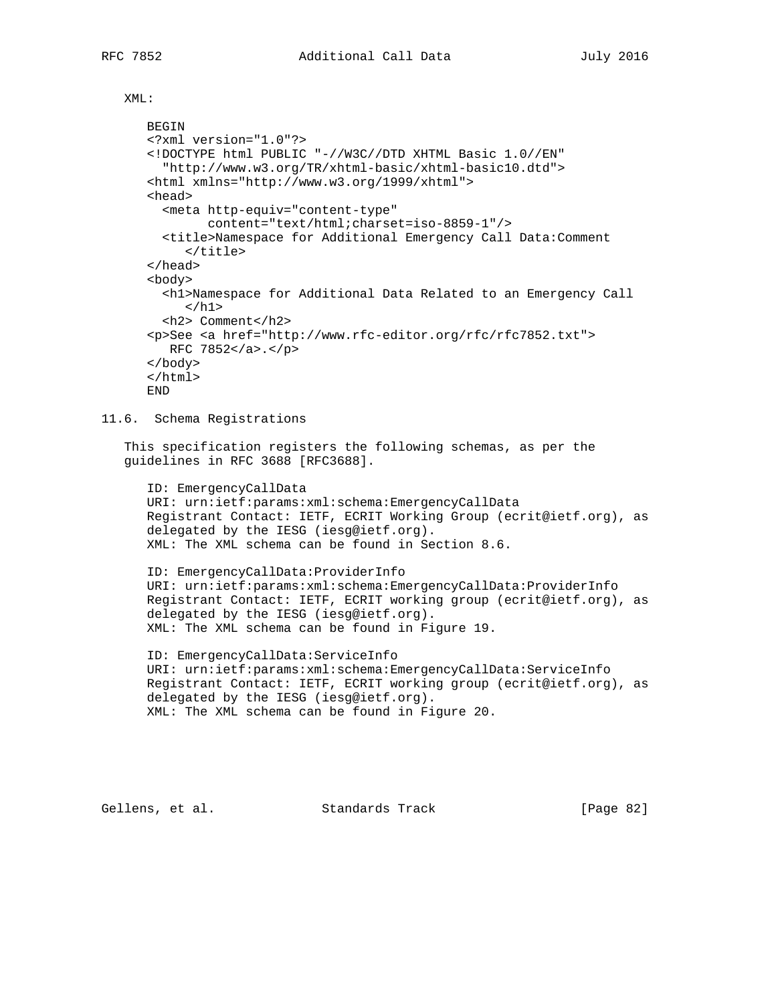XML:

```
 BEGIN
 <?xml version="1.0"?>
 <!DOCTYPE html PUBLIC "-//W3C//DTD XHTML Basic 1.0//EN"
   "http://www.w3.org/TR/xhtml-basic/xhtml-basic10.dtd">
 <html xmlns="http://www.w3.org/1999/xhtml">
 <head>
   <meta http-equiv="content-type"
        content="text/html;charset=iso-8859-1"/>
   <title>Namespace for Additional Emergency Call Data:Comment
      </title>
 </head>
 <body>
   <h1>Namespace for Additional Data Related to an Emergency Call
     \langleh1>
   <h2> Comment</h2>
 <p>See <a href="http://www.rfc-editor.org/rfc/rfc7852.txt">
   RFC 7852</a>.</p>
 </body>
 </html>
 END
```
## 11.6. Schema Registrations

 This specification registers the following schemas, as per the guidelines in RFC 3688 [RFC3688].

 ID: EmergencyCallData URI: urn:ietf:params:xml:schema:EmergencyCallData Registrant Contact: IETF, ECRIT Working Group (ecrit@ietf.org), as delegated by the IESG (iesg@ietf.org). XML: The XML schema can be found in Section 8.6.

 ID: EmergencyCallData:ProviderInfo URI: urn:ietf:params:xml:schema:EmergencyCallData:ProviderInfo Registrant Contact: IETF, ECRIT working group (ecrit@ietf.org), as delegated by the IESG (iesg@ietf.org). XML: The XML schema can be found in Figure 19.

 ID: EmergencyCallData:ServiceInfo URI: urn:ietf:params:xml:schema:EmergencyCallData:ServiceInfo Registrant Contact: IETF, ECRIT working group (ecrit@ietf.org), as delegated by the IESG (iesg@ietf.org). XML: The XML schema can be found in Figure 20.

Gellens, et al. Standards Track [Page 82]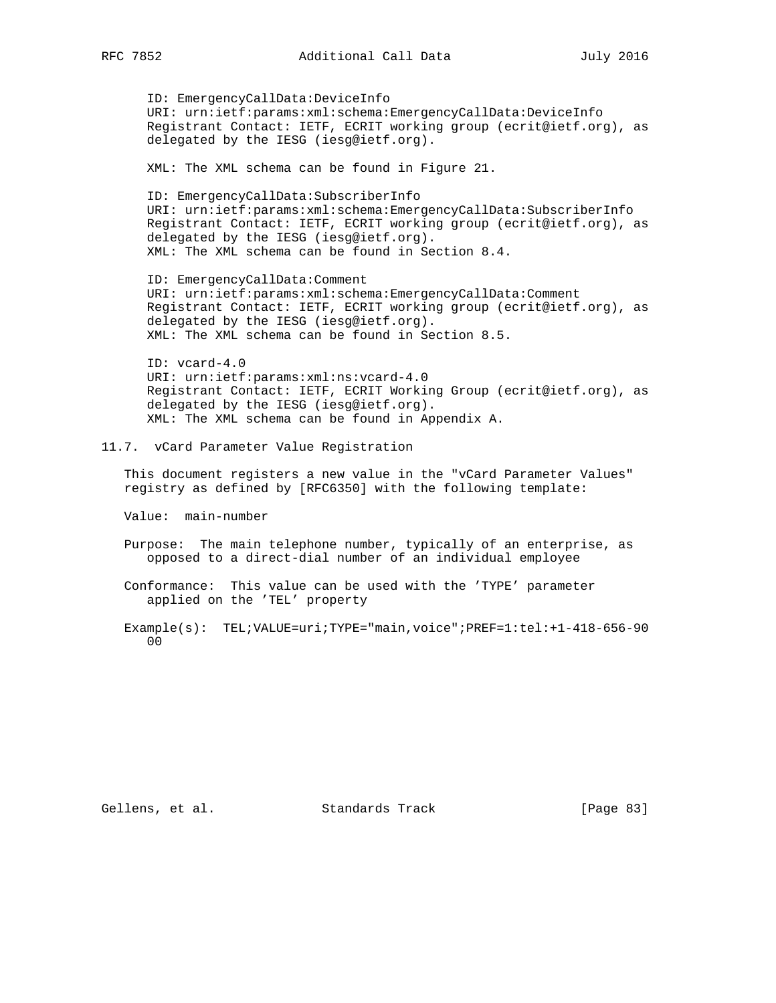ID: EmergencyCallData:DeviceInfo URI: urn:ietf:params:xml:schema:EmergencyCallData:DeviceInfo Registrant Contact: IETF, ECRIT working group (ecrit@ietf.org), as delegated by the IESG (iesg@ietf.org).

XML: The XML schema can be found in Figure 21.

 ID: EmergencyCallData:SubscriberInfo URI: urn:ietf:params:xml:schema:EmergencyCallData:SubscriberInfo Registrant Contact: IETF, ECRIT working group (ecrit@ietf.org), as delegated by the IESG (iesg@ietf.org). XML: The XML schema can be found in Section 8.4.

 ID: EmergencyCallData:Comment URI: urn:ietf:params:xml:schema:EmergencyCallData:Comment Registrant Contact: IETF, ECRIT working group (ecrit@ietf.org), as delegated by the IESG (iesg@ietf.org). XML: The XML schema can be found in Section 8.5.

 ID: vcard-4.0 URI: urn:ietf:params:xml:ns:vcard-4.0 Registrant Contact: IETF, ECRIT Working Group (ecrit@ietf.org), as delegated by the IESG (iesg@ietf.org). XML: The XML schema can be found in Appendix A.

11.7. vCard Parameter Value Registration

 This document registers a new value in the "vCard Parameter Values" registry as defined by [RFC6350] with the following template:

Value: main-number

 Purpose: The main telephone number, typically of an enterprise, as opposed to a direct-dial number of an individual employee

 Conformance: This value can be used with the 'TYPE' parameter applied on the 'TEL' property

 Example(s): TEL;VALUE=uri;TYPE="main,voice";PREF=1:tel:+1-418-656-90 00

Gellens, et al. Standards Track [Page 83]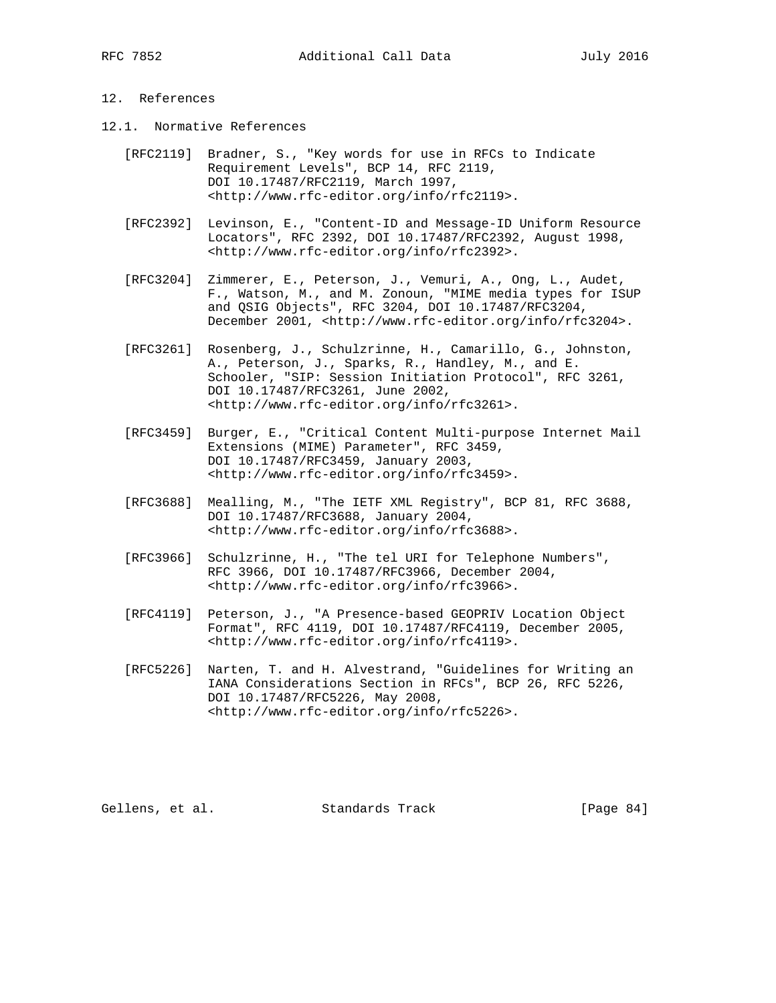## 12. References

- 12.1. Normative References
	- [RFC2119] Bradner, S., "Key words for use in RFCs to Indicate Requirement Levels", BCP 14, RFC 2119, DOI 10.17487/RFC2119, March 1997, <http://www.rfc-editor.org/info/rfc2119>.
	- [RFC2392] Levinson, E., "Content-ID and Message-ID Uniform Resource Locators", RFC 2392, DOI 10.17487/RFC2392, August 1998, <http://www.rfc-editor.org/info/rfc2392>.
	- [RFC3204] Zimmerer, E., Peterson, J., Vemuri, A., Ong, L., Audet, F., Watson, M., and M. Zonoun, "MIME media types for ISUP and QSIG Objects", RFC 3204, DOI 10.17487/RFC3204, December 2001, <http://www.rfc-editor.org/info/rfc3204>.
	- [RFC3261] Rosenberg, J., Schulzrinne, H., Camarillo, G., Johnston, A., Peterson, J., Sparks, R., Handley, M., and E. Schooler, "SIP: Session Initiation Protocol", RFC 3261, DOI 10.17487/RFC3261, June 2002, <http://www.rfc-editor.org/info/rfc3261>.
	- [RFC3459] Burger, E., "Critical Content Multi-purpose Internet Mail Extensions (MIME) Parameter", RFC 3459, DOI 10.17487/RFC3459, January 2003, <http://www.rfc-editor.org/info/rfc3459>.
	- [RFC3688] Mealling, M., "The IETF XML Registry", BCP 81, RFC 3688, DOI 10.17487/RFC3688, January 2004, <http://www.rfc-editor.org/info/rfc3688>.
	- [RFC3966] Schulzrinne, H., "The tel URI for Telephone Numbers", RFC 3966, DOI 10.17487/RFC3966, December 2004, <http://www.rfc-editor.org/info/rfc3966>.
	- [RFC4119] Peterson, J., "A Presence-based GEOPRIV Location Object Format", RFC 4119, DOI 10.17487/RFC4119, December 2005, <http://www.rfc-editor.org/info/rfc4119>.
	- [RFC5226] Narten, T. and H. Alvestrand, "Guidelines for Writing an IANA Considerations Section in RFCs", BCP 26, RFC 5226, DOI 10.17487/RFC5226, May 2008, <http://www.rfc-editor.org/info/rfc5226>.

Gellens, et al. Standards Track [Page 84]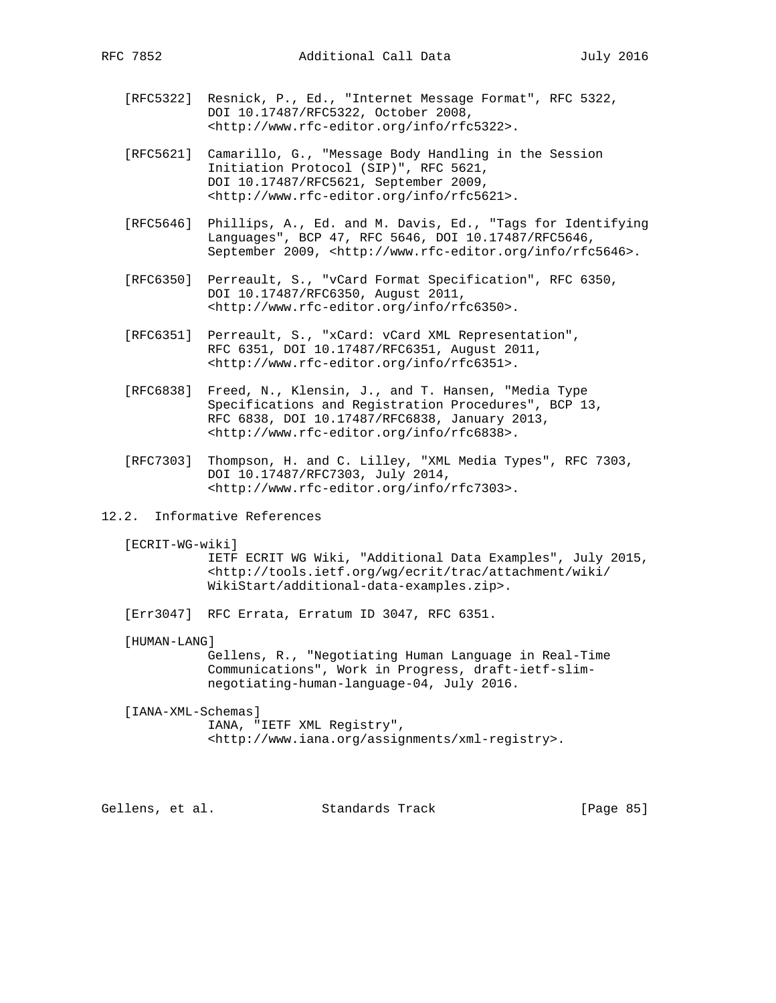- [RFC5322] Resnick, P., Ed., "Internet Message Format", RFC 5322, DOI 10.17487/RFC5322, October 2008, <http://www.rfc-editor.org/info/rfc5322>.
- [RFC5621] Camarillo, G., "Message Body Handling in the Session Initiation Protocol (SIP)", RFC 5621, DOI 10.17487/RFC5621, September 2009, <http://www.rfc-editor.org/info/rfc5621>.
- [RFC5646] Phillips, A., Ed. and M. Davis, Ed., "Tags for Identifying Languages", BCP 47, RFC 5646, DOI 10.17487/RFC5646, September 2009, <http://www.rfc-editor.org/info/rfc5646>.
- [RFC6350] Perreault, S., "vCard Format Specification", RFC 6350, DOI 10.17487/RFC6350, August 2011, <http://www.rfc-editor.org/info/rfc6350>.
- [RFC6351] Perreault, S., "xCard: vCard XML Representation", RFC 6351, DOI 10.17487/RFC6351, August 2011, <http://www.rfc-editor.org/info/rfc6351>.
- [RFC6838] Freed, N., Klensin, J., and T. Hansen, "Media Type Specifications and Registration Procedures", BCP 13, RFC 6838, DOI 10.17487/RFC6838, January 2013, <http://www.rfc-editor.org/info/rfc6838>.
- [RFC7303] Thompson, H. and C. Lilley, "XML Media Types", RFC 7303, DOI 10.17487/RFC7303, July 2014, <http://www.rfc-editor.org/info/rfc7303>.
- 12.2. Informative References
	- [ECRIT-WG-wiki]

 IETF ECRIT WG Wiki, "Additional Data Examples", July 2015, <http://tools.ietf.org/wg/ecrit/trac/attachment/wiki/ WikiStart/additional-data-examples.zip>.

[Err3047] RFC Errata, Erratum ID 3047, RFC 6351.

[HUMAN-LANG]

 Gellens, R., "Negotiating Human Language in Real-Time Communications", Work in Progress, draft-ietf-slim negotiating-human-language-04, July 2016.

[IANA-XML-Schemas]

 IANA, "IETF XML Registry", <http://www.iana.org/assignments/xml-registry>.

Gellens, et al. Standards Track [Page 85]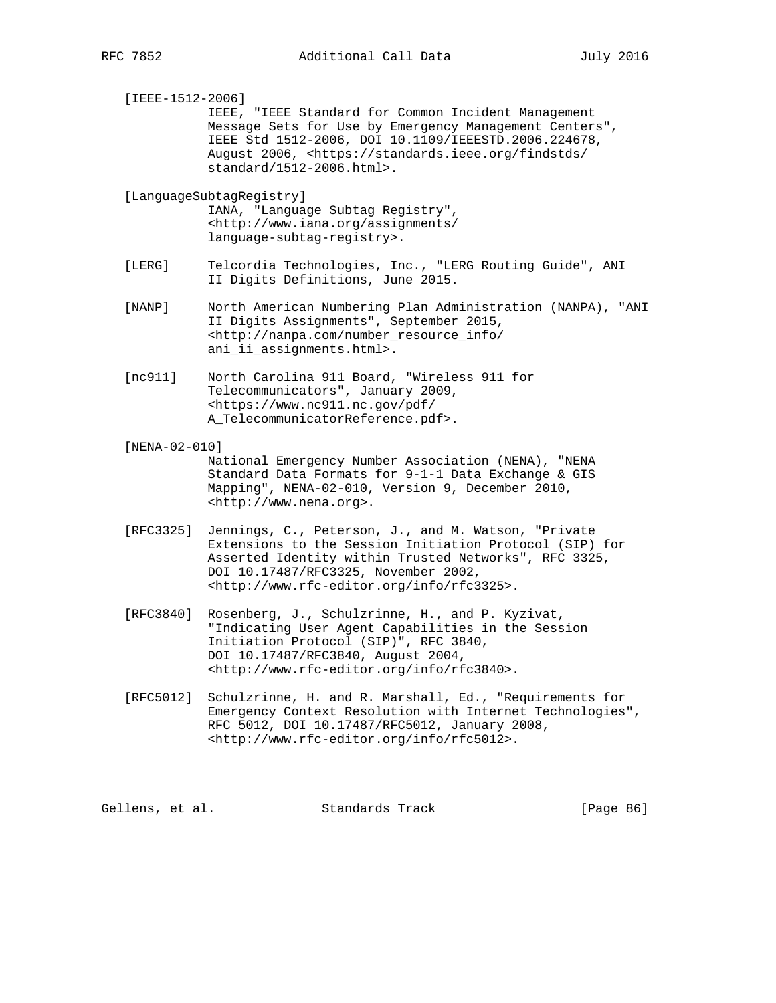[IEEE-1512-2006] IEEE, "IEEE Standard for Common Incident Management Message Sets for Use by Emergency Management Centers", IEEE Std 1512-2006, DOI 10.1109/IEEESTD.2006.224678, August 2006, <https://standards.ieee.org/findstds/ standard/1512-2006.html>.

 [LanguageSubtagRegistry] IANA, "Language Subtag Registry", <http://www.iana.org/assignments/ language-subtag-registry>.

- [LERG] Telcordia Technologies, Inc., "LERG Routing Guide", ANI II Digits Definitions, June 2015.
- [NANP] North American Numbering Plan Administration (NANPA), "ANI II Digits Assignments", September 2015, <http://nanpa.com/number\_resource\_info/ ani\_ii\_assignments.html>.
- [nc911] North Carolina 911 Board, "Wireless 911 for Telecommunicators", January 2009, <https://www.nc911.nc.gov/pdf/ A\_TelecommunicatorReference.pdf>.
- [NENA-02-010]

 National Emergency Number Association (NENA), "NENA Standard Data Formats for 9-1-1 Data Exchange & GIS Mapping", NENA-02-010, Version 9, December 2010, <http://www.nena.org>.

- [RFC3325] Jennings, C., Peterson, J., and M. Watson, "Private Extensions to the Session Initiation Protocol (SIP) for Asserted Identity within Trusted Networks", RFC 3325, DOI 10.17487/RFC3325, November 2002, <http://www.rfc-editor.org/info/rfc3325>.
- [RFC3840] Rosenberg, J., Schulzrinne, H., and P. Kyzivat, "Indicating User Agent Capabilities in the Session Initiation Protocol (SIP)", RFC 3840, DOI 10.17487/RFC3840, August 2004, <http://www.rfc-editor.org/info/rfc3840>.
- [RFC5012] Schulzrinne, H. and R. Marshall, Ed., "Requirements for Emergency Context Resolution with Internet Technologies", RFC 5012, DOI 10.17487/RFC5012, January 2008, <http://www.rfc-editor.org/info/rfc5012>.

Gellens, et al. Standards Track [Page 86]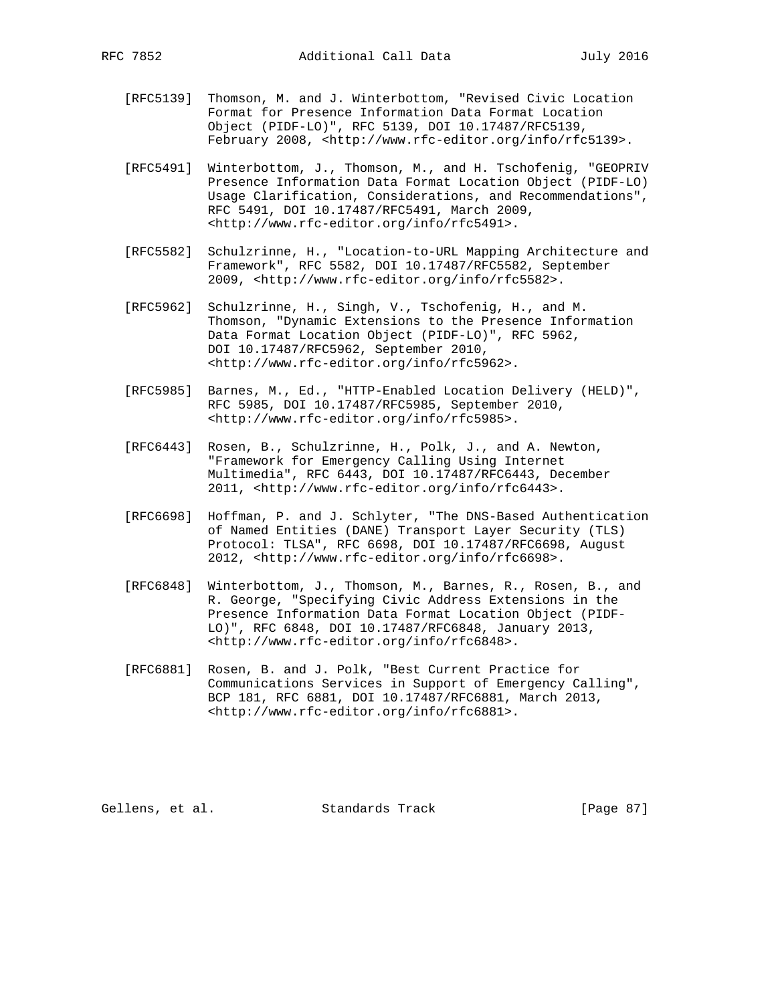- [RFC5139] Thomson, M. and J. Winterbottom, "Revised Civic Location Format for Presence Information Data Format Location Object (PIDF-LO)", RFC 5139, DOI 10.17487/RFC5139, February 2008, <http://www.rfc-editor.org/info/rfc5139>.
- [RFC5491] Winterbottom, J., Thomson, M., and H. Tschofenig, "GEOPRIV Presence Information Data Format Location Object (PIDF-LO) Usage Clarification, Considerations, and Recommendations", RFC 5491, DOI 10.17487/RFC5491, March 2009, <http://www.rfc-editor.org/info/rfc5491>.
- [RFC5582] Schulzrinne, H., "Location-to-URL Mapping Architecture and Framework", RFC 5582, DOI 10.17487/RFC5582, September 2009, <http://www.rfc-editor.org/info/rfc5582>.
- [RFC5962] Schulzrinne, H., Singh, V., Tschofenig, H., and M. Thomson, "Dynamic Extensions to the Presence Information Data Format Location Object (PIDF-LO)", RFC 5962, DOI 10.17487/RFC5962, September 2010, <http://www.rfc-editor.org/info/rfc5962>.
- [RFC5985] Barnes, M., Ed., "HTTP-Enabled Location Delivery (HELD)", RFC 5985, DOI 10.17487/RFC5985, September 2010, <http://www.rfc-editor.org/info/rfc5985>.
- [RFC6443] Rosen, B., Schulzrinne, H., Polk, J., and A. Newton, "Framework for Emergency Calling Using Internet Multimedia", RFC 6443, DOI 10.17487/RFC6443, December 2011, <http://www.rfc-editor.org/info/rfc6443>.
- [RFC6698] Hoffman, P. and J. Schlyter, "The DNS-Based Authentication of Named Entities (DANE) Transport Layer Security (TLS) Protocol: TLSA", RFC 6698, DOI 10.17487/RFC6698, August 2012, <http://www.rfc-editor.org/info/rfc6698>.
- [RFC6848] Winterbottom, J., Thomson, M., Barnes, R., Rosen, B., and R. George, "Specifying Civic Address Extensions in the Presence Information Data Format Location Object (PIDF- LO)", RFC 6848, DOI 10.17487/RFC6848, January 2013, <http://www.rfc-editor.org/info/rfc6848>.
- [RFC6881] Rosen, B. and J. Polk, "Best Current Practice for Communications Services in Support of Emergency Calling", BCP 181, RFC 6881, DOI 10.17487/RFC6881, March 2013, <http://www.rfc-editor.org/info/rfc6881>.

Gellens, et al. Standards Track [Page 87]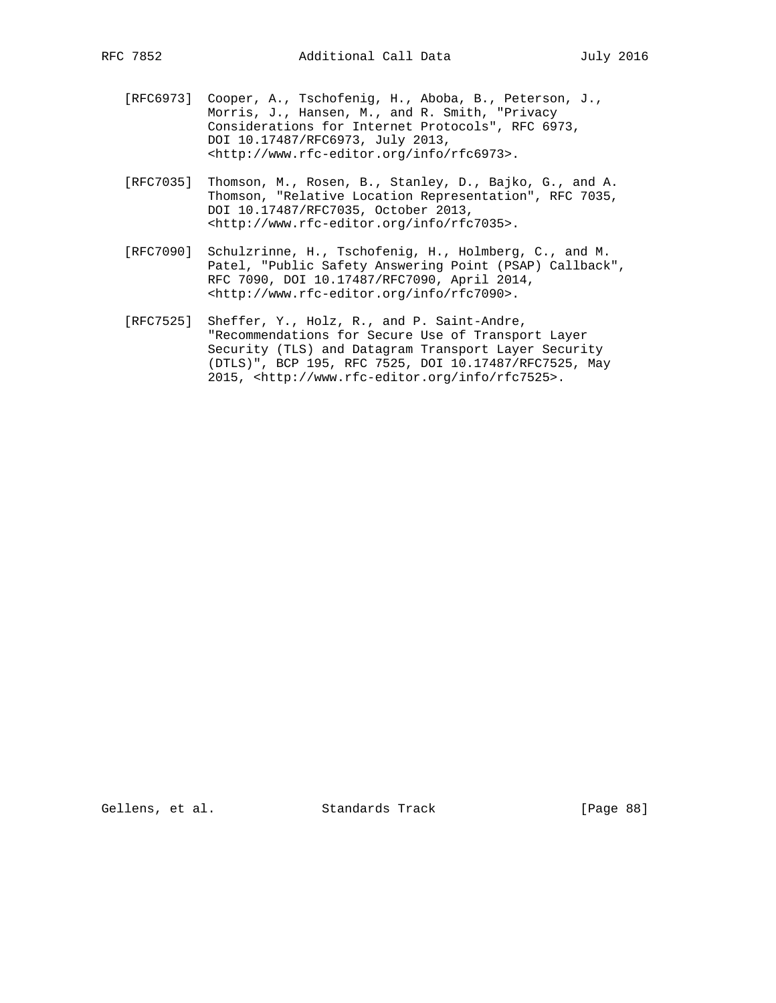- [RFC6973] Cooper, A., Tschofenig, H., Aboba, B., Peterson, J., Morris, J., Hansen, M., and R. Smith, "Privacy Considerations for Internet Protocols", RFC 6973, DOI 10.17487/RFC6973, July 2013, <http://www.rfc-editor.org/info/rfc6973>.
- [RFC7035] Thomson, M., Rosen, B., Stanley, D., Bajko, G., and A. Thomson, "Relative Location Representation", RFC 7035, DOI 10.17487/RFC7035, October 2013, <http://www.rfc-editor.org/info/rfc7035>.
- [RFC7090] Schulzrinne, H., Tschofenig, H., Holmberg, C., and M. Patel, "Public Safety Answering Point (PSAP) Callback", RFC 7090, DOI 10.17487/RFC7090, April 2014, <http://www.rfc-editor.org/info/rfc7090>.
- [RFC7525] Sheffer, Y., Holz, R., and P. Saint-Andre, "Recommendations for Secure Use of Transport Layer Security (TLS) and Datagram Transport Layer Security (DTLS)", BCP 195, RFC 7525, DOI 10.17487/RFC7525, May 2015, <http://www.rfc-editor.org/info/rfc7525>.

Gellens, et al. Standards Track [Page 88]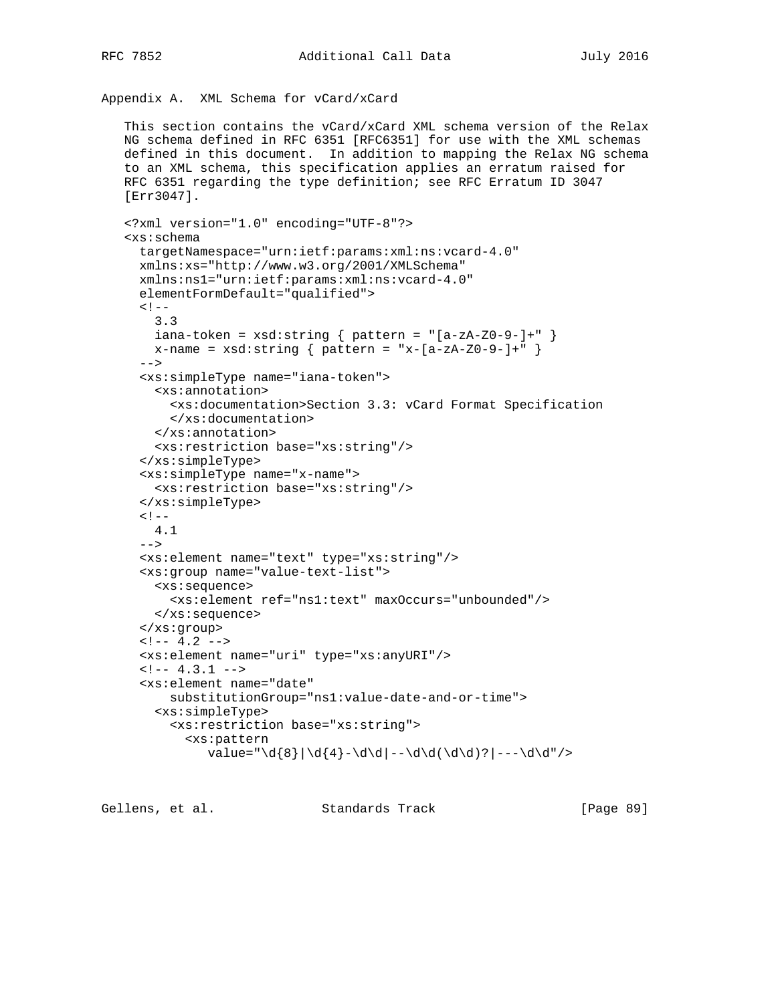```
 This section contains the vCard/xCard XML schema version of the Relax
 NG schema defined in RFC 6351 [RFC6351] for use with the XML schemas
 defined in this document. In addition to mapping the Relax NG schema
 to an XML schema, this specification applies an erratum raised for
 RFC 6351 regarding the type definition; see RFC Erratum ID 3047
 [Err3047].
 <?xml version="1.0" encoding="UTF-8"?>
 <xs:schema
   targetNamespace="urn:ietf:params:xml:ns:vcard-4.0"
   xmlns:xs="http://www.w3.org/2001/XMLSchema"
   xmlns:ns1="urn:ietf:params:xml:ns:vcard-4.0"
   elementFormDefault="qualified">
  <! - 3.3
    iana-token = xsd:string \{ pattern = "[a-zA-Z0-9-]+" \}x-name = xsd:string \{ pattern = "x-[a-zA-Z0-9-]+" \} -->
   <xs:simpleType name="iana-token">
     <xs:annotation>
       <xs:documentation>Section 3.3: vCard Format Specification
       </xs:documentation>
     </xs:annotation>
     <xs:restriction base="xs:string"/>
   </xs:simpleType>
   <xs:simpleType name="x-name">
     <xs:restriction base="xs:string"/>
   </xs:simpleType>
  <!- 4.1
  --&> <xs:element name="text" type="xs:string"/>
   <xs:group name="value-text-list">
     <xs:sequence>
       <xs:element ref="ns1:text" maxOccurs="unbounded"/>
     </xs:sequence>
   </xs:group>
  \leftarrow! -- 4.2 -->
   <xs:element name="uri" type="xs:anyURI"/>
  \leftarrow !-- 4.3.1 -->
   <xs:element name="date"
       substitutionGroup="ns1:value-date-and-or-time">
     <xs:simpleType>
       <xs:restriction base="xs:string">
         <xs:pattern
           value="\d{8}|\d{4}-\d\d|--\d\d(\d\d)?|---\d\d"/>
```
Gellens, et al. Standards Track [Paqe 89]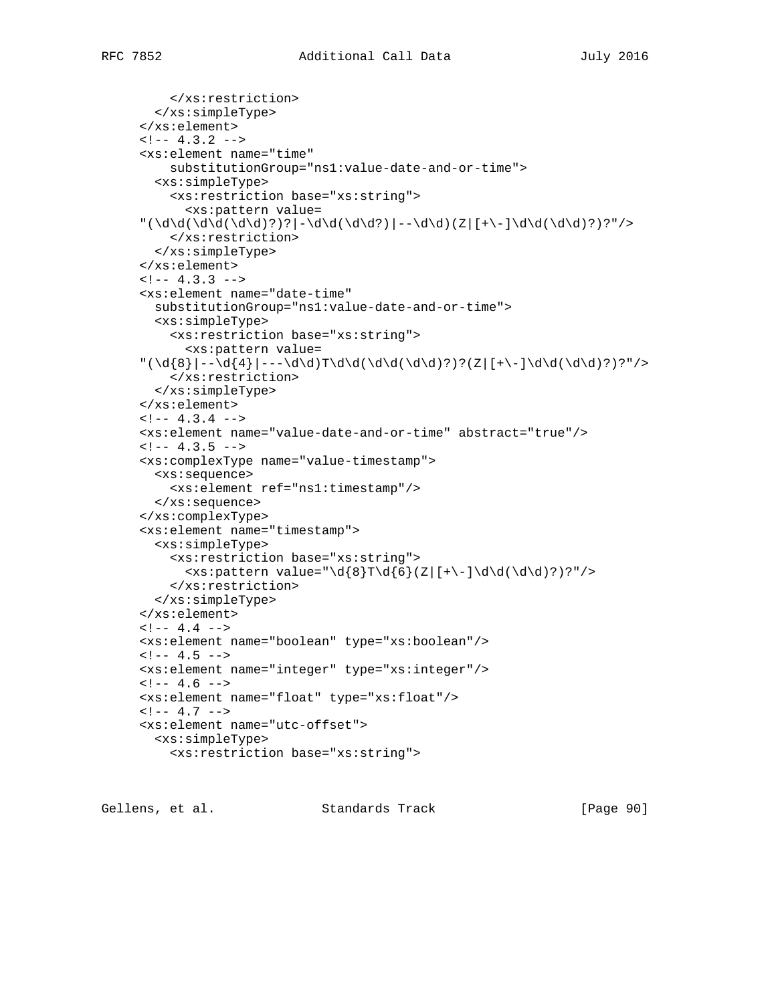```
 </xs:restriction>
   </xs:simpleType>
 </xs:element>
\leftarrow ! -- 4.3.2 -->
 <xs:element name="time"
     substitutionGroup="ns1:value-date-and-or-time">
   <xs:simpleType>
     <xs:restriction base="xs:string">
       <xs:pattern value=
 "(\d\d(\d\d(\d\d)?)?|-\d\d(\d\d?)|--\d\d)(Z|[+\-]\d\d(\d\d)?)?"/>
     </xs:restriction>
   </xs:simpleType>
 </xs:element>
\leftarrow! -- 4.3.3 -->
 <xs:element name="date-time"
   substitutionGroup="ns1:value-date-and-or-time">
   <xs:simpleType>
     <xs:restriction base="xs:string">
       <xs:pattern value=
 "(\d{8}|--\d{4}|---\d\d)T\d\d(\d\d(\d\d)?)?(Z|[+\-]\d\d(\d\d)?)?"/>
     </xs:restriction>
   </xs:simpleType>
 </xs:element>
\leftarrow! -- 4.3.4 -->
 <xs:element name="value-date-and-or-time" abstract="true"/>
\leftarrow! -- 4.3.5 -->
 <xs:complexType name="value-timestamp">
   <xs:sequence>
     <xs:element ref="ns1:timestamp"/>
   </xs:sequence>
 </xs:complexType>
 <xs:element name="timestamp">
   <xs:simpleType>
     <xs:restriction base="xs:string">
      \langle x \rangle <xs:pattern value="\d{8}T\d{6}(Z|[+\-]\d\d(\d\d)?)?"/>
     </xs:restriction>
   </xs:simpleType>
 </xs:element>
\leftarrow !-- 4.4 -->
 <xs:element name="boolean" type="xs:boolean"/>
\leftarrow : -- 4.5 -->
 <xs:element name="integer" type="xs:integer"/>
\leftarrow : -- 4.6 -->
 <xs:element name="float" type="xs:float"/>
\leftarrow! -- 4.7 -->
 <xs:element name="utc-offset">
   <xs:simpleType>
     <xs:restriction base="xs:string">
```
Gellens, et al. Standards Track [Paqe 90]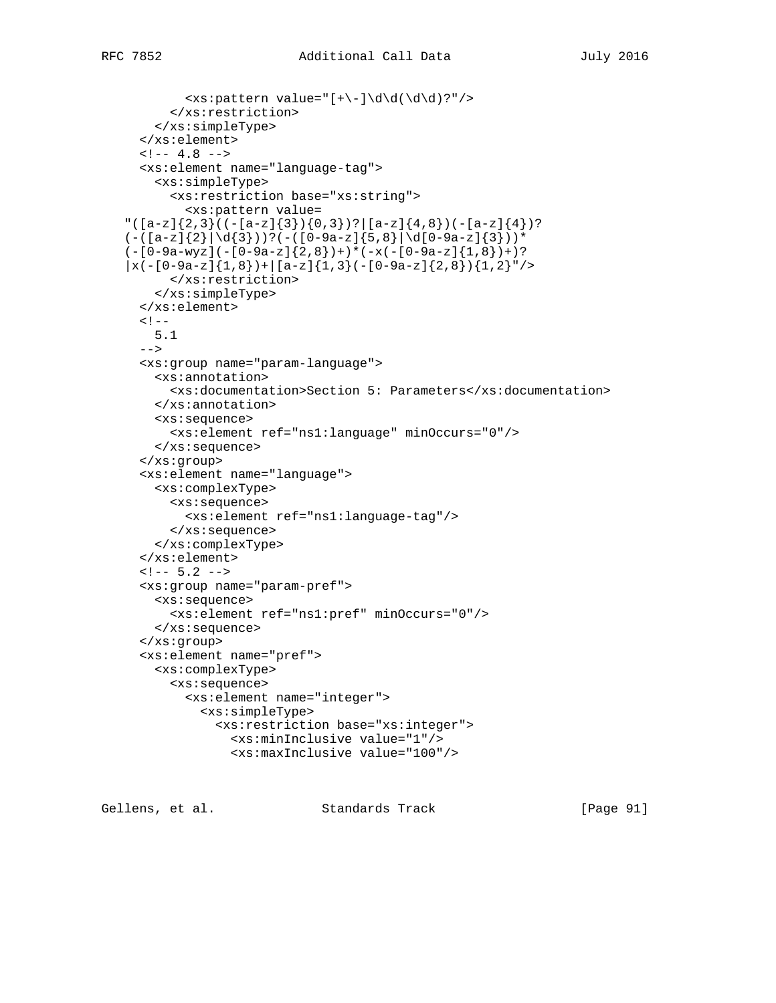```
\langle xs : pattern value = "[+(-]\d\ddot{\ddot{\ddot{\alpha}}})?"/>
      </xs:restriction>
   </xs:simpleType>
 </xs:element>
\leftarrow ! -- 4.8 -->
 <xs:element name="language-tag">
```

```
 <xs:simpleType>
       <xs:restriction base="xs:string">
         <xs:pattern value=
"([a-z]\{2,3\}((-[a-z]\{3\})\{0,3\})?|[a-z]\{4,8\})(-[a-z]\{4\})?
(-([a-z]{2}\|\d{3})) ?(-([0-9a-z]{5,8}\|\d{0-9a-z}{3})) *
(-[0-9a-wyz](-[0-9a-z]\{2,8\})+\times(-x(-[0-9a-z]\{1,8\})+)?
|x(-[0-9a-z]\{1,8\})+|[a-z]\{1,3\}(-[0-9a-z]\{2,8\})\{1,2\}"/ </xs:restriction>
     </xs:simpleType>
   </xs:element>
  < ! -- 5.1
  --&> <xs:group name="param-language">
     <xs:annotation>
       <xs:documentation>Section 5: Parameters</xs:documentation>
     </xs:annotation>
     <xs:sequence>
       <xs:element ref="ns1:language" minOccurs="0"/>
     </xs:sequence>
   </xs:group>
   <xs:element name="language">
     <xs:complexType>
       <xs:sequence>
         <xs:element ref="ns1:language-tag"/>
       </xs:sequence>
     </xs:complexType>
   </xs:element>
  <!-- 5.2 -- <xs:group name="param-pref">
     <xs:sequence>
       <xs:element ref="ns1:pref" minOccurs="0"/>
     </xs:sequence>
   </xs:group>
   <xs:element name="pref">
     <xs:complexType>
       <xs:sequence>
         <xs:element name="integer">
           <xs:simpleType>
             <xs:restriction base="xs:integer">
                <xs:minInclusive value="1"/>
                <xs:maxInclusive value="100"/>
```
Gellens, et al. Standards Track [Paqe 91]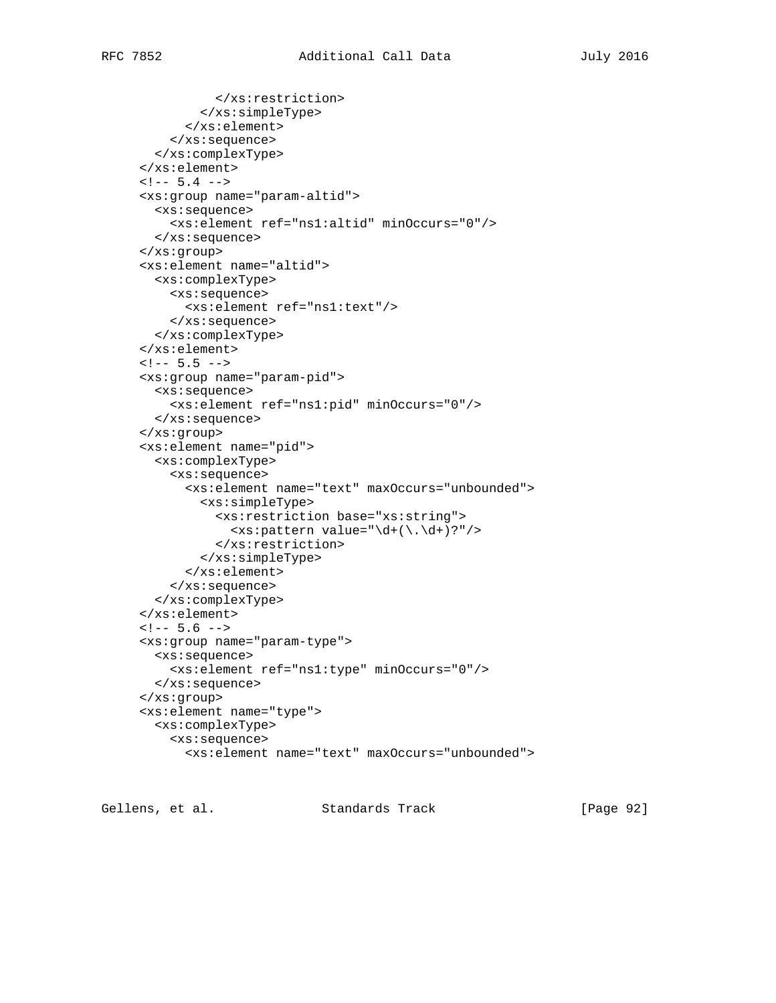```
 </xs:restriction>
         </xs:simpleType>
       </xs:element>
     </xs:sequence>
   </xs:complexType>
 </xs:element>
\leftarrow! -- 5.4 -->
 <xs:group name="param-altid">
   <xs:sequence>
     <xs:element ref="ns1:altid" minOccurs="0"/>
   </xs:sequence>
 </xs:group>
 <xs:element name="altid">
   <xs:complexType>
     <xs:sequence>
       <xs:element ref="ns1:text"/>
     </xs:sequence>
   </xs:complexType>
 </xs:element>
<!--5.5 --- <xs:group name="param-pid">
   <xs:sequence>
     <xs:element ref="ns1:pid" minOccurs="0"/>
   </xs:sequence>
 </xs:group>
 <xs:element name="pid">
   <xs:complexType>
     <xs:sequence>
       <xs:element name="text" maxOccurs="unbounded">
         <xs:simpleType>
           <xs:restriction base="xs:string">
             \langle xs:pattern value=\n\ddot{\cdot}(\cdot,\ddot{\cdot})?"/>
            </xs:restriction>
         </xs:simpleType>
       </xs:element>
     </xs:sequence>
   </xs:complexType>
 </xs:element>
\leftarrow! -- 5.6 -->
 <xs:group name="param-type">
   <xs:sequence>
     <xs:element ref="ns1:type" minOccurs="0"/>
   </xs:sequence>
 </xs:group>
 <xs:element name="type">
   <xs:complexType>
     <xs:sequence>
       <xs:element name="text" maxOccurs="unbounded">
```
Gellens, et al. Standards Track [Page 92]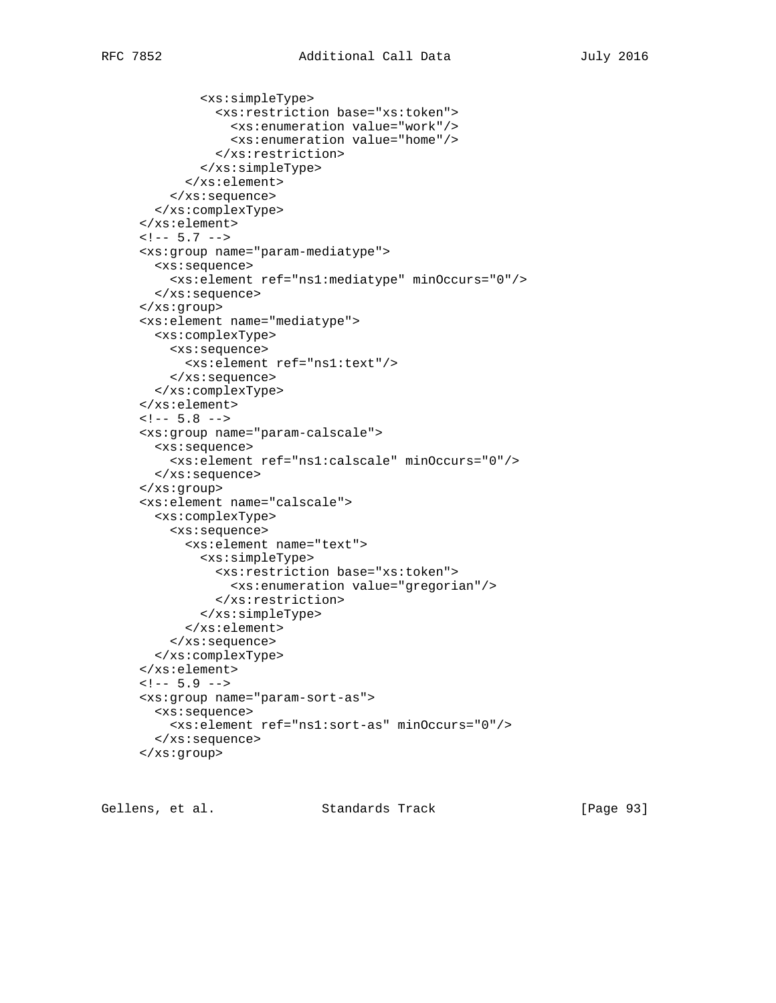<xs:simpleType>

```
 <xs:restriction base="xs:token">
              <xs:enumeration value="work"/>
              <xs:enumeration value="home"/>
           </xs:restriction>
         </xs:simpleType>
       </xs:element>
     </xs:sequence>
   </xs:complexType>
 </xs:element>
\leftarrow! -- 5.7 -->
 <xs:group name="param-mediatype">
   <xs:sequence>
     <xs:element ref="ns1:mediatype" minOccurs="0"/>
   </xs:sequence>
 </xs:group>
 <xs:element name="mediatype">
   <xs:complexType>
    <xs:sequence>
       <xs:element ref="ns1:text"/>
     </xs:sequence>
   </xs:complexType>
 </xs:element>
\leftarrow! -- 5.8 -->
 <xs:group name="param-calscale">
   <xs:sequence>
     <xs:element ref="ns1:calscale" minOccurs="0"/>
   </xs:sequence>
 </xs:group>
 <xs:element name="calscale">
   <xs:complexType>
     <xs:sequence>
       <xs:element name="text">
         <xs:simpleType>
           <xs:restriction base="xs:token">
             <xs:enumeration value="gregorian"/>
           </xs:restriction>
         </xs:simpleType>
       </xs:element>
     </xs:sequence>
   </xs:complexType>
 </xs:element>
\leftarrow! -- 5.9 -->
 <xs:group name="param-sort-as">
   <xs:sequence>
     <xs:element ref="ns1:sort-as" minOccurs="0"/>
   </xs:sequence>
 </xs:group>
```
Gellens, et al. Standards Track [Page 93]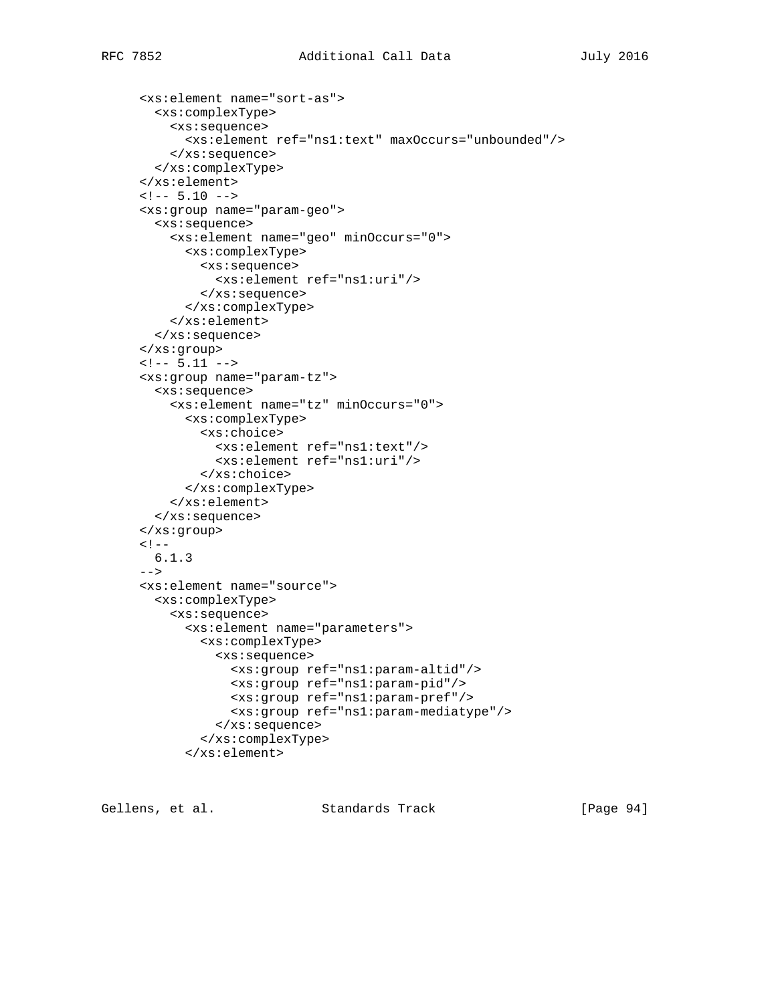```
 <xs:element name="sort-as">
  <xs:complexType>
     <xs:sequence>
       <xs:element ref="ns1:text" maxOccurs="unbounded"/>
     </xs:sequence>
   </xs:complexType>
 </xs:element>
\leftarrow :-- 5.10 -->
 <xs:group name="param-geo">
   <xs:sequence>
     <xs:element name="geo" minOccurs="0">
       <xs:complexType>
         <xs:sequence>
           <xs:element ref="ns1:uri"/>
         </xs:sequence>
       </xs:complexType>
     </xs:element>
   </xs:sequence>
 </xs:group>
\leftarrow! -- 5.11 -->
 <xs:group name="param-tz">
   <xs:sequence>
     <xs:element name="tz" minOccurs="0">
       <xs:complexType>
         <xs:choice>
           <xs:element ref="ns1:text"/>
           <xs:element ref="ns1:uri"/>
         </xs:choice>
       </xs:complexType>
     </xs:element>
   </xs:sequence>
 </xs:group>
\lt ! --- 6.1.3
 -->
 <xs:element name="source">
   <xs:complexType>
     <xs:sequence>
       <xs:element name="parameters">
         <xs:complexType>
           <xs:sequence>
             <xs:group ref="ns1:param-altid"/>
             <xs:group ref="ns1:param-pid"/>
              <xs:group ref="ns1:param-pref"/>
              <xs:group ref="ns1:param-mediatype"/>
           </xs:sequence>
         </xs:complexType>
       </xs:element>
```
Gellens, et al. Standards Track [Page 94]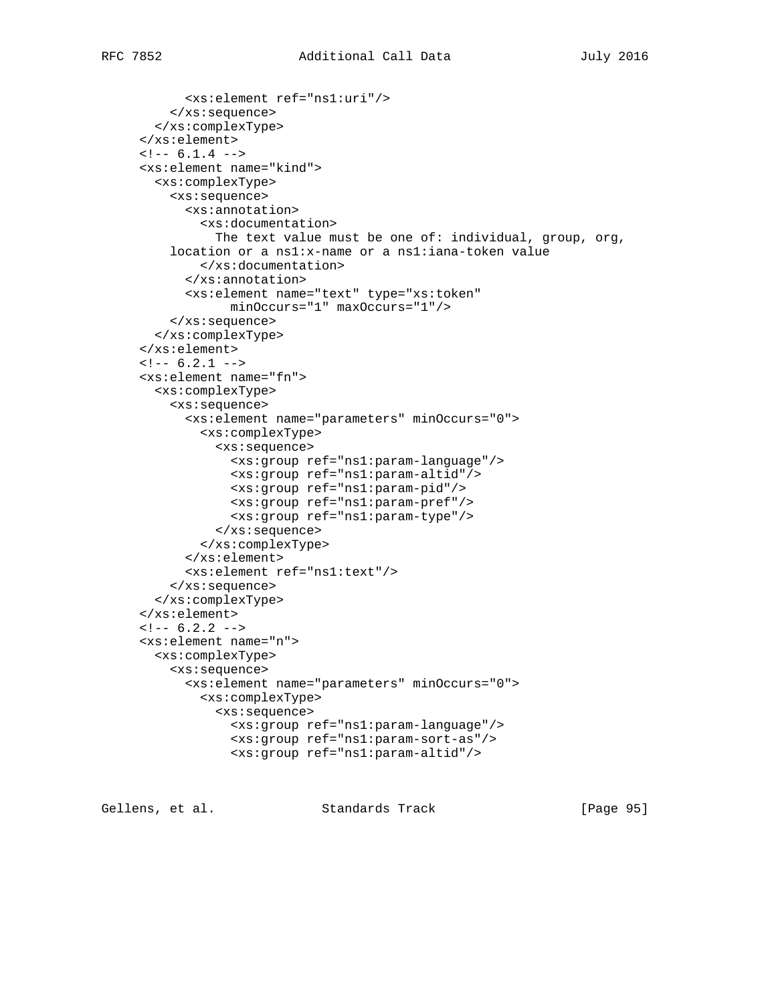```
 <xs:element ref="ns1:uri"/>
     </xs:sequence>
   </xs:complexType>
 </xs:element>
\leftarrow! -- 6.1.4 -->
 <xs:element name="kind">
   <xs:complexType>
     <xs:sequence>
       <xs:annotation>
         <xs:documentation>
          The text value must be one of: individual, group, org,
     location or a ns1:x-name or a ns1:iana-token value
         </xs:documentation>
       </xs:annotation>
       <xs:element name="text" type="xs:token"
             minOccurs="1" maxOccurs="1"/>
     </xs:sequence>
   </xs:complexType>
 </xs:element>
\leftarrow : -- 6.2.1 -->
 <xs:element name="fn">
   <xs:complexType>
     <xs:sequence>
       <xs:element name="parameters" minOccurs="0">
         <xs:complexType>
           <xs:sequence>
             <xs:group ref="ns1:param-language"/>
             <xs:group ref="ns1:param-altid"/>
             <xs:group ref="ns1:param-pid"/>
             <xs:group ref="ns1:param-pref"/>
             <xs:group ref="ns1:param-type"/>
           </xs:sequence>
         </xs:complexType>
       </xs:element>
       <xs:element ref="ns1:text"/>
     </xs:sequence>
   </xs:complexType>
 </xs:element>
\leftarrow : -- 6.2.2 -->
 <xs:element name="n">
   <xs:complexType>
     <xs:sequence>
       <xs:element name="parameters" minOccurs="0">
         <xs:complexType>
           <xs:sequence>
             <xs:group ref="ns1:param-language"/>
             <xs:group ref="ns1:param-sort-as"/>
             <xs:group ref="ns1:param-altid"/>
```

```
Gellens, et al.                   Standards Track                   [Page 95]
```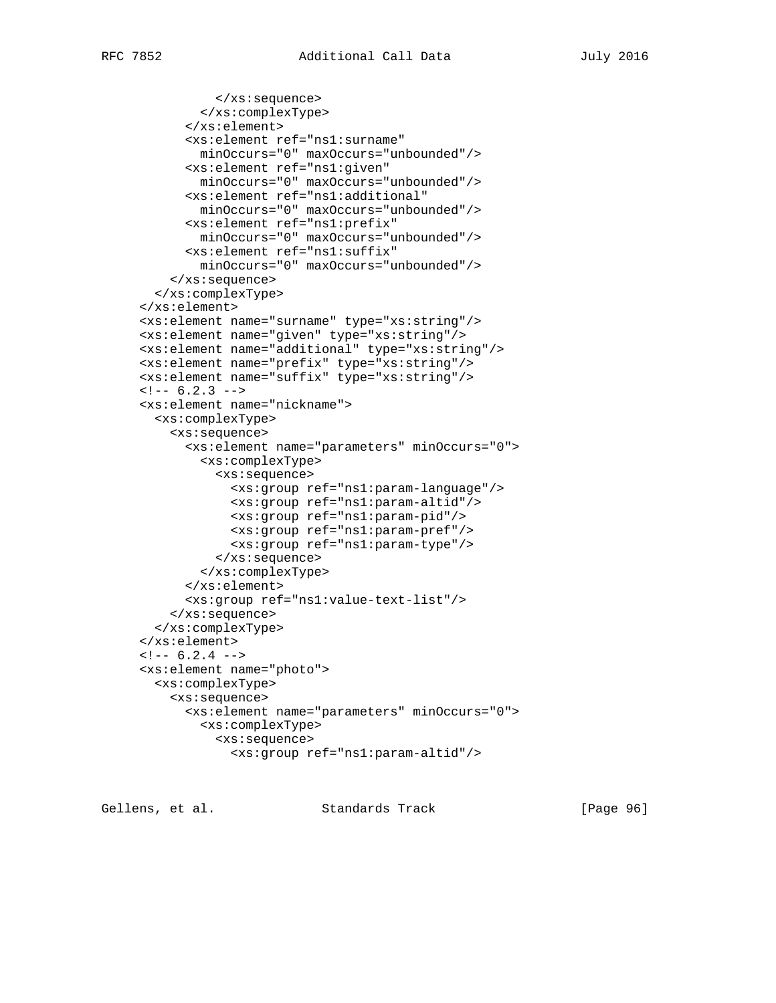```
 </xs:sequence>
         </xs:complexType>
       </xs:element>
       <xs:element ref="ns1:surname"
         minOccurs="0" maxOccurs="unbounded"/>
       <xs:element ref="ns1:given"
         minOccurs="0" maxOccurs="unbounded"/>
       <xs:element ref="ns1:additional"
         minOccurs="0" maxOccurs="unbounded"/>
       <xs:element ref="ns1:prefix"
         minOccurs="0" maxOccurs="unbounded"/>
       <xs:element ref="ns1:suffix"
         minOccurs="0" maxOccurs="unbounded"/>
     </xs:sequence>
   </xs:complexType>
 </xs:element>
 <xs:element name="surname" type="xs:string"/>
 <xs:element name="given" type="xs:string"/>
 <xs:element name="additional" type="xs:string"/>
 <xs:element name="prefix" type="xs:string"/>
 <xs:element name="suffix" type="xs:string"/>
\leftarrow! -- 6.2.3 -->
 <xs:element name="nickname">
   <xs:complexType>
     <xs:sequence>
       <xs:element name="parameters" minOccurs="0">
         <xs:complexType>
           <xs:sequence>
             <xs:group ref="ns1:param-language"/>
             <xs:group ref="ns1:param-altid"/>
             <xs:group ref="ns1:param-pid"/>
             <xs:group ref="ns1:param-pref"/>
             <xs:group ref="ns1:param-type"/>
           </xs:sequence>
         </xs:complexType>
       </xs:element>
       <xs:group ref="ns1:value-text-list"/>
     </xs:sequence>
   </xs:complexType>
 </xs:element>
\leftarrow! -- 6.2.4 -->
 <xs:element name="photo">
   <xs:complexType>
     <xs:sequence>
       <xs:element name="parameters" minOccurs="0">
         <xs:complexType>
           <xs:sequence>
             <xs:group ref="ns1:param-altid"/>
```
Gellens, et al. Standards Track [Paqe 96]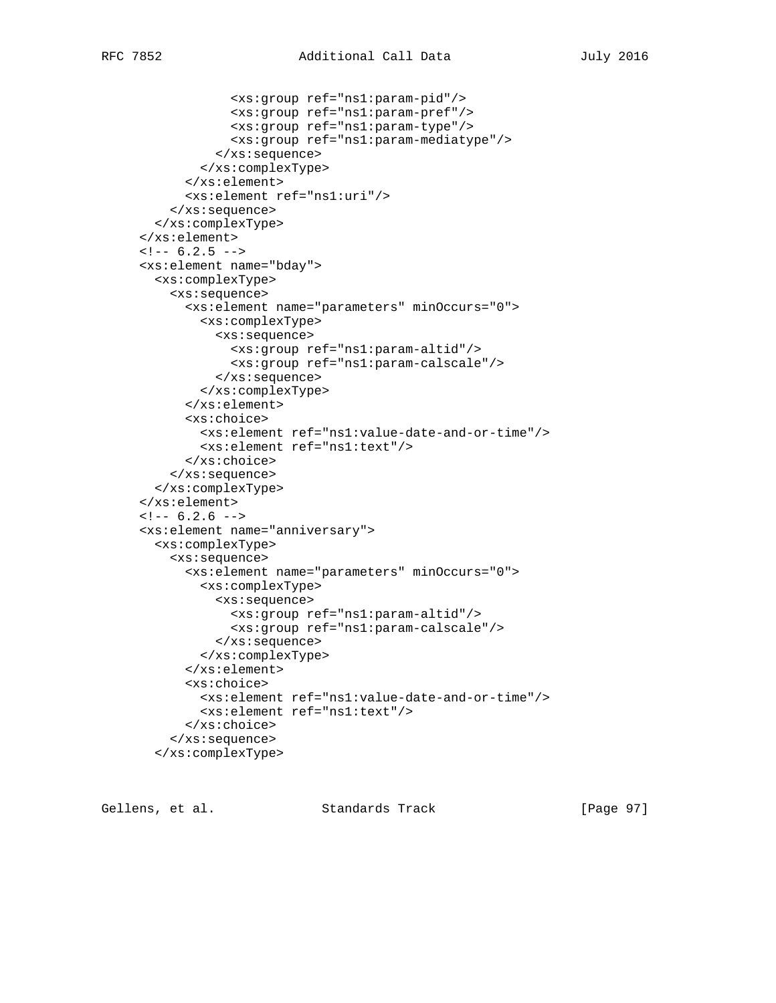```
 <xs:group ref="ns1:param-pid"/>
             <xs:group ref="ns1:param-pref"/>
             <xs:group ref="ns1:param-type"/>
             <xs:group ref="ns1:param-mediatype"/>
           </xs:sequence>
         </xs:complexType>
       </xs:element>
       <xs:element ref="ns1:uri"/>
     </xs:sequence>
   </xs:complexType>
 </xs:element>
\leftarrow! -- 6.2.5 -->
 <xs:element name="bday">
   <xs:complexType>
     <xs:sequence>
       <xs:element name="parameters" minOccurs="0">
         <xs:complexType>
           <xs:sequence>
             <xs:group ref="ns1:param-altid"/>
             <xs:group ref="ns1:param-calscale"/>
           </xs:sequence>
         </xs:complexType>
       </xs:element>
       <xs:choice>
         <xs:element ref="ns1:value-date-and-or-time"/>
         <xs:element ref="ns1:text"/>
       </xs:choice>
     </xs:sequence>
   </xs:complexType>
 </xs:element>
\leftarrow! -- 6.2.6 -->
 <xs:element name="anniversary">
   <xs:complexType>
     <xs:sequence>
       <xs:element name="parameters" minOccurs="0">
         <xs:complexType>
           <xs:sequence>
             <xs:group ref="ns1:param-altid"/>
             <xs:group ref="ns1:param-calscale"/>
           </xs:sequence>
         </xs:complexType>
       </xs:element>
       <xs:choice>
         <xs:element ref="ns1:value-date-and-or-time"/>
         <xs:element ref="ns1:text"/>
       </xs:choice>
     </xs:sequence>
   </xs:complexType>
```
Gellens, et al. Standards Track [Page 97]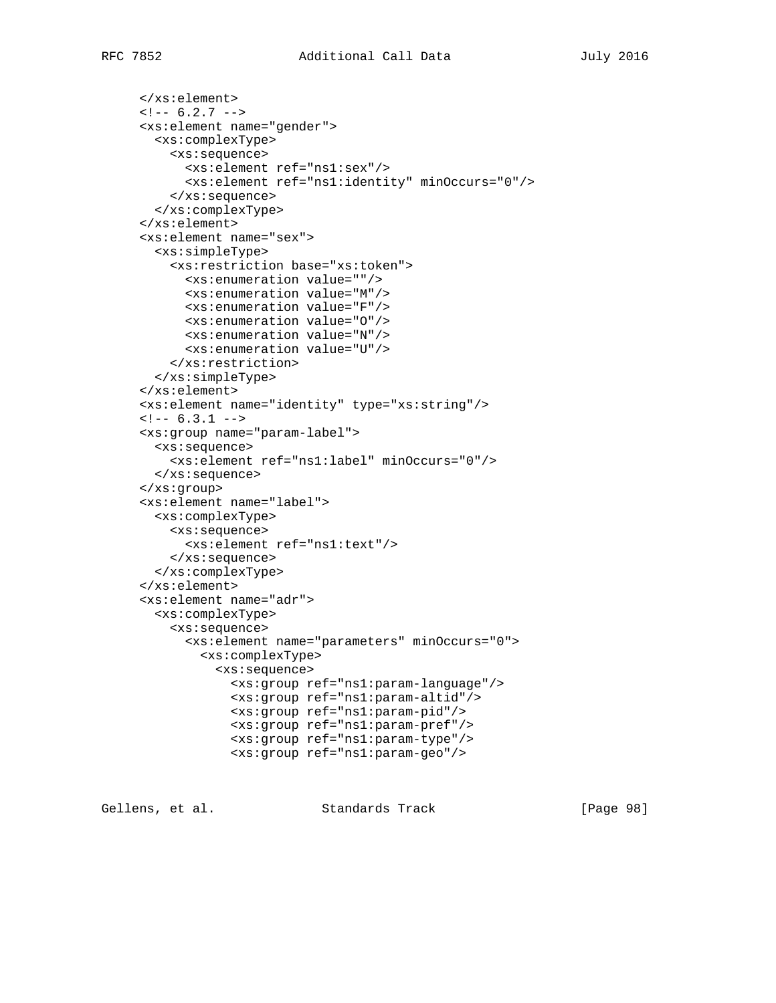```
 </xs:element>
\leftarrow! -- 6.2.7 -->
 <xs:element name="gender">
   <xs:complexType>
     <xs:sequence>
       <xs:element ref="ns1:sex"/>
       <xs:element ref="ns1:identity" minOccurs="0"/>
     </xs:sequence>
   </xs:complexType>
 </xs:element>
 <xs:element name="sex">
   <xs:simpleType>
     <xs:restriction base="xs:token">
       <xs:enumeration value=""/>
       <xs:enumeration value="M"/>
       <xs:enumeration value="F"/>
       <xs:enumeration value="O"/>
       <xs:enumeration value="N"/>
       <xs:enumeration value="U"/>
     </xs:restriction>
   </xs:simpleType>
 </xs:element>
 <xs:element name="identity" type="xs:string"/>
\leftarrow :-- 6.3.1 -->
 <xs:group name="param-label">
   <xs:sequence>
     <xs:element ref="ns1:label" minOccurs="0"/>
   </xs:sequence>
 </xs:group>
 <xs:element name="label">
  <xs:complexType>
     <xs:sequence>
       <xs:element ref="ns1:text"/>
     </xs:sequence>
   </xs:complexType>
 </xs:element>
 <xs:element name="adr">
   <xs:complexType>
     <xs:sequence>
       <xs:element name="parameters" minOccurs="0">
         <xs:complexType>
           <xs:sequence>
             <xs:group ref="ns1:param-language"/>
             <xs:group ref="ns1:param-altid"/>
             <xs:group ref="ns1:param-pid"/>
             <xs:group ref="ns1:param-pref"/>
             <xs:group ref="ns1:param-type"/>
             <xs:group ref="ns1:param-geo"/>
```
Gellens, et al. Standards Track [Paqe 98]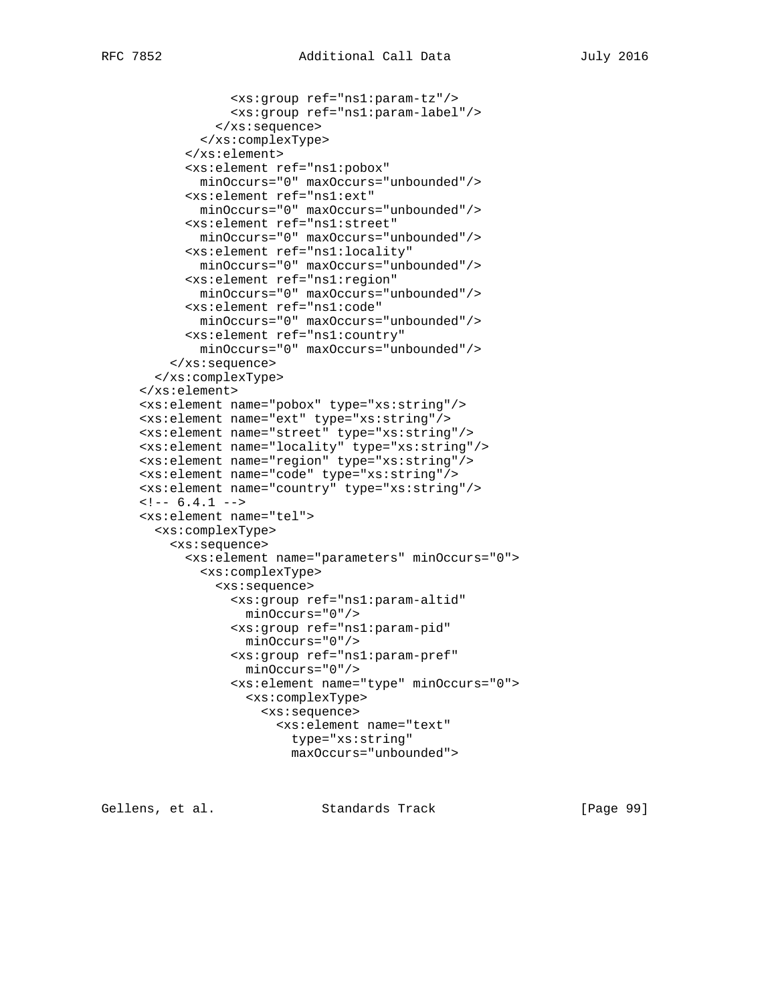```
 <xs:group ref="ns1:param-tz"/>
             <xs:group ref="ns1:param-label"/>
           </xs:sequence>
         </xs:complexType>
       </xs:element>
       <xs:element ref="ns1:pobox"
         minOccurs="0" maxOccurs="unbounded"/>
       <xs:element ref="ns1:ext"
         minOccurs="0" maxOccurs="unbounded"/>
       <xs:element ref="ns1:street"
         minOccurs="0" maxOccurs="unbounded"/>
       <xs:element ref="ns1:locality"
         minOccurs="0" maxOccurs="unbounded"/>
       <xs:element ref="ns1:region"
         minOccurs="0" maxOccurs="unbounded"/>
       <xs:element ref="ns1:code"
         minOccurs="0" maxOccurs="unbounded"/>
       <xs:element ref="ns1:country"
        minOccurs="0" maxOccurs="unbounded"/>
     </xs:sequence>
   </xs:complexType>
 </xs:element>
 <xs:element name="pobox" type="xs:string"/>
 <xs:element name="ext" type="xs:string"/>
 <xs:element name="street" type="xs:string"/>
 <xs:element name="locality" type="xs:string"/>
 <xs:element name="region" type="xs:string"/>
 <xs:element name="code" type="xs:string"/>
 <xs:element name="country" type="xs:string"/>
\leftarrow : -- 6.4.1 -->
 <xs:element name="tel">
   <xs:complexType>
     <xs:sequence>
       <xs:element name="parameters" minOccurs="0">
         <xs:complexType>
           <xs:sequence>
             <xs:group ref="ns1:param-altid"
               minOccurs="0"/>
             <xs:group ref="ns1:param-pid"
               minOccurs="0"/>
             <xs:group ref="ns1:param-pref"
               minOccurs="0"/>
             <xs:element name="type" minOccurs="0">
               <xs:complexType>
                 <xs:sequence>
                    <xs:element name="text"
                     type="xs:string"
```
Gellens, et al. Standards Track [Paqe 99]

maxOccurs="unbounded">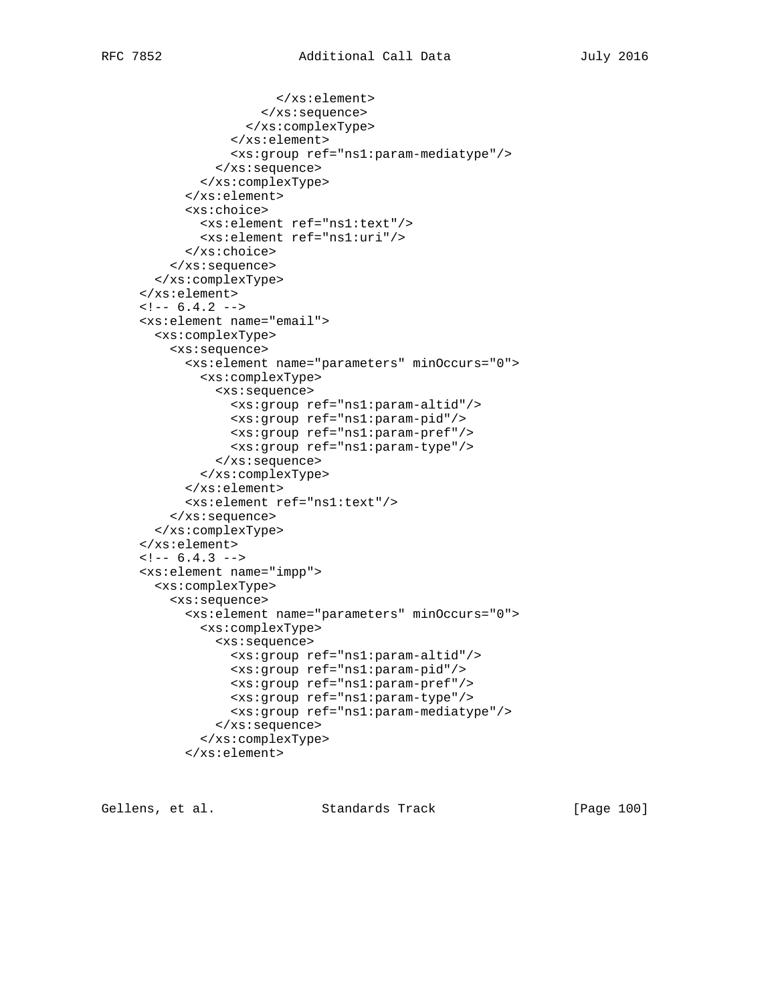```
 </xs:element>
                  </xs:sequence>
                </xs:complexType>
              </xs:element>
             <xs:group ref="ns1:param-mediatype"/>
           </xs:sequence>
         </xs:complexType>
       </xs:element>
       <xs:choice>
         <xs:element ref="ns1:text"/>
         <xs:element ref="ns1:uri"/>
       </xs:choice>
     </xs:sequence>
   </xs:complexType>
 </xs:element>
\leftarrow : -- 6.4.2 -->
 <xs:element name="email">
   <xs:complexType>
     <xs:sequence>
       <xs:element name="parameters" minOccurs="0">
         <xs:complexType>
           <xs:sequence>
             <xs:group ref="ns1:param-altid"/>
             <xs:group ref="ns1:param-pid"/>
             <xs:group ref="ns1:param-pref"/>
             <xs:group ref="ns1:param-type"/>
           </xs:sequence>
         </xs:complexType>
       </xs:element>
       <xs:element ref="ns1:text"/>
     </xs:sequence>
   </xs:complexType>
 </xs:element>
\leftarrow! -- 6.4.3 -->
 <xs:element name="impp">
   <xs:complexType>
     <xs:sequence>
       <xs:element name="parameters" minOccurs="0">
         <xs:complexType>
           <xs:sequence>
             <xs:group ref="ns1:param-altid"/>
             <xs:group ref="ns1:param-pid"/>
             <xs:group ref="ns1:param-pref"/>
             <xs:group ref="ns1:param-type"/>
             <xs:group ref="ns1:param-mediatype"/>
           </xs:sequence>
         </xs:complexType>
       </xs:element>
```
Gellens, et al. Standards Track [Page 100]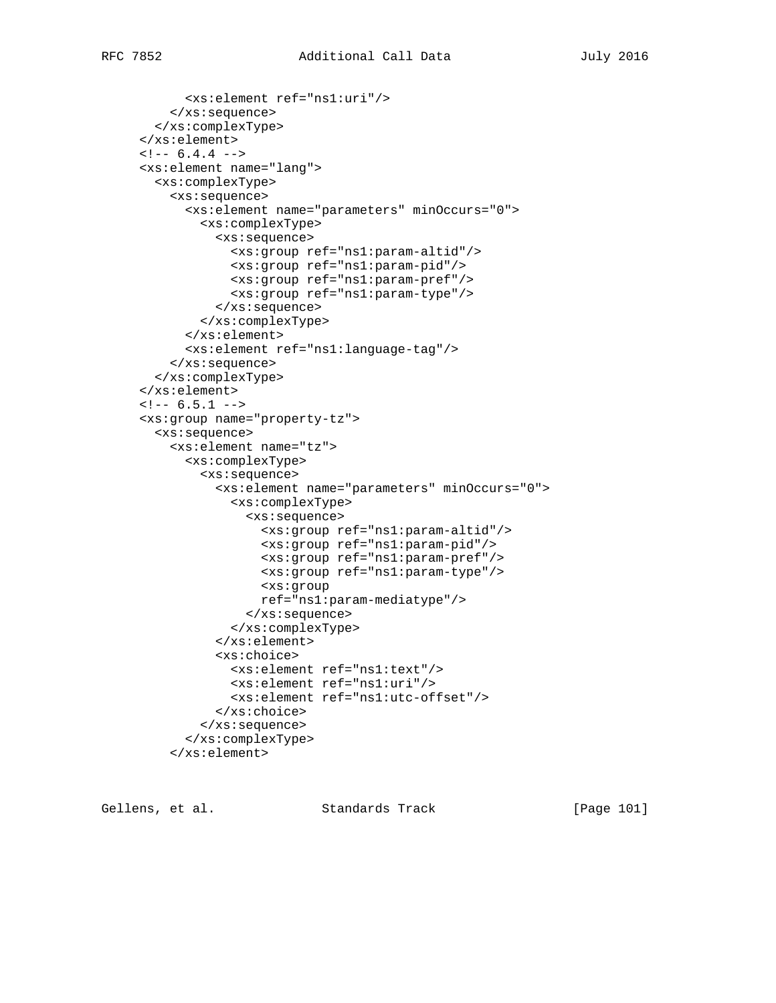```
 <xs:element ref="ns1:uri"/>
     </xs:sequence>
   </xs:complexType>
 </xs:element>
\leftarrow! -- 6.4.4 -->
 <xs:element name="lang">
   <xs:complexType>
     <xs:sequence>
       <xs:element name="parameters" minOccurs="0">
         <xs:complexType>
           <xs:sequence>
             <xs:group ref="ns1:param-altid"/>
             <xs:group ref="ns1:param-pid"/>
             <xs:group ref="ns1:param-pref"/>
             <xs:group ref="ns1:param-type"/>
           </xs:sequence>
         </xs:complexType>
       </xs:element>
       <xs:element ref="ns1:language-tag"/>
     </xs:sequence>
   </xs:complexType>
 </xs:element>
\leftarrow : -- 6.5.1 -->
 <xs:group name="property-tz">
   <xs:sequence>
     <xs:element name="tz">
       <xs:complexType>
         <xs:sequence>
           <xs:element name="parameters" minOccurs="0">
              <xs:complexType>
                <xs:sequence>
                  <xs:group ref="ns1:param-altid"/>
                  <xs:group ref="ns1:param-pid"/>
                  <xs:group ref="ns1:param-pref"/>
                  <xs:group ref="ns1:param-type"/>
                  <xs:group
                  ref="ns1:param-mediatype"/>
                </xs:sequence>
              </xs:complexType>
           </xs:element>
           <xs:choice>
             <xs:element ref="ns1:text"/>
             <xs:element ref="ns1:uri"/>
             <xs:element ref="ns1:utc-offset"/>
           </xs:choice>
         </xs:sequence>
       </xs:complexType>
     </xs:element>
```
Gellens, et al. Standards Track [Page 101]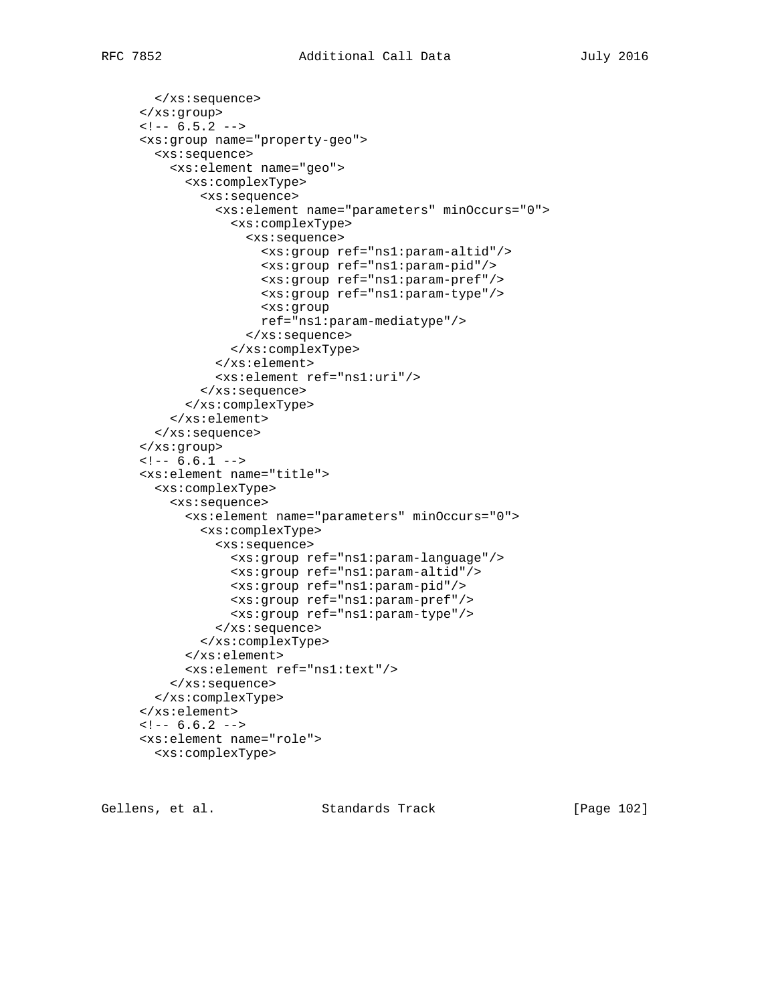```
 </xs:sequence>
 </xs:group>
\leftarrow : -- 6.5.2 -->
 <xs:group name="property-geo">
   <xs:sequence>
     <xs:element name="geo">
       <xs:complexType>
         <xs:sequence>
            <xs:element name="parameters" minOccurs="0">
              <xs:complexType>
                <xs:sequence>
                  <xs:group ref="ns1:param-altid"/>
                  <xs:group ref="ns1:param-pid"/>
                  <xs:group ref="ns1:param-pref"/>
                  <xs:group ref="ns1:param-type"/>
                  <xs:group
                  ref="ns1:param-mediatype"/>
                </xs:sequence>
              </xs:complexType>
            </xs:element>
            <xs:element ref="ns1:uri"/>
         </xs:sequence>
       </xs:complexType>
     </xs:element>
   </xs:sequence>
 </xs:group>
\leftarrow :-- 6.6.1 -->
 <xs:element name="title">
   <xs:complexType>
     <xs:sequence>
       <xs:element name="parameters" minOccurs="0">
         <xs:complexType>
            <xs:sequence>
             <xs:group ref="ns1:param-language"/>
              <xs:group ref="ns1:param-altid"/>
              <xs:group ref="ns1:param-pid"/>
              <xs:group ref="ns1:param-pref"/>
              <xs:group ref="ns1:param-type"/>
           </xs:sequence>
         </xs:complexType>
       </xs:element>
       <xs:element ref="ns1:text"/>
     </xs:sequence>
   </xs:complexType>
 </xs:element>
\leftarrow : -- 6.6.2 -->
 <xs:element name="role">
  <xs:complexType>
```
Gellens, et al. Standards Track [Page 102]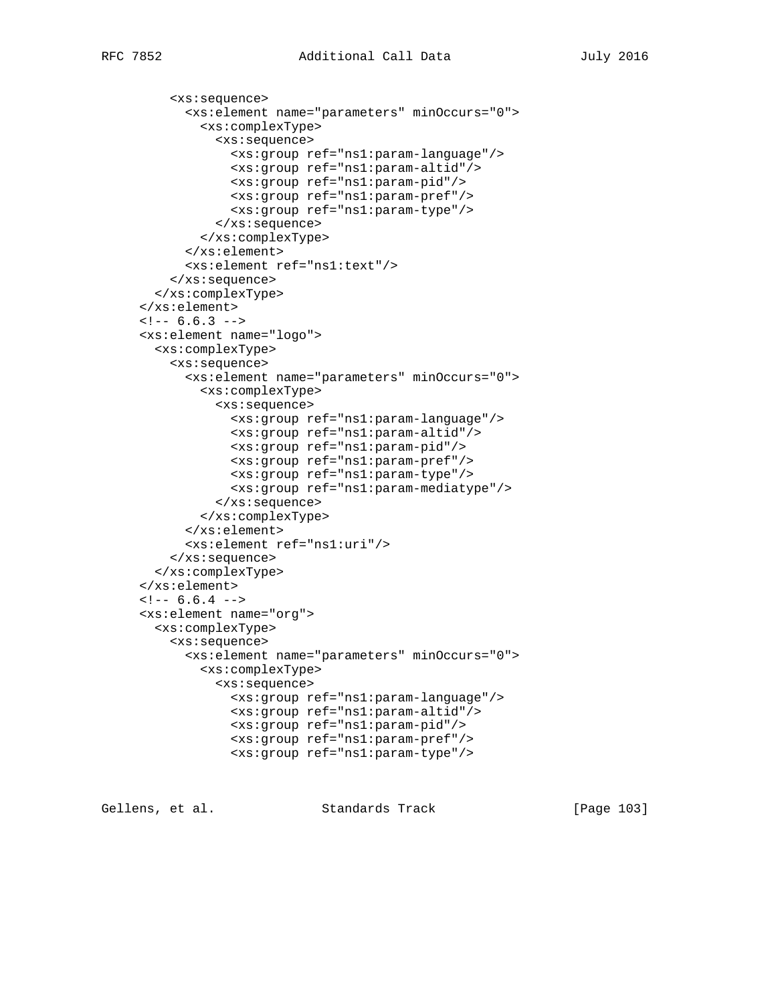```
 <xs:sequence>
       <xs:element name="parameters" minOccurs="0">
         <xs:complexType>
           <xs:sequence>
             <xs:group ref="ns1:param-language"/>
             <xs:group ref="ns1:param-altid"/>
             <xs:group ref="ns1:param-pid"/>
             <xs:group ref="ns1:param-pref"/>
             <xs:group ref="ns1:param-type"/>
           </xs:sequence>
         </xs:complexType>
       </xs:element>
       <xs:element ref="ns1:text"/>
     </xs:sequence>
   </xs:complexType>
 </xs:element>
\leftarrow! -- 6.6.3 -->
 <xs:element name="logo">
   <xs:complexType>
     <xs:sequence>
       <xs:element name="parameters" minOccurs="0">
         <xs:complexType>
           <xs:sequence>
             <xs:group ref="ns1:param-language"/>
             <xs:group ref="ns1:param-altid"/>
             <xs:group ref="ns1:param-pid"/>
             <xs:group ref="ns1:param-pref"/>
             <xs:group ref="ns1:param-type"/>
             <xs:group ref="ns1:param-mediatype"/>
           </xs:sequence>
         </xs:complexType>
       </xs:element>
       <xs:element ref="ns1:uri"/>
     </xs:sequence>
   </xs:complexType>
 </xs:element>
\leftarrow ! -- 6.6.4 -->
 <xs:element name="org">
   <xs:complexType>
     <xs:sequence>
       <xs:element name="parameters" minOccurs="0">
         <xs:complexType>
           <xs:sequence>
             <xs:group ref="ns1:param-language"/>
             <xs:group ref="ns1:param-altid"/>
             <xs:group ref="ns1:param-pid"/>
             <xs:group ref="ns1:param-pref"/>
             <xs:group ref="ns1:param-type"/>
```
Gellens, et al. Standards Track [Page 103]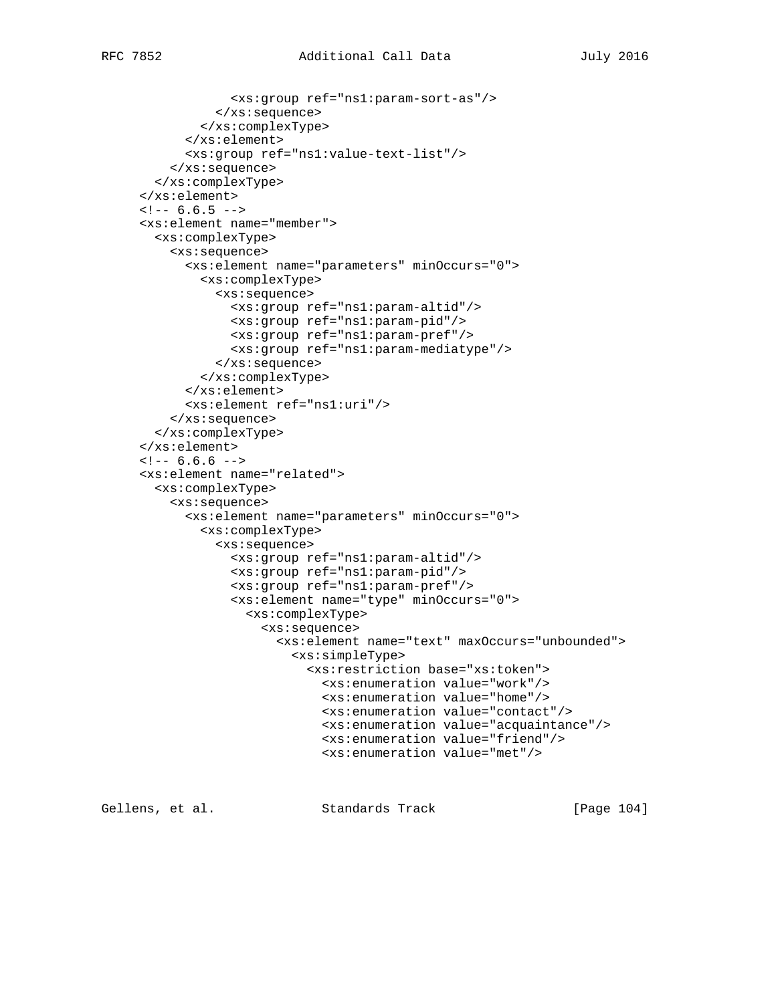```
 <xs:group ref="ns1:param-sort-as"/>
           </xs:sequence>
         </xs:complexType>
       </xs:element>
       <xs:group ref="ns1:value-text-list"/>
     </xs:sequence>
   </xs:complexType>
 </xs:element>
\leftarrow! -- 6.6.5 -->
 <xs:element name="member">
   <xs:complexType>
     <xs:sequence>
       <xs:element name="parameters" minOccurs="0">
         <xs:complexType>
           <xs:sequence>
             <xs:group ref="ns1:param-altid"/>
             <xs:group ref="ns1:param-pid"/>
             <xs:group ref="ns1:param-pref"/>
             <xs:group ref="ns1:param-mediatype"/>
           </xs:sequence>
         </xs:complexType>
       </xs:element>
       <xs:element ref="ns1:uri"/>
     </xs:sequence>
   </xs:complexType>
 </xs:element>
\leftarrow : -- 6.6.6 -->
 <xs:element name="related">
   <xs:complexType>
     <xs:sequence>
       <xs:element name="parameters" minOccurs="0">
         <xs:complexType>
           <xs:sequence>
             <xs:group ref="ns1:param-altid"/>
             <xs:group ref="ns1:param-pid"/>
             <xs:group ref="ns1:param-pref"/>
             <xs:element name="type" minOccurs="0">
                <xs:complexType>
                  <xs:sequence>
                    <xs:element name="text" maxOccurs="unbounded">
                      <xs:simpleType>
                        <xs:restriction base="xs:token">
                          <xs:enumeration value="work"/>
                          <xs:enumeration value="home"/>
                          <xs:enumeration value="contact"/>
                          <xs:enumeration value="acquaintance"/>
                          <xs:enumeration value="friend"/>
                          <xs:enumeration value="met"/>
```
Gellens, et al. Standards Track [Page 104]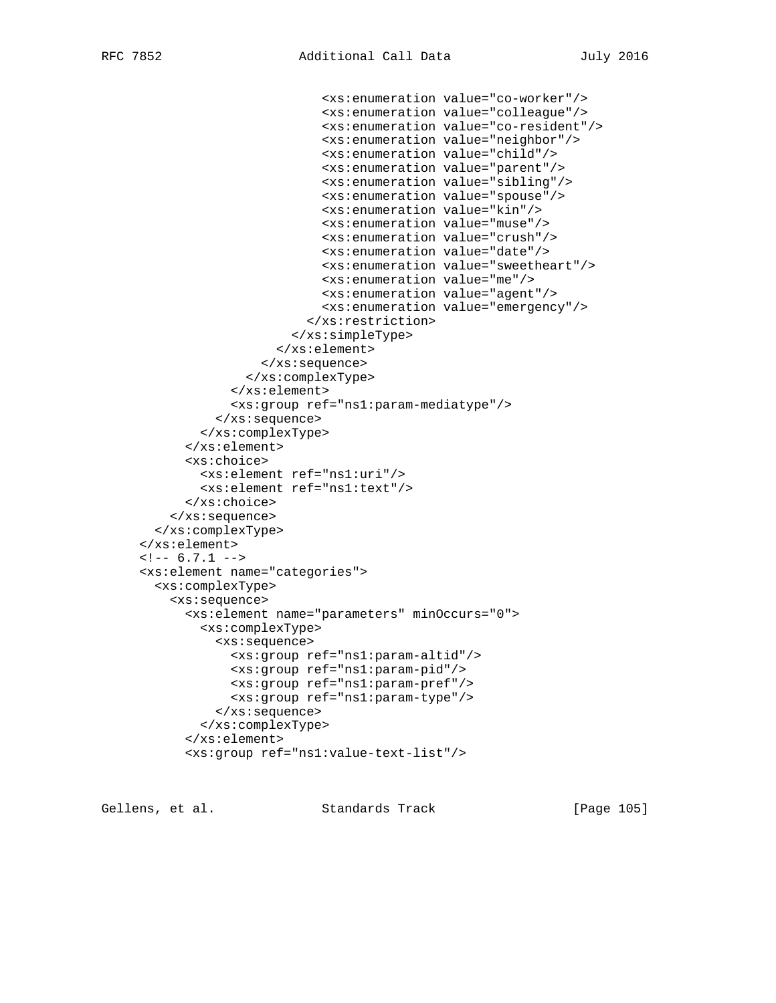```
 <xs:enumeration value="co-worker"/>
                          <xs:enumeration value="colleague"/>
                          <xs:enumeration value="co-resident"/>
                          <xs:enumeration value="neighbor"/>
                          <xs:enumeration value="child"/>
                          <xs:enumeration value="parent"/>
                          <xs:enumeration value="sibling"/>
                          <xs:enumeration value="spouse"/>
                          <xs:enumeration value="kin"/>
                          <xs:enumeration value="muse"/>
                          <xs:enumeration value="crush"/>
                          <xs:enumeration value="date"/>
                          <xs:enumeration value="sweetheart"/>
                          <xs:enumeration value="me"/>
                          <xs:enumeration value="agent"/>
                          <xs:enumeration value="emergency"/>
                        </xs:restriction>
                      </xs:simpleType>
                    </xs:element>
                  </xs:sequence>
               </xs:complexType>
             </xs:element>
             <xs:group ref="ns1:param-mediatype"/>
           </xs:sequence>
         </xs:complexType>
       </xs:element>
       <xs:choice>
         <xs:element ref="ns1:uri"/>
         <xs:element ref="ns1:text"/>
       </xs:choice>
     </xs:sequence>
   </xs:complexType>
 </xs:element>
\leftarrow : -- 6.7.1 -->
 <xs:element name="categories">
   <xs:complexType>
     <xs:sequence>
       <xs:element name="parameters" minOccurs="0">
         <xs:complexType>
           <xs:sequence>
             <xs:group ref="ns1:param-altid"/>
             <xs:group ref="ns1:param-pid"/>
             <xs:group ref="ns1:param-pref"/>
             <xs:group ref="ns1:param-type"/>
           </xs:sequence>
         </xs:complexType>
       </xs:element>
       <xs:group ref="ns1:value-text-list"/>
```
Gellens, et al. Standards Track [Page 105]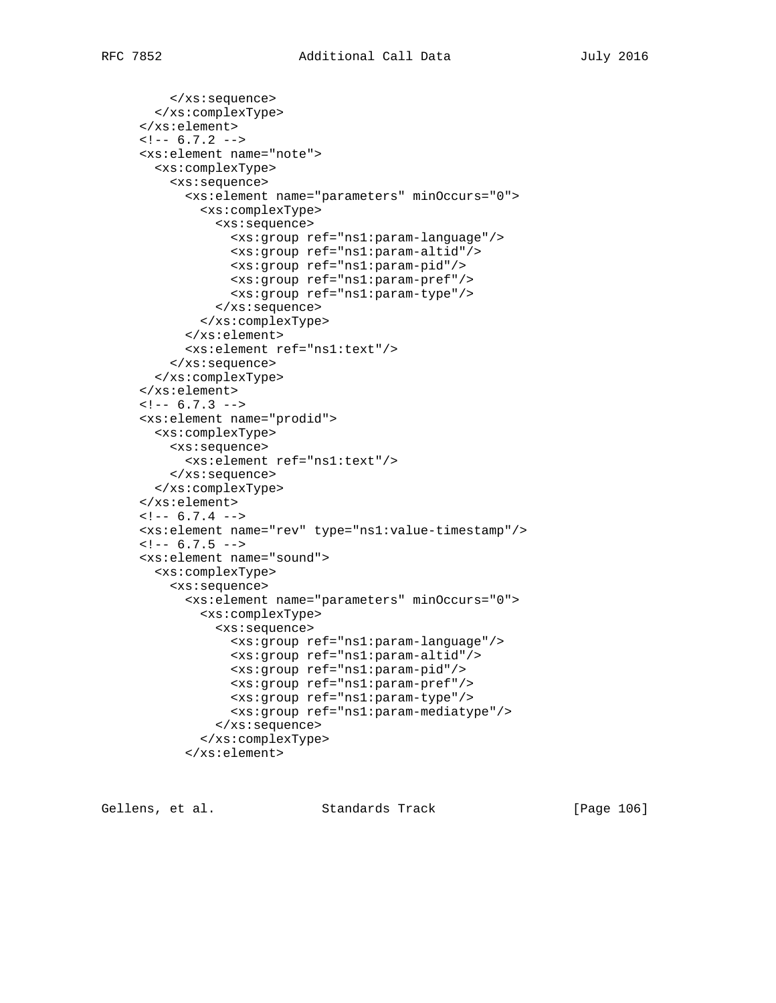```
 </xs:sequence>
   </xs:complexType>
 </xs:element>
\leftarrow : -- 6.7.2 -->
 <xs:element name="note">
   <xs:complexType>
     <xs:sequence>
       <xs:element name="parameters" minOccurs="0">
         <xs:complexType>
           <xs:sequence>
              <xs:group ref="ns1:param-language"/>
              <xs:group ref="ns1:param-altid"/>
              <xs:group ref="ns1:param-pid"/>
              <xs:group ref="ns1:param-pref"/>
              <xs:group ref="ns1:param-type"/>
           </xs:sequence>
         </xs:complexType>
       </xs:element>
       <xs:element ref="ns1:text"/>
     </xs:sequence>
   </xs:complexType>
 </xs:element>
\leftarrow! -- 6.7.3 -->
 <xs:element name="prodid">
   <xs:complexType>
     <xs:sequence>
       <xs:element ref="ns1:text"/>
     </xs:sequence>
   </xs:complexType>
 </xs:element>
\leftarrow! -- 6.7.4 -->
 <xs:element name="rev" type="ns1:value-timestamp"/>
\leftarrow! -- 6.7.5 -->
 <xs:element name="sound">
   <xs:complexType>
     <xs:sequence>
       <xs:element name="parameters" minOccurs="0">
         <xs:complexType>
            <xs:sequence>
             <xs:group ref="ns1:param-language"/>
              <xs:group ref="ns1:param-altid"/>
              <xs:group ref="ns1:param-pid"/>
              <xs:group ref="ns1:param-pref"/>
              <xs:group ref="ns1:param-type"/>
              <xs:group ref="ns1:param-mediatype"/>
           </xs:sequence>
         </xs:complexType>
       </xs:element>
```
Gellens, et al. Standards Track [Page 106]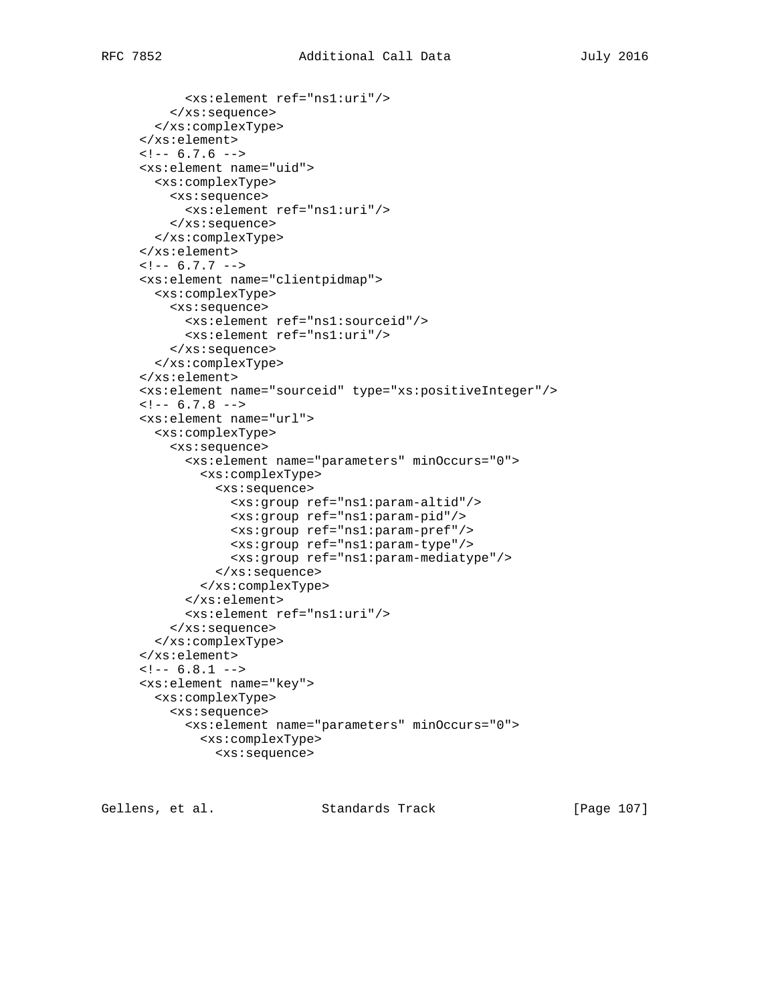```
 <xs:element ref="ns1:uri"/>
     </xs:sequence>
   </xs:complexType>
 </xs:element>
\leftarrow! -- 6.7.6 -->
 <xs:element name="uid">
   <xs:complexType>
     <xs:sequence>
       <xs:element ref="ns1:uri"/>
     </xs:sequence>
   </xs:complexType>
 </xs:element>
\leftarrow ! -- 6.7.7 -->
 <xs:element name="clientpidmap">
   <xs:complexType>
     <xs:sequence>
       <xs:element ref="ns1:sourceid"/>
       <xs:element ref="ns1:uri"/>
     </xs:sequence>
   </xs:complexType>
 </xs:element>
 <xs:element name="sourceid" type="xs:positiveInteger"/>
\leftarrow! -- 6.7.8 -->
 <xs:element name="url">
   <xs:complexType>
     <xs:sequence>
       <xs:element name="parameters" minOccurs="0">
         <xs:complexType>
            <xs:sequence>
              <xs:group ref="ns1:param-altid"/>
             <xs:group ref="ns1:param-pid"/>
             <xs:group ref="ns1:param-pref"/>
             <xs:group ref="ns1:param-type"/>
              <xs:group ref="ns1:param-mediatype"/>
            </xs:sequence>
         </xs:complexType>
       </xs:element>
       <xs:element ref="ns1:uri"/>
     </xs:sequence>
   </xs:complexType>
 </xs:element>
\leftarrow :-- 6.8.1 -->
 <xs:element name="key">
   <xs:complexType>
     <xs:sequence>
       <xs:element name="parameters" minOccurs="0">
         <xs:complexType>
```

```
 <xs:sequence>
```
Gellens, et al. Standards Track [Page 107]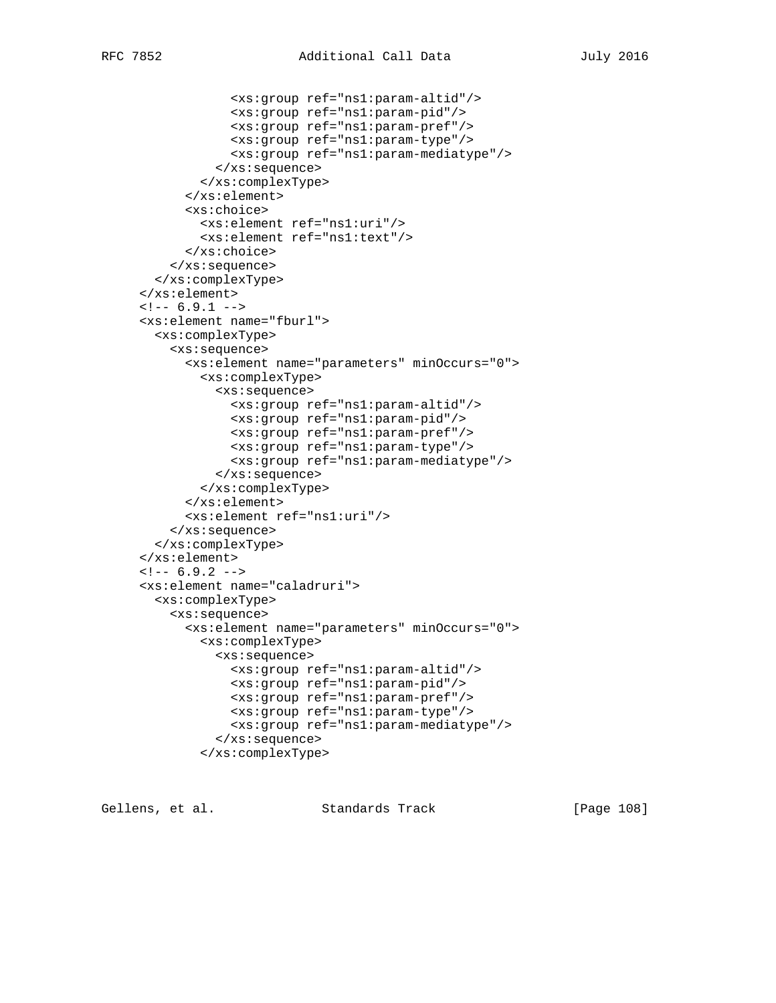```
 <xs:group ref="ns1:param-altid"/>
              <xs:group ref="ns1:param-pid"/>
             <xs:group ref="ns1:param-pref"/>
             <xs:group ref="ns1:param-type"/>
             <xs:group ref="ns1:param-mediatype"/>
           </xs:sequence>
         </xs:complexType>
       </xs:element>
       <xs:choice>
         <xs:element ref="ns1:uri"/>
         <xs:element ref="ns1:text"/>
       </xs:choice>
     </xs:sequence>
   </xs:complexType>
 </xs:element>
\leftarrow : -- 6.9.1 -->
 <xs:element name="fburl">
   <xs:complexType>
     <xs:sequence>
       <xs:element name="parameters" minOccurs="0">
         <xs:complexType>
           <xs:sequence>
             <xs:group ref="ns1:param-altid"/>
             <xs:group ref="ns1:param-pid"/>
             <xs:group ref="ns1:param-pref"/>
             <xs:group ref="ns1:param-type"/>
             <xs:group ref="ns1:param-mediatype"/>
           </xs:sequence>
         </xs:complexType>
       </xs:element>
       <xs:element ref="ns1:uri"/>
     </xs:sequence>
   </xs:complexType>
 </xs:element>
\leftarrow! -- 6.9.2 -->
 <xs:element name="caladruri">
   <xs:complexType>
     <xs:sequence>
       <xs:element name="parameters" minOccurs="0">
         <xs:complexType>
           <xs:sequence>
             <xs:group ref="ns1:param-altid"/>
             <xs:group ref="ns1:param-pid"/>
             <xs:group ref="ns1:param-pref"/>
             <xs:group ref="ns1:param-type"/>
             <xs:group ref="ns1:param-mediatype"/>
           </xs:sequence>
         </xs:complexType>
```
Gellens, et al. Standards Track [Page 108]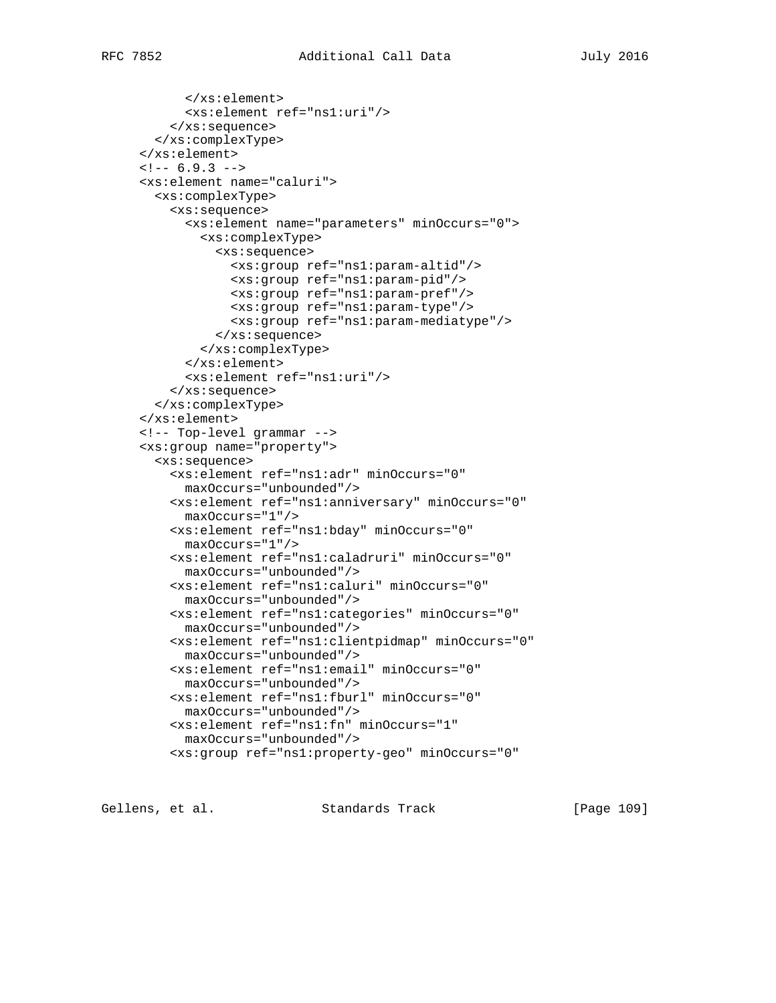```
 </xs:element>
       <xs:element ref="ns1:uri"/>
     </xs:sequence>
   </xs:complexType>
 </xs:element>
\leftarrow! -- 6.9.3 -->
 <xs:element name="caluri">
   <xs:complexType>
     <xs:sequence>
       <xs:element name="parameters" minOccurs="0">
         <xs:complexType>
           <xs:sequence>
             <xs:group ref="ns1:param-altid"/>
             <xs:group ref="ns1:param-pid"/>
             <xs:group ref="ns1:param-pref"/>
             <xs:group ref="ns1:param-type"/>
             <xs:group ref="ns1:param-mediatype"/>
           </xs:sequence>
         </xs:complexType>
       </xs:element>
       <xs:element ref="ns1:uri"/>
     </xs:sequence>
   </xs:complexType>
 </xs:element>
 <!-- Top-level grammar -->
 <xs:group name="property">
   <xs:sequence>
     <xs:element ref="ns1:adr" minOccurs="0"
       maxOccurs="unbounded"/>
     <xs:element ref="ns1:anniversary" minOccurs="0"
       maxOccurs="1"/>
     <xs:element ref="ns1:bday" minOccurs="0"
       maxOccurs="1"/>
     <xs:element ref="ns1:caladruri" minOccurs="0"
       maxOccurs="unbounded"/>
     <xs:element ref="ns1:caluri" minOccurs="0"
       maxOccurs="unbounded"/>
     <xs:element ref="ns1:categories" minOccurs="0"
       maxOccurs="unbounded"/>
     <xs:element ref="ns1:clientpidmap" minOccurs="0"
       maxOccurs="unbounded"/>
     <xs:element ref="ns1:email" minOccurs="0"
       maxOccurs="unbounded"/>
     <xs:element ref="ns1:fburl" minOccurs="0"
       maxOccurs="unbounded"/>
     <xs:element ref="ns1:fn" minOccurs="1"
       maxOccurs="unbounded"/>
     <xs:group ref="ns1:property-geo" minOccurs="0"
```
Gellens, et al. Standards Track [Page 109]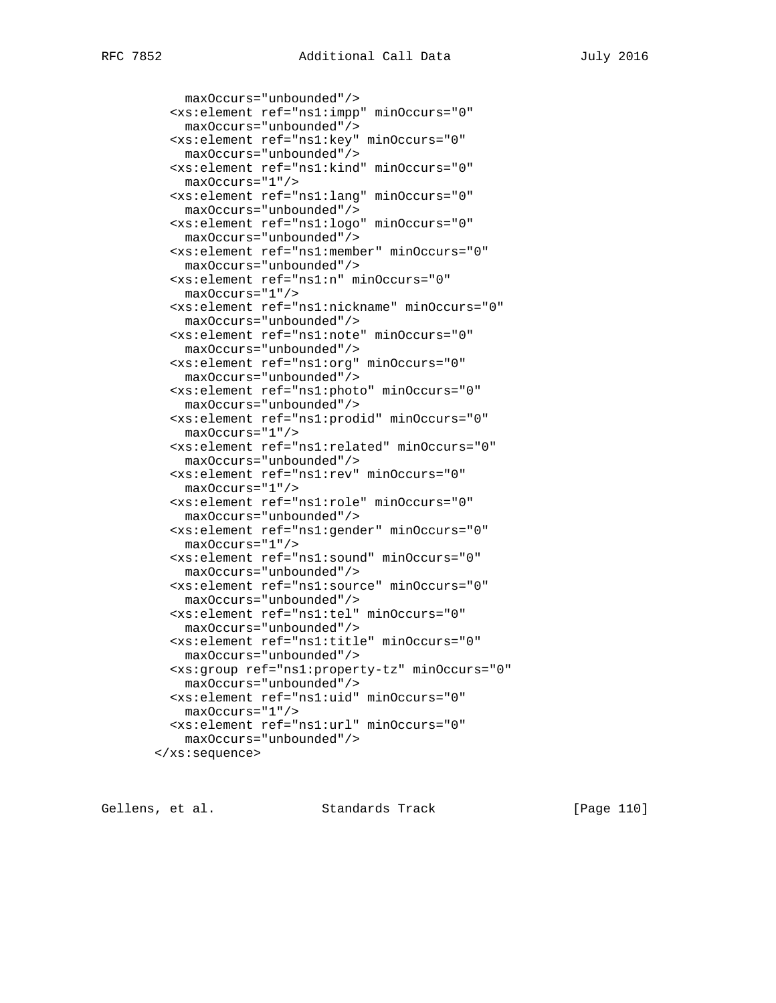```
 maxOccurs="unbounded"/>
   <xs:element ref="ns1:impp" minOccurs="0"
    maxOccurs="unbounded"/>
   <xs:element ref="ns1:key" minOccurs="0"
    maxOccurs="unbounded"/>
   <xs:element ref="ns1:kind" minOccurs="0"
    maxOccurs="1"/>
   <xs:element ref="ns1:lang" minOccurs="0"
    maxOccurs="unbounded"/>
  <xs:element ref="ns1:logo" minOccurs="0"
    maxOccurs="unbounded"/>
   <xs:element ref="ns1:member" minOccurs="0"
    maxOccurs="unbounded"/>
   <xs:element ref="ns1:n" minOccurs="0"
    maxOccurs="1"/>
  <xs:element ref="ns1:nickname" minOccurs="0"
    maxOccurs="unbounded"/>
  <xs:element ref="ns1:note" minOccurs="0"
    maxOccurs="unbounded"/>
   <xs:element ref="ns1:org" minOccurs="0"
    maxOccurs="unbounded"/>
   <xs:element ref="ns1:photo" minOccurs="0"
    maxOccurs="unbounded"/>
   <xs:element ref="ns1:prodid" minOccurs="0"
    maxOccurs="1"/>
   <xs:element ref="ns1:related" minOccurs="0"
    maxOccurs="unbounded"/>
   <xs:element ref="ns1:rev" minOccurs="0"
    maxOccurs="1"/>
   <xs:element ref="ns1:role" minOccurs="0"
    maxOccurs="unbounded"/>
   <xs:element ref="ns1:gender" minOccurs="0"
    maxOccurs="1"/>
   <xs:element ref="ns1:sound" minOccurs="0"
    maxOccurs="unbounded"/>
   <xs:element ref="ns1:source" minOccurs="0"
    maxOccurs="unbounded"/>
   <xs:element ref="ns1:tel" minOccurs="0"
    maxOccurs="unbounded"/>
  <xs:element ref="ns1:title" minOccurs="0"
    maxOccurs="unbounded"/>
  <xs:group ref="ns1:property-tz" minOccurs="0"
    maxOccurs="unbounded"/>
   <xs:element ref="ns1:uid" minOccurs="0"
    maxOccurs="1"/>
   <xs:element ref="ns1:url" minOccurs="0"
    maxOccurs="unbounded"/>
 </xs:sequence>
```
Gellens, et al. Standards Track [Page 110]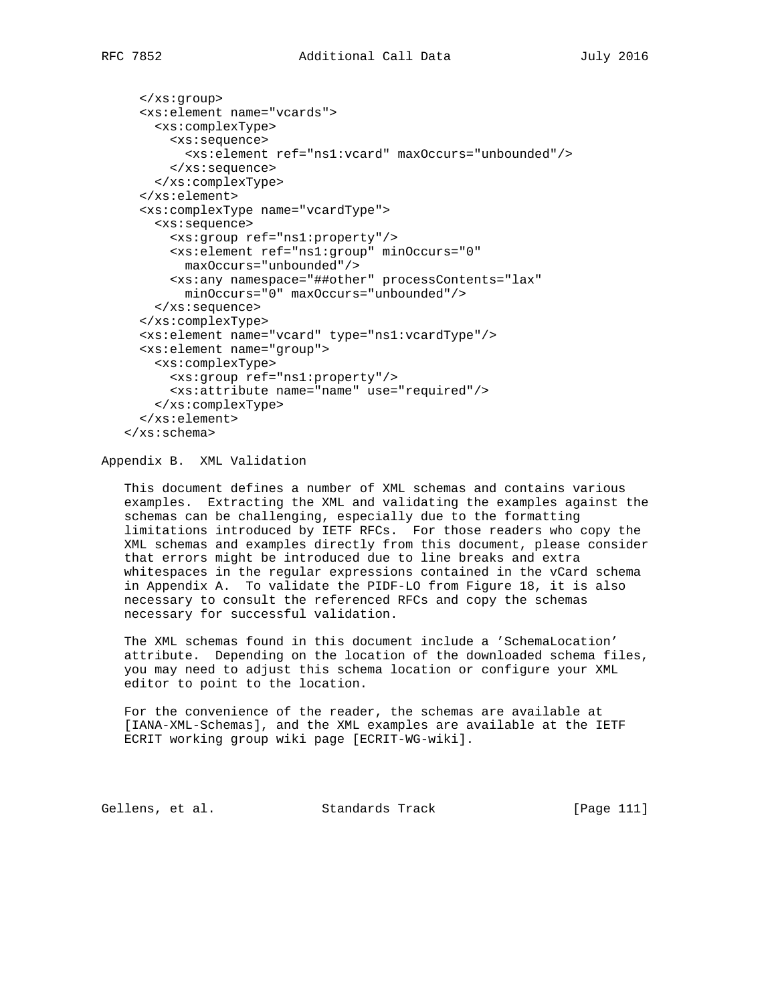```
 </xs:group>
   <xs:element name="vcards">
     <xs:complexType>
      <xs:sequence>
         <xs:element ref="ns1:vcard" maxOccurs="unbounded"/>
       </xs:sequence>
     </xs:complexType>
   </xs:element>
   <xs:complexType name="vcardType">
     <xs:sequence>
       <xs:group ref="ns1:property"/>
      <xs:element ref="ns1:group" minOccurs="0"
         maxOccurs="unbounded"/>
       <xs:any namespace="##other" processContents="lax"
         minOccurs="0" maxOccurs="unbounded"/>
     </xs:sequence>
   </xs:complexType>
   <xs:element name="vcard" type="ns1:vcardType"/>
   <xs:element name="group">
    <xs:complexType>
      <xs:group ref="ns1:property"/>
       <xs:attribute name="name" use="required"/>
    </xs:complexType>
   </xs:element>
 </xs:schema>
```
## Appendix B. XML Validation

 This document defines a number of XML schemas and contains various examples. Extracting the XML and validating the examples against the schemas can be challenging, especially due to the formatting limitations introduced by IETF RFCs. For those readers who copy the XML schemas and examples directly from this document, please consider that errors might be introduced due to line breaks and extra whitespaces in the regular expressions contained in the vCard schema in Appendix A. To validate the PIDF-LO from Figure 18, it is also necessary to consult the referenced RFCs and copy the schemas necessary for successful validation.

 The XML schemas found in this document include a 'SchemaLocation' attribute. Depending on the location of the downloaded schema files, you may need to adjust this schema location or configure your XML editor to point to the location.

 For the convenience of the reader, the schemas are available at [IANA-XML-Schemas], and the XML examples are available at the IETF ECRIT working group wiki page [ECRIT-WG-wiki].

Gellens, et al. Standards Track [Page 111]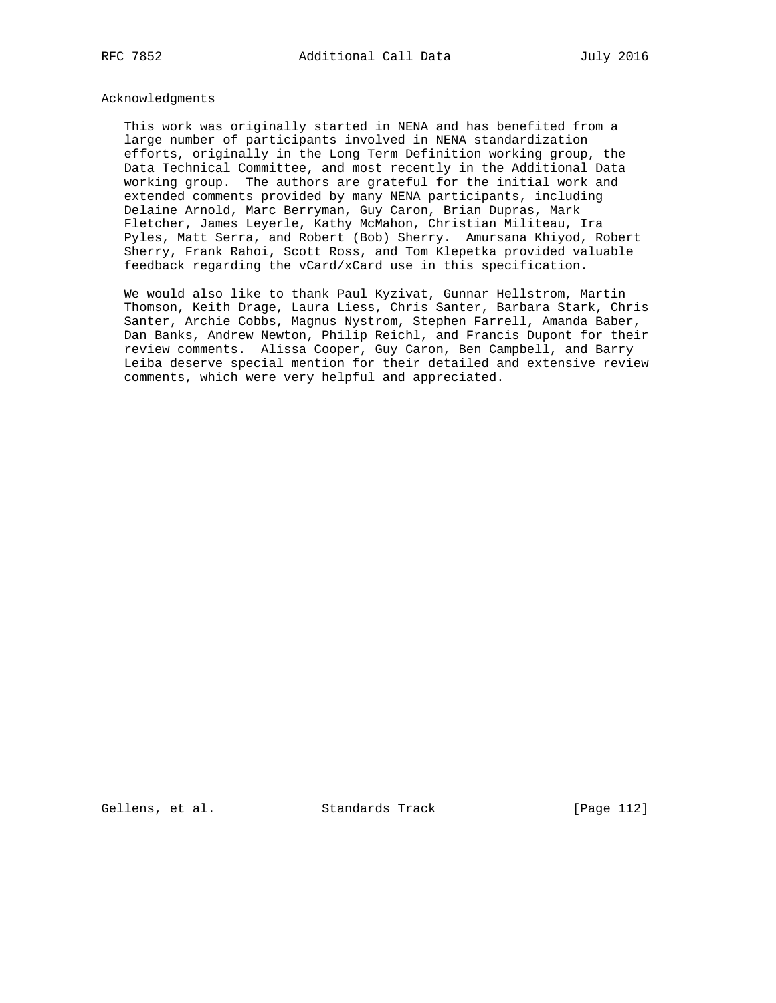## Acknowledgments

 This work was originally started in NENA and has benefited from a large number of participants involved in NENA standardization efforts, originally in the Long Term Definition working group, the Data Technical Committee, and most recently in the Additional Data working group. The authors are grateful for the initial work and extended comments provided by many NENA participants, including Delaine Arnold, Marc Berryman, Guy Caron, Brian Dupras, Mark Fletcher, James Leyerle, Kathy McMahon, Christian Militeau, Ira Pyles, Matt Serra, and Robert (Bob) Sherry. Amursana Khiyod, Robert Sherry, Frank Rahoi, Scott Ross, and Tom Klepetka provided valuable feedback regarding the vCard/xCard use in this specification.

 We would also like to thank Paul Kyzivat, Gunnar Hellstrom, Martin Thomson, Keith Drage, Laura Liess, Chris Santer, Barbara Stark, Chris Santer, Archie Cobbs, Magnus Nystrom, Stephen Farrell, Amanda Baber, Dan Banks, Andrew Newton, Philip Reichl, and Francis Dupont for their review comments. Alissa Cooper, Guy Caron, Ben Campbell, and Barry Leiba deserve special mention for their detailed and extensive review comments, which were very helpful and appreciated.